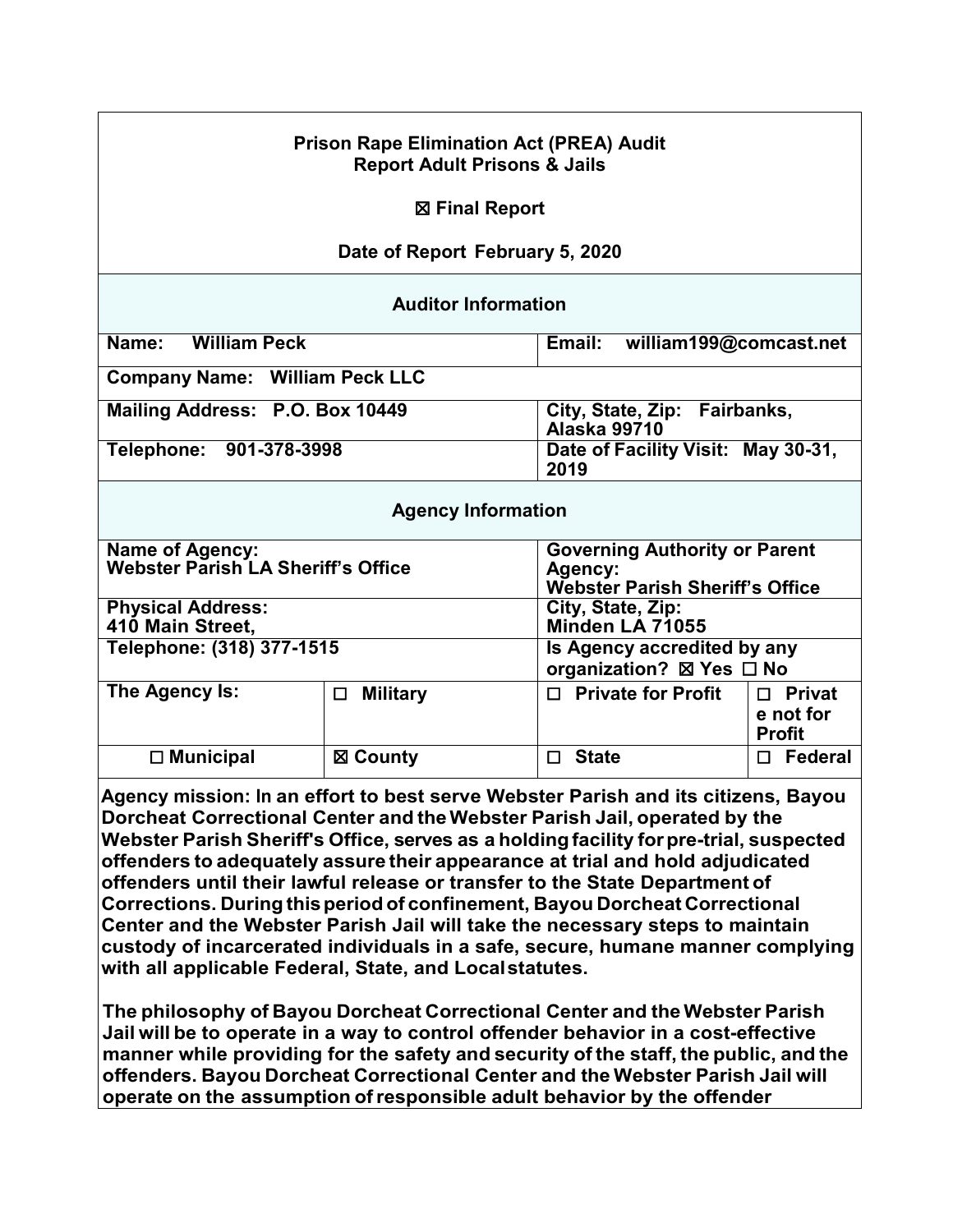### **Prison Rape Elimination Act (PREA) Audit Report Adult Prisons & Jails**

#### ☒ **Final Report**

### **Date of Report February 5, 2020**

#### **Auditor Information**

| <b>William Peck</b><br>Name:          | Email: william199@comcast.net                       |
|---------------------------------------|-----------------------------------------------------|
| <b>Company Name: William Peck LLC</b> |                                                     |
| Mailing Address: P.O. Box 10449       | City, State, Zip: Fairbanks,<br><b>Alaska 99710</b> |
| Telephone: 901-378-3998               | Date of Facility Visit: May 30-31,<br>2019          |

#### **Agency Information**

| <b>Name of Agency:</b><br>Webster Parish LA Sheriff's Office |                                                         | <b>Governing Authority or Parent</b><br>Agency:<br><b>Webster Parish Sheriff's Office</b> |                                             |  |
|--------------------------------------------------------------|---------------------------------------------------------|-------------------------------------------------------------------------------------------|---------------------------------------------|--|
| <b>Physical Address:</b><br>410 Main Street,                 | City, State, Zip:<br>Minden LA 71055                    |                                                                                           |                                             |  |
| Telephone: (318) 377-1515                                    | Is Agency accredited by any<br>organization? ⊠ Yes □ No |                                                                                           |                                             |  |
| The Agency Is:                                               | <b>Military</b><br>П                                    | $\Box$ Private for Profit                                                                 | $\Box$ Privat<br>e not for<br><b>Profit</b> |  |
| $\Box$ Municipal                                             | ⊠ County                                                | <b>State</b>                                                                              | <b>Federal</b><br>П                         |  |

**Agency mission: In an effort to best serve Webster Parish and its citizens, Bayou Dorcheat Correctional Center and theWebster Parish Jail, operated by the Webster Parish Sheriff's Office, serves as a holdingfacility forpre-trial, suspected offenders to adequately assure their appearance at trial and hold adjudicated offenders until their lawful release or transfer to the State Department of Corrections. During thisperiod of confinement, Bayou Dorcheat Correctional Center and the Webster Parish Jail will take the necessary steps to maintain custody of incarcerated individuals in a safe, secure, humane manner complying with all applicable Federal, State, and Localstatutes.**

**The philosophy of Bayou Dorcheat Correctional Center and theWebster Parish Jail will be to operate in a way to control offender behavior in a cost-effective manner while providing for the safety and security of the staff, the public, and the offenders. Bayou Dorcheat Correctional Center and the Webster Parish Jail will operate on the assumption ofresponsible adult behavior by the offender**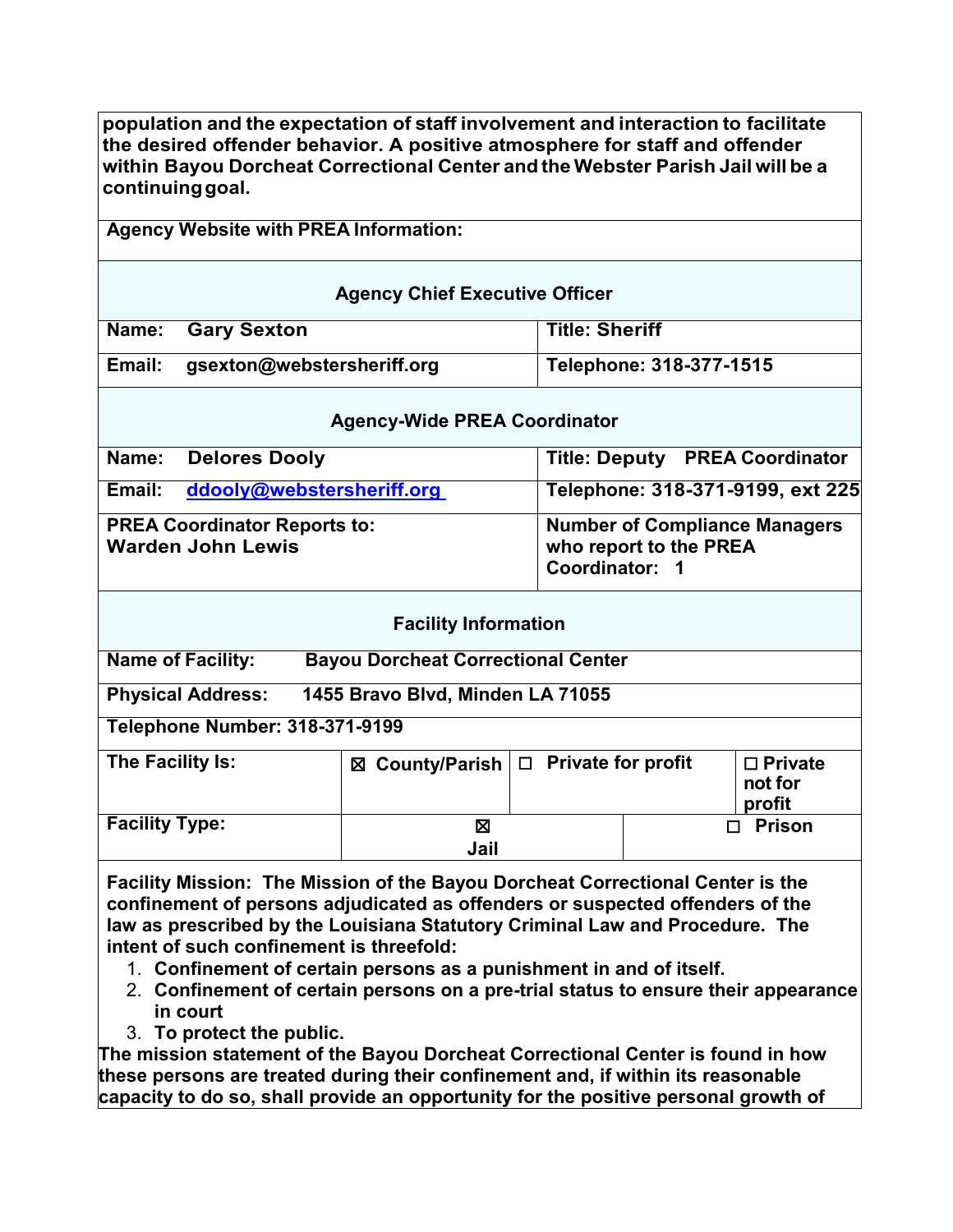**population and the expectation of staff involvement and interaction to facilitate the desired offender behavior. A positive atmosphere for staff and offender within Bayou Dorcheat Correctional Center and the Webster Parish Jail will be a continuinggoal.**

# **Agency Website with PREA Information:**

| <b>Agency Chief Executive Officer</b> |                            |                         |
|---------------------------------------|----------------------------|-------------------------|
|                                       | Name: Gary Sexton          | <b>Title: Sheriff</b>   |
| Email:                                | gsexton@webstersheriff.org | Telephone: 318-377-1515 |

### **Agency-Wide PREA Coordinator**

| Name:  | <b>Delores Dooly</b>                                            | <b>Title: Deputy PREA Coordinator</b>                                            |
|--------|-----------------------------------------------------------------|----------------------------------------------------------------------------------|
| Email: | ddooly@webstersheriff.org                                       | Telephone: 318-371-9199, ext 225                                                 |
|        | <b>PREA Coordinator Reports to:</b><br><b>Warden John Lewis</b> | <b>Number of Compliance Managers</b><br>who report to the PREA<br>Coordinator: 1 |

| <b>Facility Information</b> |  |
|-----------------------------|--|
|-----------------------------|--|

**Name of Facility: Bayou Dorcheat Correctional Center**

**Physical Address: 1455 Bravo Blvd, Minden LA 71055**

**Telephone Number: 318-371-9199**

| The Facility Is:      | ⊠ County/Parish   □ Private for profit |  | $\Box$ Private<br>not for<br>profit |
|-----------------------|----------------------------------------|--|-------------------------------------|
| <b>Facility Type:</b> | ⊠                                      |  | <b>Prison</b>                       |
|                       | Jail                                   |  |                                     |

**Facility Mission: The Mission of the Bayou Dorcheat Correctional Center is the confinement of persons adjudicated as offenders or suspected offenders of the law as prescribed by the Louisiana Statutory Criminal Law and Procedure. The intent of such confinement is threefold:**

- 1. **Confinement of certain persons as a punishment in and of itself.**
- 2. **Confinement of certain persons on a pre-trial status to ensure their appearance in court**
- 3. **To protect the public.**

**The mission statement of the Bayou Dorcheat Correctional Center is found in how these persons are treated during their confinement and, if within its reasonable capacity to do so, shall provide an opportunity for the positive personal growth of**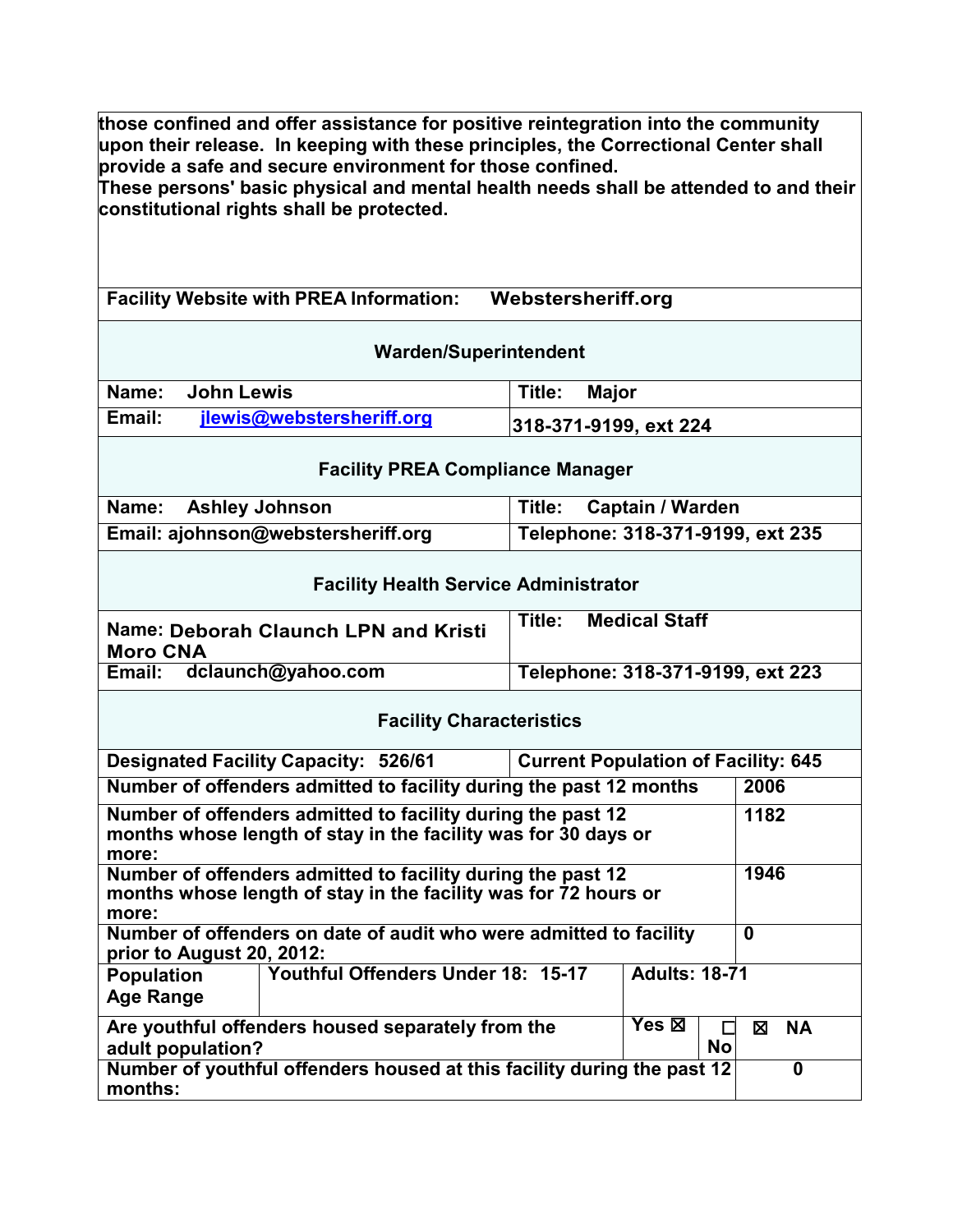**those confined and offer assistance for positive reintegration into the community upon their release. In keeping with these principles, the Correctional Center shall provide a safe and secure environment for those confined.** 

**These persons' basic physical and mental health needs shall be attended to and their constitutional rights shall be protected.** 

**Facility Website with PREA Information: Webstersheriff.org** 

| <b>Warden/Superintendent</b> |                           |                       |
|------------------------------|---------------------------|-----------------------|
| Name:                        | John Lewis                | Title:<br>Major       |
| Email:                       | jlewis@webstersheriff.org | 318-371-9199, ext 224 |
|                              |                           |                       |

#### **Facility PREA Compliance Manager**

| Name: Ashley Johnson               | <b>Captain / Warden</b><br>Title: |
|------------------------------------|-----------------------------------|
| Email: ajohnson@webstersheriff.org | Telephone: 318-371-9199, ext 235  |

| <b>Facility Health Service Administrator</b> |  |
|----------------------------------------------|--|
|----------------------------------------------|--|

| Name: Deborah Claunch LPN and Kristi | <b>Medical Staff</b>             |
|--------------------------------------|----------------------------------|
| <b>Moro CNA</b>                      | Title:                           |
| dclaunch@yahoo.com<br>Email:         | Telephone: 318-371-9199, ext 223 |

### **Facility Characteristics**

| <b>Current Population of Facility: 645</b><br><b>Designated Facility Capacity: 526/61</b>                                                       |                                                                    |                      |                |
|-------------------------------------------------------------------------------------------------------------------------------------------------|--------------------------------------------------------------------|----------------------|----------------|
|                                                                                                                                                 | Number of offenders admitted to facility during the past 12 months |                      | 2006           |
| Number of offenders admitted to facility during the past 12<br>months whose length of stay in the facility was for 30 days or<br>more:          |                                                                    |                      | 1182           |
| Number of offenders admitted to facility during the past 12<br>1946<br>months whose length of stay in the facility was for 72 hours or<br>more: |                                                                    |                      |                |
| Number of offenders on date of audit who were admitted to facility<br>prior to August 20, 2012:                                                 |                                                                    |                      | 0              |
| <b>Population</b><br><b>Age Range</b>                                                                                                           | Youthful Offenders Under 18: 15-17                                 | <b>Adults: 18-71</b> |                |
| adult population?                                                                                                                               | Are youthful offenders housed separately from the                  | Yes ⊠<br><b>No</b>   | <b>NA</b><br>⊠ |
| Number of youthful offenders housed at this facility during the past 12<br>0<br>months:                                                         |                                                                    |                      |                |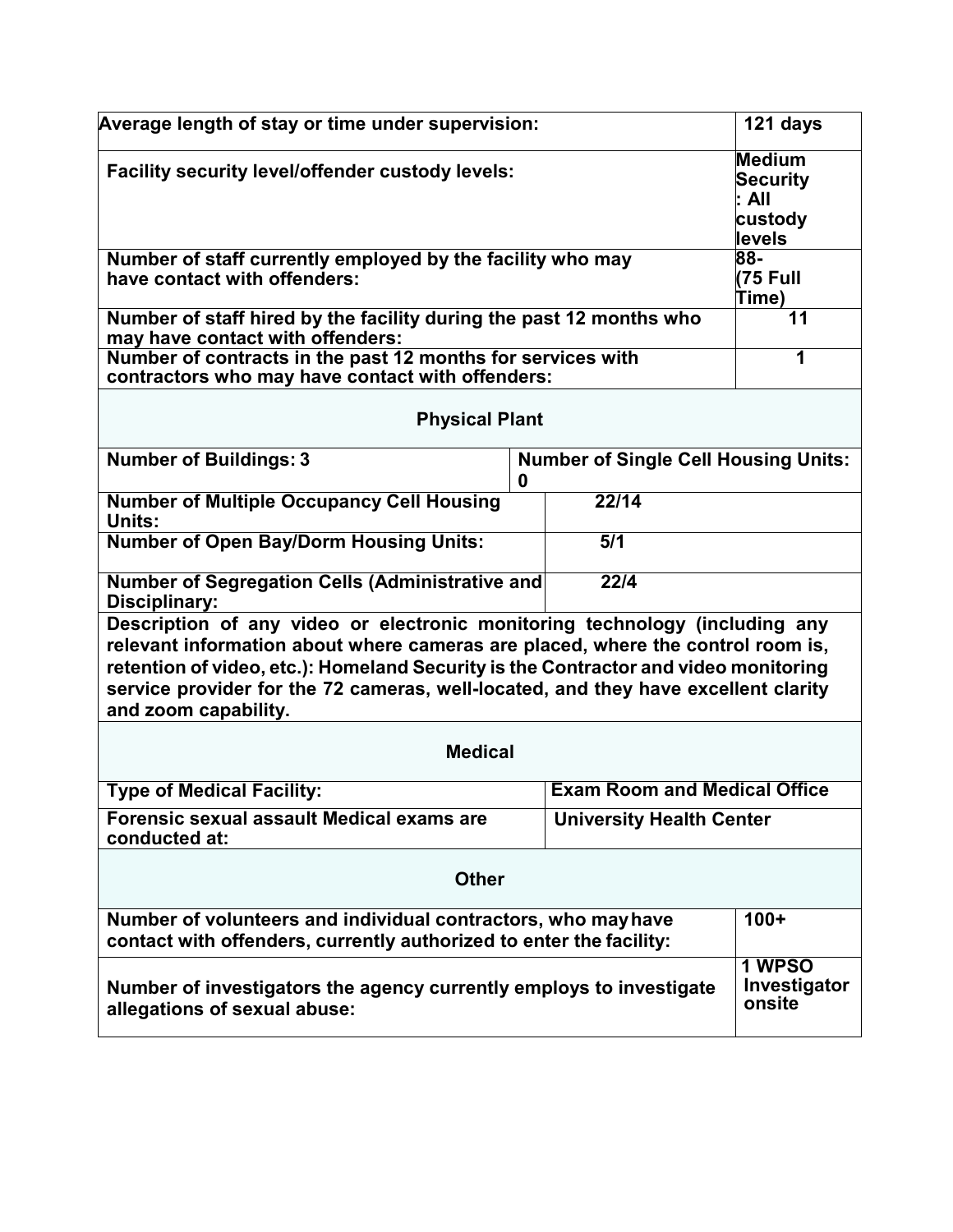| Average length of stay or time under supervision:                                                                                                                                                                                                                                                                                                                   | 121 days                                                                                           |    |  |
|---------------------------------------------------------------------------------------------------------------------------------------------------------------------------------------------------------------------------------------------------------------------------------------------------------------------------------------------------------------------|----------------------------------------------------------------------------------------------------|----|--|
| Facility security level/offender custody levels:                                                                                                                                                                                                                                                                                                                    | <b>Medium</b><br><b>Security</b><br>l: All<br>custody<br>levels                                    |    |  |
| have contact with offenders:                                                                                                                                                                                                                                                                                                                                        | $\overline{88}$<br>Number of staff currently employed by the facility who may<br>(75 Full<br>Time) |    |  |
| Number of staff hired by the facility during the past 12 months who<br>may have contact with offenders:                                                                                                                                                                                                                                                             |                                                                                                    | 11 |  |
| Number of contracts in the past 12 months for services with<br>contractors who may have contact with offenders:                                                                                                                                                                                                                                                     |                                                                                                    | 1  |  |
| <b>Physical Plant</b>                                                                                                                                                                                                                                                                                                                                               |                                                                                                    |    |  |
| <b>Number of Buildings: 3</b>                                                                                                                                                                                                                                                                                                                                       | <b>Number of Single Cell Housing Units:</b><br>O                                                   |    |  |
| <b>Number of Multiple Occupancy Cell Housing</b><br>Units:                                                                                                                                                                                                                                                                                                          |                                                                                                    |    |  |
| <b>Number of Open Bay/Dorm Housing Units:</b>                                                                                                                                                                                                                                                                                                                       |                                                                                                    |    |  |
| <b>Number of Segregation Cells (Administrative and</b><br>Disciplinary:                                                                                                                                                                                                                                                                                             |                                                                                                    |    |  |
| Description of any video or electronic monitoring technology (including any<br>relevant information about where cameras are placed, where the control room is,<br>retention of video, etc.): Homeland Security is the Contractor and video monitoring<br>service provider for the 72 cameras, well-located, and they have excellent clarity<br>and zoom capability. |                                                                                                    |    |  |
| <b>Medical</b>                                                                                                                                                                                                                                                                                                                                                      |                                                                                                    |    |  |
| <b>Type of Medical Facility:</b>                                                                                                                                                                                                                                                                                                                                    | <b>Exam Room and Medical Office</b>                                                                |    |  |
| Forensic sexual assault Medical exams are<br>conducted at:                                                                                                                                                                                                                                                                                                          | <b>University Health Center</b>                                                                    |    |  |
| <b>Other</b>                                                                                                                                                                                                                                                                                                                                                        |                                                                                                    |    |  |
| Number of volunteers and individual contractors, who may have<br>contact with offenders, currently authorized to enter the facility:                                                                                                                                                                                                                                | $100+$                                                                                             |    |  |
| Number of investigators the agency currently employs to investigate<br>allegations of sexual abuse:                                                                                                                                                                                                                                                                 | 1 WPSO<br>Investigator<br>onsite                                                                   |    |  |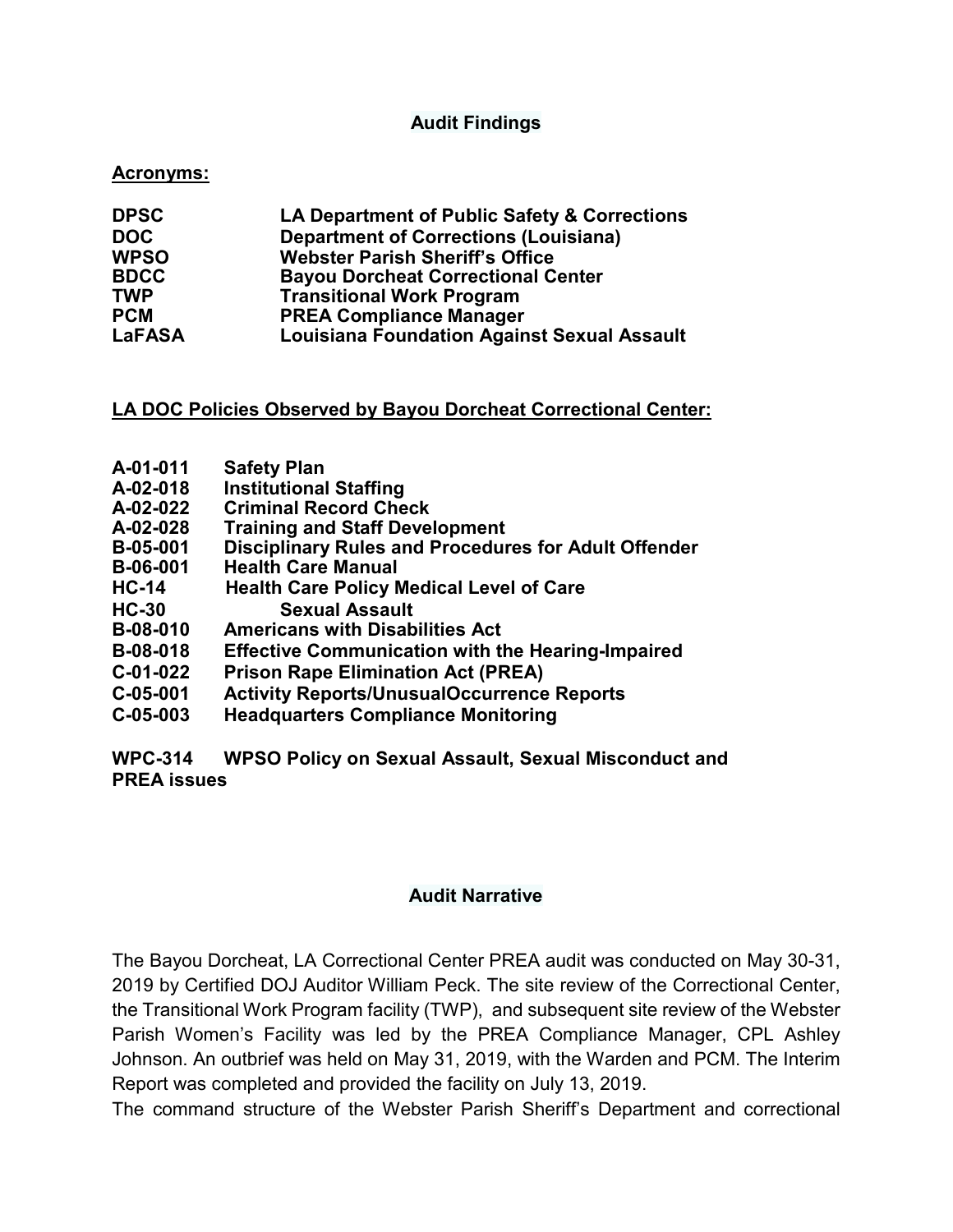### **Audit Findings**

#### **Acronyms:**

| <b>DPSC</b>   | LA Department of Public Safety & Corrections       |
|---------------|----------------------------------------------------|
| <b>DOC</b>    | <b>Department of Corrections (Louisiana)</b>       |
| <b>WPSO</b>   | <b>Webster Parish Sheriff's Office</b>             |
| <b>BDCC</b>   | <b>Bayou Dorcheat Correctional Center</b>          |
| <b>TWP</b>    | <b>Transitional Work Program</b>                   |
| <b>PCM</b>    | <b>PREA Compliance Manager</b>                     |
| <b>LaFASA</b> | <b>Louisiana Foundation Against Sexual Assault</b> |

#### **LA DOC Policies Observed by Bayou Dorcheat Correctional Center:**

- 
- **A-01-011 Safety Plan**
- **A-02-018 Institutional Staffing**
- **A-02-022 Criminal Record Check**
- **A-02-028 Training and Staff Development Disciplinary Rules and Procedures for Adult Offender**
- **B-06-001 Health Care Manual**
- **HC-14 Health Care Policy Medical Level of Care**
- **HC-30 Sexual Assault**
- **Americans with Disabilities Act**
- **B-08-018 Effective Communication with the Hearing-Impaired**
- **C-01-022 Prison Rape Elimination Act (PREA)**
- **C-05-001 Activity Reports/UnusualOccurrence Reports**
- **C-05-003 Headquarters Compliance Monitoring**

**WPC-314 WPSO Policy on Sexual Assault, Sexual Misconduct and PREA issues**

#### **Audit Narrative**

The Bayou Dorcheat, LA Correctional Center PREA audit was conducted on May 30-31, 2019 by Certified DOJ Auditor William Peck. The site review of the Correctional Center, the Transitional Work Program facility (TWP), and subsequent site review of the Webster Parish Women's Facility was led by the PREA Compliance Manager, CPL Ashley Johnson. An outbrief was held on May 31, 2019, with the Warden and PCM. The Interim Report was completed and provided the facility on July 13, 2019.

The command structure of the Webster Parish Sheriff's Department and correctional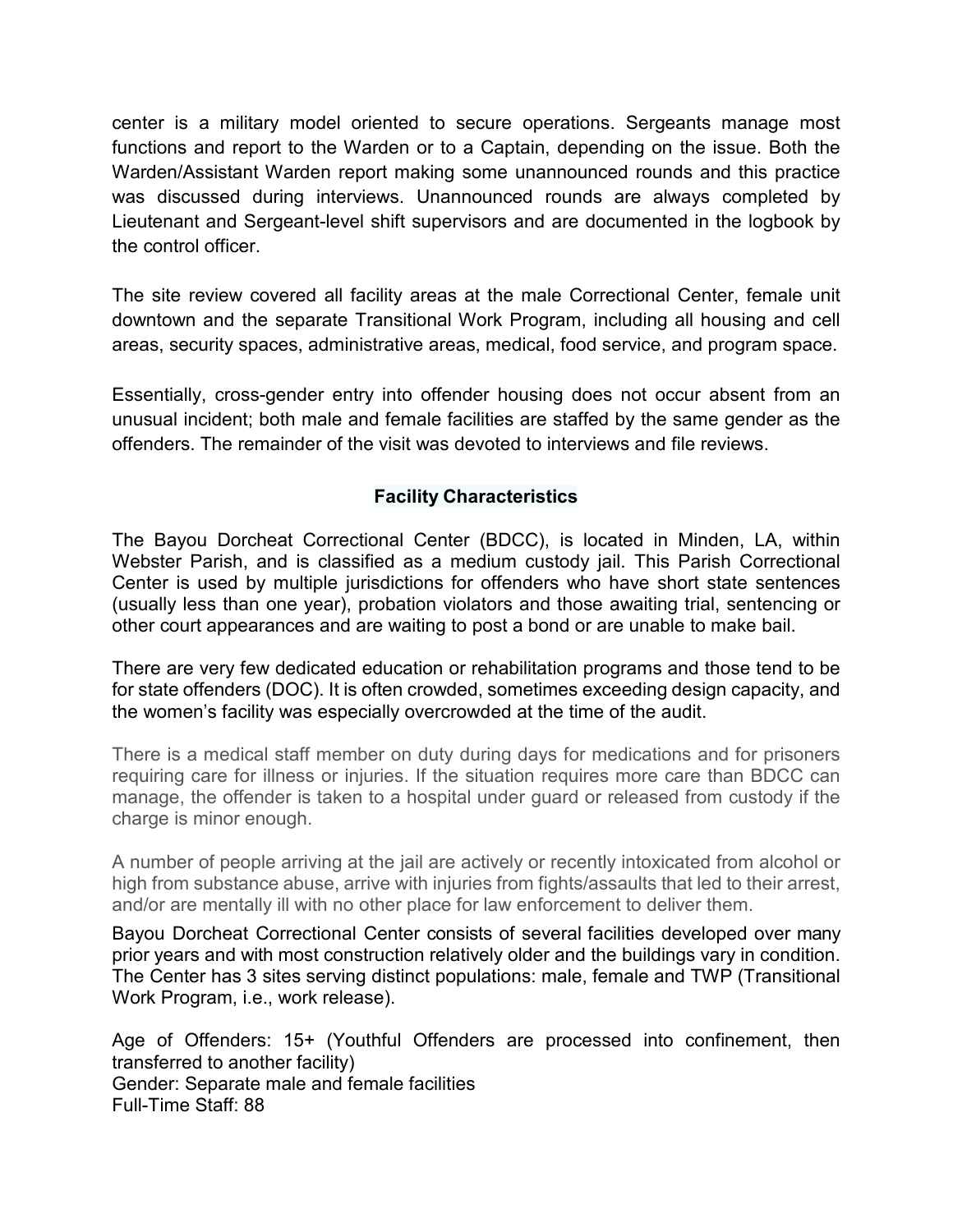center is a military model oriented to secure operations. Sergeants manage most functions and report to the Warden or to a Captain, depending on the issue. Both the Warden/Assistant Warden report making some unannounced rounds and this practice was discussed during interviews. Unannounced rounds are always completed by Lieutenant and Sergeant-level shift supervisors and are documented in the logbook by the control officer.

The site review covered all facility areas at the male Correctional Center, female unit downtown and the separate Transitional Work Program, including all housing and cell areas, security spaces, administrative areas, medical, food service, and program space.

Essentially, cross-gender entry into offender housing does not occur absent from an unusual incident; both male and female facilities are staffed by the same gender as the offenders. The remainder of the visit was devoted to interviews and file reviews.

# **Facility Characteristics**

The Bayou Dorcheat Correctional Center (BDCC), is located in Minden, LA, within Webster Parish, and is classified as a medium custody jail. This Parish Correctional Center is used by multiple jurisdictions for offenders who have short state sentences (usually less than one year), probation violators and those awaiting trial, sentencing or other court appearances and are waiting to post a bond or are unable to make bail.

There are very few dedicated education or rehabilitation programs and those tend to be for state offenders (DOC). It is often crowded, sometimes exceeding design capacity, and the women's facility was especially overcrowded at the time of the audit.

There is a medical staff member on duty during days for medications and for prisoners requiring care for illness or injuries. If the situation requires more care than BDCC can manage, the offender is taken to a hospital under guard or released from custody if the charge is minor enough.

A number of people arriving at the jail are actively or recently intoxicated from alcohol or high from substance abuse, arrive with injuries from fights/assaults that led to their arrest, and/or are mentally ill with no other place for law enforcement to deliver them.

Bayou Dorcheat Correctional Center consists of several facilities developed over many prior years and with most construction relatively older and the buildings vary in condition. The Center has 3 sites serving distinct populations: male, female and TWP (Transitional Work Program, i.e., work release).

Age of Offenders: 15+ (Youthful Offenders are processed into confinement, then transferred to another facility) Gender: Separate male and female facilities Full-Time Staff: 88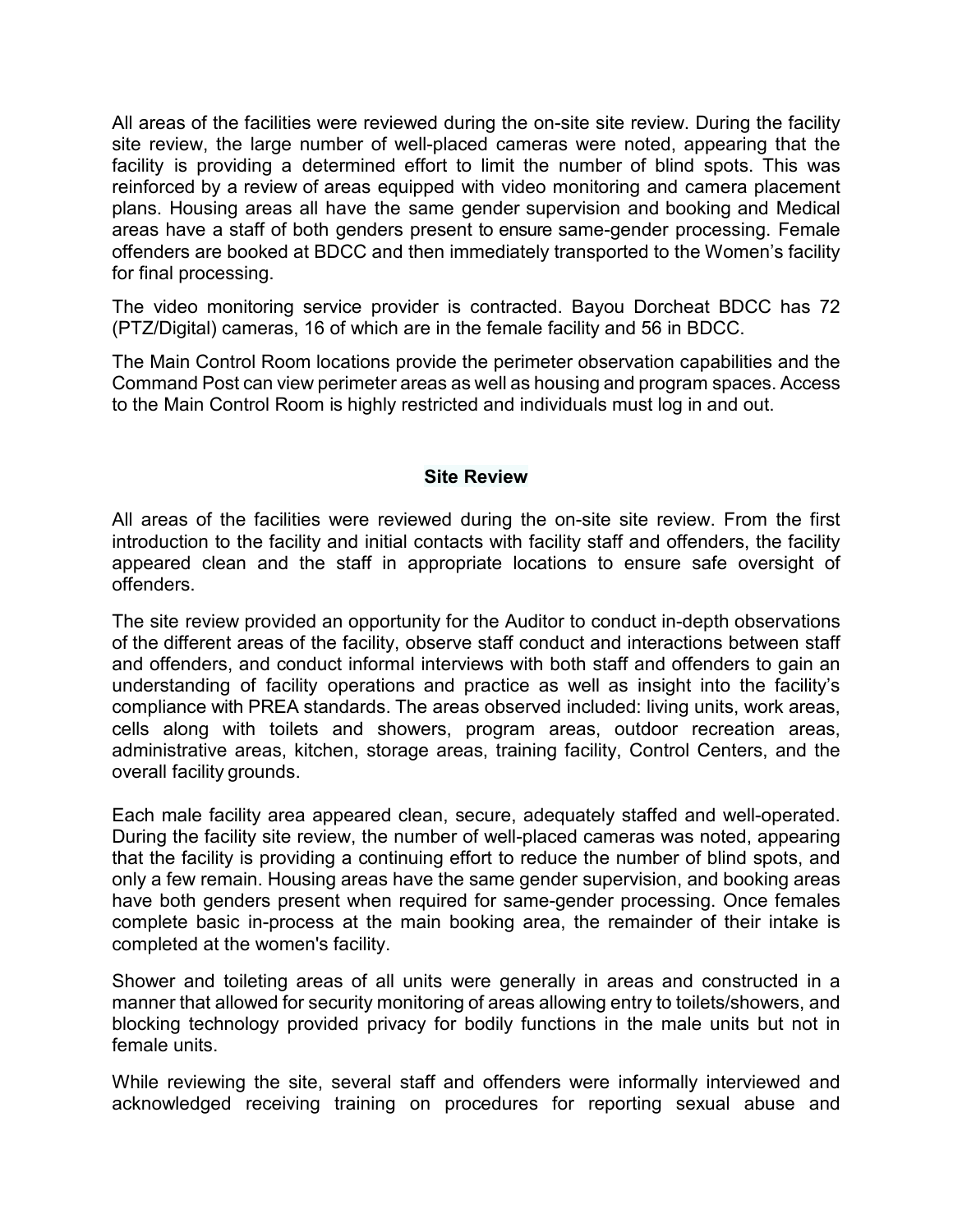All areas of the facilities were reviewed during the on-site site review. During the facility site review, the large number of well-placed cameras were noted, appearing that the facility is providing a determined effort to limit the number of blind spots. This was reinforced by a review of areas equipped with video monitoring and camera placement plans. Housing areas all have the same gender supervision and booking and Medical areas have a staff of both genders present to ensure same-gender processing. Female offenders are booked at BDCC and then immediately transported to the Women's facility for final processing.

The video monitoring service provider is contracted. Bayou Dorcheat BDCC has 72 (PTZ/Digital) cameras, 16 of which are in the female facility and 56 in BDCC.

The Main Control Room locations provide the perimeter observation capabilities and the Command Post can view perimeter areas as well as housing and program spaces. Access to the Main Control Room is highly restricted and individuals must log in and out.

#### **Site Review**

All areas of the facilities were reviewed during the on-site site review. From the first introduction to the facility and initial contacts with facility staff and offenders, the facility appeared clean and the staff in appropriate locations to ensure safe oversight of offenders.

The site review provided an opportunity for the Auditor to conduct in-depth observations of the different areas of the facility, observe staff conduct and interactions between staff and offenders, and conduct informal interviews with both staff and offenders to gain an understanding of facility operations and practice as well as insight into the facility's compliance with PREA standards. The areas observed included: living units, work areas, cells along with toilets and showers, program areas, outdoor recreation areas, administrative areas, kitchen, storage areas, training facility, Control Centers, and the overall facility grounds.

Each male facility area appeared clean, secure, adequately staffed and well-operated. During the facility site review, the number of well-placed cameras was noted, appearing that the facility is providing a continuing effort to reduce the number of blind spots, and only a few remain. Housing areas have the same gender supervision, and booking areas have both genders present when required for same-gender processing. Once females complete basic in-process at the main booking area, the remainder of their intake is completed at the women's facility.

Shower and toileting areas of all units were generally in areas and constructed in a manner that allowed for security monitoring of areas allowing entry to toilets/showers, and blocking technology provided privacy for bodily functions in the male units but not in female units.

While reviewing the site, several staff and offenders were informally interviewed and acknowledged receiving training on procedures for reporting sexual abuse and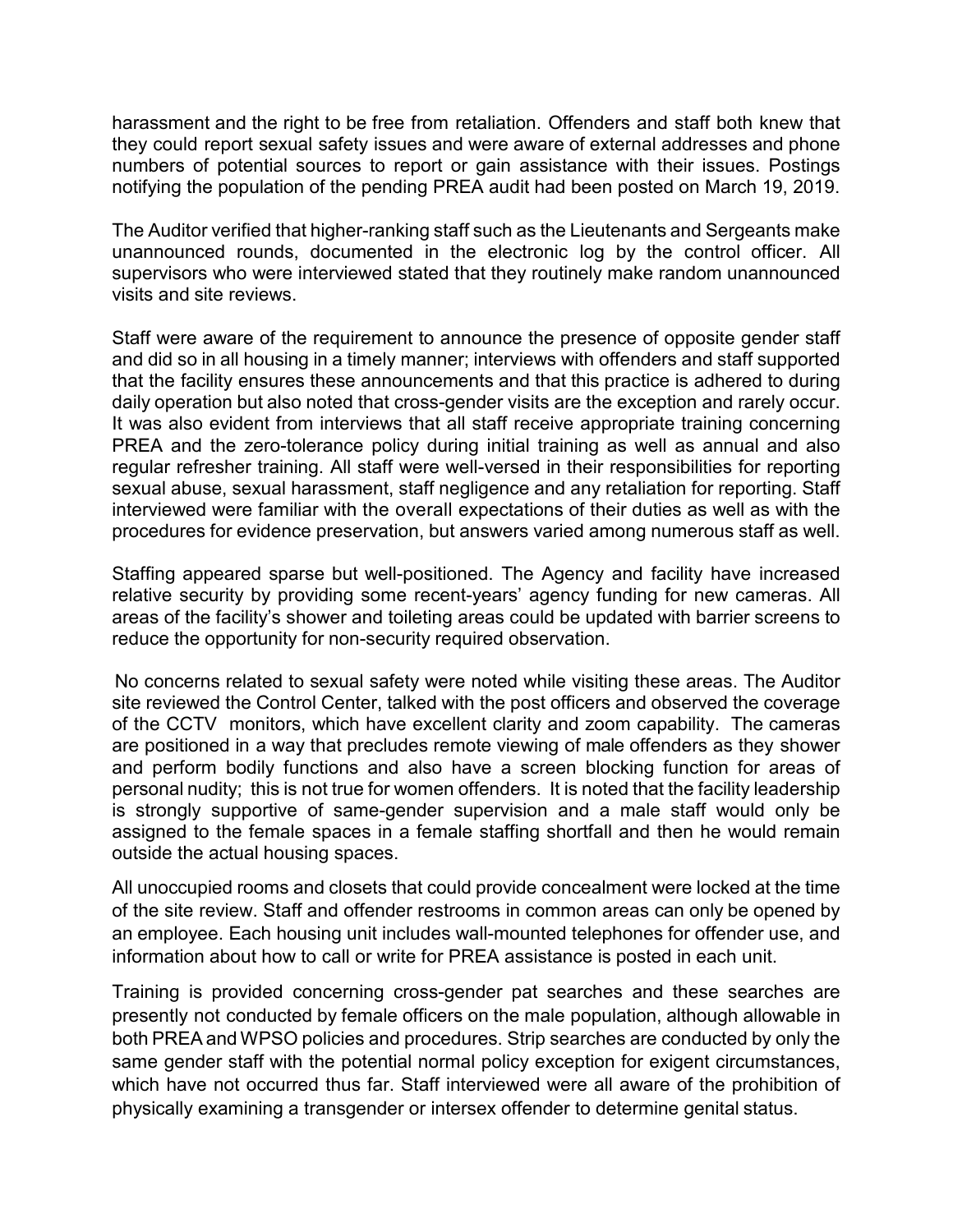harassment and the right to be free from retaliation. Offenders and staff both knew that they could report sexual safety issues and were aware of external addresses and phone numbers of potential sources to report or gain assistance with their issues. Postings notifying the population of the pending PREA audit had been posted on March 19, 2019.

The Auditor verified that higher-ranking staff such as the Lieutenants and Sergeants make unannounced rounds, documented in the electronic log by the control officer. All supervisors who were interviewed stated that they routinely make random unannounced visits and site reviews.

Staff were aware of the requirement to announce the presence of opposite gender staff and did so in all housing in a timely manner; interviews with offenders and staff supported that the facility ensures these announcements and that this practice is adhered to during daily operation but also noted that cross-gender visits are the exception and rarely occur. It was also evident from interviews that all staff receive appropriate training concerning PREA and the zero-tolerance policy during initial training as well as annual and also regular refresher training. All staff were well-versed in their responsibilities for reporting sexual abuse, sexual harassment, staff negligence and any retaliation for reporting. Staff interviewed were familiar with the overall expectations of their duties as well as with the procedures for evidence preservation, but answers varied among numerous staff as well.

Staffing appeared sparse but well-positioned. The Agency and facility have increased relative security by providing some recent-years' agency funding for new cameras. All areas of the facility's shower and toileting areas could be updated with barrier screens to reduce the opportunity for non-security required observation.

 No concerns related to sexual safety were noted while visiting these areas. The Auditor site reviewed the Control Center, talked with the post officers and observed the coverage of the CCTV monitors, which have excellent clarity and zoom capability. The cameras are positioned in a way that precludes remote viewing of male offenders as they shower and perform bodily functions and also have a screen blocking function for areas of personal nudity; this is not true for women offenders. It is noted that the facility leadership is strongly supportive of same-gender supervision and a male staff would only be assigned to the female spaces in a female staffing shortfall and then he would remain outside the actual housing spaces.

All unoccupied rooms and closets that could provide concealment were locked at the time of the site review. Staff and offender restrooms in common areas can only be opened by an employee. Each housing unit includes wall-mounted telephones for offender use, and information about how to call or write for PREA assistance is posted in each unit.

Training is provided concerning cross-gender pat searches and these searches are presently not conducted by female officers on the male population, although allowable in both PREA and WPSO policies and procedures. Strip searches are conducted by only the same gender staff with the potential normal policy exception for exigent circumstances, which have not occurred thus far. Staff interviewed were all aware of the prohibition of physically examining a transgender or intersex offender to determine genital status.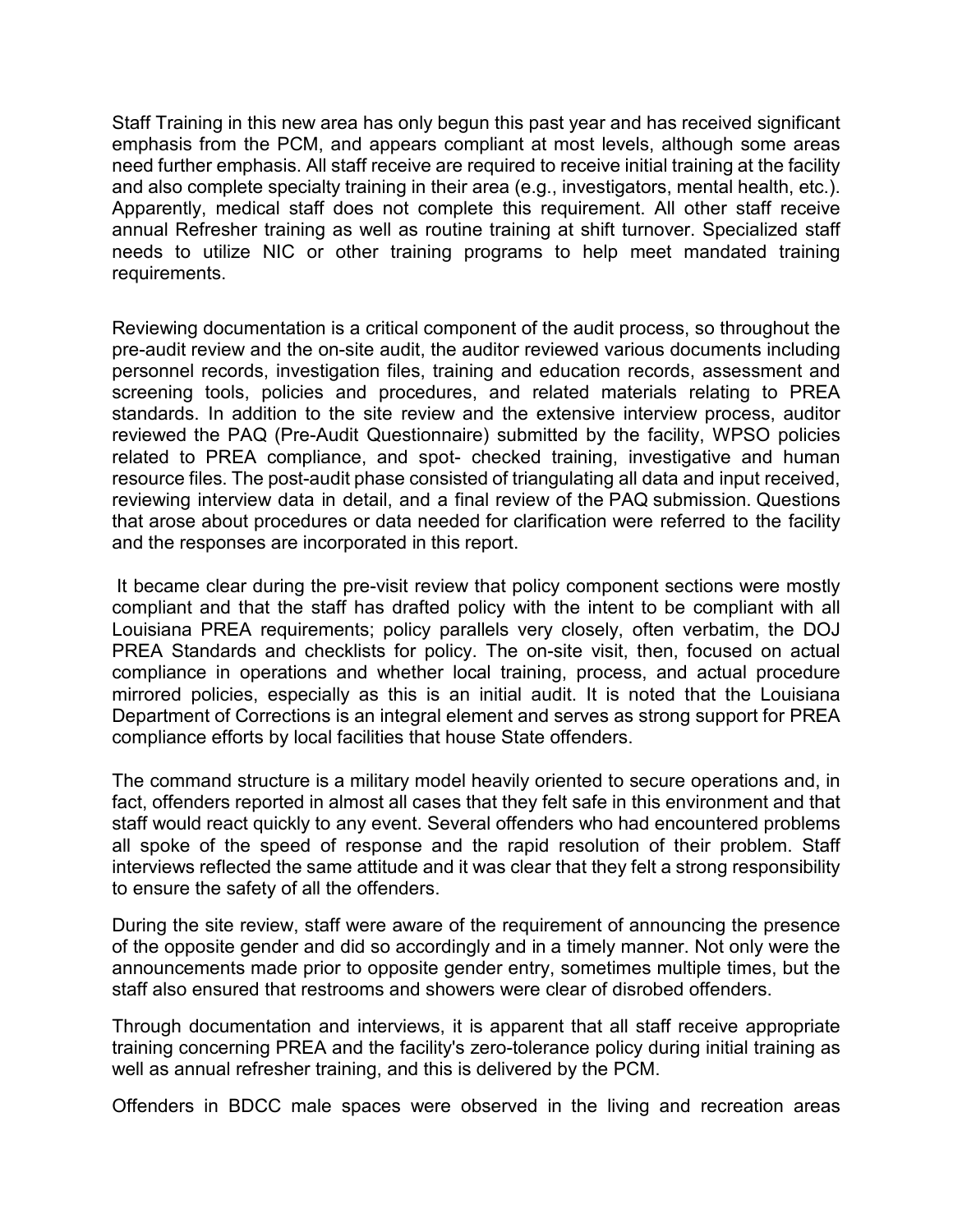Staff Training in this new area has only begun this past year and has received significant emphasis from the PCM, and appears compliant at most levels, although some areas need further emphasis. All staff receive are required to receive initial training at the facility and also complete specialty training in their area (e.g., investigators, mental health, etc.). Apparently, medical staff does not complete this requirement. All other staff receive annual Refresher training as well as routine training at shift turnover. Specialized staff needs to utilize NIC or other training programs to help meet mandated training requirements.

Reviewing documentation is a critical component of the audit process, so throughout the pre-audit review and the on-site audit, the auditor reviewed various documents including personnel records, investigation files, training and education records, assessment and screening tools, policies and procedures, and related materials relating to PREA standards. In addition to the site review and the extensive interview process, auditor reviewed the PAQ (Pre-Audit Questionnaire) submitted by the facility, WPSO policies related to PREA compliance, and spot- checked training, investigative and human resource files. The post-audit phase consisted of triangulating all data and input received, reviewing interview data in detail, and a final review of the PAQ submission. Questions that arose about procedures or data needed for clarification were referred to the facility and the responses are incorporated in this report.

It became clear during the pre-visit review that policy component sections were mostly compliant and that the staff has drafted policy with the intent to be compliant with all Louisiana PREA requirements; policy parallels very closely, often verbatim, the DOJ PREA Standards and checklists for policy. The on-site visit, then, focused on actual compliance in operations and whether local training, process, and actual procedure mirrored policies, especially as this is an initial audit. It is noted that the Louisiana Department of Corrections is an integral element and serves as strong support for PREA compliance efforts by local facilities that house State offenders.

The command structure is a military model heavily oriented to secure operations and, in fact, offenders reported in almost all cases that they felt safe in this environment and that staff would react quickly to any event. Several offenders who had encountered problems all spoke of the speed of response and the rapid resolution of their problem. Staff interviews reflected the same attitude and it was clear that they felt a strong responsibility to ensure the safety of all the offenders.

During the site review, staff were aware of the requirement of announcing the presence of the opposite gender and did so accordingly and in a timely manner. Not only were the announcements made prior to opposite gender entry, sometimes multiple times, but the staff also ensured that restrooms and showers were clear of disrobed offenders.

Through documentation and interviews, it is apparent that all staff receive appropriate training concerning PREA and the facility's zero-tolerance policy during initial training as well as annual refresher training, and this is delivered by the PCM.

Offenders in BDCC male spaces were observed in the living and recreation areas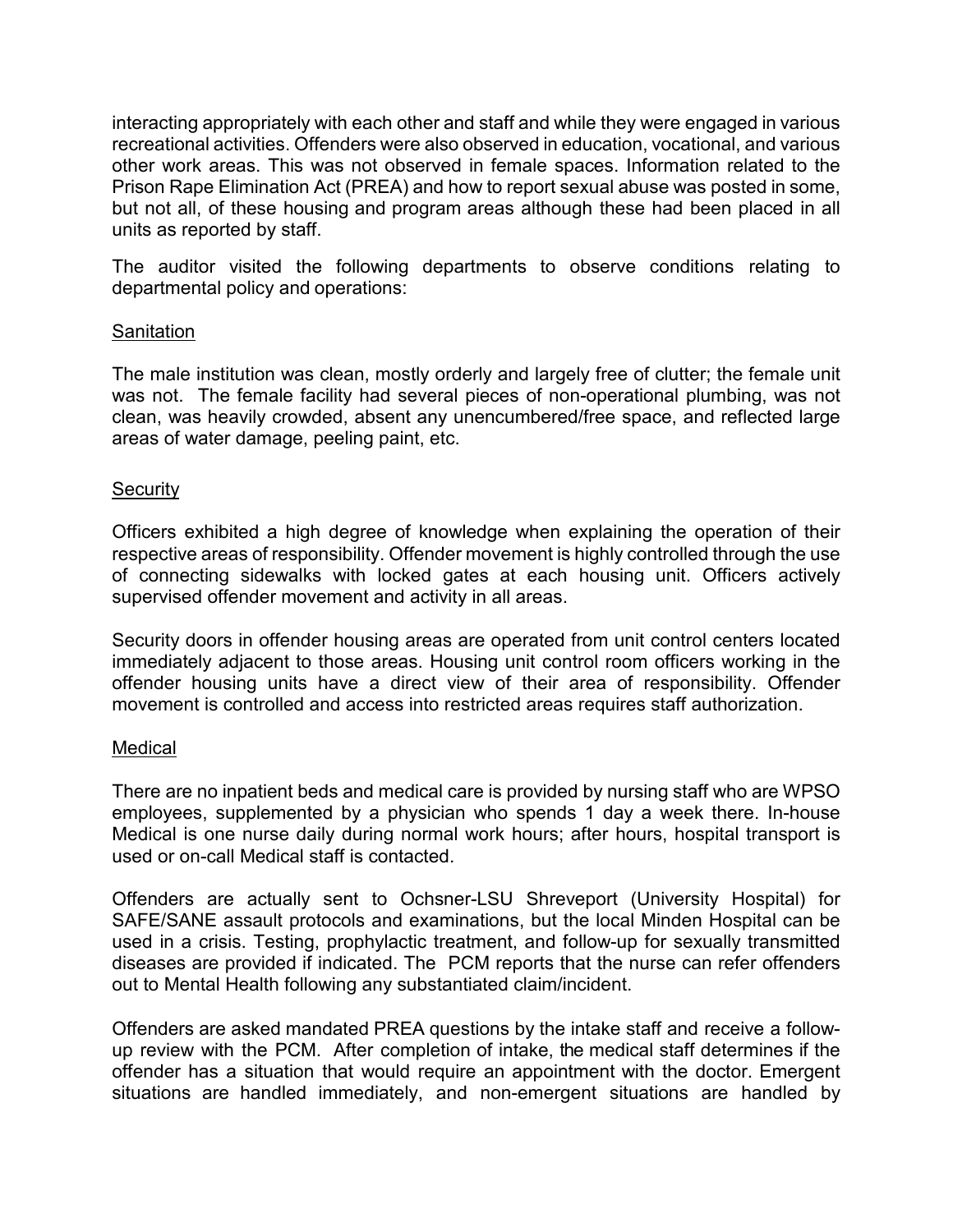interacting appropriately with each other and staff and while they were engaged in various recreational activities. Offenders were also observed in education, vocational, and various other work areas. This was not observed in female spaces. Information related to the Prison Rape Elimination Act (PREA) and how to report sexual abuse was posted in some, but not all, of these housing and program areas although these had been placed in all units as reported by staff.

The auditor visited the following departments to observe conditions relating to departmental policy and operations:

### Sanitation

The male institution was clean, mostly orderly and largely free of clutter; the female unit was not. The female facility had several pieces of non-operational plumbing, was not clean, was heavily crowded, absent any unencumbered/free space, and reflected large areas of water damage, peeling paint, etc.

#### **Security**

Officers exhibited a high degree of knowledge when explaining the operation of their respective areas of responsibility. Offender movement is highly controlled through the use of connecting sidewalks with locked gates at each housing unit. Officers actively supervised offender movement and activity in all areas.

Security doors in offender housing areas are operated from unit control centers located immediately adjacent to those areas. Housing unit control room officers working in the offender housing units have a direct view of their area of responsibility. Offender movement is controlled and access into restricted areas requires staff authorization.

#### **Medical**

There are no inpatient beds and medical care is provided by nursing staff who are WPSO employees, supplemented by a physician who spends 1 day a week there. In-house Medical is one nurse daily during normal work hours; after hours, hospital transport is used or on-call Medical staff is contacted.

Offenders are actually sent to Ochsner-LSU Shreveport (University Hospital) for SAFE/SANE assault protocols and examinations, but the local Minden Hospital can be used in a crisis. Testing, prophylactic treatment, and follow-up for sexually transmitted diseases are provided if indicated. The PCM reports that the nurse can refer offenders out to Mental Health following any substantiated claim/incident.

Offenders are asked mandated PREA questions by the intake staff and receive a followup review with the PCM. After completion of intake, the medical staff determines if the offender has a situation that would require an appointment with the doctor. Emergent situations are handled immediately, and non-emergent situations are handled by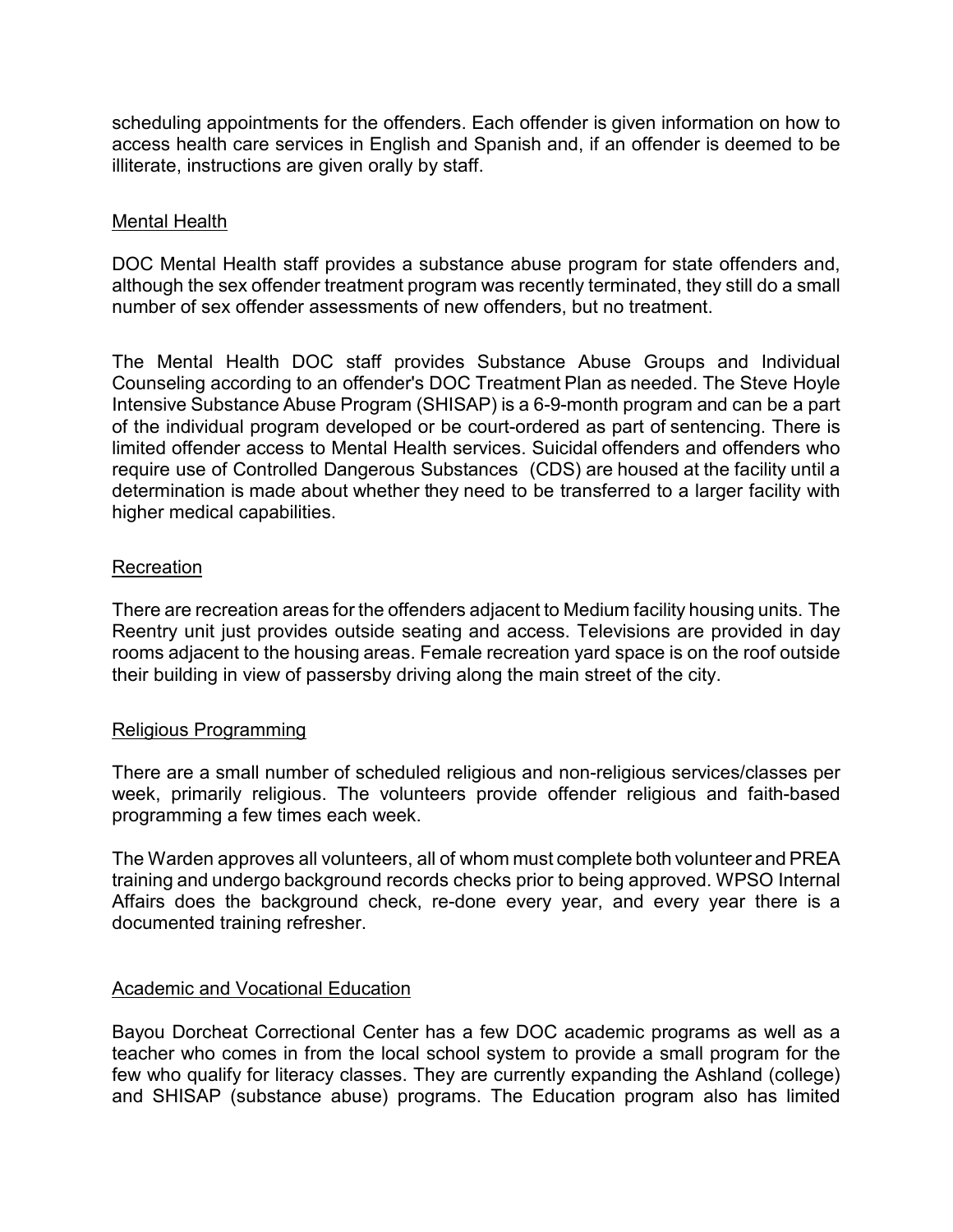scheduling appointments for the offenders. Each offender is given information on how to access health care services in English and Spanish and, if an offender is deemed to be illiterate, instructions are given orally by staff.

### Mental Health

DOC Mental Health staff provides a substance abuse program for state offenders and, although the sex offender treatment program was recently terminated, they still do a small number of sex offender assessments of new offenders, but no treatment.

The Mental Health DOC staff provides Substance Abuse Groups and Individual Counseling according to an offender's DOC Treatment Plan as needed. The Steve Hoyle Intensive Substance Abuse Program (SHISAP) is a 6-9-month program and can be a part of the individual program developed or be court-ordered as part of sentencing. There is limited offender access to Mental Health services. Suicidal offenders and offenders who require use of Controlled Dangerous Substances (CDS) are housed at the facility until a determination is made about whether they need to be transferred to a larger facility with higher medical capabilities.

#### Recreation

There are recreation areas for the offenders adjacent to Medium facility housing units. The Reentry unit just provides outside seating and access. Televisions are provided in day rooms adjacent to the housing areas. Female recreation yard space is on the roof outside their building in view of passersby driving along the main street of the city.

### Religious Programming

There are a small number of scheduled religious and non-religious services/classes per week, primarily religious. The volunteers provide offender religious and faith-based programming a few times each week.

The Warden approves all volunteers, all of whom must complete both volunteer and PREA training and undergo background records checks prior to being approved. WPSO Internal Affairs does the background check, re-done every year, and every year there is a documented training refresher.

### Academic and Vocational Education

Bayou Dorcheat Correctional Center has a few DOC academic programs as well as a teacher who comes in from the local school system to provide a small program for the few who qualify for literacy classes. They are currently expanding the Ashland (college) and SHISAP (substance abuse) programs. The Education program also has limited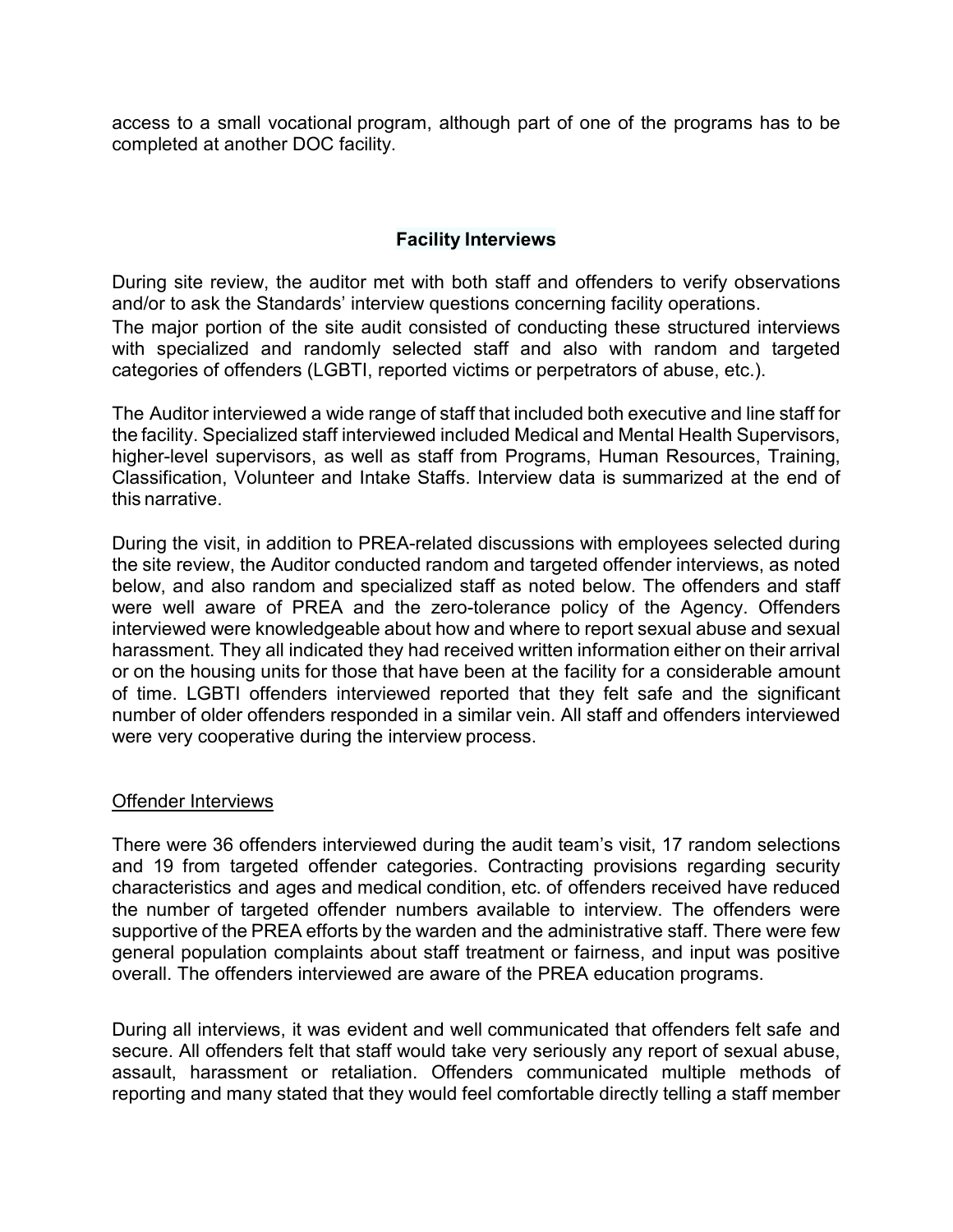access to a small vocational program, although part of one of the programs has to be completed at another DOC facility.

### **Facility Interviews**

During site review, the auditor met with both staff and offenders to verify observations and/or to ask the Standards' interview questions concerning facility operations. The major portion of the site audit consisted of conducting these structured interviews with specialized and randomly selected staff and also with random and targeted categories of offenders (LGBTI, reported victims or perpetrators of abuse, etc.).

The Auditor interviewed a wide range of staff that included both executive and line staff for the facility. Specialized staff interviewed included Medical and Mental Health Supervisors, higher-level supervisors, as well as staff from Programs, Human Resources, Training, Classification, Volunteer and Intake Staffs. Interview data is summarized at the end of this narrative.

During the visit, in addition to PREA-related discussions with employees selected during the site review, the Auditor conducted random and targeted offender interviews, as noted below, and also random and specialized staff as noted below. The offenders and staff were well aware of PREA and the zero-tolerance policy of the Agency. Offenders interviewed were knowledgeable about how and where to report sexual abuse and sexual harassment. They all indicated they had received written information either on their arrival or on the housing units for those that have been at the facility for a considerable amount of time. LGBTI offenders interviewed reported that they felt safe and the significant number of older offenders responded in a similar vein. All staff and offenders interviewed were very cooperative during the interview process.

### Offender Interviews

There were 36 offenders interviewed during the audit team's visit, 17 random selections and 19 from targeted offender categories. Contracting provisions regarding security characteristics and ages and medical condition, etc. of offenders received have reduced the number of targeted offender numbers available to interview. The offenders were supportive of the PREA efforts by the warden and the administrative staff. There were few general population complaints about staff treatment or fairness, and input was positive overall. The offenders interviewed are aware of the PREA education programs.

During all interviews, it was evident and well communicated that offenders felt safe and secure. All offenders felt that staff would take very seriously any report of sexual abuse, assault, harassment or retaliation. Offenders communicated multiple methods of reporting and many stated that they would feel comfortable directly telling a staff member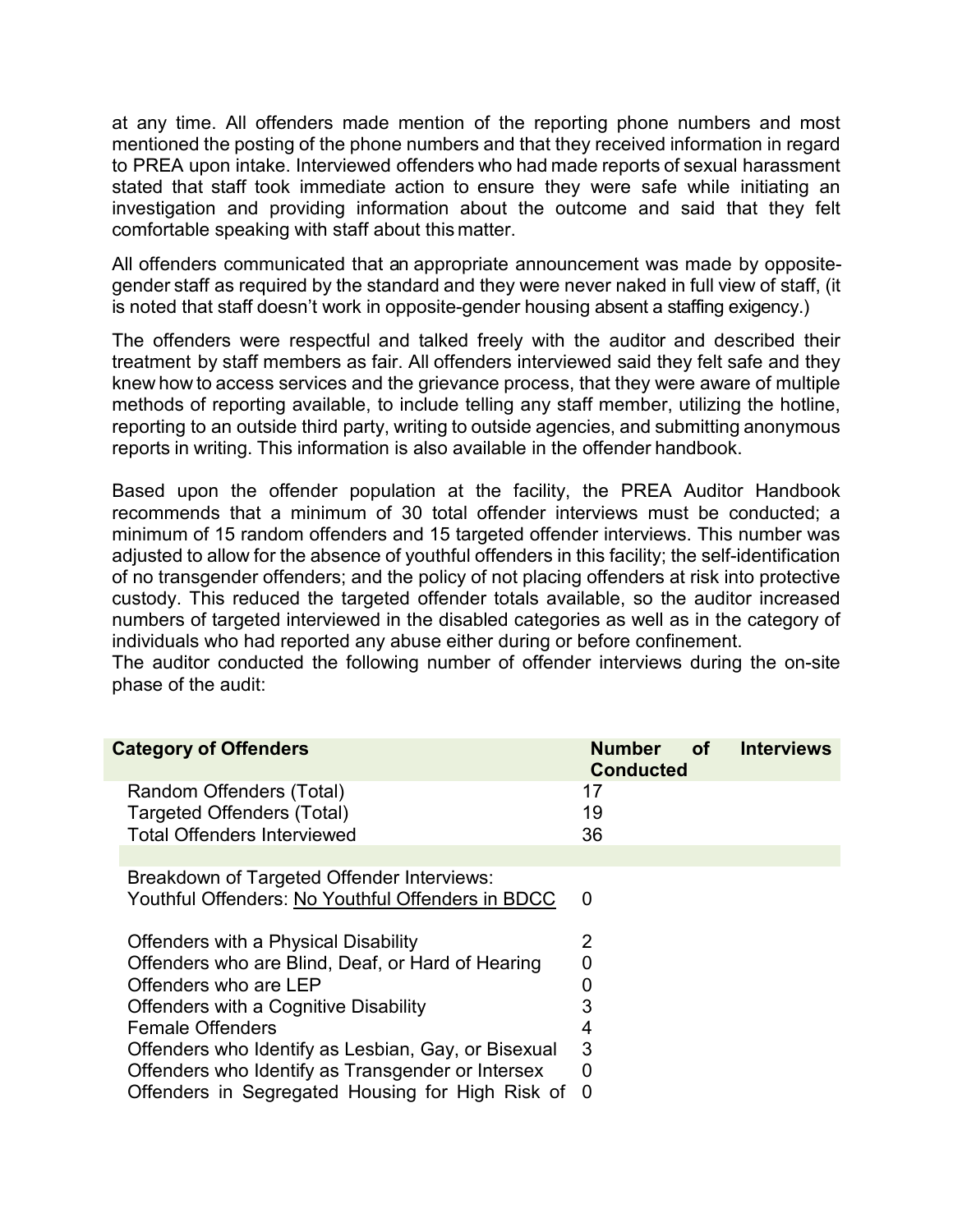at any time. All offenders made mention of the reporting phone numbers and most mentioned the posting of the phone numbers and that they received information in regard to PREA upon intake. Interviewed offenders who had made reports of sexual harassment stated that staff took immediate action to ensure they were safe while initiating an investigation and providing information about the outcome and said that they felt comfortable speaking with staff about this matter.

All offenders communicated that an appropriate announcement was made by oppositegender staff as required by the standard and they were never naked in full view of staff, (it is noted that staff doesn't work in opposite-gender housing absent a staffing exigency.)

The offenders were respectful and talked freely with the auditor and described their treatment by staff members as fair. All offenders interviewed said they felt safe and they knew how to access services and the grievance process, that they were aware of multiple methods of reporting available, to include telling any staff member, utilizing the hotline, reporting to an outside third party, writing to outside agencies, and submitting anonymous reports in writing. This information is also available in the offender handbook.

Based upon the offender population at the facility, the PREA Auditor Handbook recommends that a minimum of 30 total offender interviews must be conducted; a minimum of 15 random offenders and 15 targeted offender interviews. This number was adjusted to allow for the absence of youthful offenders in this facility; the self-identification of no transgender offenders; and the policy of not placing offenders at risk into protective custody. This reduced the targeted offender totals available, so the auditor increased numbers of targeted interviewed in the disabled categories as well as in the category of individuals who had reported any abuse either during or before confinement.

The auditor conducted the following number of offender interviews during the on-site phase of the audit:

| <b>Category of Offenders</b>                                                                                                                                                                                                                                                                                                                             | <b>Number</b><br>of<br><b>Conducted</b>      | <b>Interviews</b> |
|----------------------------------------------------------------------------------------------------------------------------------------------------------------------------------------------------------------------------------------------------------------------------------------------------------------------------------------------------------|----------------------------------------------|-------------------|
| Random Offenders (Total)<br><b>Targeted Offenders (Total)</b><br><b>Total Offenders Interviewed</b>                                                                                                                                                                                                                                                      | 17<br>19<br>36                               |                   |
| Breakdown of Targeted Offender Interviews:<br>Youthful Offenders: No Youthful Offenders in BDCC                                                                                                                                                                                                                                                          | $\Omega$                                     |                   |
| Offenders with a Physical Disability<br>Offenders who are Blind, Deaf, or Hard of Hearing<br>Offenders who are LEP<br>Offenders with a Cognitive Disability<br><b>Female Offenders</b><br>Offenders who Identify as Lesbian, Gay, or Bisexual<br>Offenders who Identify as Transgender or Intersex<br>Offenders in Segregated Housing for High Risk of 0 | 2<br>0<br>0<br>3<br>4<br>3<br>$\overline{0}$ |                   |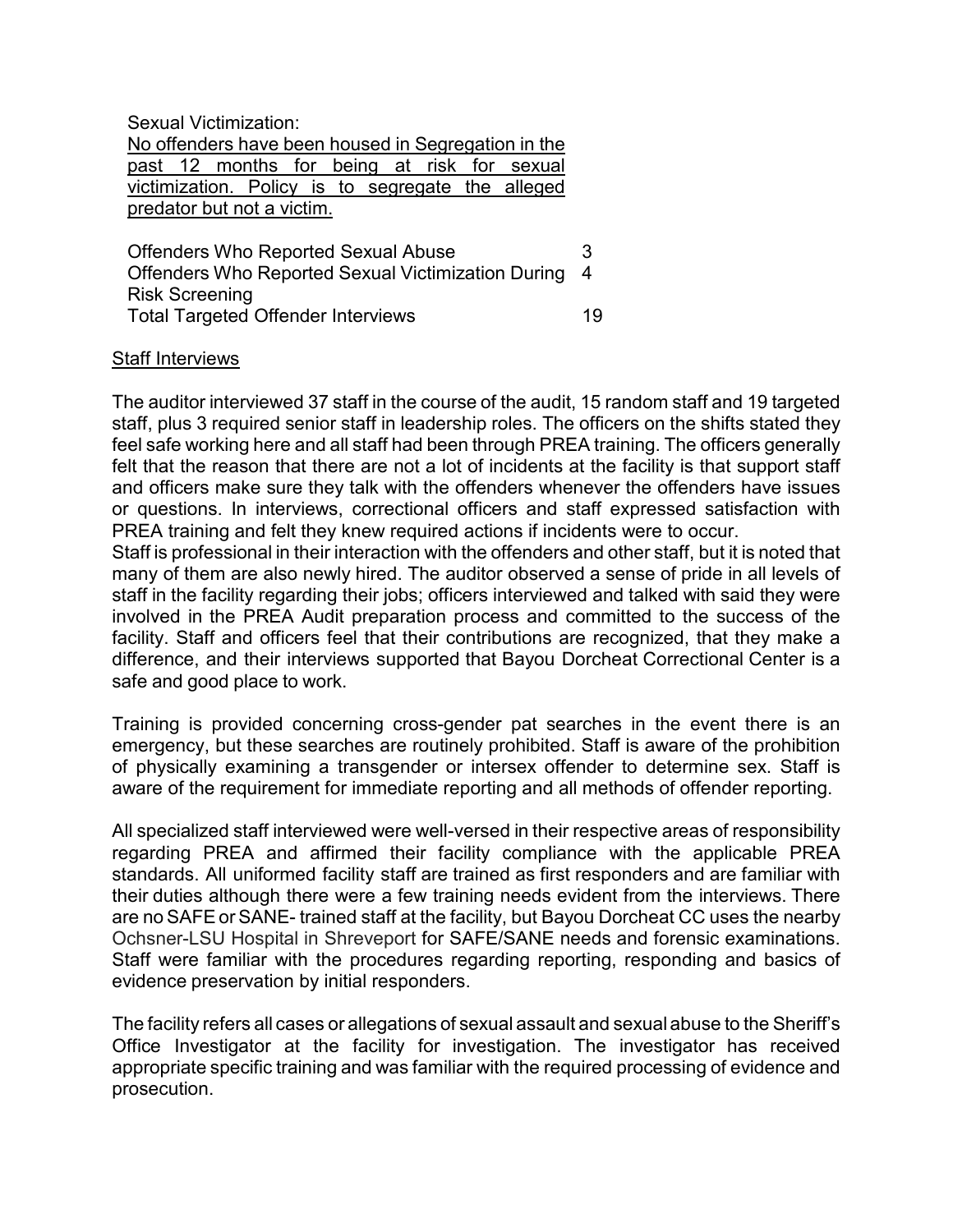Sexual Victimization:

No offenders have been housed in Segregation in the past 12 months for being at risk for sexual victimization. Policy is to segregate the alleged predator but not a victim.

| <b>Offenders Who Reported Sexual Abuse</b>           | 3  |
|------------------------------------------------------|----|
| Offenders Who Reported Sexual Victimization During 4 |    |
| <b>Risk Screening</b>                                |    |
| <b>Total Targeted Offender Interviews</b>            | 19 |

#### Staff Interviews

The auditor interviewed 37 staff in the course of the audit, 15 random staff and 19 targeted staff, plus 3 required senior staff in leadership roles. The officers on the shifts stated they feel safe working here and all staff had been through PREA training. The officers generally felt that the reason that there are not a lot of incidents at the facility is that support staff and officers make sure they talk with the offenders whenever the offenders have issues or questions. In interviews, correctional officers and staff expressed satisfaction with PREA training and felt they knew required actions if incidents were to occur.

Staff is professional in their interaction with the offenders and other staff, but it is noted that many of them are also newly hired. The auditor observed a sense of pride in all levels of staff in the facility regarding their jobs; officers interviewed and talked with said they were involved in the PREA Audit preparation process and committed to the success of the facility. Staff and officers feel that their contributions are recognized, that they make a difference, and their interviews supported that Bayou Dorcheat Correctional Center is a safe and good place to work.

Training is provided concerning cross-gender pat searches in the event there is an emergency, but these searches are routinely prohibited. Staff is aware of the prohibition of physically examining a transgender or intersex offender to determine sex. Staff is aware of the requirement for immediate reporting and all methods of offender reporting.

All specialized staff interviewed were well-versed in their respective areas of responsibility regarding PREA and affirmed their facility compliance with the applicable PREA standards. All uniformed facility staff are trained as first responders and are familiar with their duties although there were a few training needs evident from the interviews. There are no SAFEor SANE- trained staff at the facility, but Bayou Dorcheat CC uses the nearby Ochsner-LSU Hospital in Shreveport for SAFE/SANE needs and forensic examinations. Staff were familiar with the procedures regarding reporting, responding and basics of evidence preservation by initial responders.

The facility refers all cases or allegations of sexual assault and sexual abuse to the Sheriff's Office Investigator at the facility for investigation. The investigator has received appropriate specific training and was familiar with the required processing of evidence and prosecution.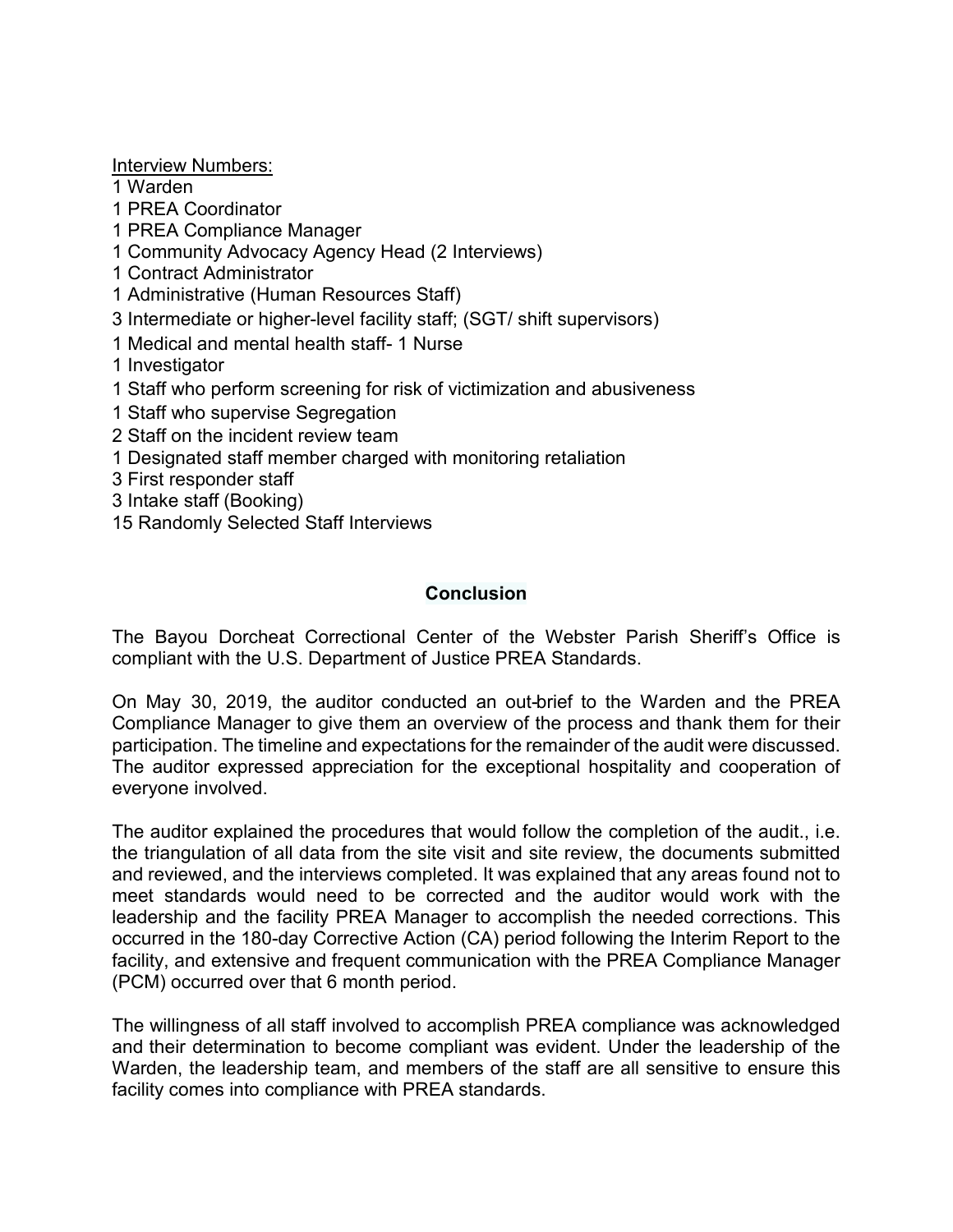Interview Numbers:

1 Warden

1 PREA Coordinator

- 1 PREA Compliance Manager
- 1 Community Advocacy Agency Head (2 Interviews)
- 1 Contract Administrator
- 1 Administrative (Human Resources Staff)
- 3 Intermediate or higher-level facility staff; (SGT/ shift supervisors)
- 1 Medical and mental health staff- 1 Nurse
- 1 Investigator
- 1 Staff who perform screening for risk of victimization and abusiveness
- 1 Staff who supervise Segregation
- 2 Staff on the incident review team
- 1 Designated staff member charged with monitoring retaliation
- 3 First responder staff
- 3 Intake staff (Booking)
- 15 Randomly Selected Staff Interviews

# **Conclusion**

The Bayou Dorcheat Correctional Center of the Webster Parish Sheriff's Office is compliant with the U.S. Department of Justice PREA Standards.

On May 30, 2019, the auditor conducted an out-brief to the Warden and the PREA Compliance Manager to give them an overview of the process and thank them for their participation. The timeline and expectations for the remainder of the audit were discussed. The auditor expressed appreciation for the exceptional hospitality and cooperation of everyone involved.

The auditor explained the procedures that would follow the completion of the audit., i.e. the triangulation of all data from the site visit and site review, the documents submitted and reviewed, and the interviews completed. It was explained that any areas found not to meet standards would need to be corrected and the auditor would work with the leadership and the facility PREA Manager to accomplish the needed corrections. This occurred in the 180-day Corrective Action (CA) period following the Interim Report to the facility, and extensive and frequent communication with the PREA Compliance Manager (PCM) occurred over that 6 month period.

The willingness of all staff involved to accomplish PREA compliance was acknowledged and their determination to become compliant was evident. Under the leadership of the Warden, the leadership team, and members of the staff are all sensitive to ensure this facility comes into compliance with PREA standards.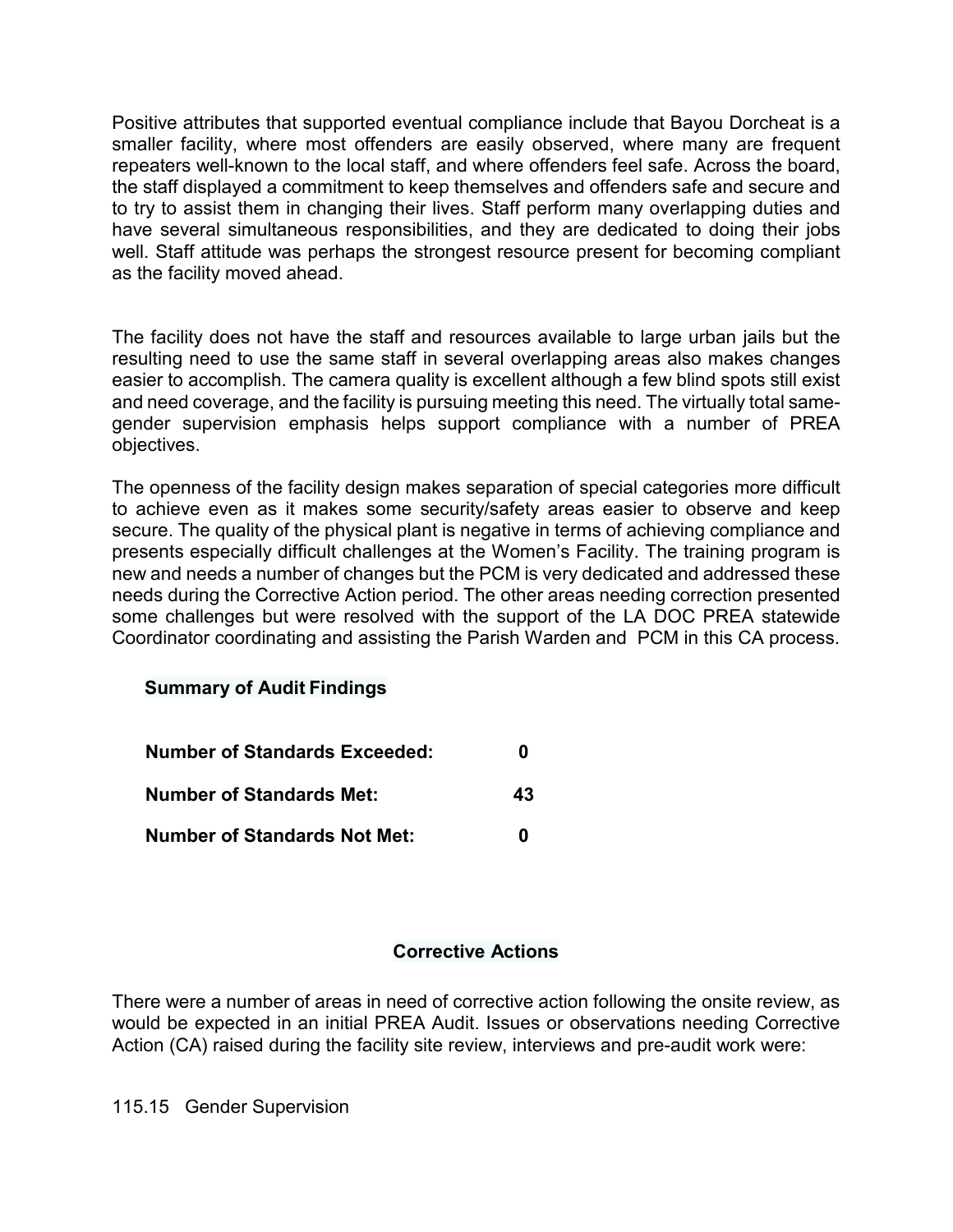Positive attributes that supported eventual compliance include that Bayou Dorcheat is a smaller facility, where most offenders are easily observed, where many are frequent repeaters well-known to the local staff, and where offenders feel safe. Across the board, the staff displayed a commitment to keep themselves and offenders safe and secure and to try to assist them in changing their lives. Staff perform many overlapping duties and have several simultaneous responsibilities, and they are dedicated to doing their jobs well. Staff attitude was perhaps the strongest resource present for becoming compliant as the facility moved ahead.

The facility does not have the staff and resources available to large urban jails but the resulting need to use the same staff in several overlapping areas also makes changes easier to accomplish. The camera quality is excellent although a few blind spots still exist and need coverage, and the facility is pursuing meeting this need. The virtually total samegender supervision emphasis helps support compliance with a number of PREA objectives.

The openness of the facility design makes separation of special categories more difficult to achieve even as it makes some security/safety areas easier to observe and keep secure. The quality of the physical plant is negative in terms of achieving compliance and presents especially difficult challenges at the Women's Facility. The training program is new and needs a number of changes but the PCM is very dedicated and addressed these needs during the Corrective Action period. The other areas needing correction presented some challenges but were resolved with the support of the LA DOC PREA statewide Coordinator coordinating and assisting the Parish Warden and PCM in this CA process.

# **Summary of Audit Findings**

| <b>Number of Standards Exceeded:</b> | 0  |
|--------------------------------------|----|
| <b>Number of Standards Met:</b>      | 43 |
| <b>Number of Standards Not Met:</b>  | n  |

# **Corrective Actions**

There were a number of areas in need of corrective action following the onsite review, as would be expected in an initial PREA Audit. Issues or observations needing Corrective Action (CA) raised during the facility site review, interviews and pre-audit work were:

115.15 Gender Supervision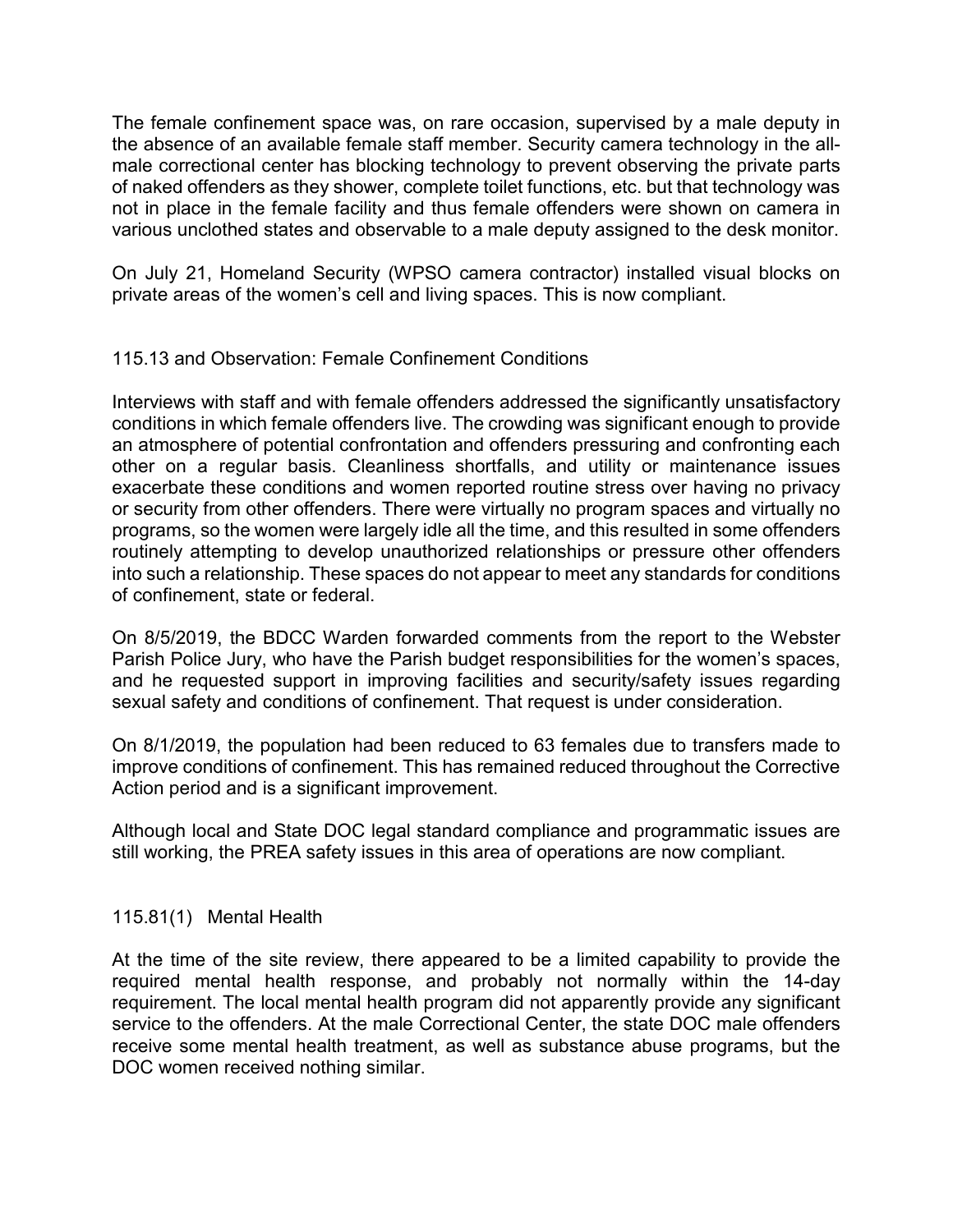The female confinement space was, on rare occasion, supervised by a male deputy in the absence of an available female staff member. Security camera technology in the allmale correctional center has blocking technology to prevent observing the private parts of naked offenders as they shower, complete toilet functions, etc. but that technology was not in place in the female facility and thus female offenders were shown on camera in various unclothed states and observable to a male deputy assigned to the desk monitor.

On July 21, Homeland Security (WPSO camera contractor) installed visual blocks on private areas of the women's cell and living spaces. This is now compliant.

### 115.13 and Observation: Female Confinement Conditions

Interviews with staff and with female offenders addressed the significantly unsatisfactory conditions in which female offenders live. The crowding was significant enough to provide an atmosphere of potential confrontation and offenders pressuring and confronting each other on a regular basis. Cleanliness shortfalls, and utility or maintenance issues exacerbate these conditions and women reported routine stress over having no privacy or security from other offenders. There were virtually no program spaces and virtually no programs, so the women were largely idle all the time, and this resulted in some offenders routinely attempting to develop unauthorized relationships or pressure other offenders into such a relationship. These spaces do not appear to meet any standards for conditions of confinement, state or federal.

On 8/5/2019, the BDCC Warden forwarded comments from the report to the Webster Parish Police Jury, who have the Parish budget responsibilities for the women's spaces, and he requested support in improving facilities and security/safety issues regarding sexual safety and conditions of confinement. That request is under consideration.

On 8/1/2019, the population had been reduced to 63 females due to transfers made to improve conditions of confinement. This has remained reduced throughout the Corrective Action period and is a significant improvement.

Although local and State DOC legal standard compliance and programmatic issues are still working, the PREA safety issues in this area of operations are now compliant.

### 115.81(1) Mental Health

At the time of the site review, there appeared to be a limited capability to provide the required mental health response, and probably not normally within the 14-day requirement. The local mental health program did not apparently provide any significant service to the offenders. At the male Correctional Center, the state DOC male offenders receive some mental health treatment, as well as substance abuse programs, but the DOC women received nothing similar.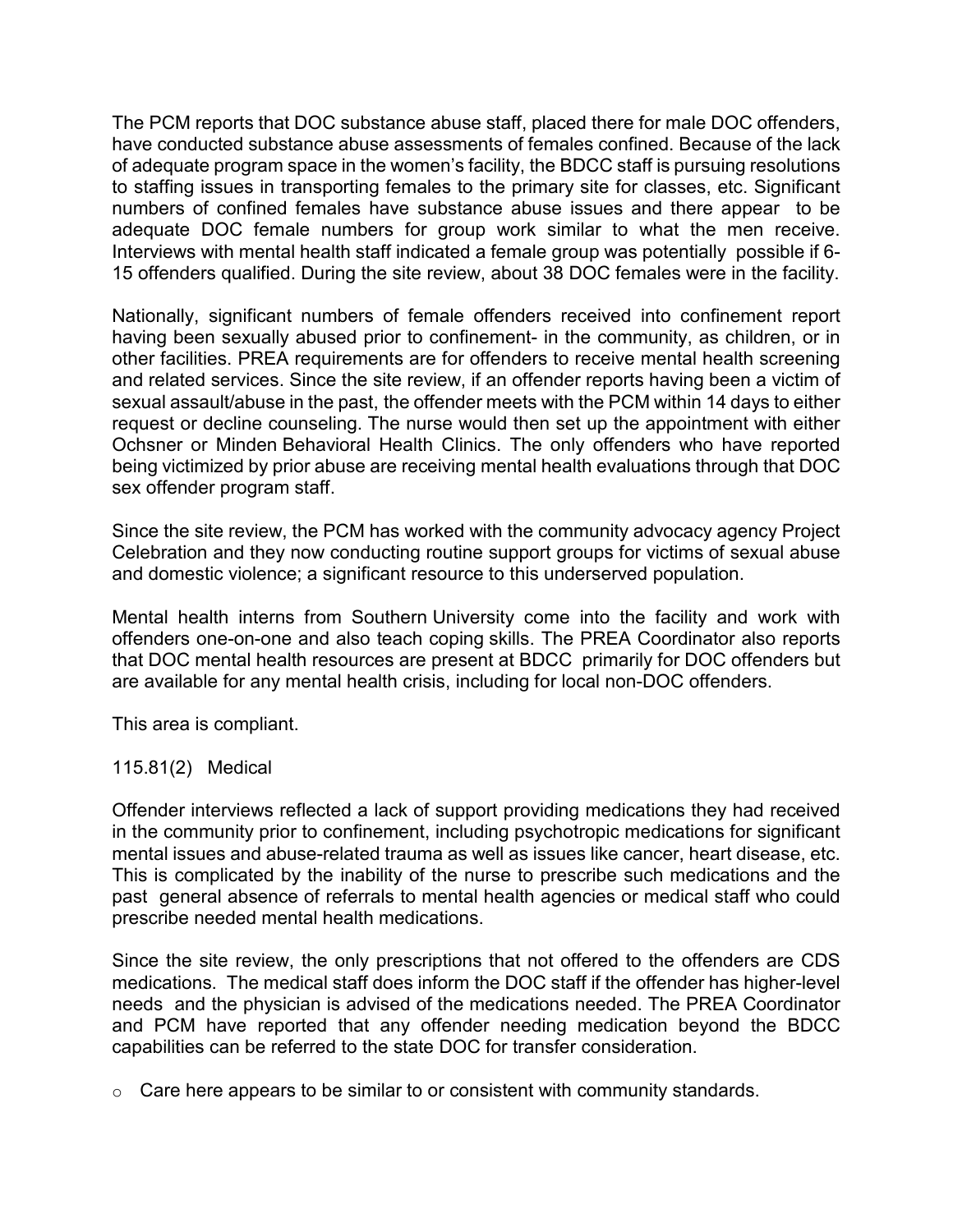The PCM reports that DOC substance abuse staff, placed there for male DOC offenders, have conducted substance abuse assessments of females confined. Because of the lack of adequate program space in the women's facility, the BDCC staff is pursuing resolutions to staffing issues in transporting females to the primary site for classes, etc. Significant numbers of confined females have substance abuse issues and there appear to be adequate DOC female numbers for group work similar to what the men receive. Interviews with mental health staff indicated a female group was potentially possible if 6- 15 offenders qualified. During the site review, about 38 DOC females were in the facility.

Nationally, significant numbers of female offenders received into confinement report having been sexually abused prior to confinement- in the community, as children, or in other facilities. PREA requirements are for offenders to receive mental health screening and related services. Since the site review, if an offender reports having been a victim of sexual assault/abuse in the past, the offender meets with the PCM within 14 days to either request or decline counseling. The nurse would then set up the appointment with either Ochsner or Minden Behavioral Health Clinics. The only offenders who have reported being victimized by prior abuse are receiving mental health evaluations through that DOC sex offender program staff.

Since the site review, the PCM has worked with the community advocacy agency Project Celebration and they now conducting routine support groups for victims of sexual abuse and domestic violence; a significant resource to this underserved population.

Mental health interns from Southern University come into the facility and work with offenders one-on-one and also teach coping skills. The PREA Coordinator also reports that DOC mental health resources are present at BDCC primarily for DOC offenders but are available for any mental health crisis, including for local non-DOC offenders.

This area is compliant.

115.81(2) Medical

Offender interviews reflected a lack of support providing medications they had received in the community prior to confinement, including psychotropic medications for significant mental issues and abuse-related trauma as well as issues like cancer, heart disease, etc. This is complicated by the inability of the nurse to prescribe such medications and the past general absence of referrals to mental health agencies or medical staff who could prescribe needed mental health medications.

Since the site review, the only prescriptions that not offered to the offenders are CDS medications. The medical staff does inform the DOC staff if the offender has higher-level needs and the physician is advised of the medications needed. The PREA Coordinator and PCM have reported that any offender needing medication beyond the BDCC capabilities can be referred to the state DOC for transfer consideration.

 $\circ$  Care here appears to be similar to or consistent with community standards.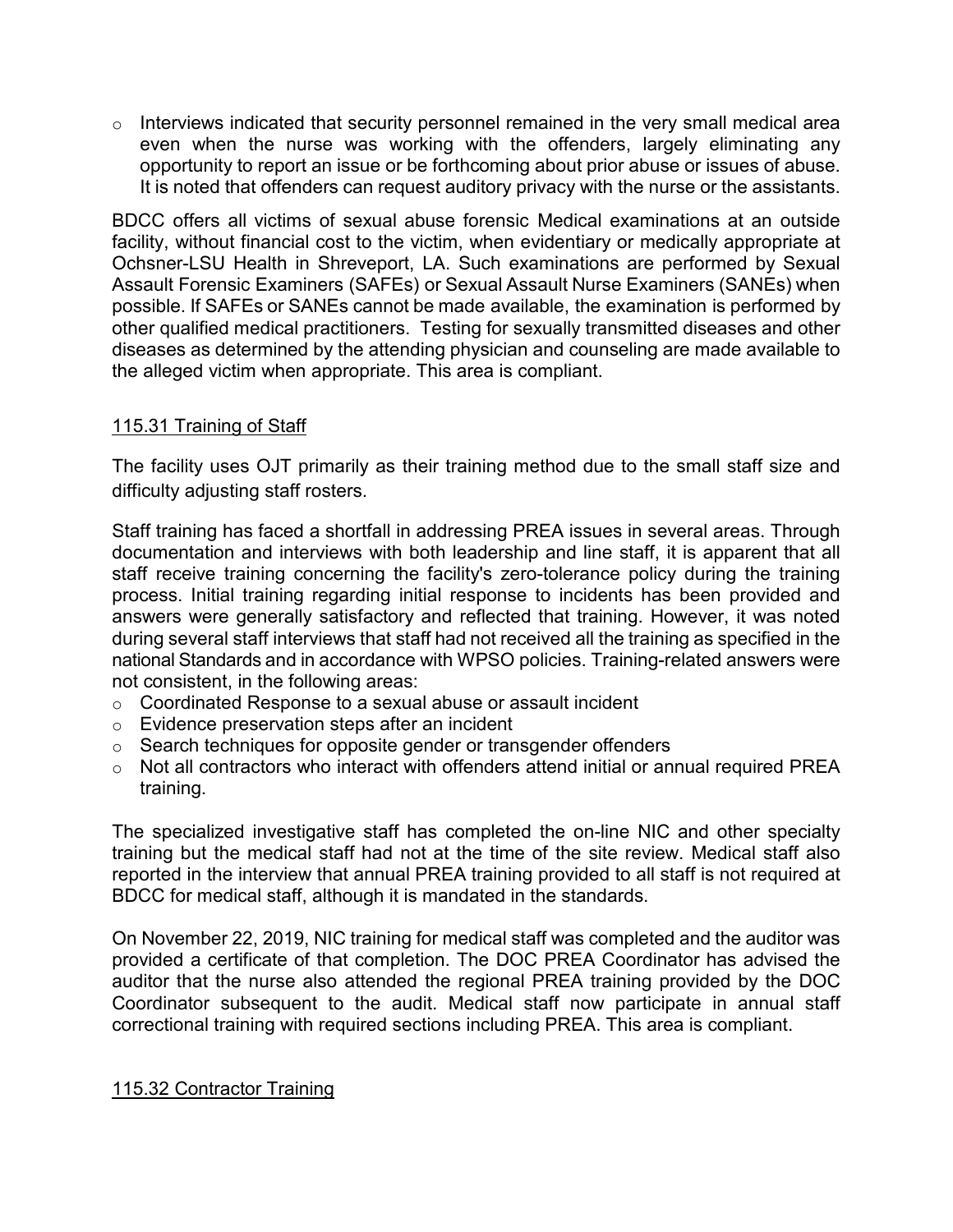$\circ$  Interviews indicated that security personnel remained in the very small medical area even when the nurse was working with the offenders, largely eliminating any opportunity to report an issue or be forthcoming about prior abuse or issues of abuse. It is noted that offenders can request auditory privacy with the nurse or the assistants.

BDCC offers all victims of sexual abuse forensic Medical examinations at an outside facility, without financial cost to the victim, when evidentiary or medically appropriate at Ochsner-LSU Health in Shreveport, LA. Such examinations are performed by Sexual Assault Forensic Examiners (SAFEs) or Sexual Assault Nurse Examiners (SANEs) when possible. If SAFEs or SANEs cannot be made available, the examination is performed by other qualified medical practitioners. Testing for sexually transmitted diseases and other diseases as determined by the attending physician and counseling are made available to the alleged victim when appropriate. This area is compliant.

### 115.31 Training of Staff

The facility uses OJT primarily as their training method due to the small staff size and difficulty adjusting staff rosters.

Staff training has faced a shortfall in addressing PREA issues in several areas. Through documentation and interviews with both leadership and line staff, it is apparent that all staff receive training concerning the facility's zero-tolerance policy during the training process. Initial training regarding initial response to incidents has been provided and answers were generally satisfactory and reflected that training. However, it was noted during several staff interviews that staff had not received all the training as specified in the national Standards and in accordance with WPSO policies. Training-related answers were not consistent, in the following areas:

- o Coordinated Response to a sexual abuse or assault incident
- o Evidence preservation steps after an incident
- o Search techniques for opposite gender or transgender offenders
- o Not all contractors who interact with offenders attend initial or annual required PREA training.

The specialized investigative staff has completed the on-line NIC and other specialty training but the medical staff had not at the time of the site review. Medical staff also reported in the interview that annual PREA training provided to all staff is not required at BDCC for medical staff, although it is mandated in the standards.

On November 22, 2019, NIC training for medical staff was completed and the auditor was provided a certificate of that completion. The DOC PREA Coordinator has advised the auditor that the nurse also attended the regional PREA training provided by the DOC Coordinator subsequent to the audit. Medical staff now participate in annual staff correctional training with required sections including PREA. This area is compliant.

### 115.32 Contractor Training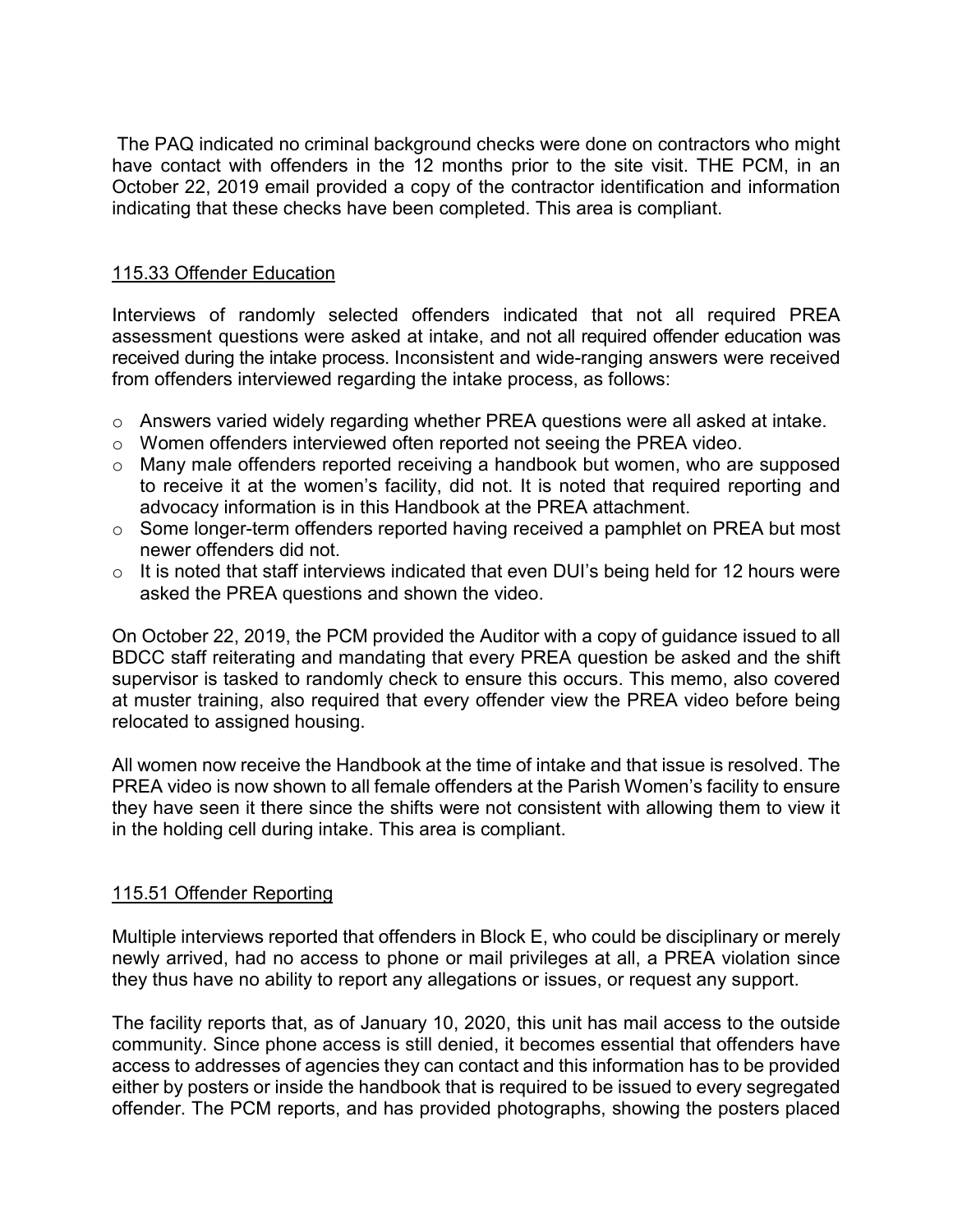The PAQ indicated no criminal background checks were done on contractors who might have contact with offenders in the 12 months prior to the site visit. THE PCM, in an October 22, 2019 email provided a copy of the contractor identification and information indicating that these checks have been completed. This area is compliant.

### 115.33 Offender Education

Interviews of randomly selected offenders indicated that not all required PREA assessment questions were asked at intake, and not all required offender education was received during the intake process. Inconsistent and wide-ranging answers were received from offenders interviewed regarding the intake process, as follows:

- o Answers varied widely regarding whether PREA questions were all asked at intake.
- o Women offenders interviewed often reported not seeing the PREA video.
- o Many male offenders reported receiving a handbook but women, who are supposed to receive it at the women's facility, did not. It is noted that required reporting and advocacy information is in this Handbook at the PREA attachment.
- o Some longer-term offenders reported having received a pamphlet on PREA but most newer offenders did not.
- $\circ$  It is noted that staff interviews indicated that even DUI's being held for 12 hours were asked the PREA questions and shown the video.

On October 22, 2019, the PCM provided the Auditor with a copy of guidance issued to all BDCC staff reiterating and mandating that every PREA question be asked and the shift supervisor is tasked to randomly check to ensure this occurs. This memo, also covered at muster training, also required that every offender view the PREA video before being relocated to assigned housing.

All women now receive the Handbook at the time of intake and that issue is resolved. The PREA video is now shown to all female offenders at the Parish Women's facility to ensure they have seen it there since the shifts were not consistent with allowing them to view it in the holding cell during intake. This area is compliant.

### 115.51 Offender Reporting

Multiple interviews reported that offenders in Block E, who could be disciplinary or merely newly arrived, had no access to phone or mail privileges at all, a PREA violation since they thus have no ability to report any allegations or issues, or request any support.

The facility reports that, as of January 10, 2020, this unit has mail access to the outside community. Since phone access is still denied, it becomes essential that offenders have access to addresses of agencies they can contact and this information has to be provided either by posters or inside the handbook that is required to be issued to every segregated offender. The PCM reports, and has provided photographs, showing the posters placed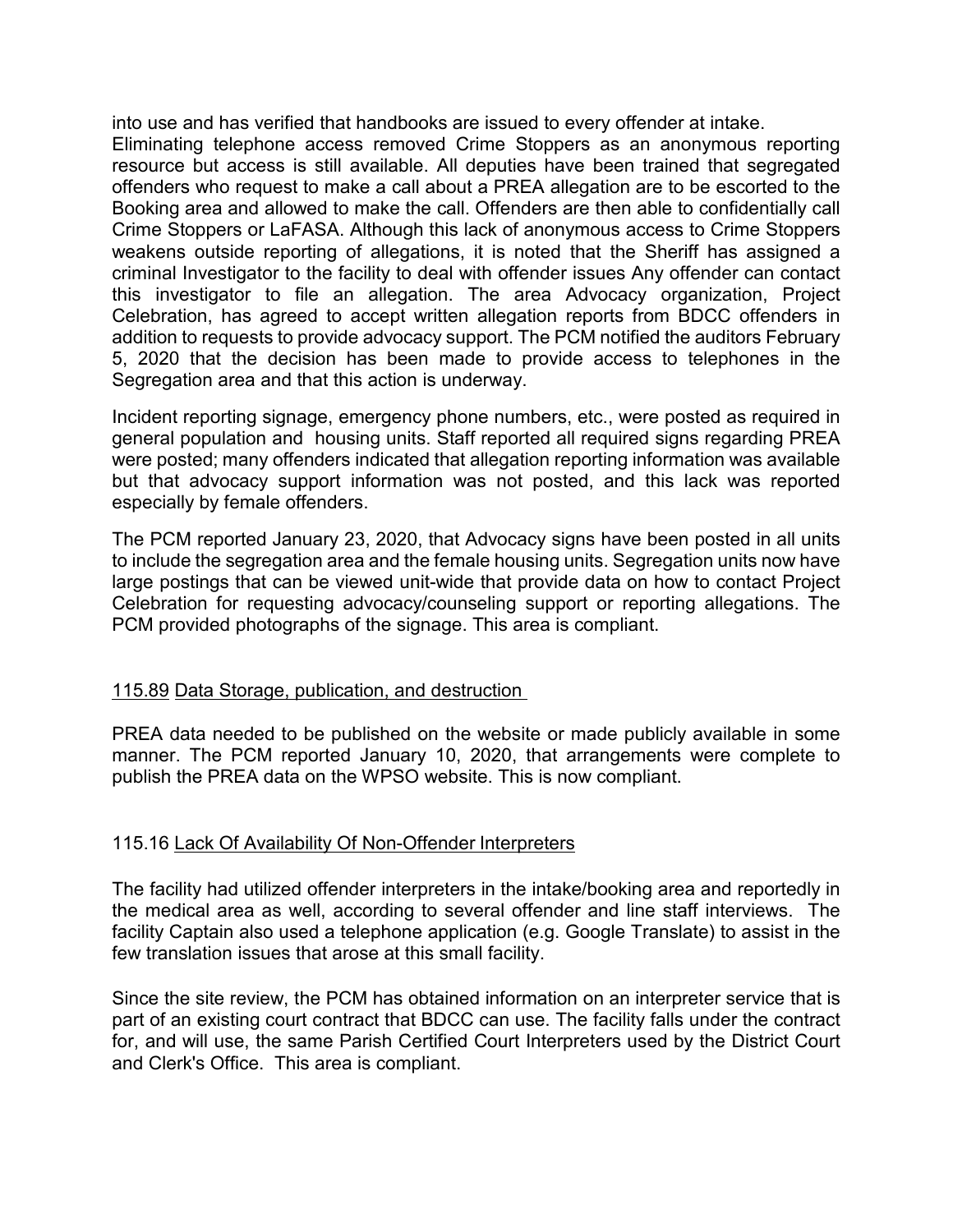into use and has verified that handbooks are issued to every offender at intake.

Eliminating telephone access removed Crime Stoppers as an anonymous reporting resource but access is still available. All deputies have been trained that segregated offenders who request to make a call about a PREA allegation are to be escorted to the Booking area and allowed to make the call. Offenders are then able to confidentially call Crime Stoppers or LaFASA. Although this lack of anonymous access to Crime Stoppers weakens outside reporting of allegations, it is noted that the Sheriff has assigned a criminal Investigator to the facility to deal with offender issues Any offender can contact this investigator to file an allegation. The area Advocacy organization, Project Celebration, has agreed to accept written allegation reports from BDCC offenders in addition to requests to provide advocacy support. The PCM notified the auditors February 5, 2020 that the decision has been made to provide access to telephones in the Segregation area and that this action is underway.

Incident reporting signage, emergency phone numbers, etc., were posted as required in general population and housing units. Staff reported all required signs regarding PREA were posted; many offenders indicated that allegation reporting information was available but that advocacy support information was not posted, and this lack was reported especially by female offenders.

The PCM reported January 23, 2020, that Advocacy signs have been posted in all units to include the segregation area and the female housing units. Segregation units now have large postings that can be viewed unit-wide that provide data on how to contact Project Celebration for requesting advocacy/counseling support or reporting allegations. The PCM provided photographs of the signage. This area is compliant.

### 115.89 Data Storage, publication, and destruction

PREA data needed to be published on the website or made publicly available in some manner. The PCM reported January 10, 2020, that arrangements were complete to publish the PREA data on the WPSO website. This is now compliant.

### 115.16 Lack Of Availability Of Non-Offender Interpreters

The facility had utilized offender interpreters in the intake/booking area and reportedly in the medical area as well, according to several offender and line staff interviews. The facility Captain also used a telephone application (e.g. Google Translate) to assist in the few translation issues that arose at this small facility.

Since the site review, the PCM has obtained information on an interpreter service that is part of an existing court contract that BDCC can use. The facility falls under the contract for, and will use, the same Parish Certified Court Interpreters used by the District Court and Clerk's Office. This area is compliant.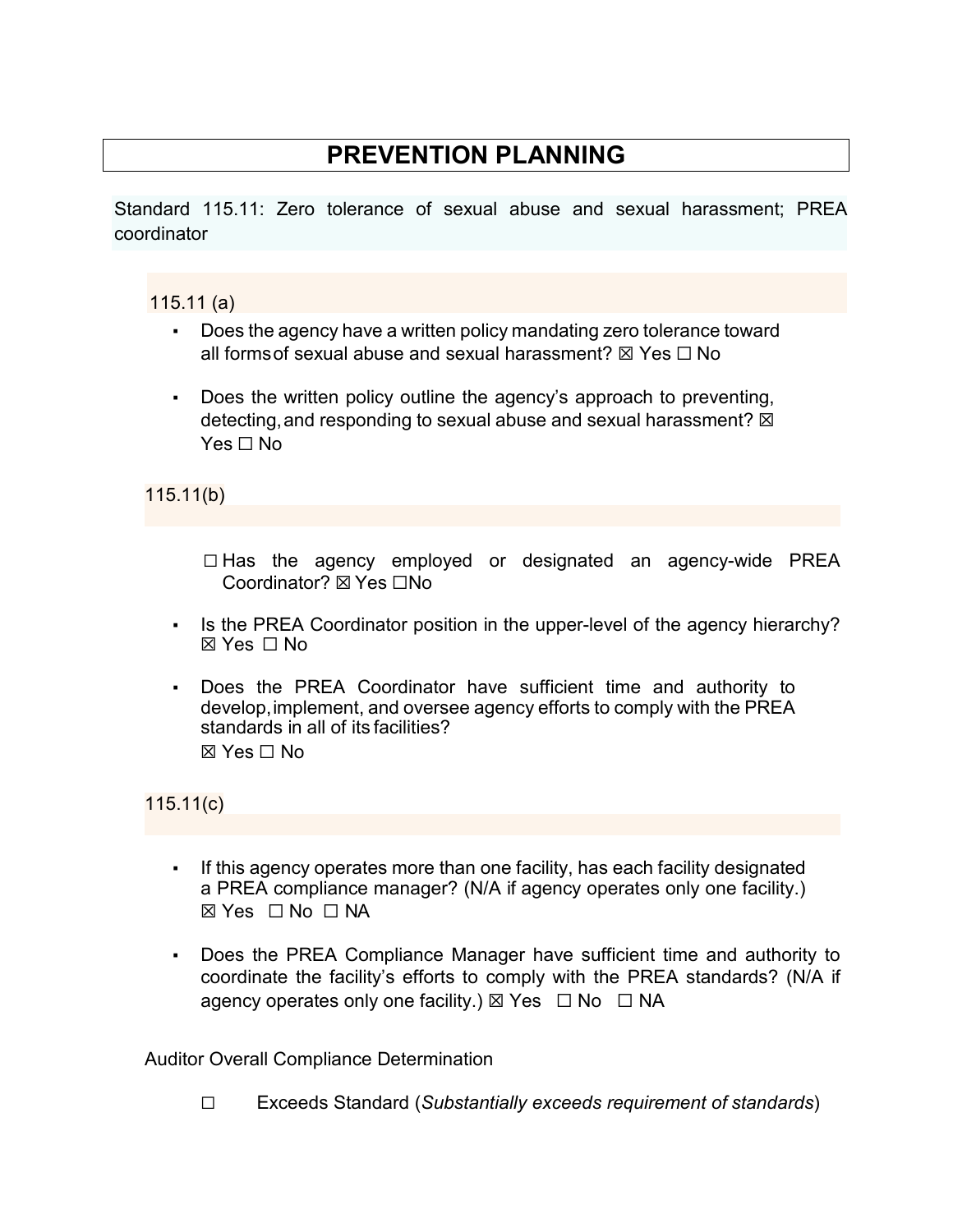# **PREVENTION PLANNING**

Standard 115.11: Zero tolerance of sexual abuse and sexual harassment; PREA coordinator

# 115.11 (a)

- Does the agency have a written policy mandating zero tolerance toward all forms of sexual abuse and sexual harassment?  $\boxtimes$  Yes  $\Box$  No
- Does the written policy outline the agency's approach to preventing, detecting, and responding to sexual abuse and sexual harassment?  $\boxtimes$ Yes □ No

115.11(b)

☐ Has the agency employed or designated an agency-wide PREA Coordinator? ☒ Yes ☐No

- Is the PREA Coordinator position in the upper-level of the agency hierarchy?  $\boxtimes$  Yes  $\Box$  No
- Does the PREA Coordinator have sufficient time and authority to develop,implement, and oversee agency efforts to comply with the PREA standards in all of its facilities?  $\boxtimes$  Yes  $\Box$  No

115.11(c)

- If this agency operates more than one facility, has each facility designated a PREA compliance manager? (N/A if agency operates only one facility.) ☒ Yes ☐ No ☐ NA
- Does the PREA Compliance Manager have sufficient time and authority to coordinate the facility's efforts to comply with the PREA standards? (N/A if agency operates only one facility.)  $\boxtimes$  Yes  $\Box$  No  $\Box$  NA

Auditor Overall Compliance Determination

☐ Exceeds Standard (*Substantially exceeds requirement of standards*)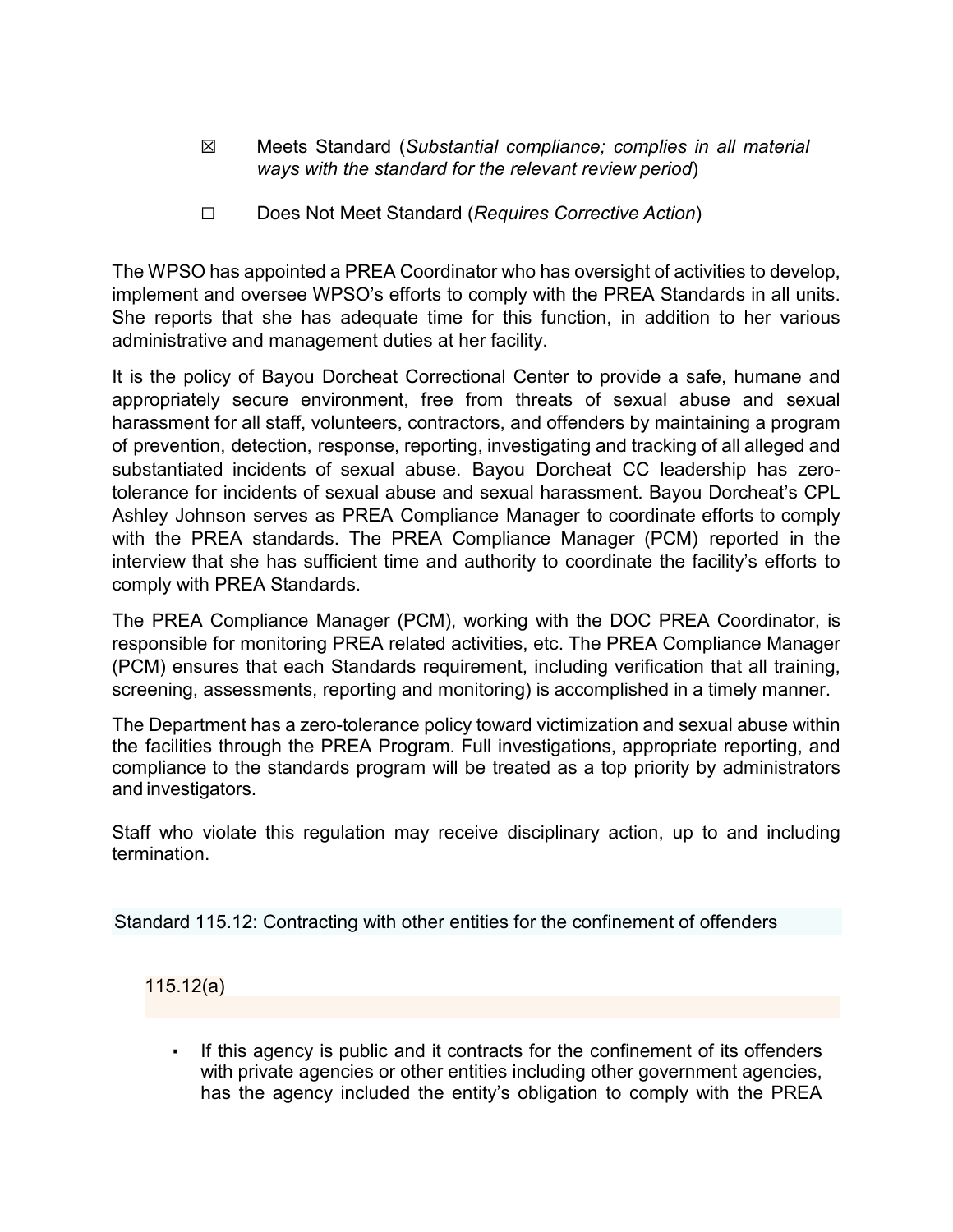- ☒ Meets Standard (*Substantial compliance; complies in all material ways with the standard for the relevant review period*)
- ☐ Does Not Meet Standard (*Requires Corrective Action*)

The WPSO has appointed a PREA Coordinator who has oversight of activities to develop, implement and oversee WPSO's efforts to comply with the PREA Standards in all units. She reports that she has adequate time for this function, in addition to her various administrative and management duties at her facility.

It is the policy of Bayou Dorcheat Correctional Center to provide a safe, humane and appropriately secure environment, free from threats of sexual abuse and sexual harassment for all staff, volunteers, contractors, and offenders by maintaining a program of prevention, detection, response, reporting, investigating and tracking of all alleged and substantiated incidents of sexual abuse. Bayou Dorcheat CC leadership has zerotolerance for incidents of sexual abuse and sexual harassment. Bayou Dorcheat's CPL Ashley Johnson serves as PREA Compliance Manager to coordinate efforts to comply with the PREA standards. The PREA Compliance Manager (PCM) reported in the interview that she has sufficient time and authority to coordinate the facility's efforts to comply with PREA Standards.

The PREA Compliance Manager (PCM), working with the DOC PREA Coordinator, is responsible for monitoring PREA related activities, etc. The PREA Compliance Manager (PCM) ensures that each Standards requirement, including verification that all training, screening, assessments, reporting and monitoring) is accomplished in a timely manner.

The Department has a zero-tolerance policy toward victimization and sexual abuse within the facilities through the PREA Program. Full investigations, appropriate reporting, and compliance to the standards program will be treated as a top priority by administrators and investigators.

Staff who violate this regulation may receive disciplinary action, up to and including termination.

Standard 115.12: Contracting with other entities for the confinement of offenders

115.12(a)

If this agency is public and it contracts for the confinement of its offenders with private agencies or other entities including other government agencies, has the agency included the entity's obligation to comply with the PREA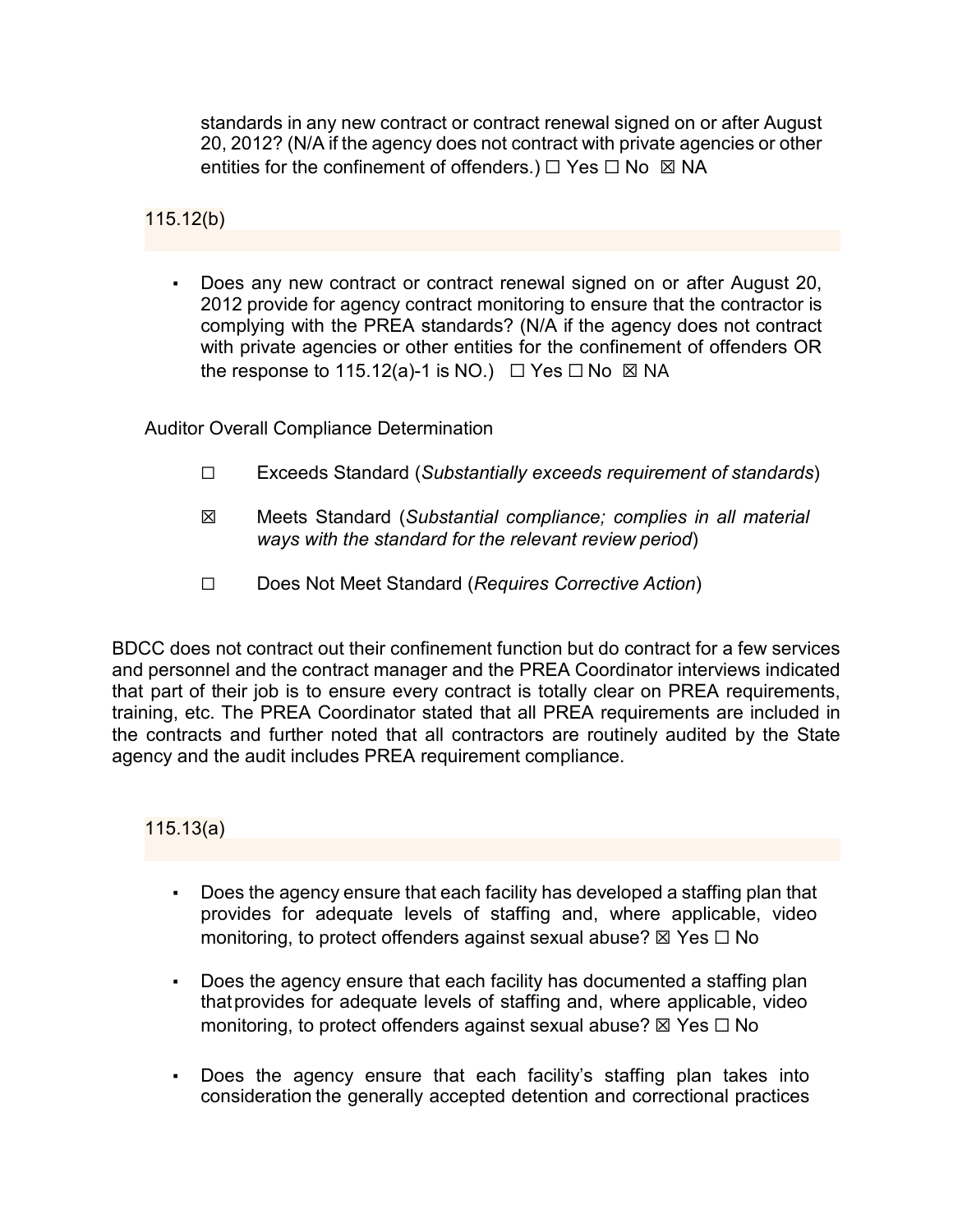standards in any new contract or contract renewal signed on or after August 20, 2012? (N/A if the agency does not contract with private agencies or other entities for the confinement of offenders.)  $\Box$  Yes  $\Box$  No  $\boxtimes$  NA

115.12(b)

Does any new contract or contract renewal signed on or after August 20, 2012 provide for agency contract monitoring to ensure that the contractor is complying with the PREA standards? (N/A if the agency does not contract with private agencies or other entities for the confinement of offenders OR the response to 115.12(a)-1 is NO.)  $\Box$  Yes  $\Box$  No  $\boxtimes$  NA

Auditor Overall Compliance Determination

- ☐ Exceeds Standard (*Substantially exceeds requirement of standards*)
- ☒ Meets Standard (*Substantial compliance; complies in all material ways with the standard for the relevant review period*)
- ☐ Does Not Meet Standard (*Requires Corrective Action*)

BDCC does not contract out their confinement function but do contract for a few services and personnel and the contract manager and the PREA Coordinator interviews indicated that part of their job is to ensure every contract is totally clear on PREA requirements, training, etc. The PREA Coordinator stated that all PREA requirements are included in the contracts and further noted that all contractors are routinely audited by the State agency and the audit includes PREA requirement compliance.

115.13(a)

- Does the agency ensure that each facility has developed a staffing plan that provides for adequate levels of staffing and, where applicable, video monitoring, to protect offenders against sexual abuse?  $\boxtimes$  Yes  $\Box$  No
- Does the agency ensure that each facility has documented a staffing plan thatprovides for adequate levels of staffing and, where applicable, video monitoring, to protect offenders against sexual abuse?  $\boxtimes$  Yes  $\Box$  No
- Does the agency ensure that each facility's staffing plan takes into consideration the generally accepted detention and correctional practices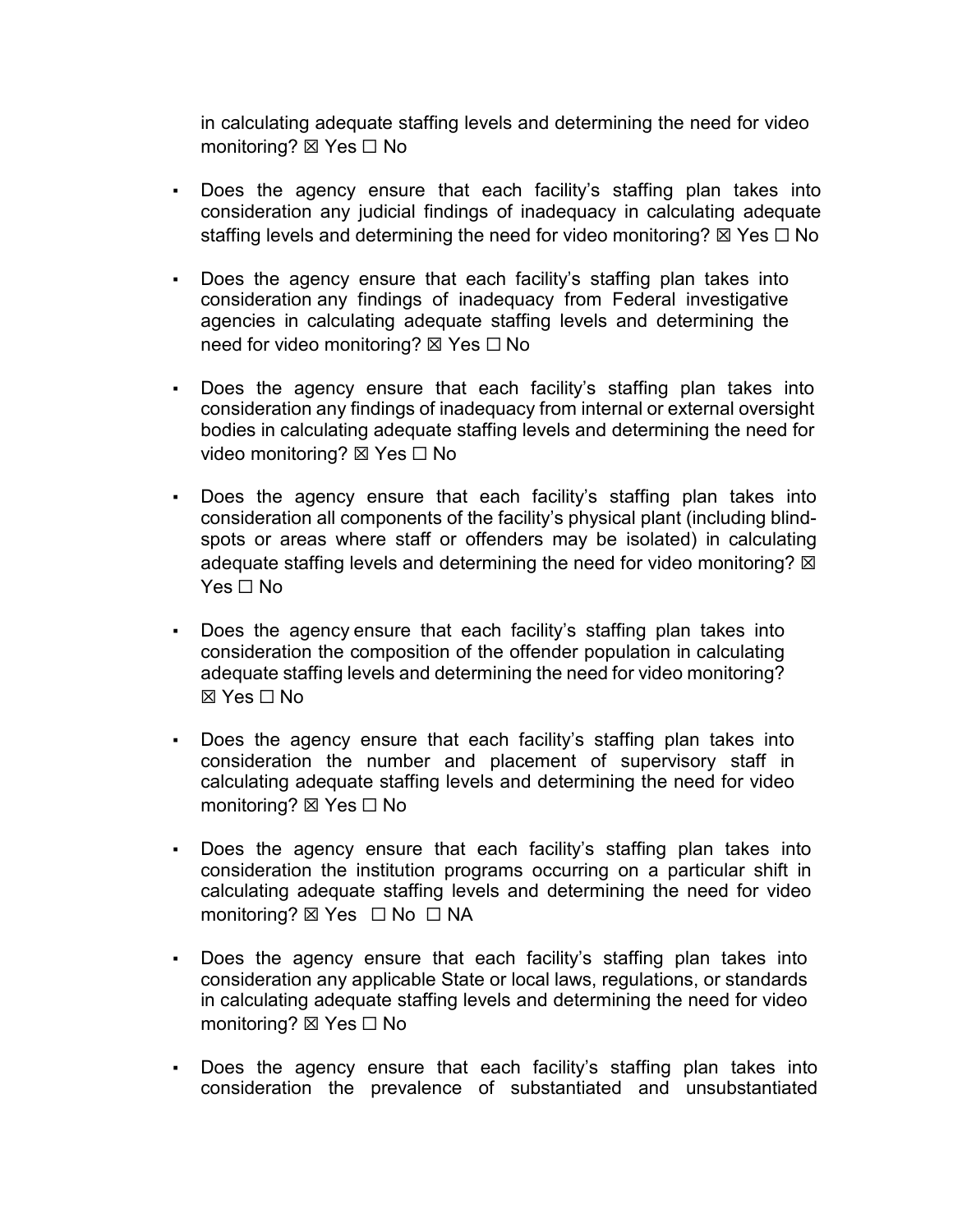in calculating adequate staffing levels and determining the need for video monitoring? ⊠ Yes □ No

- Does the agency ensure that each facility's staffing plan takes into consideration any judicial findings of inadequacy in calculating adequate staffing levels and determining the need for video monitoring?  $\boxtimes$  Yes  $\Box$  No
- Does the agency ensure that each facility's staffing plan takes into consideration any findings of inadequacy from Federal investigative agencies in calculating adequate staffing levels and determining the need for video monitoring? ⊠ Yes □ No
- Does the agency ensure that each facility's staffing plan takes into consideration any findings of inadequacy from internal or external oversight bodies in calculating adequate staffing levels and determining the need for video monitoring? ⊠ Yes □ No
- Does the agency ensure that each facility's staffing plan takes into consideration all components of the facility's physical plant (including blindspots or areas where staff or offenders may be isolated) in calculating adequate staffing levels and determining the need for video monitoring?  $\boxtimes$  $Yes \sqcap No$
- Does the agency ensure that each facility's staffing plan takes into consideration the composition of the offender population in calculating adequate staffing levels and determining the need for video monitoring? ☒ Yes ☐ No
- Does the agency ensure that each facility's staffing plan takes into consideration the number and placement of supervisory staff in calculating adequate staffing levels and determining the need for video monitoring? ⊠ Yes □ No
- Does the agency ensure that each facility's staffing plan takes into consideration the institution programs occurring on a particular shift in calculating adequate staffing levels and determining the need for video monitoring? ⊠ Yes □ No □ NA
- Does the agency ensure that each facility's staffing plan takes into consideration any applicable State or local laws, regulations, or standards in calculating adequate staffing levels and determining the need for video monitoring? ⊠ Yes □ No
- Does the agency ensure that each facility's staffing plan takes into consideration the prevalence of substantiated and unsubstantiated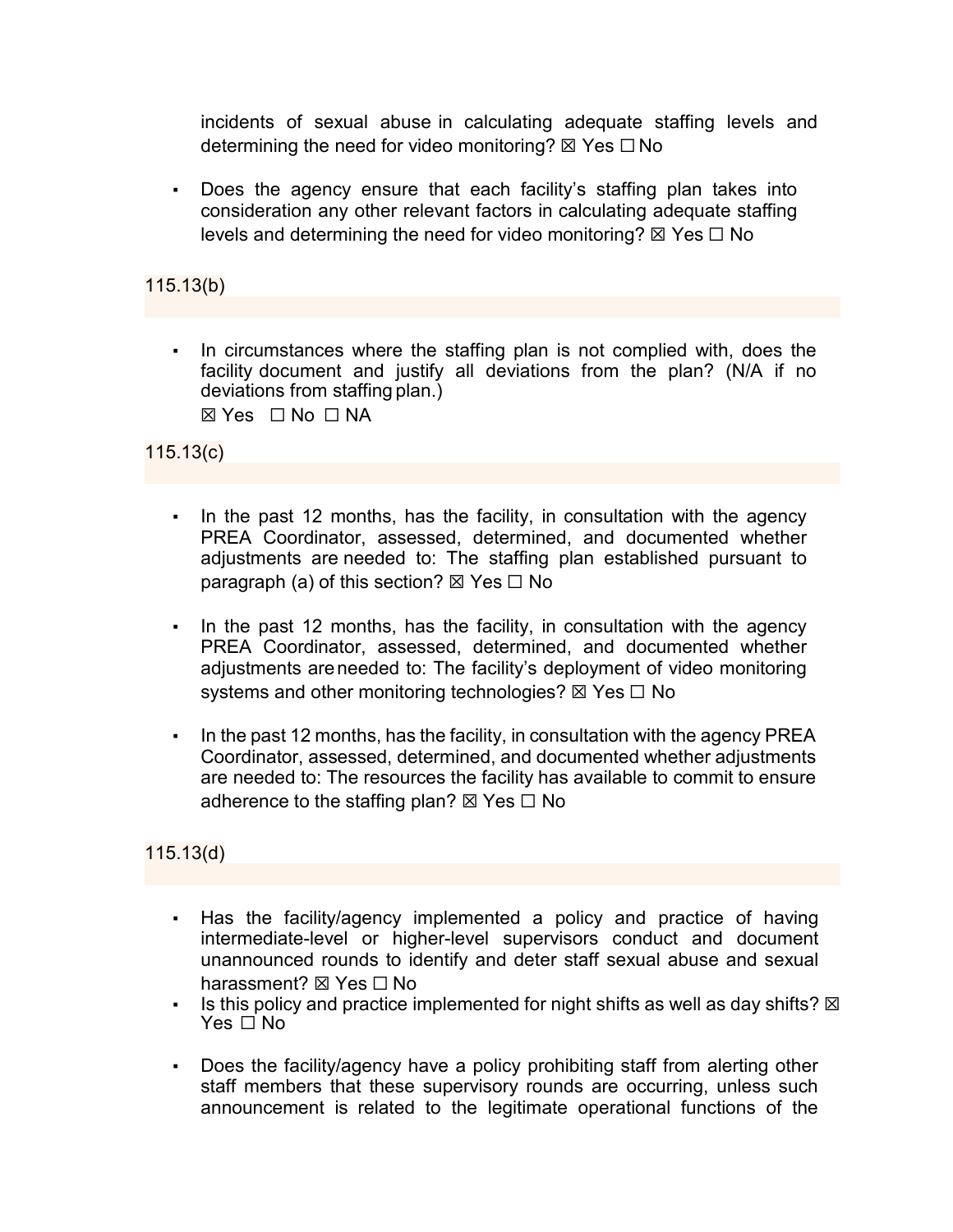incidents of sexual abuse in calculating adequate staffing levels and determining the need for video monitoring?  $\boxtimes$  Yes  $\Box$  No

▪ Does the agency ensure that each facility's staffing plan takes into consideration any other relevant factors in calculating adequate staffing levels and determining the need for video monitoring?  $\boxtimes$  Yes  $\Box$  No

# 115.13(b)

▪ In circumstances where the staffing plan is not complied with, does the facility document and justify all deviations from the plan? (N/A if no deviations from staffing plan.)  $\boxtimes$  Yes  $\Box$  No  $\Box$  NA

115.13(c)

- In the past 12 months, has the facility, in consultation with the agency PREA Coordinator, assessed, determined, and documented whether adjustments are needed to: The staffing plan established pursuant to paragraph (a) of this section?  $\boxtimes$  Yes  $\Box$  No
- In the past 12 months, has the facility, in consultation with the agency PREA Coordinator, assessed, determined, and documented whether adjustments areneeded to: The facility's deployment of video monitoring systems and other monitoring technologies?  $\boxtimes$  Yes  $\Box$  No
- In the past 12 months, has the facility, in consultation with the agency PREA Coordinator, assessed, determined, and documented whether adjustments are needed to: The resources the facility has available to commit to ensure adherence to the staffing plan?  $\boxtimes$  Yes  $\Box$  No

# 115.13(d)

- Has the facility/agency implemented a policy and practice of having intermediate-level or higher-level supervisors conduct and document unannounced rounds to identify and deter staff sexual abuse and sexual harassment? **⊠** Yes  $\Box$  No
- **Example 1** Is this policy and practice implemented for night shifts as well as day shifts?  $\boxtimes$ Yes □ No
- Does the facility/agency have a policy prohibiting staff from alerting other staff members that these supervisory rounds are occurring, unless such announcement is related to the legitimate operational functions of the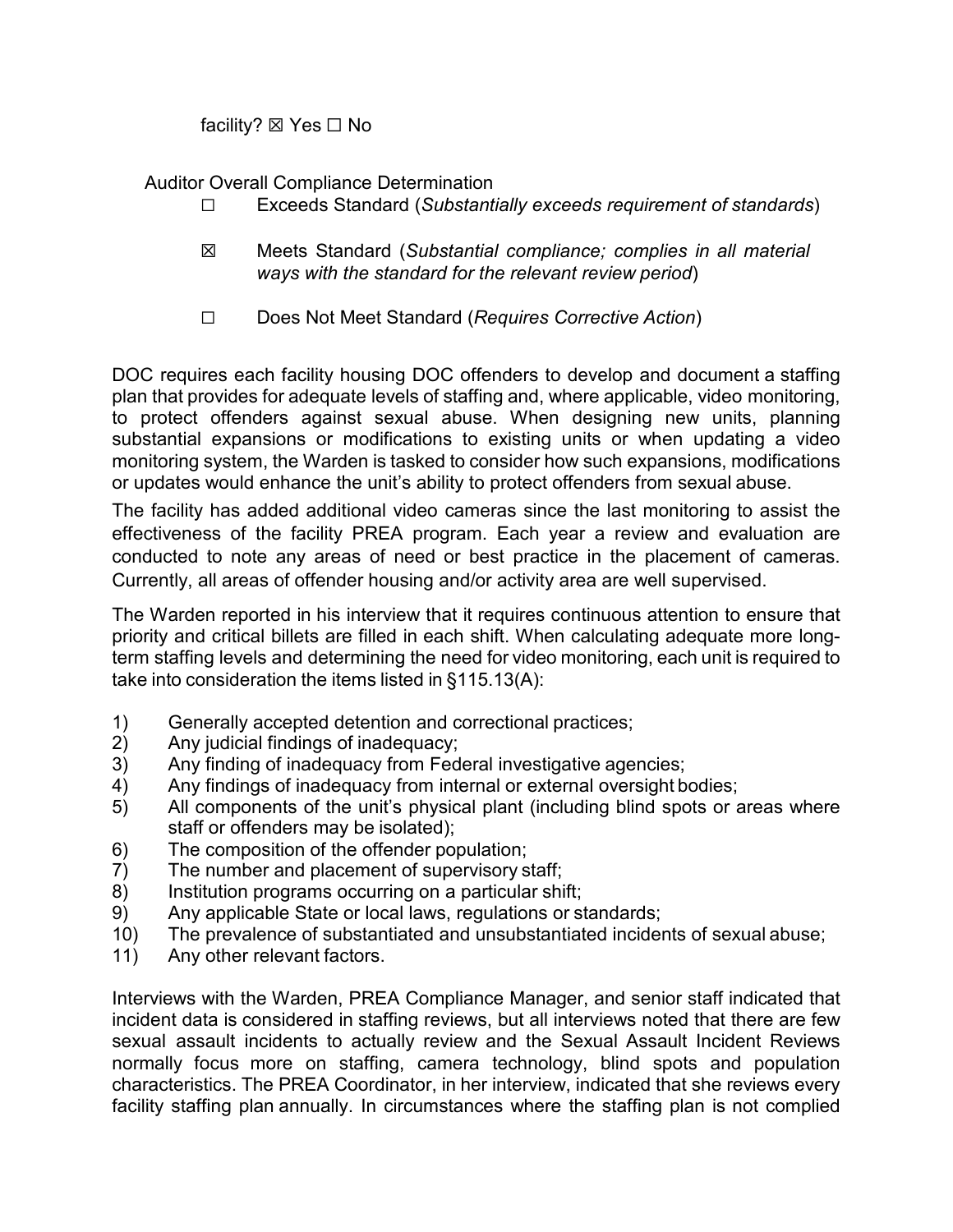facility? ⊠ Yes  $□$  No

Auditor Overall Compliance Determination

- ☐ Exceeds Standard (*Substantially exceeds requirement of standards*)
- ☒ Meets Standard (*Substantial compliance; complies in all material ways with the standard for the relevant review period*)
- ☐ Does Not Meet Standard (*Requires Corrective Action*)

DOC requires each facility housing DOC offenders to develop and document a staffing plan that provides for adequate levels of staffing and, where applicable, video monitoring, to protect offenders against sexual abuse. When designing new units, planning substantial expansions or modifications to existing units or when updating a video monitoring system, the Warden is tasked to consider how such expansions, modifications or updates would enhance the unit's ability to protect offenders from sexual abuse.

The facility has added additional video cameras since the last monitoring to assist the effectiveness of the facility PREA program. Each year a review and evaluation are conducted to note any areas of need or best practice in the placement of cameras. Currently, all areas of offender housing and/or activity area are well supervised.

The Warden reported in his interview that it requires continuous attention to ensure that priority and critical billets are filled in each shift. When calculating adequate more longterm staffing levels and determining the need for video monitoring, each unit is required to take into consideration the items listed in §115.13(A):

- 1) Generally accepted detention and correctional practices;
- 2) Any judicial findings of inadequacy;<br>3) Any finding of inadequacy from Fed
- Any finding of inadequacy from Federal investigative agencies;
- 4) Any findings of inadequacy from internal or external oversight bodies;
- 5) All components of the unit's physical plant (including blind spots or areas where staff or offenders may be isolated);
- 6) The composition of the offender population;
- 7) The number and placement of supervisory staff;
- 8) Institution programs occurring on a particular shift;
- 9) Any applicable State or local laws, regulations or standards;
- 10) The prevalence of substantiated and unsubstantiated incidents of sexual abuse;
- 11) Any other relevant factors.

Interviews with the Warden, PREA Compliance Manager, and senior staff indicated that incident data is considered in staffing reviews, but all interviews noted that there are few sexual assault incidents to actually review and the Sexual Assault Incident Reviews normally focus more on staffing, camera technology, blind spots and population characteristics. The PREA Coordinator, in her interview, indicated that she reviews every facility staffing plan annually. In circumstances where the staffing plan is not complied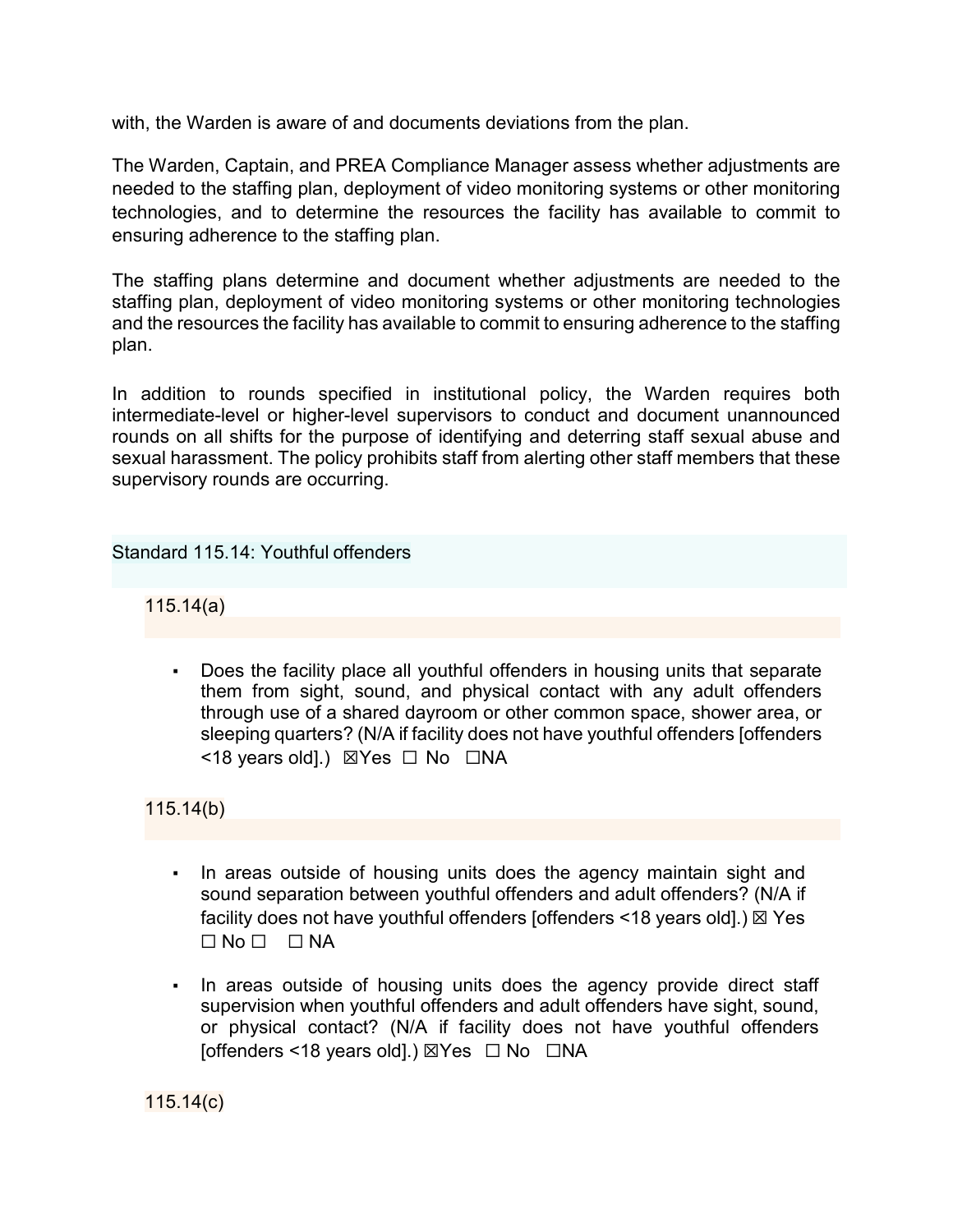with, the Warden is aware of and documents deviations from the plan.

The Warden, Captain, and PREA Compliance Manager assess whether adjustments are needed to the staffing plan, deployment of video monitoring systems or other monitoring technologies, and to determine the resources the facility has available to commit to ensuring adherence to the staffing plan.

The staffing plans determine and document whether adjustments are needed to the staffing plan, deployment of video monitoring systems or other monitoring technologies and the resources the facility has available to commit to ensuring adherence to the staffing plan.

In addition to rounds specified in institutional policy, the Warden requires both intermediate-level or higher-level supervisors to conduct and document unannounced rounds on all shifts for the purpose of identifying and deterring staff sexual abuse and sexual harassment. The policy prohibits staff from alerting other staff members that these supervisory rounds are occurring.

### Standard 115.14: Youthful offenders

115.14(a)

Does the facility place all youthful offenders in housing units that separate them from sight, sound, and physical contact with any adult offenders through use of a shared dayroom or other common space, shower area, or sleeping quarters? (N/A if facility does not have youthful offenders [offenders <18 years old].) ☒Yes ☐ No ☐NA

115.14(b)

- In areas outside of housing units does the agency maintain sight and sound separation between youthful offenders and adult offenders? (N/A if facility does not have youthful offenders [offenders  $\leq$  18 years old].)  $\boxtimes$  Yes  $\Box$  No  $\Box$   $\Box$  NA
- In areas outside of housing units does the agency provide direct staff supervision when youthful offenders and adult offenders have sight, sound, or physical contact? (N/A if facility does not have youthful offenders [offenders <18 years old].) ⊠Yes  $\Box$  No  $\Box$ NA

115.14(c)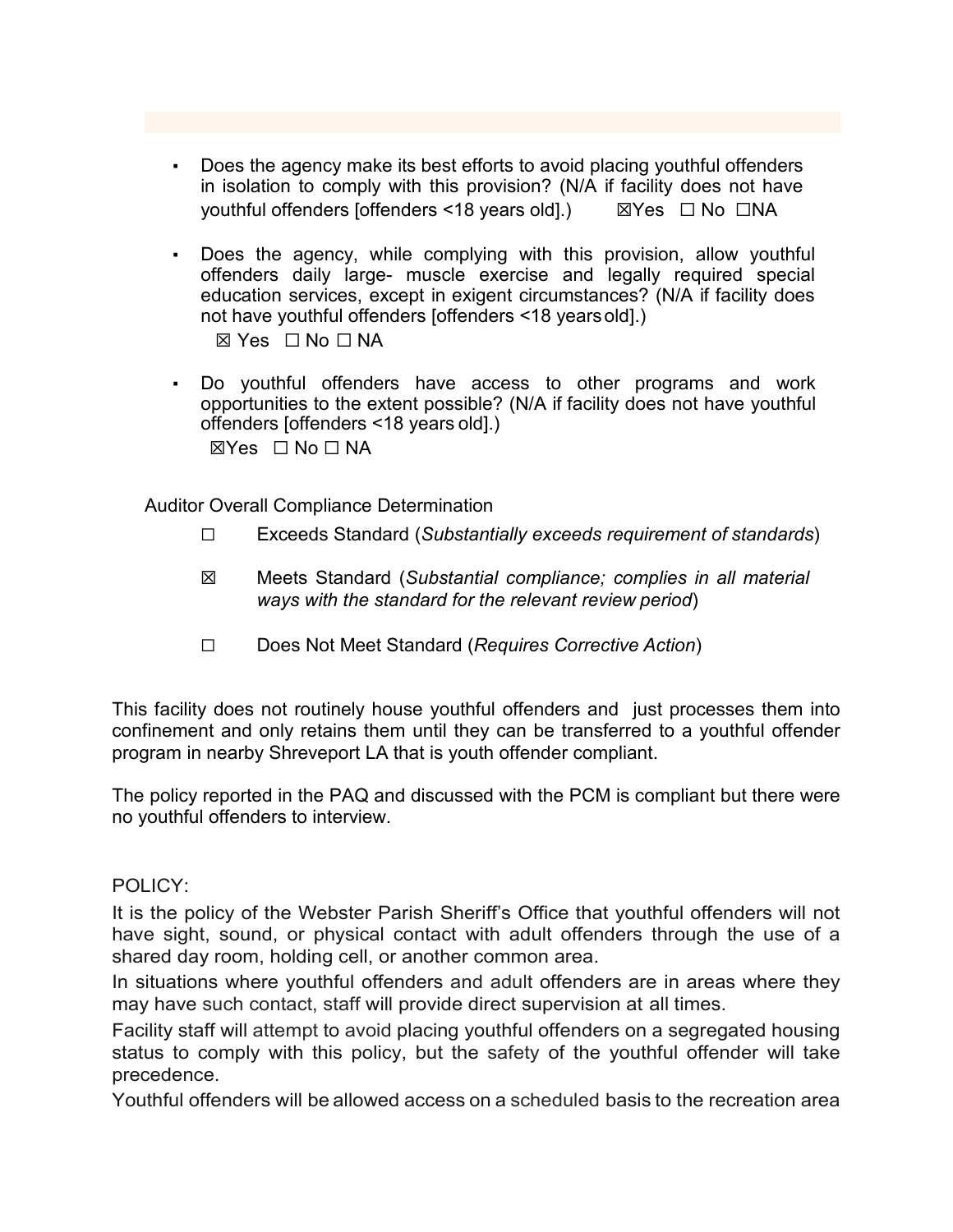- Does the agency make its best efforts to avoid placing youthful offenders in isolation to comply with this provision? (N/A if facility does not have youthful offenders [offenders <18 years old].) ☒Yes ☐ No ☐NA
- Does the agency, while complying with this provision, allow youthful offenders daily large- muscle exercise and legally required special education services, except in exigent circumstances? (N/A if facility does not have youthful offenders [offenders <18 yearsold].)

☒ Yes ☐ No ☐ NA

▪ Do youthful offenders have access to other programs and work opportunities to the extent possible? (N/A if facility does not have youthful offenders [offenders <18 years old].)

 $\boxtimes$ Yes  $\Box$  No  $\Box$  NA

Auditor Overall Compliance Determination

- ☐ Exceeds Standard (*Substantially exceeds requirement of standards*)
- ☒ Meets Standard (*Substantial compliance; complies in all material ways with the standard for the relevant review period*)
- ☐ Does Not Meet Standard (*Requires Corrective Action*)

This facility does not routinely house youthful offenders and just processes them into confinement and only retains them until they can be transferred to a youthful offender program in nearby Shreveport LA that is youth offender compliant.

The policy reported in the PAQ and discussed with the PCM is compliant but there were no youthful offenders to interview.

### POLICY:

It is the policy of the Webster Parish Sheriff's Office that youthful offenders will not have sight, sound, or physical contact with adult offenders through the use of a shared day room, holding cell, or another common area.

In situations where youthful offenders and adult offenders are in areas where they may have such contact, staff will provide direct supervision at all times.

Facility staff will attempt to avoid placing youthful offenders on a segregated housing status to comply with this policy, but the safety of the youthful offender will take precedence.

Youthful offenders will be allowed access on a scheduled basis to the recreation area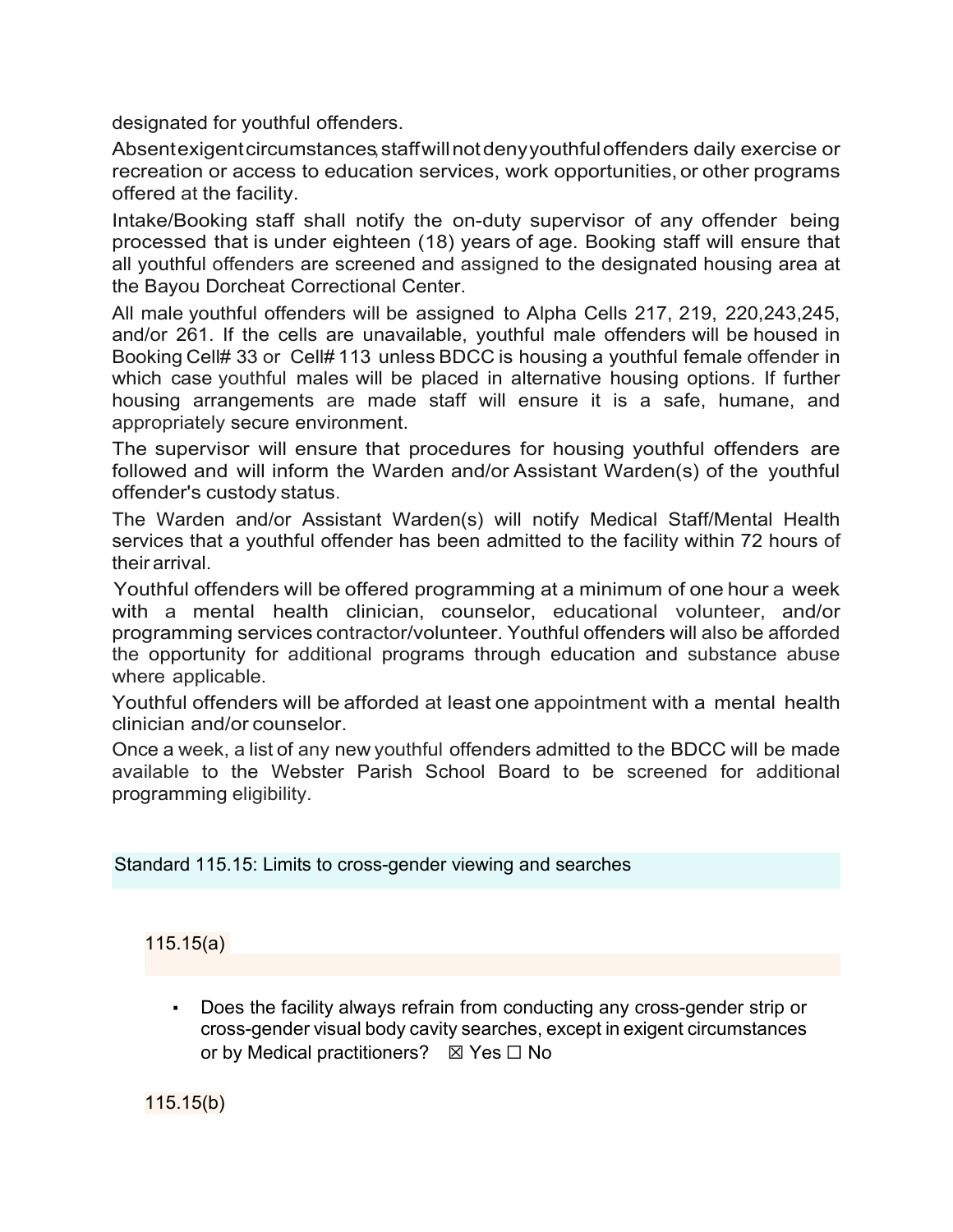designated for youthful offenders.

Absentexigentcircumstances, staffwillnotdenyyouthfuloffenders daily exercise or recreation or access to education services, work opportunities, or other programs offered at the facility.

Intake/Booking staff shall notify the on-duty supervisor of any offender being processed that is under eighteen (18) years of age. Booking staff will ensure that all youthful offenders are screened and assigned to the designated housing area at the Bayou Dorcheat Correctional Center.

All male youthful offenders will be assigned to Alpha Cells 217, 219, 220,243,245, and/or 261. If the cells are unavailable, youthful male offenders will be housed in Booking Cell# 33 or Cell# 113 unless BDCC is housing a youthful female offender in which case youthful males will be placed in alternative housing options. If further housing arrangements are made staff will ensure it is a safe, humane, and appropriately secure environment.

The supervisor will ensure that procedures for housing youthful offenders are followed and will inform the Warden and/or Assistant Warden(s) of the youthful offender's custody status.

The Warden and/or Assistant Warden(s) will notify Medical Staff/Mental Health services that a youthful offender has been admitted to the facility within 72 hours of their arrival.

Youthful offenders will be offered programming at a minimum of one hour a week with a mental health clinician, counselor, educational volunteer, and/or programming services contractor/volunteer. Youthful offenders will also be afforded the opportunity for additional programs through education and substance abuse where applicable.

Youthful offenders will be afforded at least one appointment with a mental health clinician and/or counselor.

Once a week, a list of any new youthful offenders admitted to the BDCC will be made available to the Webster Parish School Board to be screened for additional programming eligibility.

Standard 115.15: Limits to cross-gender viewing and searches

115.15(a)

Does the facility always refrain from conducting any cross-gender strip or cross-gender visual body cavity searches, except in exigent circumstances or by Medical practitioners?  $\boxtimes$  Yes  $\Box$  No

115.15(b)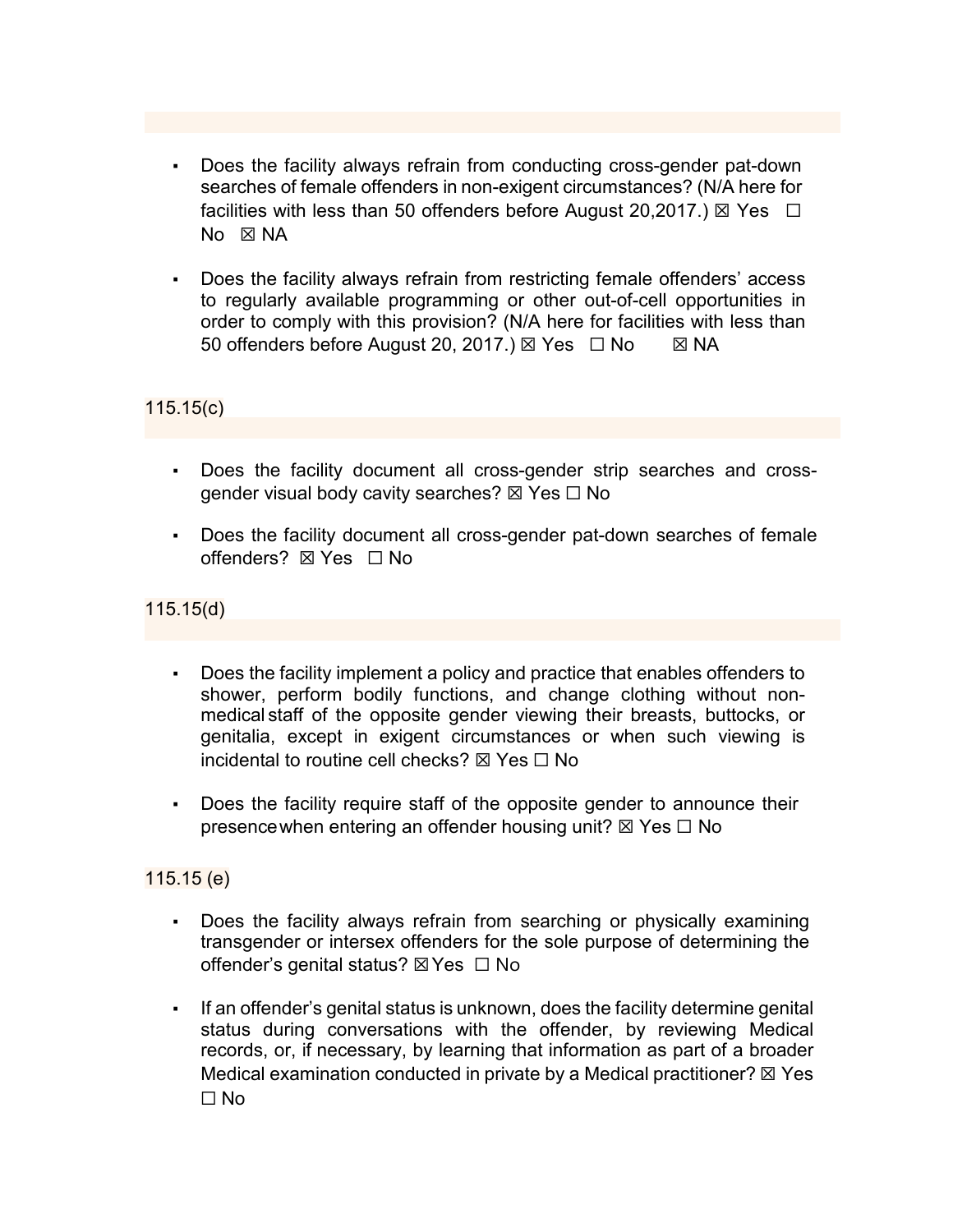- Does the facility always refrain from conducting cross-gender pat-down searches of female offenders in non-exigent circumstances? (N/A here for facilities with less than 50 offenders before August 20,2017.)  $\boxtimes$  Yes  $\Box$ No **X** NA
- Does the facility always refrain from restricting female offenders' access to regularly available programming or other out-of-cell opportunities in order to comply with this provision? (N/A here for facilities with less than 50 offenders before August 20, 2017.) ☒ Yes ☐ No ☒ NA

# 115.15(c)

- Does the facility document all cross-gender strip searches and crossgender visual body cavity searches?  $\boxtimes$  Yes  $\Box$  No
- Does the facility document all cross-gender pat-down searches of female offenders? ⊠ Yes □ No

### 115.15(d)

- Does the facility implement a policy and practice that enables offenders to shower, perform bodily functions, and change clothing without nonmedical staff of the opposite gender viewing their breasts, buttocks, or genitalia, except in exigent circumstances or when such viewing is incidental to routine cell checks?  $\boxtimes$  Yes  $\Box$  No
- Does the facility require staff of the opposite gender to announce their presence when entering an offender housing unit?  $\boxtimes$  Yes  $\Box$  No

### 115.15 (e)

- Does the facility always refrain from searching or physically examining transgender or intersex offenders for the sole purpose of determining the offender's genital status? ☒Yes ☐ No
- **•** If an offender's genital status is unknown, does the facility determine genital status during conversations with the offender, by reviewing Medical records, or, if necessary, by learning that information as part of a broader Medical examination conducted in private by a Medical practitioner?  $\boxtimes$  Yes  $\Box$  No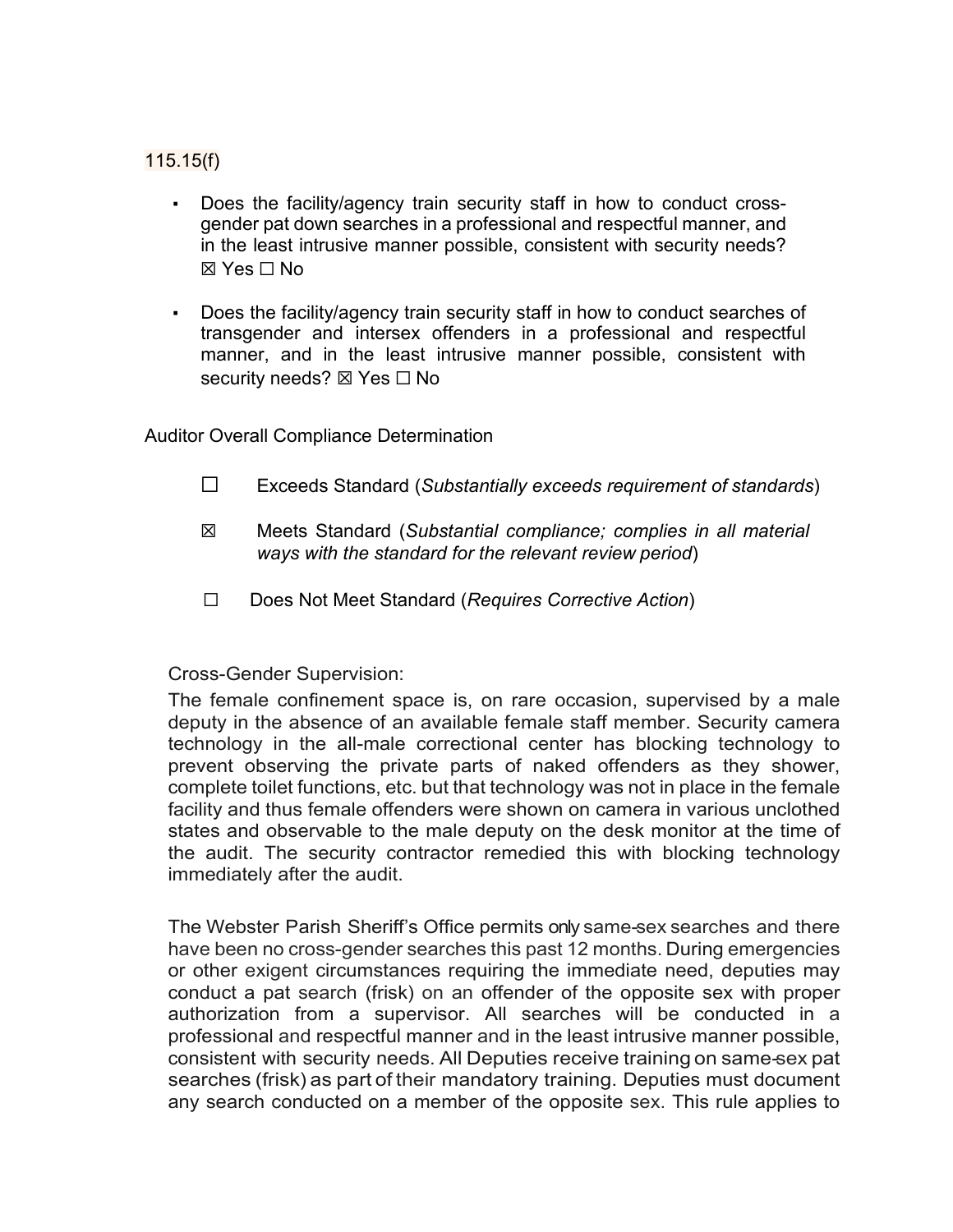# 115.15(f)

- Does the facility/agency train security staff in how to conduct crossgender pat down searches in a professional and respectful manner, and in the least intrusive manner possible, consistent with security needs? ☒ Yes ☐ No
- Does the facility/agency train security staff in how to conduct searches of transgender and intersex offenders in a professional and respectful manner, and in the least intrusive manner possible, consistent with security needs? ⊠ Yes  $□$  No

Auditor Overall Compliance Determination

- ☐ Exceeds Standard (*Substantially exceeds requirement of standards*)
- ☒ Meets Standard (*Substantial compliance; complies in all material ways with the standard for the relevant review period*)
- ☐ Does Not Meet Standard (*Requires Corrective Action*)

### Cross-Gender Supervision:

The female confinement space is, on rare occasion, supervised by a male deputy in the absence of an available female staff member. Security camera technology in the all-male correctional center has blocking technology to prevent observing the private parts of naked offenders as they shower, complete toilet functions, etc. but that technology was not in place in the female facility and thus female offenders were shown on camera in various unclothed states and observable to the male deputy on the desk monitor at the time of the audit. The security contractor remedied this with blocking technology immediately after the audit.

The Webster Parish Sheriff's Office permits only same-sex searches and there have been no cross-gender searches this past 12 months. During emergencies or other exigent circumstances requiring the immediate need, deputies may conduct a pat search (frisk) on an offender of the opposite sex with proper authorization from a supervisor. All searches will be conducted in a professional and respectful manner and in the least intrusive manner possible, consistent with security needs. All Deputies receive training on same-sex pat searches (frisk) as part of their mandatory training. Deputies must document any search conducted on a member of the opposite sex. This rule applies to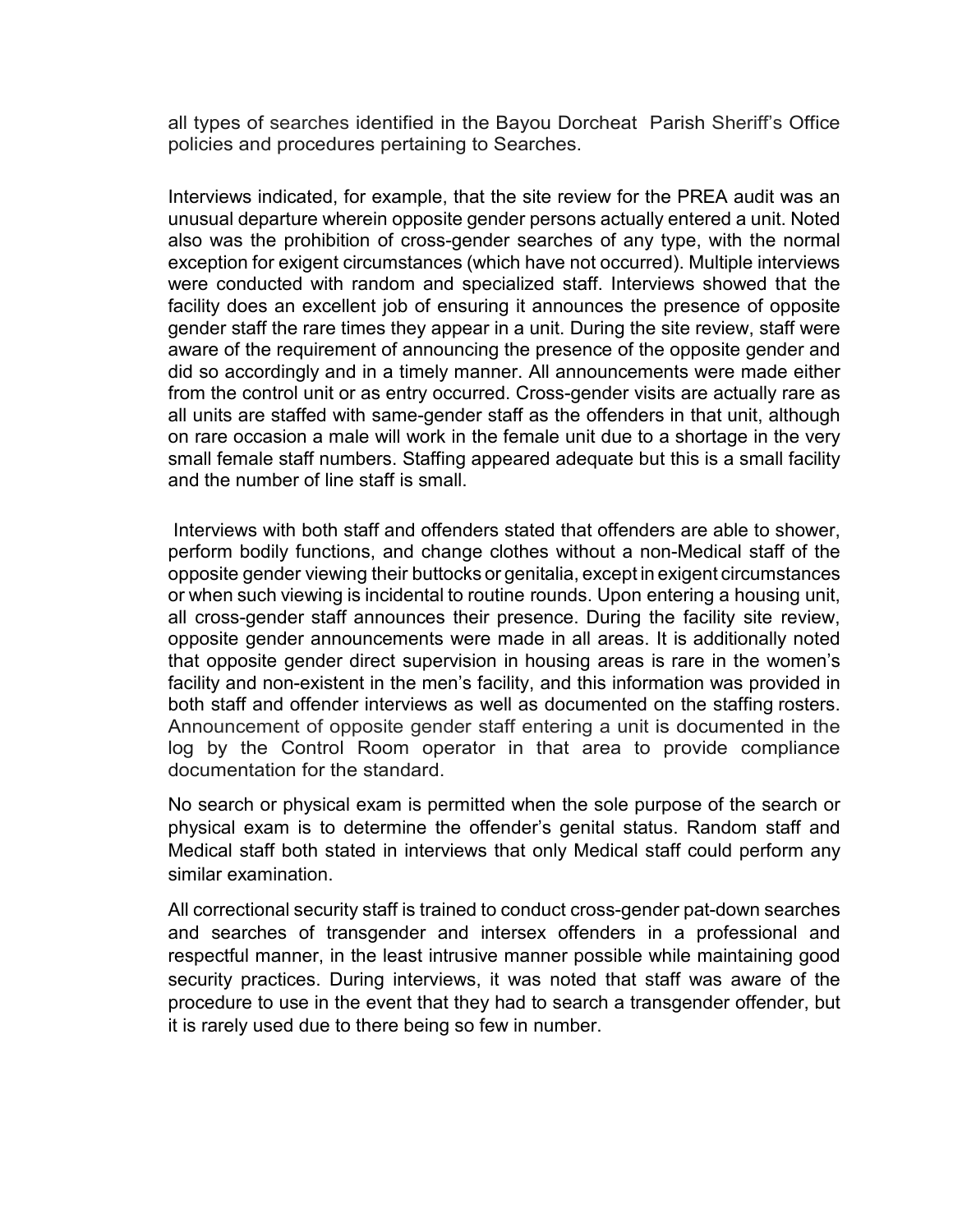all types of searches identified in the Bayou Dorcheat Parish Sheriff's Office policies and procedures pertaining to Searches.

Interviews indicated, for example, that the site review for the PREA audit was an unusual departure wherein opposite gender persons actually entered a unit. Noted also was the prohibition of cross-gender searches of any type, with the normal exception for exigent circumstances (which have not occurred). Multiple interviews were conducted with random and specialized staff. Interviews showed that the facility does an excellent job of ensuring it announces the presence of opposite gender staff the rare times they appear in a unit. During the site review, staff were aware of the requirement of announcing the presence of the opposite gender and did so accordingly and in a timely manner. All announcements were made either from the control unit or as entry occurred. Cross-gender visits are actually rare as all units are staffed with same-gender staff as the offenders in that unit, although on rare occasion a male will work in the female unit due to a shortage in the very small female staff numbers. Staffing appeared adequate but this is a small facility and the number of line staff is small.

Interviews with both staff and offenders stated that offenders are able to shower, perform bodily functions, and change clothes without a non-Medical staff of the opposite gender viewing their buttocks or genitalia, except in exigent circumstances or when such viewing is incidental to routine rounds. Upon entering a housing unit, all cross-gender staff announces their presence. During the facility site review, opposite gender announcements were made in all areas. It is additionally noted that opposite gender direct supervision in housing areas is rare in the women's facility and non-existent in the men's facility, and this information was provided in both staff and offender interviews as well as documented on the staffing rosters. Announcement of opposite gender staff entering a unit is documented in the log by the Control Room operator in that area to provide compliance documentation for the standard.

No search or physical exam is permitted when the sole purpose of the search or physical exam is to determine the offender's genital status. Random staff and Medical staff both stated in interviews that only Medical staff could perform any similar examination.

All correctional security staff is trained to conduct cross-gender pat-down searches and searches of transgender and intersex offenders in a professional and respectful manner, in the least intrusive manner possible while maintaining good security practices. During interviews, it was noted that staff was aware of the procedure to use in the event that they had to search a transgender offender, but it is rarely used due to there being so few in number.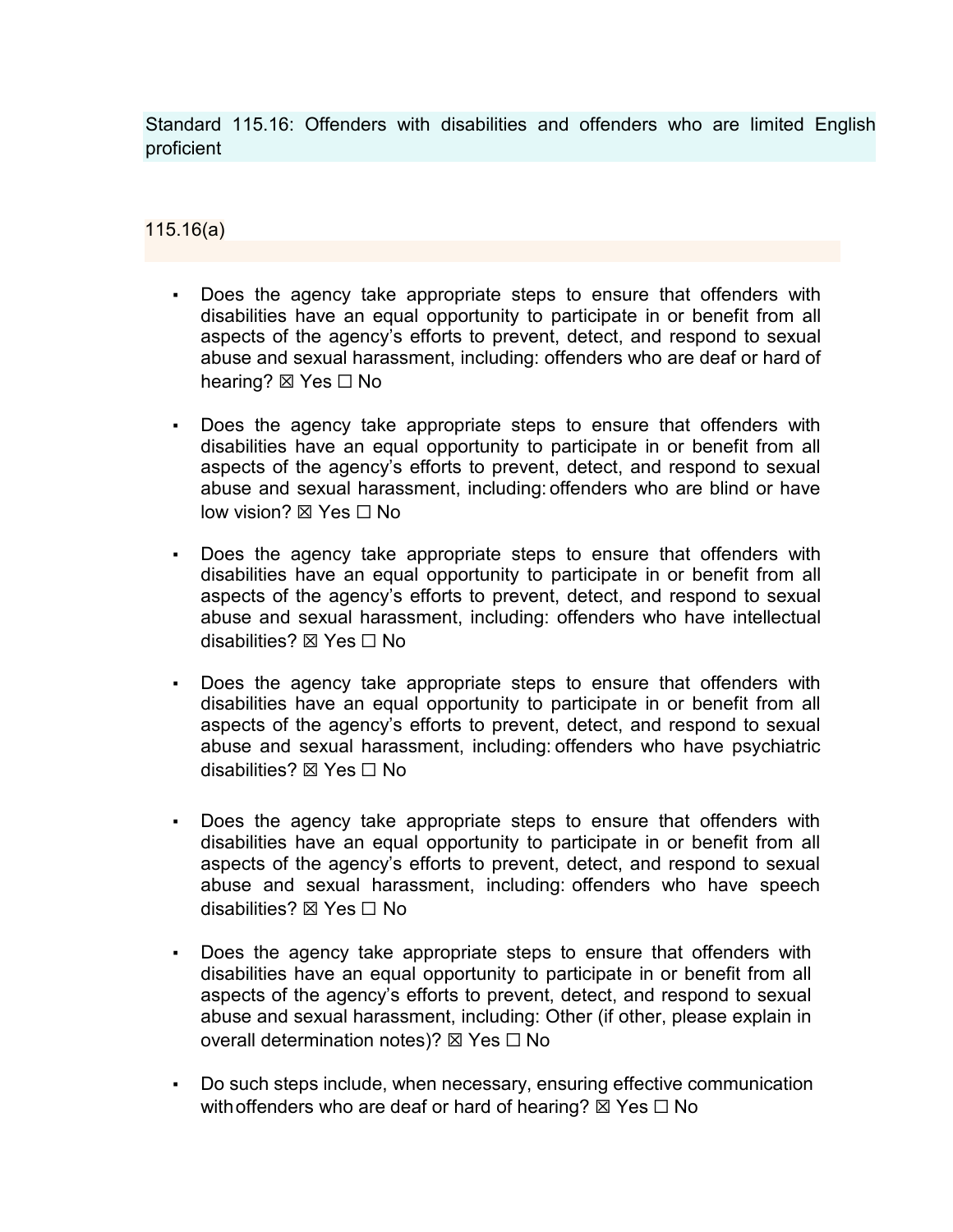Standard 115.16: Offenders with disabilities and offenders who are limited English proficient

115.16(a)

- Does the agency take appropriate steps to ensure that offenders with disabilities have an equal opportunity to participate in or benefit from all aspects of the agency's efforts to prevent, detect, and respond to sexual abuse and sexual harassment, including: offenders who are deaf or hard of hearing? ⊠ Yes □ No
- Does the agency take appropriate steps to ensure that offenders with disabilities have an equal opportunity to participate in or benefit from all aspects of the agency's efforts to prevent, detect, and respond to sexual abuse and sexual harassment, including: offenders who are blind or have low vision? ⊠ Yes □ No
- Does the agency take appropriate steps to ensure that offenders with disabilities have an equal opportunity to participate in or benefit from all aspects of the agency's efforts to prevent, detect, and respond to sexual abuse and sexual harassment, including: offenders who have intellectual disabilities? ☒ Yes ☐ No
- **•** Does the agency take appropriate steps to ensure that offenders with disabilities have an equal opportunity to participate in or benefit from all aspects of the agency's efforts to prevent, detect, and respond to sexual abuse and sexual harassment, including: offenders who have psychiatric disabilities? ☒ Yes ☐ No
- Does the agency take appropriate steps to ensure that offenders with disabilities have an equal opportunity to participate in or benefit from all aspects of the agency's efforts to prevent, detect, and respond to sexual abuse and sexual harassment, including: offenders who have speech disabilities? ☒ Yes ☐ No
- Does the agency take appropriate steps to ensure that offenders with disabilities have an equal opportunity to participate in or benefit from all aspects of the agency's efforts to prevent, detect, and respond to sexual abuse and sexual harassment, including: Other (if other, please explain in overall determination notes)? ⊠ Yes □ No
- Do such steps include, when necessary, ensuring effective communication with offenders who are deaf or hard of hearing?  $\boxtimes$  Yes  $\Box$  No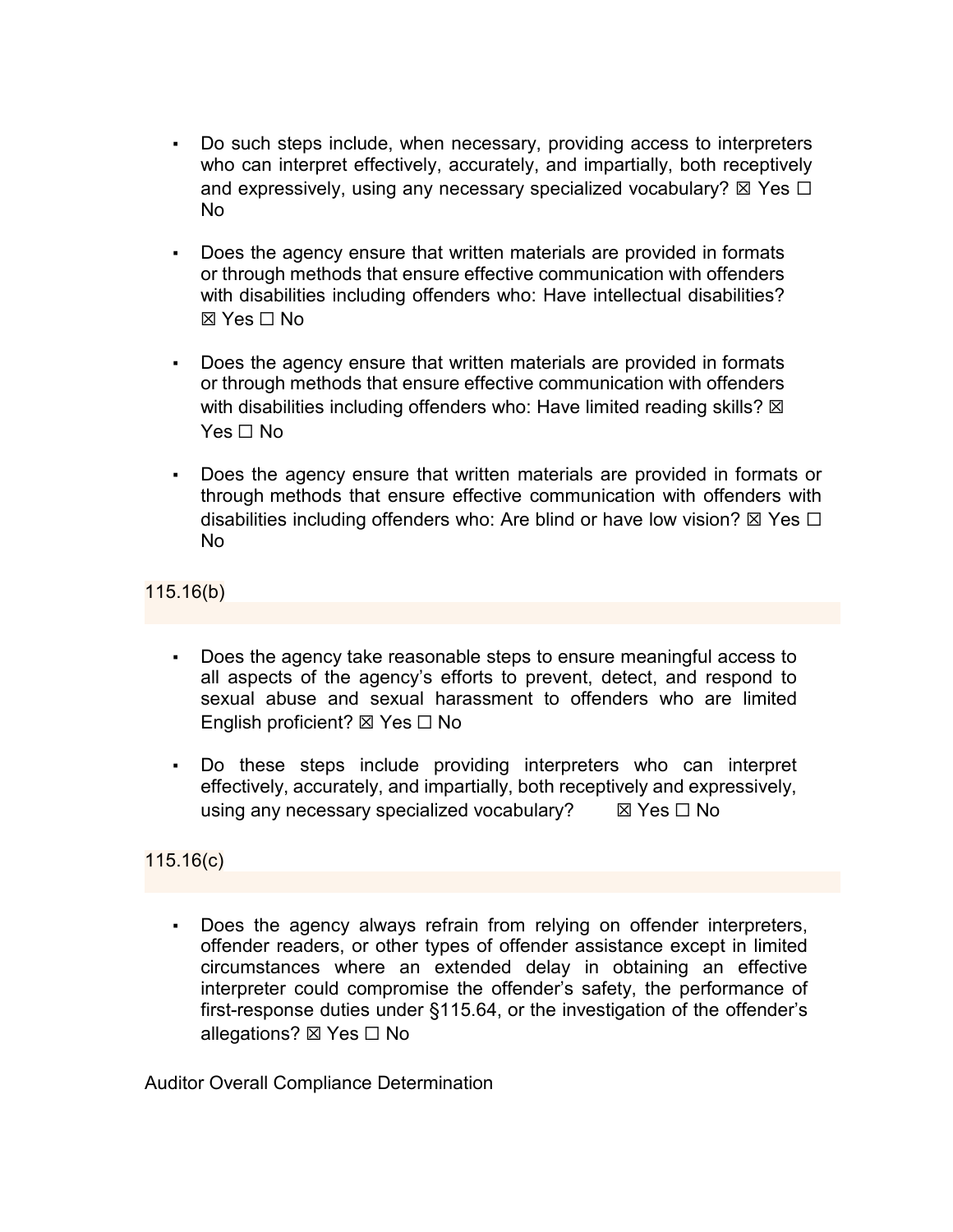- Do such steps include, when necessary, providing access to interpreters who can interpret effectively, accurately, and impartially, both receptively and expressively, using any necessary specialized vocabulary?  $\boxtimes$  Yes  $\Box$ No
- Does the agency ensure that written materials are provided in formats or through methods that ensure effective communication with offenders with disabilities including offenders who: Have intellectual disabilities?  $\boxtimes$  Yes  $\Box$  No
- Does the agency ensure that written materials are provided in formats or through methods that ensure effective communication with offenders with disabilities including offenders who: Have limited reading skills?  $\boxtimes$ Yes □ No
- Does the agency ensure that written materials are provided in formats or through methods that ensure effective communication with offenders with disabilities including offenders who: Are blind or have low vision?  $\boxtimes$  Yes  $\Box$ No

# 115.16(b)

- Does the agency take reasonable steps to ensure meaningful access to all aspects of the agency's efforts to prevent, detect, and respond to sexual abuse and sexual harassment to offenders who are limited English proficient? ☒ Yes ☐ No
- Do these steps include providing interpreters who can interpret effectively, accurately, and impartially, both receptively and expressively, using any necessary specialized vocabulary?  $\boxtimes$  Yes  $\Box$  No

# 115.16(c)

Does the agency always refrain from relying on offender interpreters, offender readers, or other types of offender assistance except in limited circumstances where an extended delay in obtaining an effective interpreter could compromise the offender's safety, the performance of first-response duties under §115.64, or the investigation of the offender's allegations?  $\boxtimes$  Yes  $\Box$  No

Auditor Overall Compliance Determination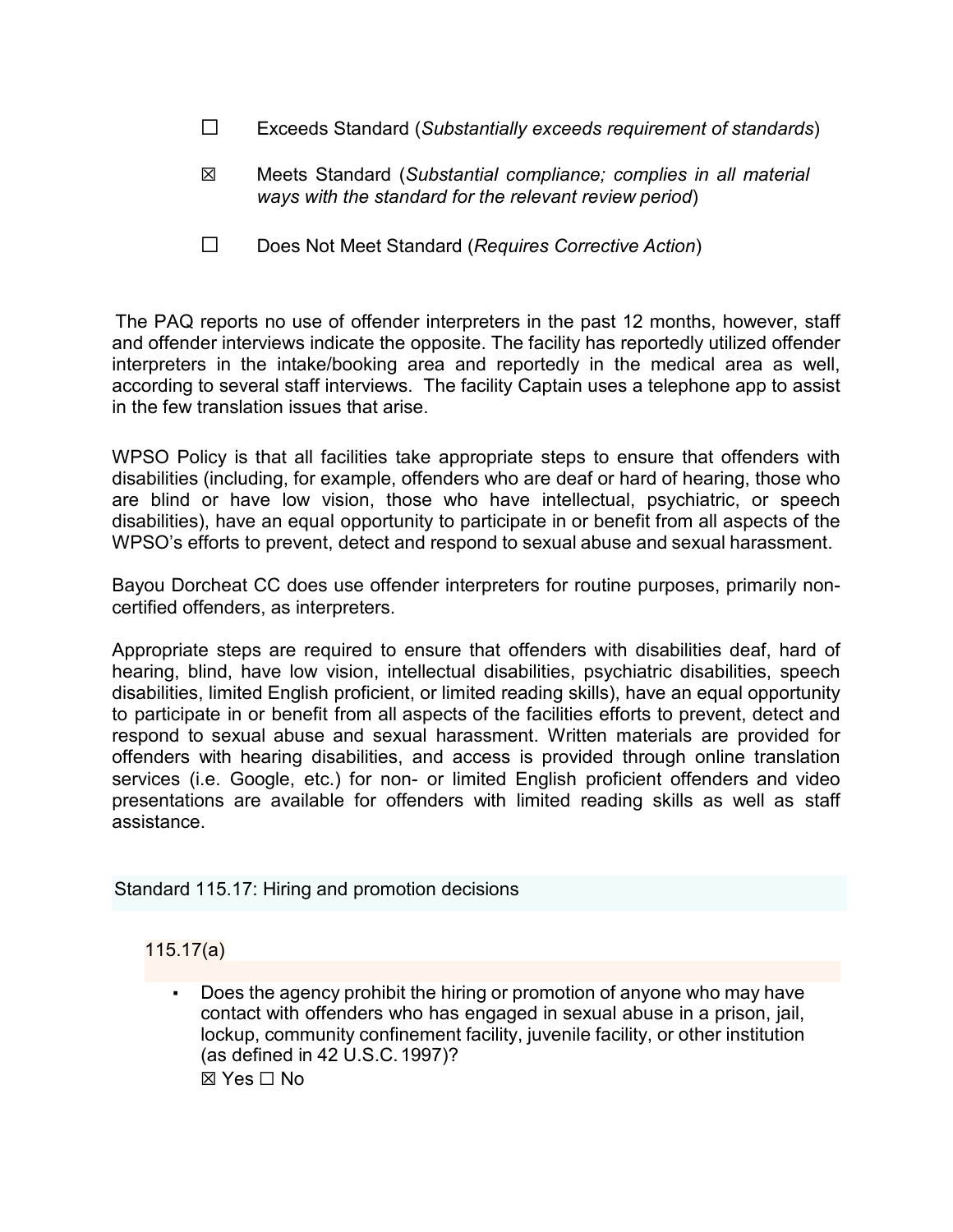- ☐ Exceeds Standard (*Substantially exceeds requirement of standards*)
- ☒ Meets Standard (*Substantial compliance; complies in all material ways with the standard for the relevant review period*)
- ☐ Does Not Meet Standard (*Requires Corrective Action*)

The PAQ reports no use of offender interpreters in the past 12 months, however, staff and offender interviews indicate the opposite. The facility has reportedly utilized offender interpreters in the intake/booking area and reportedly in the medical area as well, according to several staff interviews. The facility Captain uses a telephone app to assist in the few translation issues that arise.

WPSO Policy is that all facilities take appropriate steps to ensure that offenders with disabilities (including, for example, offenders who are deaf or hard of hearing, those who are blind or have low vision, those who have intellectual, psychiatric, or speech disabilities), have an equal opportunity to participate in or benefit from all aspects of the WPSO's efforts to prevent, detect and respond to sexual abuse and sexual harassment.

Bayou Dorcheat CC does use offender interpreters for routine purposes, primarily noncertified offenders, as interpreters.

Appropriate steps are required to ensure that offenders with disabilities deaf, hard of hearing, blind, have low vision, intellectual disabilities, psychiatric disabilities, speech disabilities, limited English proficient, or limited reading skills), have an equal opportunity to participate in or benefit from all aspects of the facilities efforts to prevent, detect and respond to sexual abuse and sexual harassment. Written materials are provided for offenders with hearing disabilities, and access is provided through online translation services (i.e. Google, etc.) for non- or limited English proficient offenders and video presentations are available for offenders with limited reading skills as well as staff assistance.

Standard 115.17: Hiring and promotion decisions

### 115.17(a)

■ Does the agency prohibit the hiring or promotion of anyone who may have contact with offenders who has engaged in sexual abuse in a prison, jail, lockup, community confinement facility, juvenile facility, or other institution (as defined in 42 U.S.C.1997)? ☒ Yes ☐ No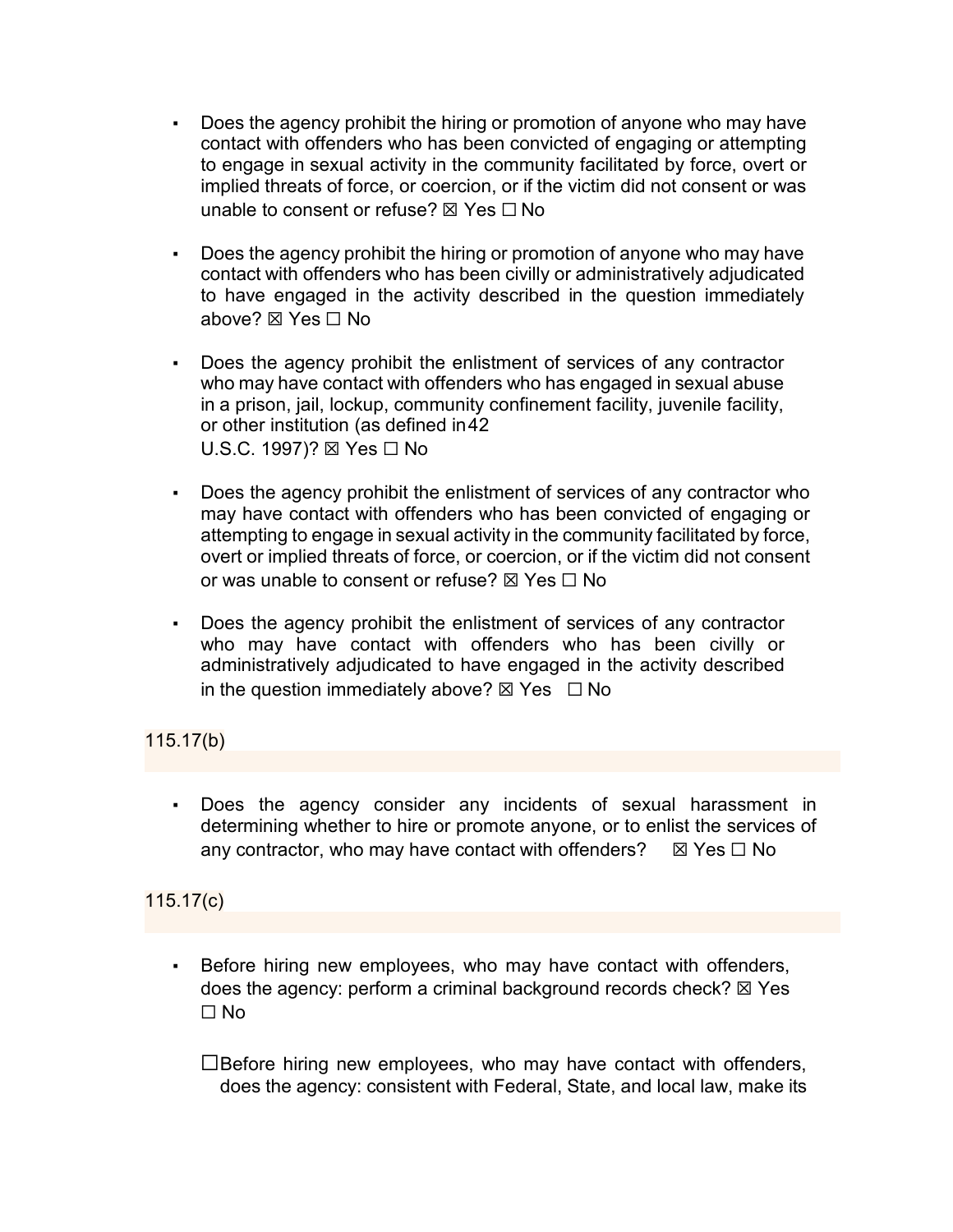- Does the agency prohibit the hiring or promotion of anyone who may have contact with offenders who has been convicted of engaging or attempting to engage in sexual activity in the community facilitated by force, overt or implied threats of force, or coercion, or if the victim did not consent or was unable to consent or refuse?  $\boxtimes$  Yes  $\Box$  No
- Does the agency prohibit the hiring or promotion of anyone who may have contact with offenders who has been civilly or administratively adjudicated to have engaged in the activity described in the question immediately above? ☒ Yes ☐ No
- Does the agency prohibit the enlistment of services of any contractor who may have contact with offenders who has engaged in sexual abuse in a prison, jail, lockup, community confinement facility, juvenile facility, or other institution (as defined in42 U.S.C. 1997)? ⊠ Yes □ No
- Does the agency prohibit the enlistment of services of any contractor who may have contact with offenders who has been convicted of engaging or attempting to engage in sexual activity in the community facilitated by force, overt or implied threats of force, or coercion, or if the victim did not consent or was unable to consent or refuse?  $\boxtimes$  Yes  $\Box$  No
- Does the agency prohibit the enlistment of services of any contractor who may have contact with offenders who has been civilly or administratively adjudicated to have engaged in the activity described in the question immediately above?  $\boxtimes$  Yes  $\Box$  No

## 115.17(b)

Does the agency consider any incidents of sexual harassment in determining whether to hire or promote anyone, or to enlist the services of any contractor, who may have contact with offenders?  $\boxtimes$  Yes  $\Box$  No

## 115.17(c)

Before hiring new employees, who may have contact with offenders, does the agency: perform a criminal background records check?  $\boxtimes$  Yes  $\Box$  No

☐Before hiring new employees, who may have contact with offenders, does the agency: consistent with Federal, State, and local law, make its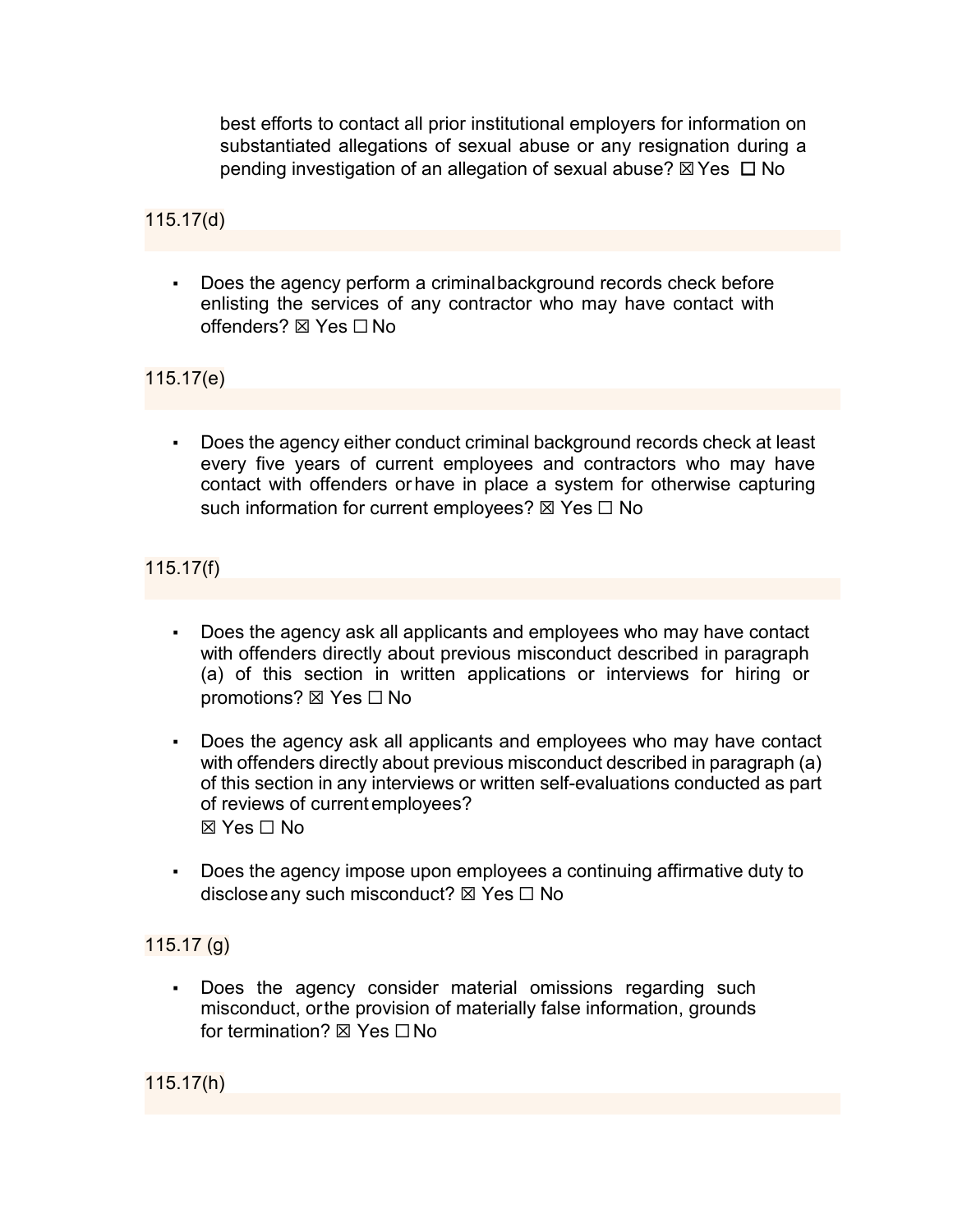best efforts to contact all prior institutional employers for information on substantiated allegations of sexual abuse or any resignation during a pending investigation of an allegation of sexual abuse?  $\boxtimes$  Yes  $\Box$  No

115.17(d)

▪ Does the agency perform a criminalbackground records check before enlisting the services of any contractor who may have contact with offenders? ⊠ Yes  $□$  No

115.17(e)

▪ Does the agency either conduct criminal background records check at least every five years of current employees and contractors who may have contact with offenders orhave in place a system for otherwise capturing such information for current employees?  $\boxtimes$  Yes  $\Box$  No

115.17(f)

- Does the agency ask all applicants and employees who may have contact with offenders directly about previous misconduct described in paragraph (a) of this section in written applications or interviews for hiring or promotions? ⊠ Yes □ No
- Does the agency ask all applicants and employees who may have contact with offenders directly about previous misconduct described in paragraph (a) of this section in any interviews or written self-evaluations conducted as part of reviews of currentemployees?  $\boxtimes$  Yes  $\Box$  No
- Does the agency impose upon employees a continuing affirmative duty to disclose any such misconduct?  $\boxtimes$  Yes  $\Box$  No

## 115.17 (g)

▪ Does the agency consider material omissions regarding such misconduct, orthe provision of materially false information, grounds for termination? ⊠ Yes □ No

115.17(h)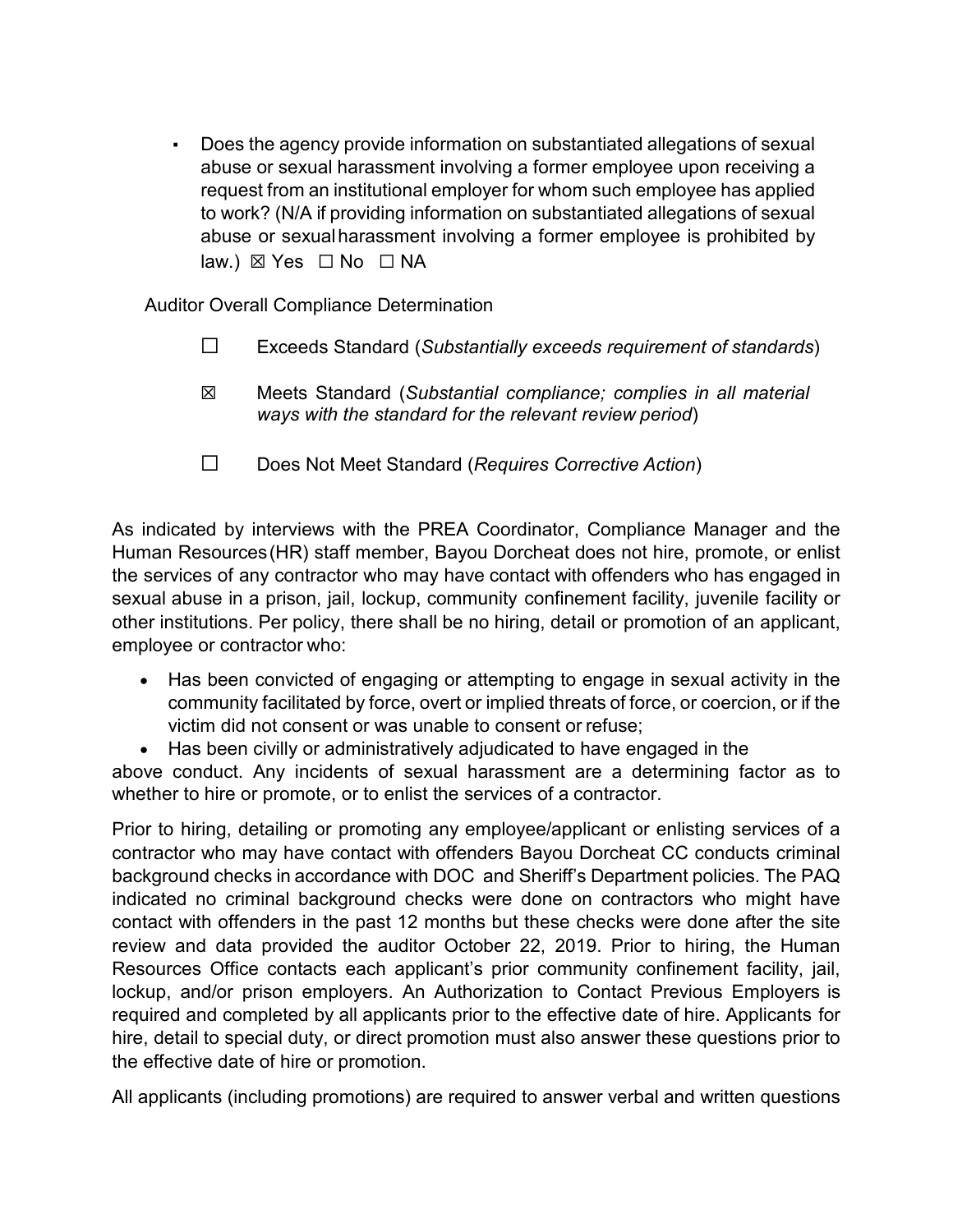▪ Does the agency provide information on substantiated allegations of sexual abuse or sexual harassment involving a former employee upon receiving a request from an institutional employer for whom such employee has applied to work? (N/A if providing information on substantiated allegations of sexual abuse or sexualharassment involving a former employee is prohibited by law.) ⊠ Yes □ No □ NA

Auditor Overall Compliance Determination

- ☐ Exceeds Standard (*Substantially exceeds requirement of standards*)
- ☒ Meets Standard (*Substantial compliance; complies in all material ways with the standard for the relevant review period*)
- ☐ Does Not Meet Standard (*Requires Corrective Action*)

As indicated by interviews with the PREA Coordinator, Compliance Manager and the Human Resources(HR) staff member, Bayou Dorcheat does not hire, promote, or enlist the services of any contractor who may have contact with offenders who has engaged in sexual abuse in a prison, jail, lockup, community confinement facility, juvenile facility or other institutions. Per policy, there shall be no hiring, detail or promotion of an applicant, employee or contractor who:

- Has been convicted of engaging or attempting to engage in sexual activity in the community facilitated by force, overt or implied threats of force, or coercion, or if the victim did not consent or was unable to consent or refuse;
- Has been civilly or administratively adjudicated to have engaged in the

above conduct. Any incidents of sexual harassment are a determining factor as to whether to hire or promote, or to enlist the services of a contractor.

Prior to hiring, detailing or promoting any employee/applicant or enlisting services of a contractor who may have contact with offenders Bayou Dorcheat CC conducts criminal background checks in accordance with DOC and Sheriff's Department policies. The PAQ indicated no criminal background checks were done on contractors who might have contact with offenders in the past 12 months but these checks were done after the site review and data provided the auditor October 22, 2019. Prior to hiring, the Human Resources Office contacts each applicant's prior community confinement facility, jail, lockup, and/or prison employers. An Authorization to Contact Previous Employers is required and completed by all applicants prior to the effective date of hire. Applicants for hire, detail to special duty, or direct promotion must also answer these questions prior to the effective date of hire or promotion.

All applicants (including promotions) are required to answer verbal and written questions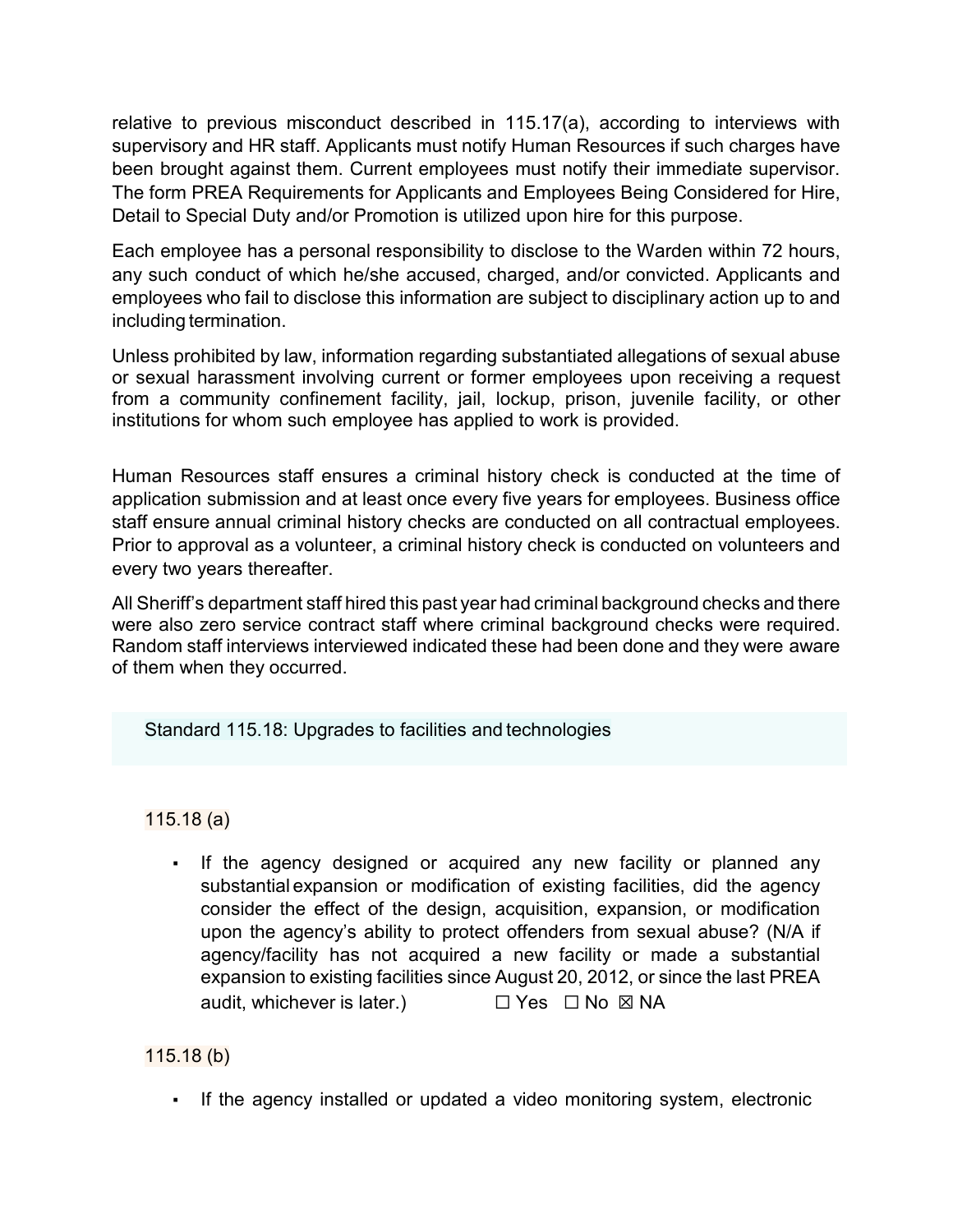relative to previous misconduct described in 115.17(a), according to interviews with supervisory and HR staff. Applicants must notify Human Resources if such charges have been brought against them. Current employees must notify their immediate supervisor. The form PREA Requirements for Applicants and Employees Being Considered for Hire, Detail to Special Duty and/or Promotion is utilized upon hire for this purpose.

Each employee has a personal responsibility to disclose to the Warden within 72 hours, any such conduct of which he/she accused, charged, and/or convicted. Applicants and employees who fail to disclose this information are subject to disciplinary action up to and including termination.

Unless prohibited by law, information regarding substantiated allegations of sexual abuse or sexual harassment involving current or former employees upon receiving a request from a community confinement facility, jail, lockup, prison, juvenile facility, or other institutions for whom such employee has applied to work is provided.

Human Resources staff ensures a criminal history check is conducted at the time of application submission and at least once every five years for employees. Business office staff ensure annual criminal history checks are conducted on all contractual employees. Prior to approval as a volunteer, a criminal history check is conducted on volunteers and every two years thereafter.

All Sheriff's department staff hired this past year had criminal background checks and there were also zero service contract staff where criminal background checks were required. Random staff interviews interviewed indicated these had been done and they were aware of them when they occurred.

Standard 115.18: Upgrades to facilities and technologies

115.18 (a)

• If the agency designed or acquired any new facility or planned any substantial expansion or modification of existing facilities, did the agency consider the effect of the design, acquisition, expansion, or modification upon the agency's ability to protect offenders from sexual abuse? (N/A if agency/facility has not acquired a new facility or made a substantial expansion to existing facilities since August 20, 2012, or since the last PREA audit, whichever is later.)  $□ Yes □ No □ NA$ 

115.18 (b)

▪ If the agency installed or updated a video monitoring system, electronic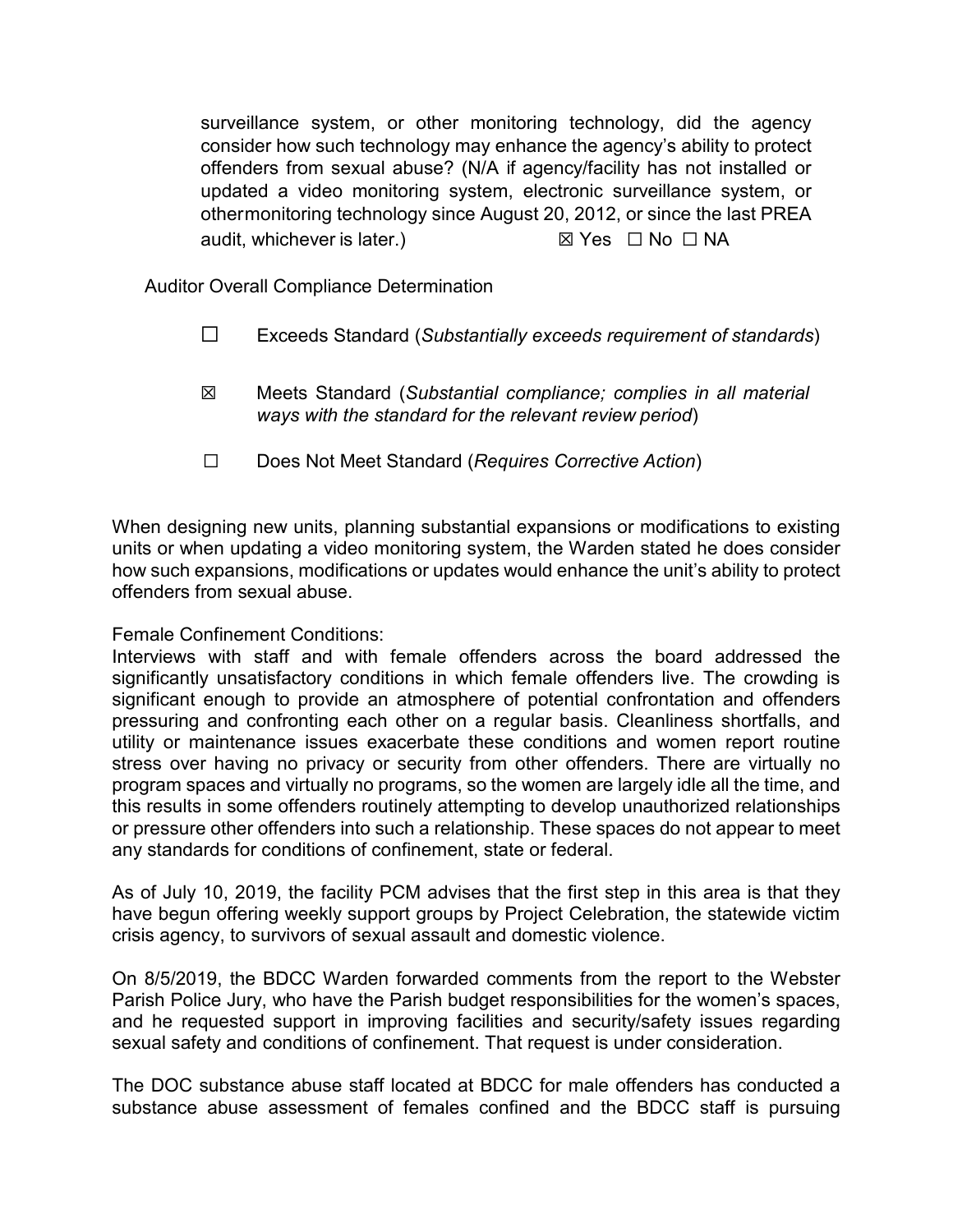surveillance system, or other monitoring technology, did the agency consider how such technology may enhance the agency's ability to protect offenders from sexual abuse? (N/A if agency/facility has not installed or updated a video monitoring system, electronic surveillance system, or othermonitoring technology since August 20, 2012, or since the last PREA audit, whichever is later.) *⊠* **Yes D** No **□ NA** 

Auditor Overall Compliance Determination

- ☐ Exceeds Standard (*Substantially exceeds requirement of standards*)
- ☒ Meets Standard (*Substantial compliance; complies in all material ways with the standard for the relevant review period*)
- ☐ Does Not Meet Standard (*Requires Corrective Action*)

When designing new units, planning substantial expansions or modifications to existing units or when updating a video monitoring system, the Warden stated he does consider how such expansions, modifications or updates would enhance the unit's ability to protect offenders from sexual abuse.

Female Confinement Conditions:

Interviews with staff and with female offenders across the board addressed the significantly unsatisfactory conditions in which female offenders live. The crowding is significant enough to provide an atmosphere of potential confrontation and offenders pressuring and confronting each other on a regular basis. Cleanliness shortfalls, and utility or maintenance issues exacerbate these conditions and women report routine stress over having no privacy or security from other offenders. There are virtually no program spaces and virtually no programs, so the women are largely idle all the time, and this results in some offenders routinely attempting to develop unauthorized relationships or pressure other offenders into such a relationship. These spaces do not appear to meet any standards for conditions of confinement, state or federal.

As of July 10, 2019, the facility PCM advises that the first step in this area is that they have begun offering weekly support groups by Project Celebration, the statewide victim crisis agency, to survivors of sexual assault and domestic violence.

On 8/5/2019, the BDCC Warden forwarded comments from the report to the Webster Parish Police Jury, who have the Parish budget responsibilities for the women's spaces, and he requested support in improving facilities and security/safety issues regarding sexual safety and conditions of confinement. That request is under consideration.

The DOC substance abuse staff located at BDCC for male offenders has conducted a substance abuse assessment of females confined and the BDCC staff is pursuing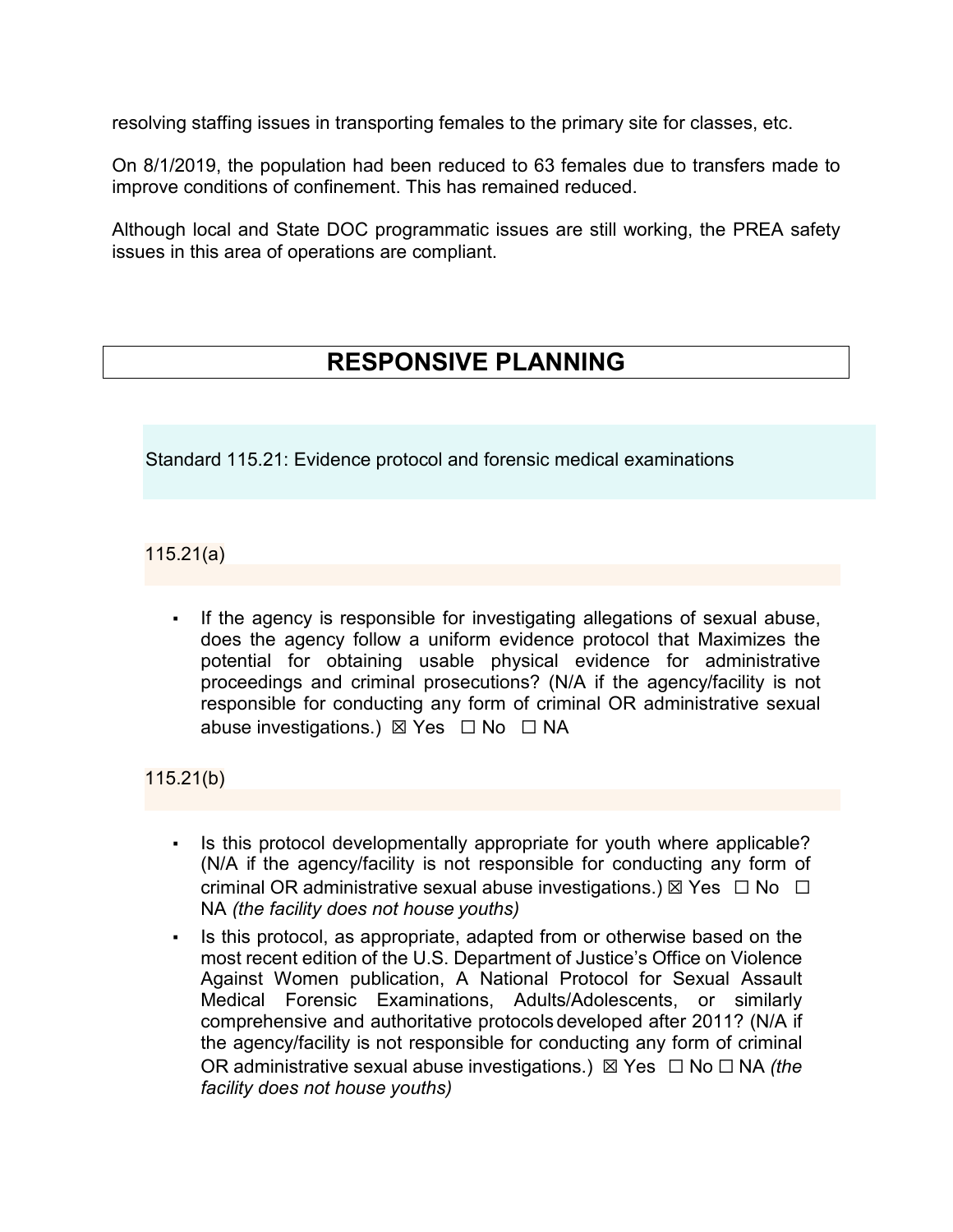resolving staffing issues in transporting females to the primary site for classes, etc.

On 8/1/2019, the population had been reduced to 63 females due to transfers made to improve conditions of confinement. This has remained reduced.

Although local and State DOC programmatic issues are still working, the PREA safety issues in this area of operations are compliant.

## **RESPONSIVE PLANNING**

Standard 115.21: Evidence protocol and forensic medical examinations

115.21(a)

▪ If the agency is responsible for investigating allegations of sexual abuse, does the agency follow a uniform evidence protocol that Maximizes the potential for obtaining usable physical evidence for administrative proceedings and criminal prosecutions? (N/A if the agency/facility is not responsible for conducting any form of criminal OR administrative sexual abuse investigations.) ⊠ Yes □ No □ NA

115.21(b)

- Is this protocol developmentally appropriate for youth where applicable? (N/A if the agency/facility is not responsible for conducting any form of criminal OR administrative sexual abuse investigations.)  $\boxtimes$  Yes  $\Box$  No  $\Box$ NA *(the facility does not house youths)*
- Is this protocol, as appropriate, adapted from or otherwise based on the most recent edition of the U.S. Department of Justice's Office on Violence Against Women publication, A National Protocol for Sexual Assault Medical Forensic Examinations, Adults/Adolescents, or similarly comprehensive and authoritative protocols developed after 2011? (N/A if the agency/facility is not responsible for conducting any form of criminal OR administrative sexual abuse investigations.) ☒ Yes ☐ No ☐ NA *(the facility does not house youths)*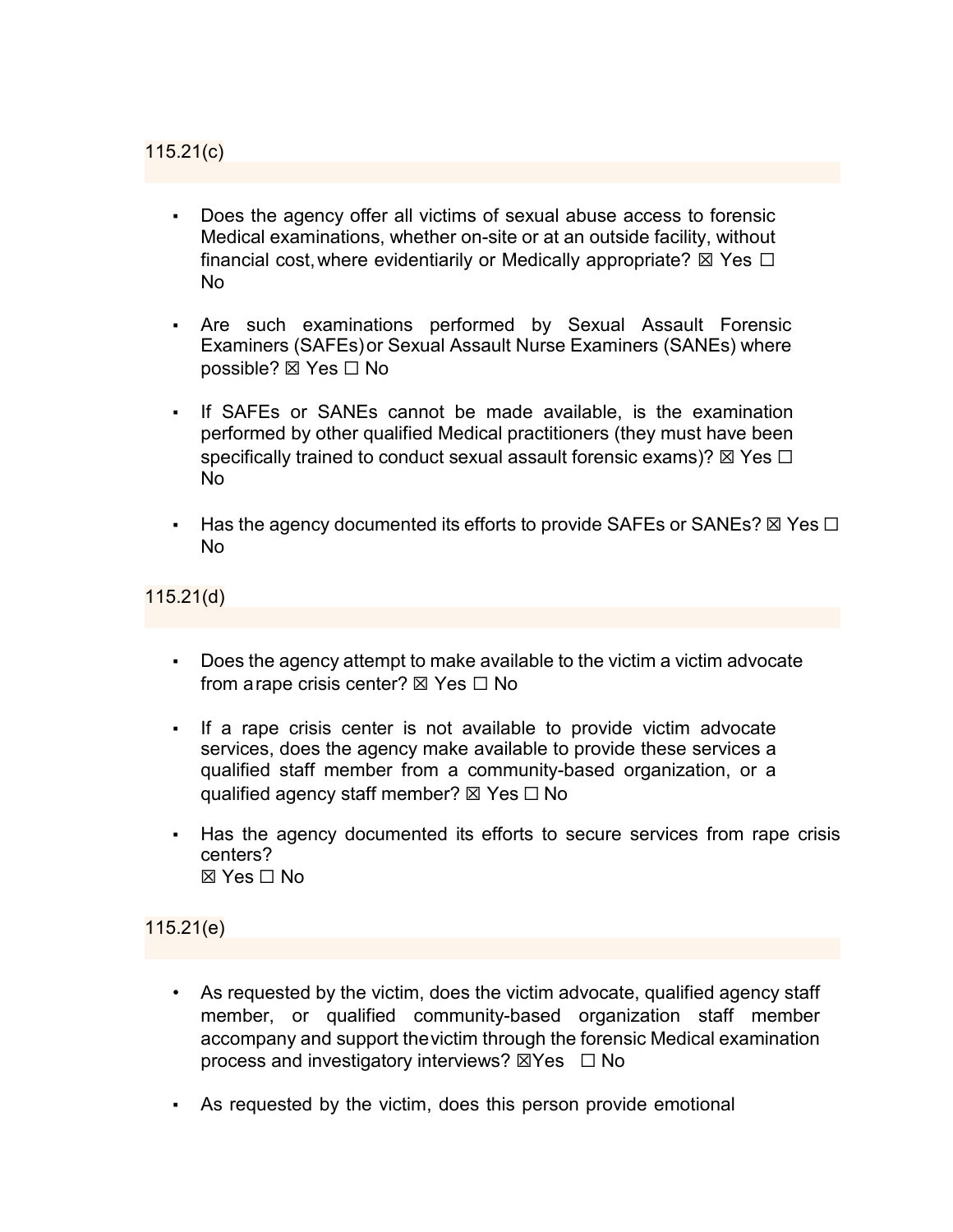- Does the agency offer all victims of sexual abuse access to forensic Medical examinations, whether on-site or at an outside facility, without financial cost, where evidentiarily or Medically appropriate?  $\boxtimes$  Yes  $\Box$ No
- Are such examinations performed by Sexual Assault Forensic Examiners (SAFEs)or Sexual Assault Nurse Examiners (SANEs) where possible? ⊠ Yes □ No
- If SAFEs or SANEs cannot be made available, is the examination performed by other qualified Medical practitioners (they must have been specifically trained to conduct sexual assault forensic exams)?  $\boxtimes$  Yes  $\Box$ No
- Has the agency documented its efforts to provide SAFEs or SANEs?  $\boxtimes$  Yes  $\Box$ No

115.21(d)

- Does the agency attempt to make available to the victim a victim advocate from a rape crisis center?  $\boxtimes$  Yes  $\Box$  No
- If a rape crisis center is not available to provide victim advocate services, does the agency make available to provide these services a qualified staff member from a community-based organization, or a qualified agency staff member?  $\boxtimes$  Yes  $\Box$  No
- **EXEL Has the agency documented its efforts to secure services from rape crisis** centers?  $\boxtimes$  Yes  $\Box$  No

115.21(e)

- As requested by the victim, does the victim advocate, qualified agency staff member, or qualified community-based organization staff member accompany and support thevictim through the forensic Medical examination process and investigatory interviews?  $\boxtimes$ Yes  $\Box$  No
- As requested by the victim, does this person provide emotional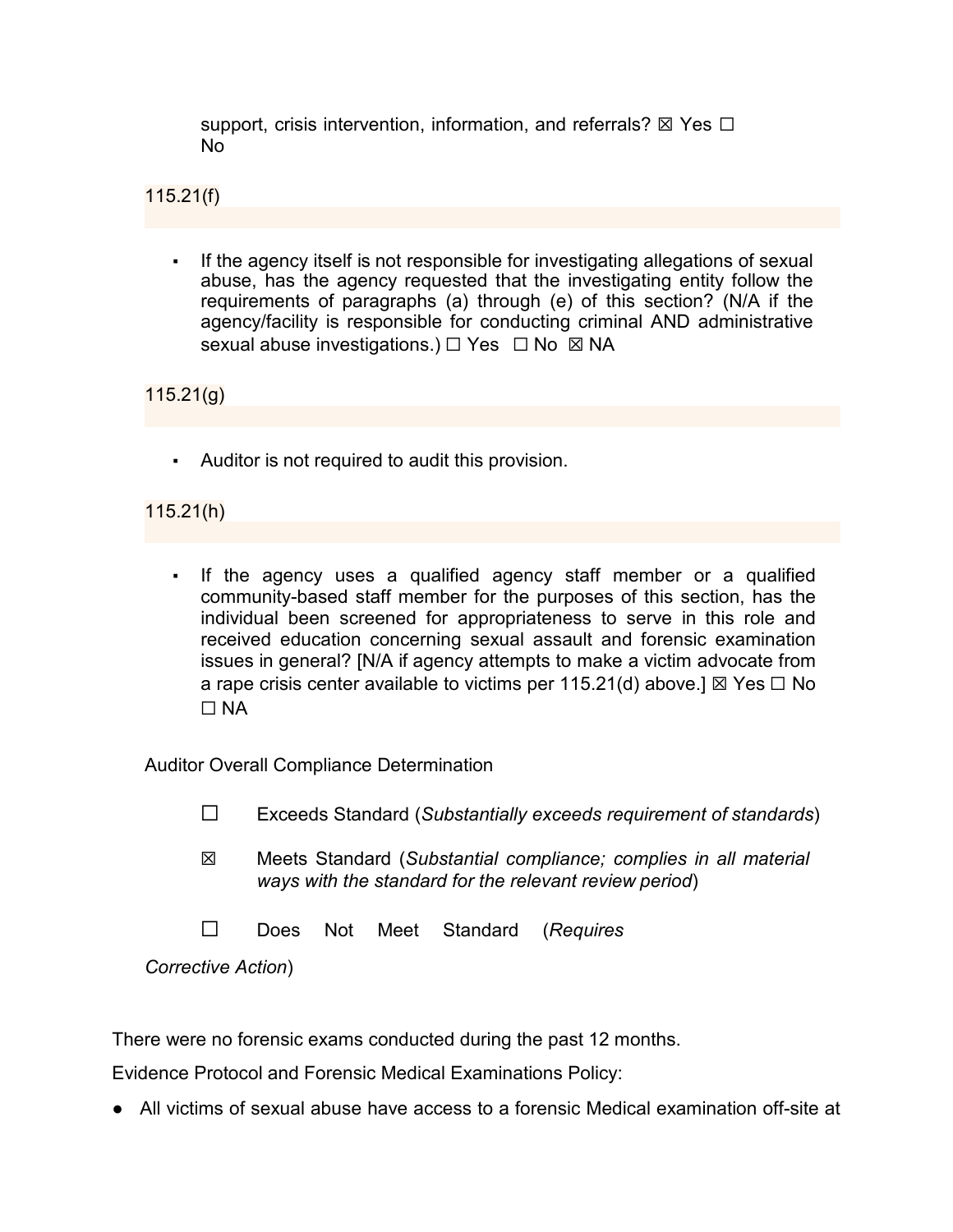support, crisis intervention, information, and referrals?  $\boxtimes$  Yes  $\Box$ No

115.21(f)

If the agency itself is not responsible for investigating allegations of sexual abuse, has the agency requested that the investigating entity follow the requirements of paragraphs (a) through (e) of this section? (N/A if the agency/facility is responsible for conducting criminal AND administrative sexual abuse investigations.) □ Yes □ No ⊠ NA

115.21(g)

▪ Auditor is not required to audit this provision.

## 115.21(h)

If the agency uses a qualified agency staff member or a qualified community-based staff member for the purposes of this section, has the individual been screened for appropriateness to serve in this role and received education concerning sexual assault and forensic examination issues in general? [N/A if agency attempts to make a victim advocate from a rape crisis center available to victims per 115.21(d) above.]  $\boxtimes$  Yes  $\Box$  No  $\Box$  NA

Auditor Overall Compliance Determination

- ☐ Exceeds Standard (*Substantially exceeds requirement of standards*)
- ☒ Meets Standard (*Substantial compliance; complies in all material ways with the standard for the relevant review period*)
- ☐ Does Not Meet Standard (*Requires*

*Corrective Action*)

There were no forensic exams conducted during the past 12 months.

Evidence Protocol and Forensic Medical Examinations Policy:

● All victims of sexual abuse have access to a forensic Medical examination off-site at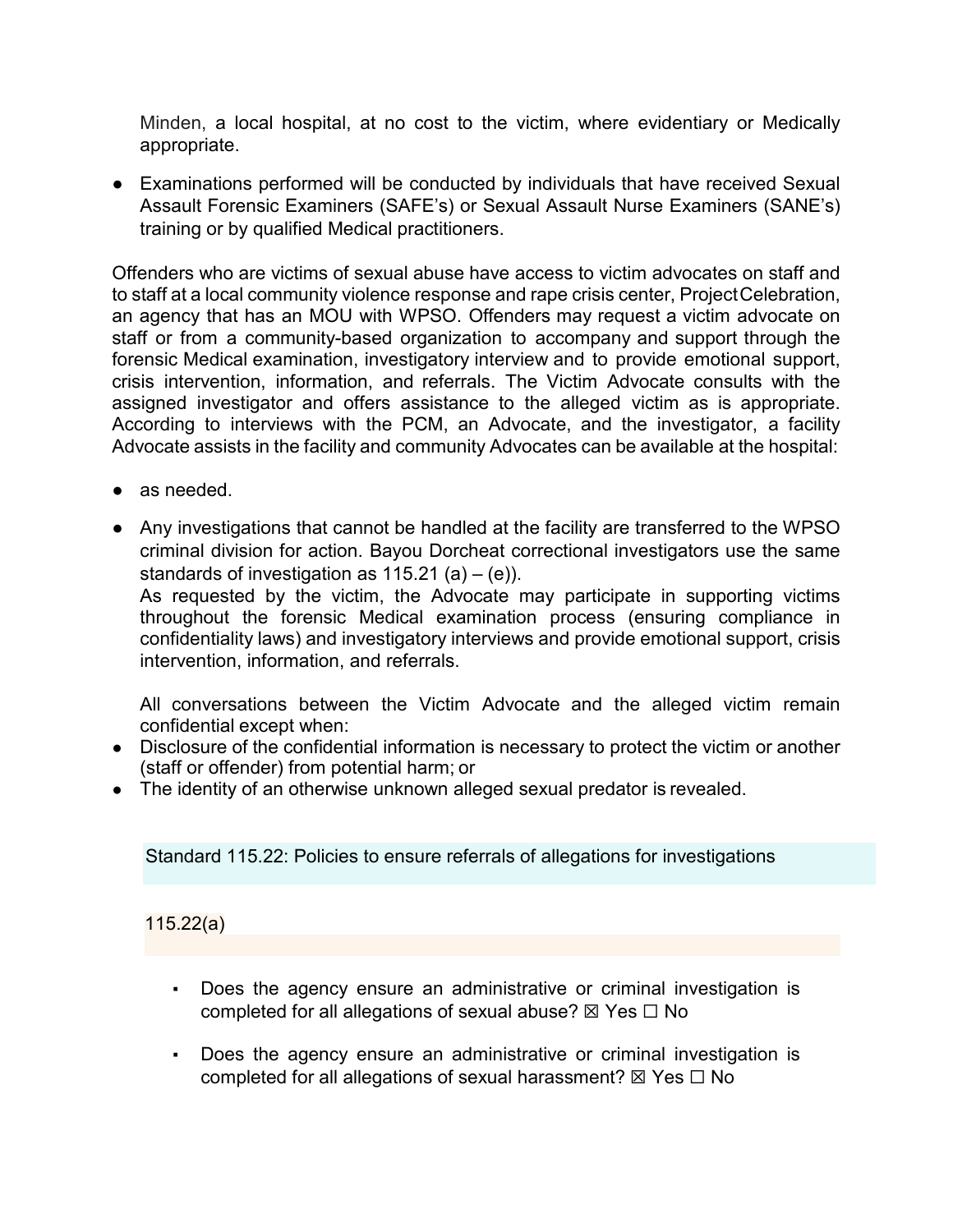Minden, a local hospital, at no cost to the victim, where evidentiary or Medically appropriate.

● Examinations performed will be conducted by individuals that have received Sexual Assault Forensic Examiners (SAFE's) or Sexual Assault Nurse Examiners (SANE's) training or by qualified Medical practitioners.

Offenders who are victims of sexual abuse have access to victim advocates on staff and to staff at a local community violence response and rape crisis center, ProjectCelebration, an agency that has an MOU with WPSO. Offenders may request a victim advocate on staff or from a community-based organization to accompany and support through the forensic Medical examination, investigatory interview and to provide emotional support, crisis intervention, information, and referrals. The Victim Advocate consults with the assigned investigator and offers assistance to the alleged victim as is appropriate. According to interviews with the PCM, an Advocate, and the investigator, a facility Advocate assists in the facility and community Advocates can be available at the hospital:

- as needed
- Any investigations that cannot be handled at the facility are transferred to the WPSO criminal division for action. Bayou Dorcheat correctional investigators use the same standards of investigation as  $115.21$  (a) – (e)).

As requested by the victim, the Advocate may participate in supporting victims throughout the forensic Medical examination process (ensuring compliance in confidentiality laws) and investigatory interviews and provide emotional support, crisis intervention, information, and referrals.

All conversations between the Victim Advocate and the alleged victim remain confidential except when:

- Disclosure of the confidential information is necessary to protect the victim or another (staff or offender) from potential harm; or
- The identity of an otherwise unknown alleged sexual predator is revealed.

Standard 115.22: Policies to ensure referrals of allegations for investigations

115.22(a)

- Does the agency ensure an administrative or criminal investigation is completed for all allegations of sexual abuse?  $\boxtimes$  Yes  $\Box$  No
- Does the agency ensure an administrative or criminal investigation is completed for all allegations of sexual harassment?  $\boxtimes$  Yes  $\Box$  No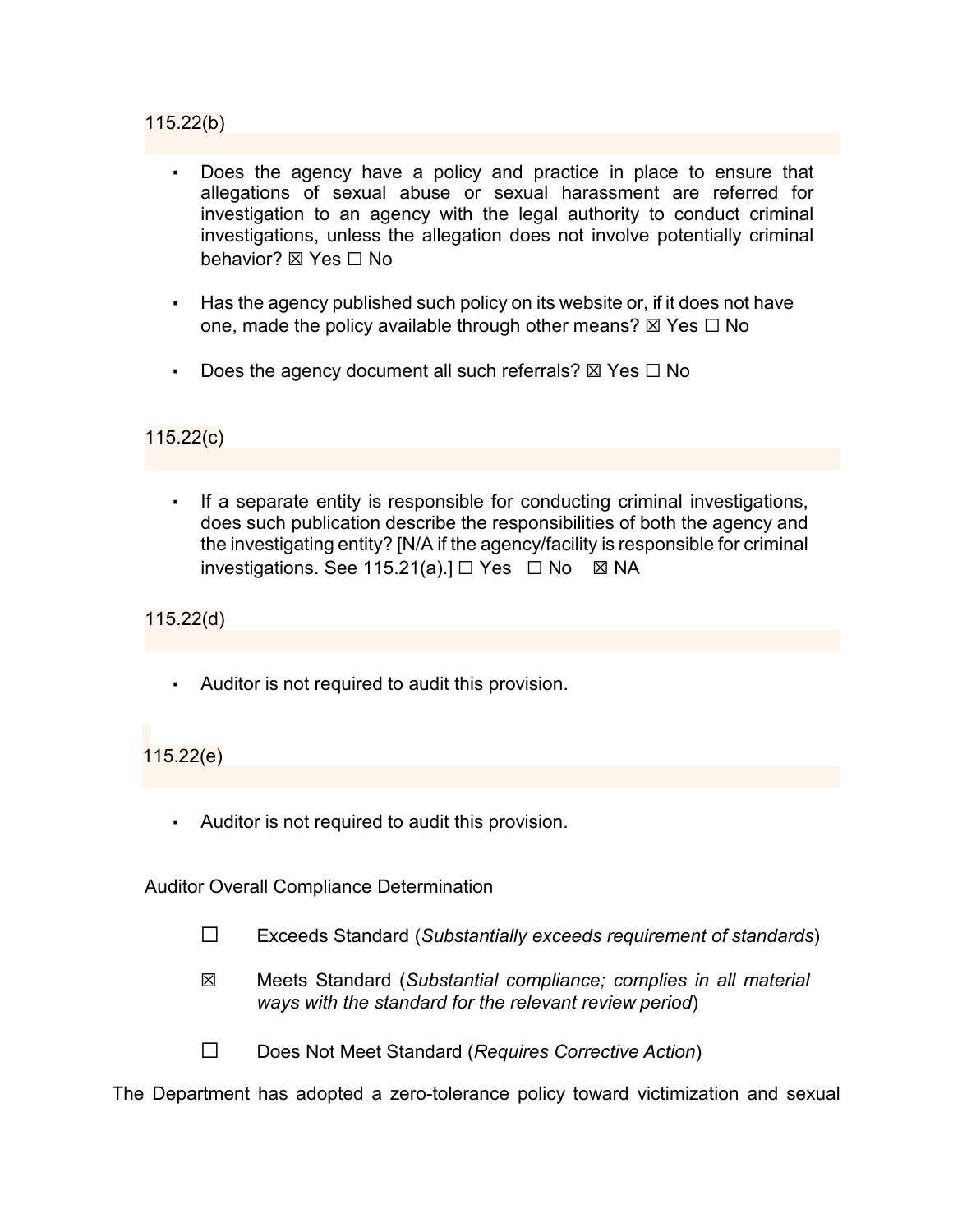#### 115.22(b)

- Does the agency have a policy and practice in place to ensure that allegations of sexual abuse or sexual harassment are referred for investigation to an agency with the legal authority to conduct criminal investigations, unless the allegation does not involve potentially criminal behavior? **⊠** Yes □ No
- Has the agency published such policy on its website or, if it does not have one, made the policy available through other means?  $\boxtimes$  Yes  $\Box$  No
- Does the agency document all such referrals?  $\boxtimes$  Yes  $\Box$  No

## 115.22(c)

▪ If a separate entity is responsible for conducting criminal investigations, does such publication describe the responsibilities of both the agency and the investigating entity? [N/A if the agency/facility is responsible for criminal investigations. See 115.21(a). $I \square$  Yes  $\Box$  No  $\boxtimes$  NA

115.22(d)

▪ Auditor is not required to audit this provision.

115.22(e)

▪ Auditor is not required to audit this provision.

Auditor Overall Compliance Determination

- ☐ Exceeds Standard (*Substantially exceeds requirement of standards*)
- ☒ Meets Standard (*Substantial compliance; complies in all material ways with the standard for the relevant review period*)
- ☐ Does Not Meet Standard (*Requires Corrective Action*)

The Department has adopted a zero-tolerance policy toward victimization and sexual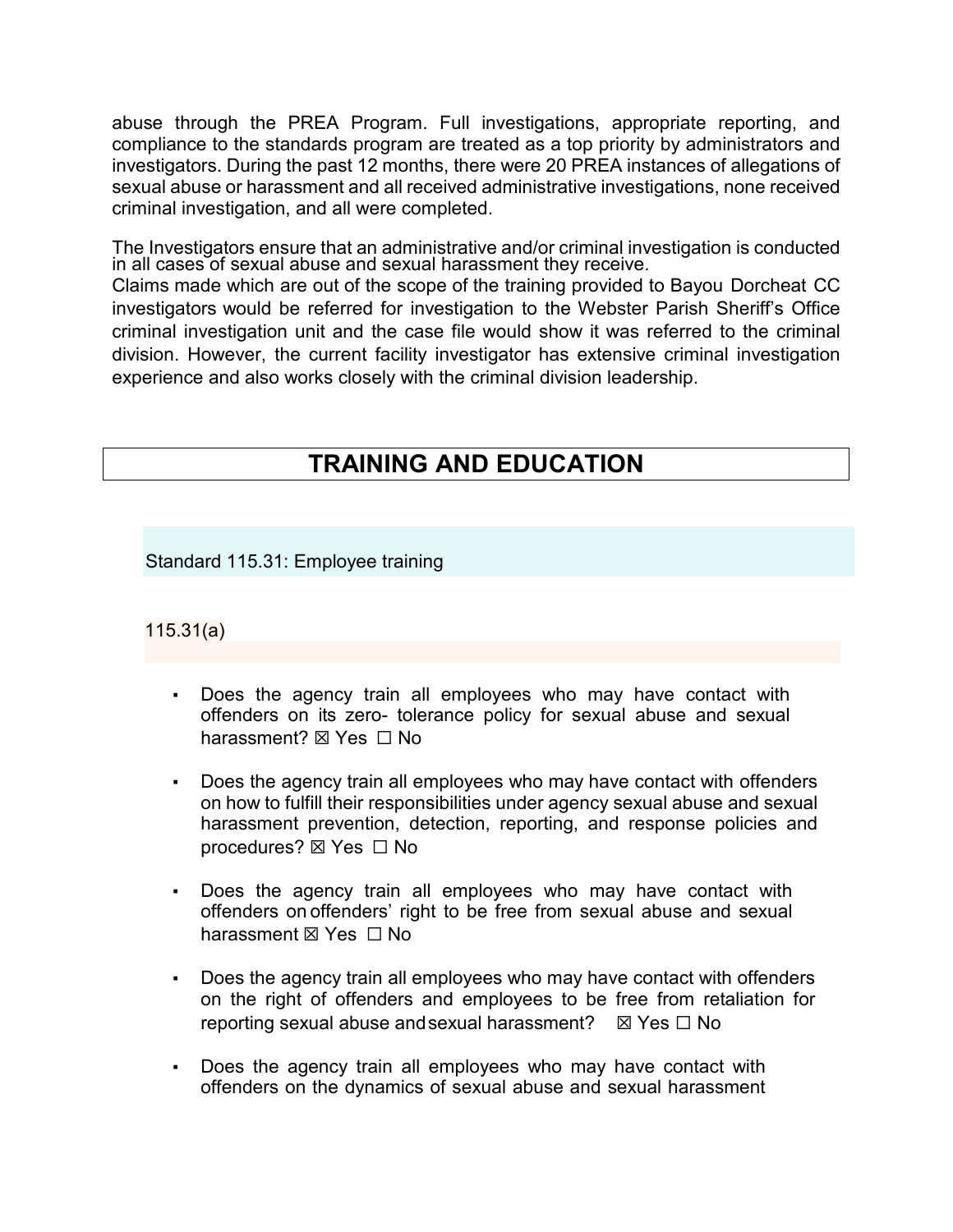abuse through the PREA Program. Full investigations, appropriate reporting, and compliance to the standards program are treated as a top priority by administrators and investigators. During the past 12 months, there were 20 PREA instances of allegations of sexual abuse or harassment and all received administrative investigations, none received criminal investigation, and all were completed.

The Investigators ensure that an administrative and/or criminal investigation is conducted in all cases of sexual abuse and sexual harassment they receive.

Claims made which are out of the scope of the training provided to Bayou Dorcheat CC investigators would be referred for investigation to the Webster Parish Sheriff's Office criminal investigation unit and the case file would show it was referred to the criminal division. However, the current facility investigator has extensive criminal investigation experience and also works closely with the criminal division leadership.

# **TRAINING AND EDUCATION**

Standard 115.31: Employee training

115.31(a)

- Does the agency train all employees who may have contact with offenders on its zero- tolerance policy for sexual abuse and sexual harassment? ⊠ Yes □ No
- Does the agency train all employees who may have contact with offenders on how to fulfill their responsibilities under agency sexual abuse and sexual harassment prevention, detection, reporting, and response policies and procedures? ⊠ Yes □ No
- Does the agency train all employees who may have contact with offenders on offenders' right to be free from sexual abuse and sexual harassment ⊠ Yes □ No
- Does the agency train all employees who may have contact with offenders on the right of offenders and employees to be free from retaliation for reporting sexual abuse and sexual harassment?  $\boxtimes$  Yes  $\Box$  No
- Does the agency train all employees who may have contact with offenders on the dynamics of sexual abuse and sexual harassment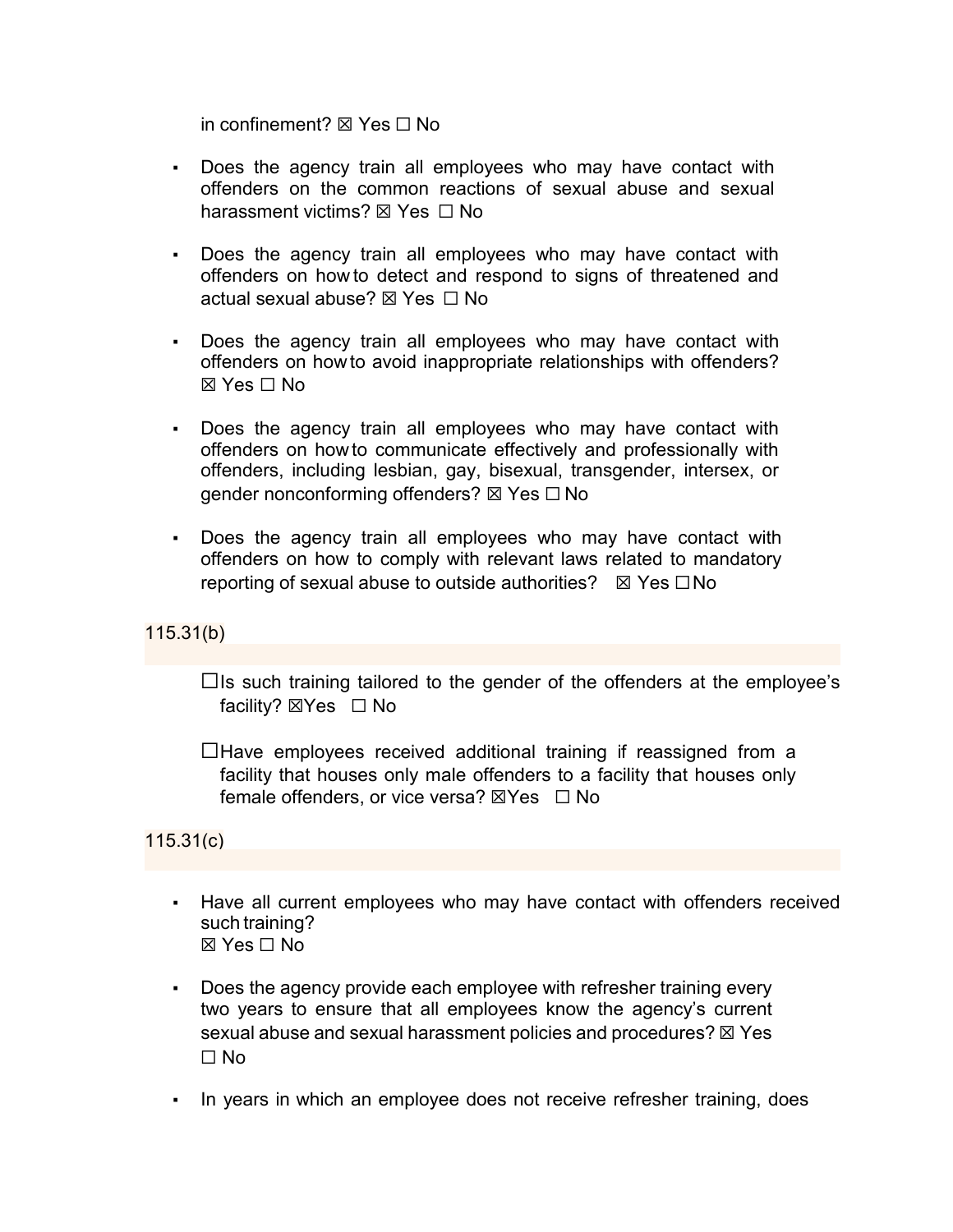in confinement? ☒ Yes ☐ No

- Does the agency train all employees who may have contact with offenders on the common reactions of sexual abuse and sexual harassment victims? ⊠ Yes □ No
- Does the agency train all employees who may have contact with offenders on how to detect and respond to signs of threatened and actual sexual abuse? ⊠ Yes □ No
- Does the agency train all employees who may have contact with offenders on howto avoid inappropriate relationships with offenders? ☒ Yes ☐ No
- Does the agency train all employees who may have contact with offenders on howto communicate effectively and professionally with offenders, including lesbian, gay, bisexual, transgender, intersex, or gender nonconforming offenders? ⊠ Yes □ No
- Does the agency train all employees who may have contact with offenders on how to comply with relevant laws related to mandatory reporting of sexual abuse to outside authorities?  $\boxtimes$  Yes  $\Box$  No

115.31(b)

 $\Box$ Is such training tailored to the gender of the offenders at the employee's facility? ⊠Yes □ No

 $\Box$  Have employees received additional training if reassigned from a facility that houses only male offenders to a facility that houses only female offenders, or vice versa?  $\boxtimes$ Yes  $\Box$  No

115.31(c)

- Have all current employees who may have contact with offenders received such training? ☒ Yes ☐ No
- Does the agency provide each employee with refresher training every two years to ensure that all employees know the agency's current sexual abuse and sexual harassment policies and procedures?  $\boxtimes$  Yes ☐ No
- In years in which an employee does not receive refresher training, does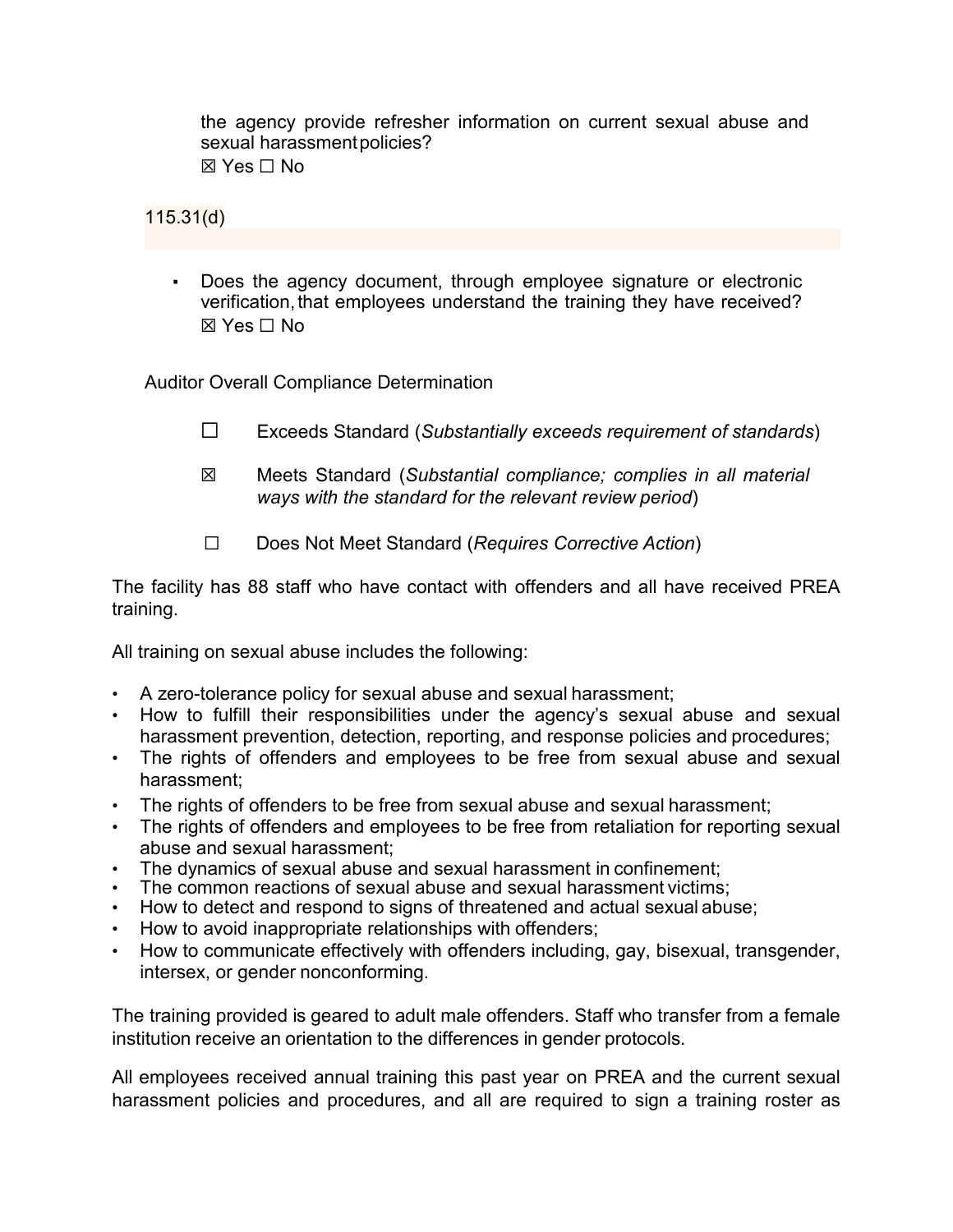the agency provide refresher information on current sexual abuse and sexual harassmentpolicies?  $\boxtimes$  Yes  $\Box$  No

115.31(d)

▪ Does the agency document, through employee signature or electronic verification, that employees understand the training they have received?  $\boxtimes$  Yes  $\Box$  No

Auditor Overall Compliance Determination

- ☐ Exceeds Standard (*Substantially exceeds requirement of standards*)
- ☒ Meets Standard (*Substantial compliance; complies in all material ways with the standard for the relevant review period*)
- ☐ Does Not Meet Standard (*Requires Corrective Action*)

The facility has 88 staff who have contact with offenders and all have received PREA training.

All training on sexual abuse includes the following:

- A zero-tolerance policy for sexual abuse and sexual harassment;
- How to fulfill their responsibilities under the agency's sexual abuse and sexual harassment prevention, detection, reporting, and response policies and procedures;
- The rights of offenders and employees to be free from sexual abuse and sexual harassment;
- The rights of offenders to be free from sexual abuse and sexual harassment:
- The rights of offenders and employees to be free from retaliation for reporting sexual abuse and sexual harassment;
- The dynamics of sexual abuse and sexual harassment in confinement:
- The common reactions of sexual abuse and sexual harassment victims;
- How to detect and respond to signs of threatened and actual sexual abuse;
- How to avoid inappropriate relationships with offenders;
- How to communicate effectively with offenders including, gay, bisexual, transgender, intersex, or gender nonconforming.

The training provided is geared to adult male offenders. Staff who transfer from a female institution receive an orientation to the differences in gender protocols.

All employees received annual training this past year on PREA and the current sexual harassment policies and procedures, and all are required to sign a training roster as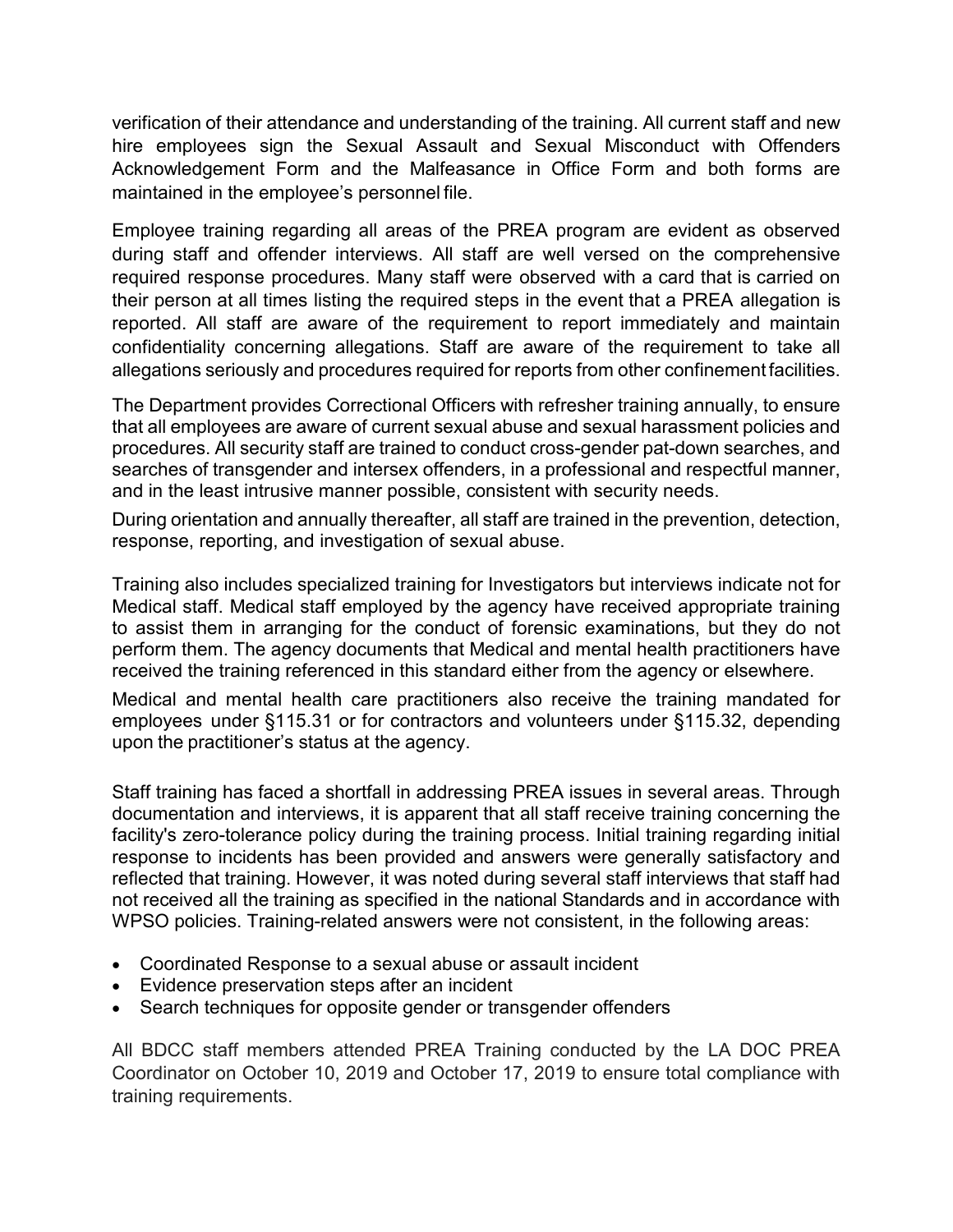verification of their attendance and understanding of the training. All current staff and new hire employees sign the Sexual Assault and Sexual Misconduct with Offenders Acknowledgement Form and the Malfeasance in Office Form and both forms are maintained in the employee's personnel file.

Employee training regarding all areas of the PREA program are evident as observed during staff and offender interviews. All staff are well versed on the comprehensive required response procedures. Many staff were observed with a card that is carried on their person at all times listing the required steps in the event that a PREA allegation is reported. All staff are aware of the requirement to report immediately and maintain confidentiality concerning allegations. Staff are aware of the requirement to take all allegations seriously and procedures required for reports from other confinement facilities.

The Department provides Correctional Officers with refresher training annually, to ensure that all employees are aware of current sexual abuse and sexual harassment policies and procedures. All security staff are trained to conduct cross-gender pat-down searches, and searches of transgender and intersex offenders, in a professional and respectful manner, and in the least intrusive manner possible, consistent with security needs.

During orientation and annually thereafter, all staff are trained in the prevention, detection, response, reporting, and investigation of sexual abuse.

Training also includes specialized training for Investigators but interviews indicate not for Medical staff. Medical staff employed by the agency have received appropriate training to assist them in arranging for the conduct of forensic examinations, but they do not perform them. The agency documents that Medical and mental health practitioners have received the training referenced in this standard either from the agency or elsewhere.

Medical and mental health care practitioners also receive the training mandated for employees under §115.31 or for contractors and volunteers under §115.32, depending upon the practitioner's status at the agency.

Staff training has faced a shortfall in addressing PREA issues in several areas. Through documentation and interviews, it is apparent that all staff receive training concerning the facility's zero-tolerance policy during the training process. Initial training regarding initial response to incidents has been provided and answers were generally satisfactory and reflected that training. However, it was noted during several staff interviews that staff had not received all the training as specified in the national Standards and in accordance with WPSO policies. Training-related answers were not consistent, in the following areas:

- Coordinated Response to a sexual abuse or assault incident
- Evidence preservation steps after an incident
- Search techniques for opposite gender or transgender offenders

All BDCC staff members attended PREA Training conducted by the LA DOC PREA Coordinator on October 10, 2019 and October 17, 2019 to ensure total compliance with training requirements.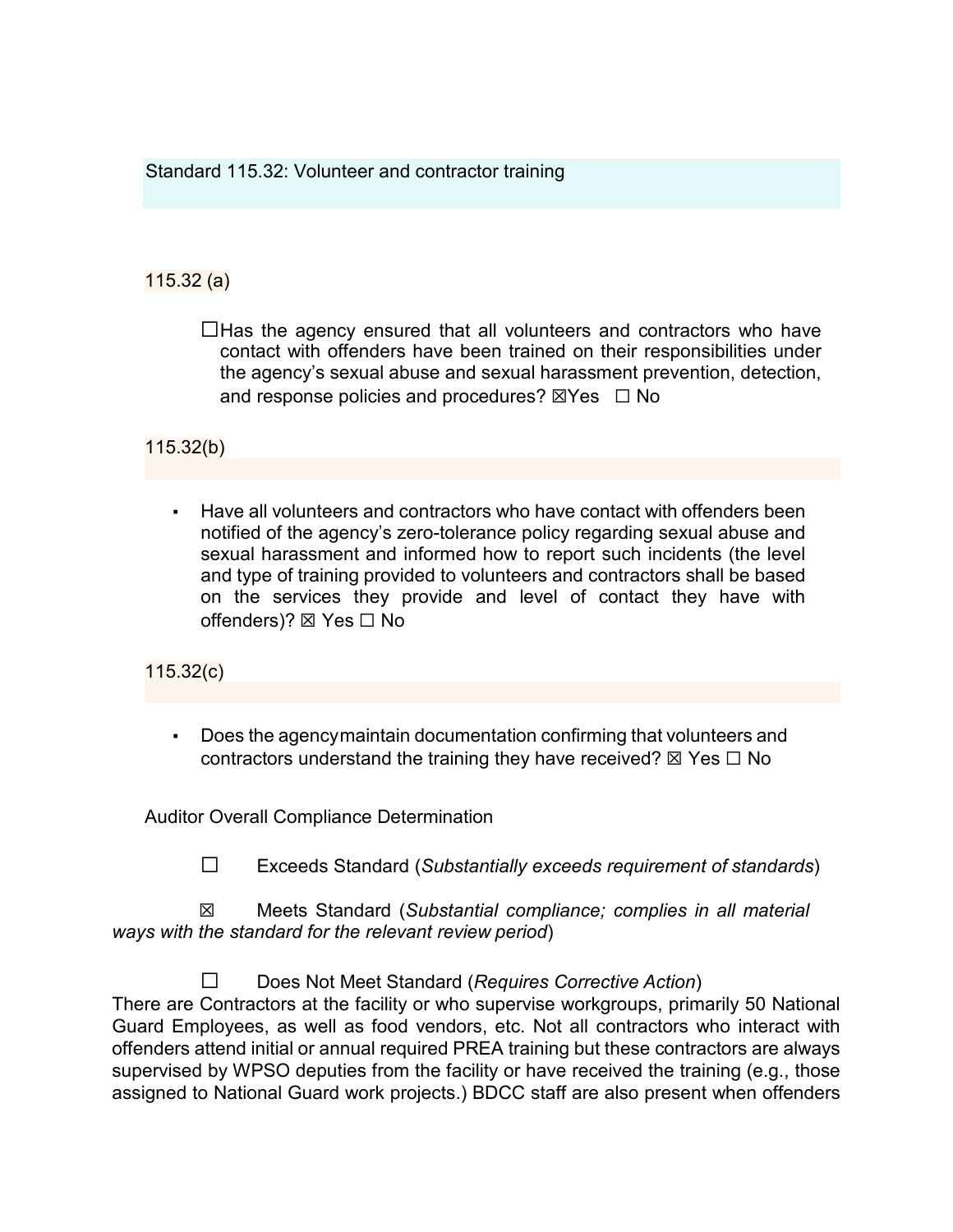Standard 115.32: Volunteer and contractor training

## 115.32 (a)

 $\Box$ Has the agency ensured that all volunteers and contractors who have contact with offenders have been trained on their responsibilities under the agency's sexual abuse and sexual harassment prevention, detection, and response policies and procedures?  $\boxtimes$ Yes  $\Box$  No

## 115.32(b)

Have all volunteers and contractors who have contact with offenders been notified of the agency's zero-tolerance policy regarding sexual abuse and sexual harassment and informed how to report such incidents (the level and type of training provided to volunteers and contractors shall be based on the services they provide and level of contact they have with offenders)? ☒ Yes ☐ No

## 115.32(c)

Does the agencymaintain documentation confirming that volunteers and contractors understand the training they have received?  $\boxtimes$  Yes  $\Box$  No

Auditor Overall Compliance Determination

☐ Exceeds Standard (*Substantially exceeds requirement of standards*)

 ☒ Meets Standard (*Substantial compliance; complies in all material ways with the standard for the relevant review period*)

☐ Does Not Meet Standard (*Requires Corrective Action*)

There are Contractors at the facility or who supervise workgroups, primarily 50 National Guard Employees, as well as food vendors, etc. Not all contractors who interact with offenders attend initial or annual required PREA training but these contractors are always supervised by WPSO deputies from the facility or have received the training (e.g., those assigned to National Guard work projects.) BDCC staff are also present when offenders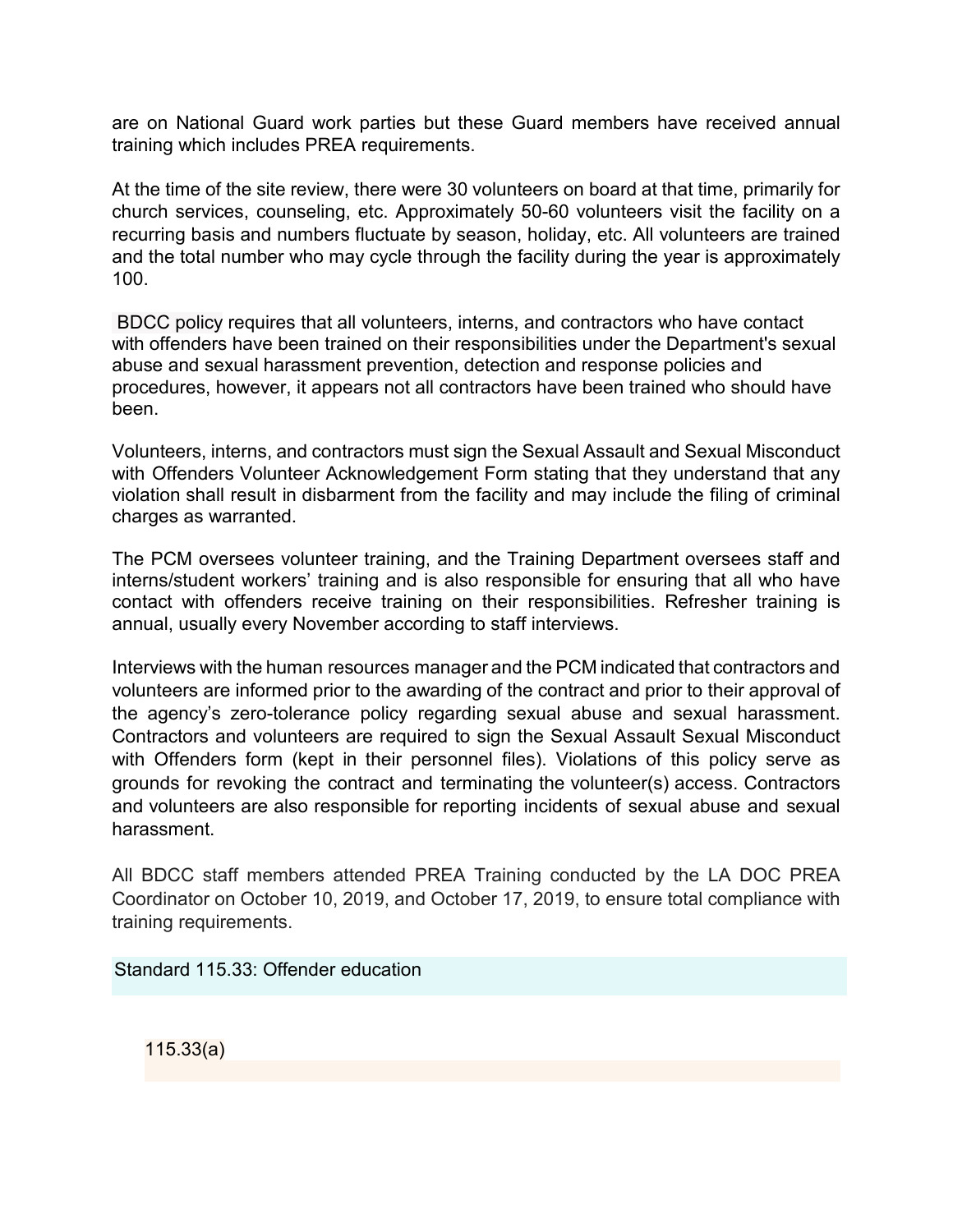are on National Guard work parties but these Guard members have received annual training which includes PREA requirements.

At the time of the site review, there were 30 volunteers on board at that time, primarily for church services, counseling, etc. Approximately 50-60 volunteers visit the facility on a recurring basis and numbers fluctuate by season, holiday, etc. All volunteers are trained and the total number who may cycle through the facility during the year is approximately 100.

BDCC policy requires that all volunteers, interns, and contractors who have contact with offenders have been trained on their responsibilities under the Department's sexual abuse and sexual harassment prevention, detection and response policies and procedures, however, it appears not all contractors have been trained who should have been.

Volunteers, interns, and contractors must sign the Sexual Assault and Sexual Misconduct with Offenders Volunteer Acknowledgement Form stating that they understand that any violation shall result in disbarment from the facility and may include the filing of criminal charges as warranted.

The PCM oversees volunteer training, and the Training Department oversees staff and interns/student workers' training and is also responsible for ensuring that all who have contact with offenders receive training on their responsibilities. Refresher training is annual, usually every November according to staff interviews.

Interviews with the human resources manager and the PCM indicated that contractors and volunteers are informed prior to the awarding of the contract and prior to their approval of the agency's zero-tolerance policy regarding sexual abuse and sexual harassment. Contractors and volunteers are required to sign the Sexual Assault Sexual Misconduct with Offenders form (kept in their personnel files). Violations of this policy serve as grounds for revoking the contract and terminating the volunteer(s) access. Contractors and volunteers are also responsible for reporting incidents of sexual abuse and sexual harassment.

All BDCC staff members attended PREA Training conducted by the LA DOC PREA Coordinator on October 10, 2019, and October 17, 2019, to ensure total compliance with training requirements.

Standard 115.33: Offender education

115.33(a)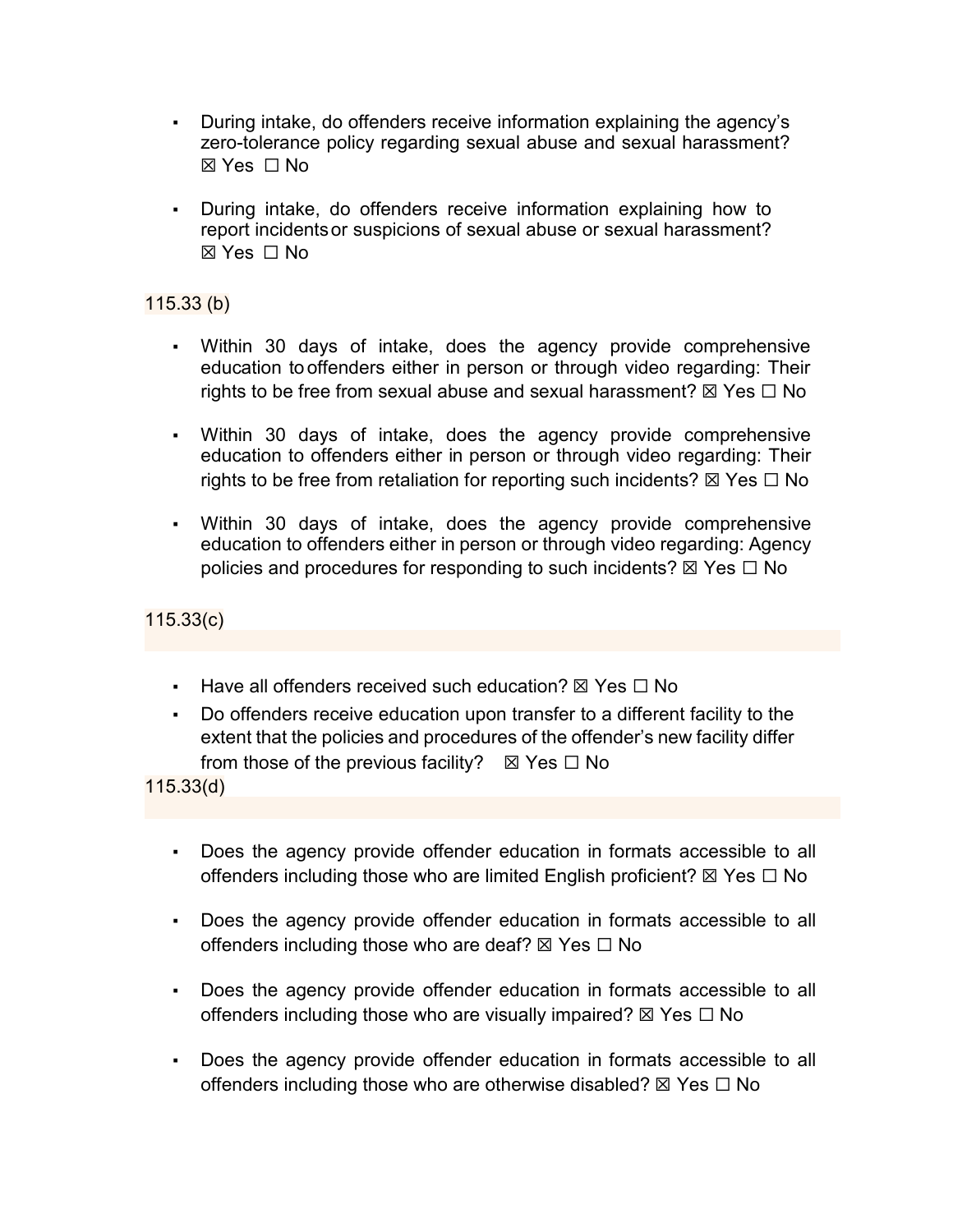- During intake, do offenders receive information explaining the agency's zero-tolerance policy regarding sexual abuse and sexual harassment?  $\boxtimes$  Yes  $\Box$  No
- During intake, do offenders receive information explaining how to report incidentsor suspicions of sexual abuse or sexual harassment?  $\boxtimes$  Yes  $\Box$  No

#### 115.33 (b)

- Within 30 days of intake, does the agency provide comprehensive education to offenders either in person or through video regarding: Their rights to be free from sexual abuse and sexual harassment?  $\boxtimes$  Yes  $\Box$  No
- Within 30 days of intake, does the agency provide comprehensive education to offenders either in person or through video regarding: Their rights to be free from retaliation for reporting such incidents?  $\boxtimes$  Yes  $\Box$  No
- Within 30 days of intake, does the agency provide comprehensive education to offenders either in person or through video regarding: Agency policies and procedures for responding to such incidents?  $\boxtimes$  Yes  $\Box$  No

115.33(c)

- **Have all offenders received such education?**  $\boxtimes$  Yes  $\Box$  No
- Do offenders receive education upon transfer to a different facility to the extent that the policies and procedures of the offender's new facility differ from those of the previous facility?  $\boxtimes$  Yes  $\Box$  No

115.33(d)

- Does the agency provide offender education in formats accessible to all offenders including those who are limited English proficient?  $\boxtimes$  Yes  $\Box$  No
- Does the agency provide offender education in formats accessible to all offenders including those who are deaf?  $\boxtimes$  Yes  $\Box$  No
- Does the agency provide offender education in formats accessible to all offenders including those who are visually impaired?  $\boxtimes$  Yes  $\Box$  No
- Does the agency provide offender education in formats accessible to all offenders including those who are otherwise disabled?  $\boxtimes$  Yes  $\Box$  No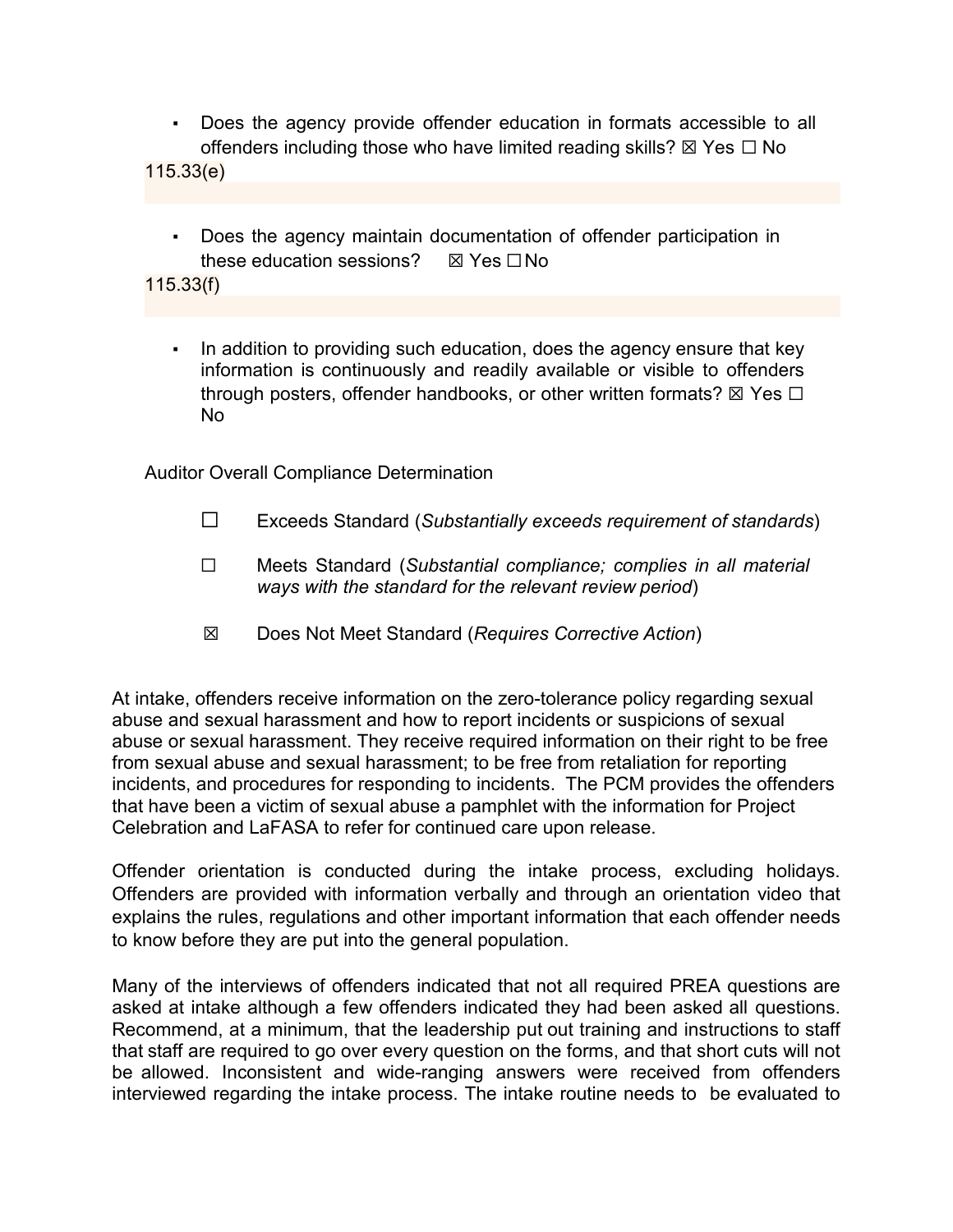- Does the agency provide offender education in formats accessible to all offenders including those who have limited reading skills?  $\boxtimes$  Yes  $\Box$  No 115.33(e)
	- Does the agency maintain documentation of offender participation in these education sessions?  $\boxtimes$  Yes  $\Box$ No

115.33(f)

In addition to providing such education, does the agency ensure that key information is continuously and readily available or visible to offenders through posters, offender handbooks, or other written formats?  $\boxtimes$  Yes  $\Box$ No

Auditor Overall Compliance Determination

- ☐ Exceeds Standard (*Substantially exceeds requirement of standards*)
- ☐ Meets Standard (*Substantial compliance; complies in all material ways with the standard for the relevant review period*)
- ☒ Does Not Meet Standard (*Requires Corrective Action*)

At intake, offenders receive information on the zero-tolerance policy regarding sexual abuse and sexual harassment and how to report incidents or suspicions of sexual abuse or sexual harassment. They receive required information on their right to be free from sexual abuse and sexual harassment; to be free from retaliation for reporting incidents, and procedures for responding to incidents. The PCM provides the offenders that have been a victim of sexual abuse a pamphlet with the information for Project Celebration and LaFASA to refer for continued care upon release.

Offender orientation is conducted during the intake process, excluding holidays. Offenders are provided with information verbally and through an orientation video that explains the rules, regulations and other important information that each offender needs to know before they are put into the general population.

Many of the interviews of offenders indicated that not all required PREA questions are asked at intake although a few offenders indicated they had been asked all questions. Recommend, at a minimum, that the leadership put out training and instructions to staff that staff are required to go over every question on the forms, and that short cuts will not be allowed. Inconsistent and wide-ranging answers were received from offenders interviewed regarding the intake process. The intake routine needs to be evaluated to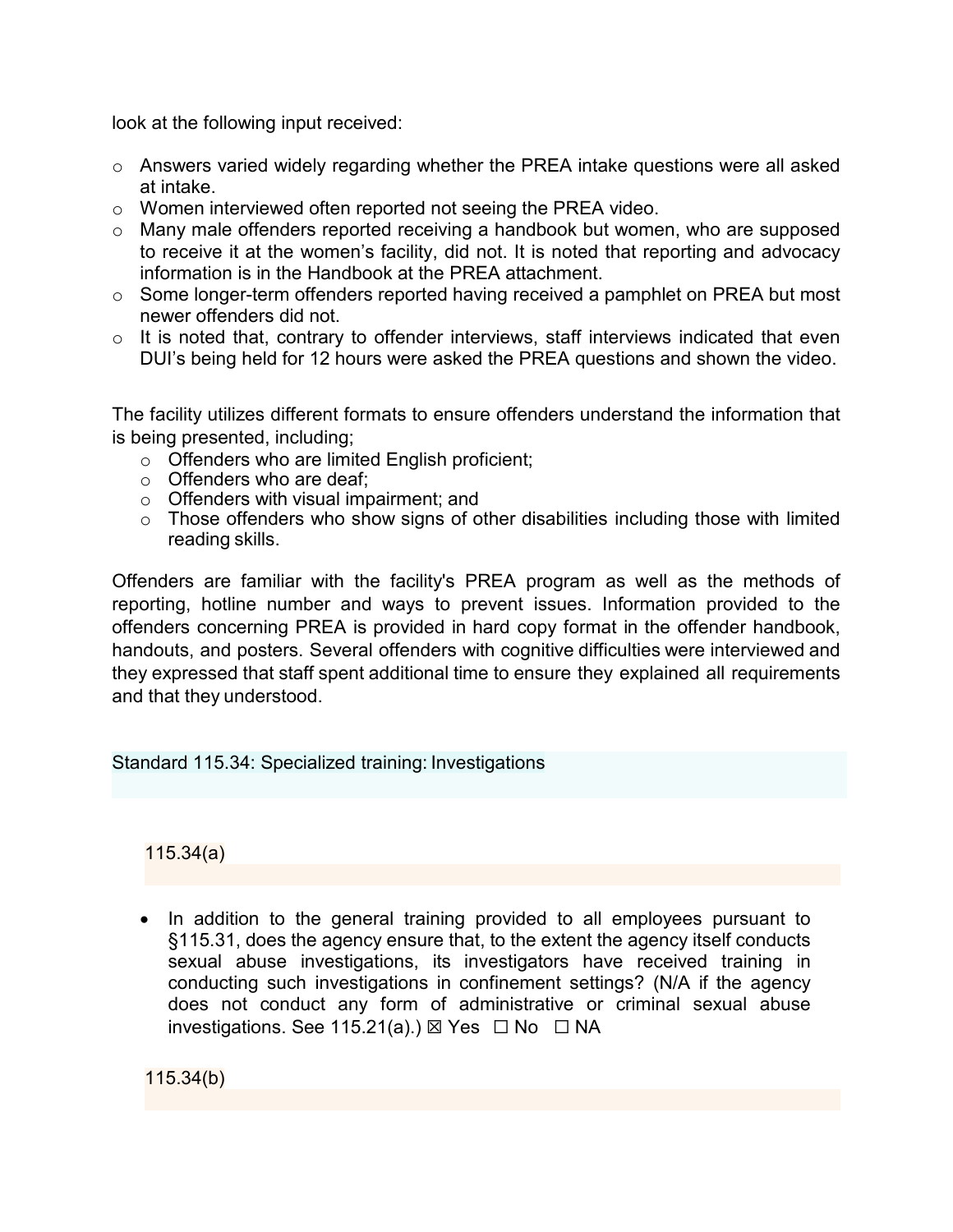look at the following input received:

- o Answers varied widely regarding whether the PREA intake questions were all asked at intake.
- o Women interviewed often reported not seeing the PREA video.
- o Many male offenders reported receiving a handbook but women, who are supposed to receive it at the women's facility, did not. It is noted that reporting and advocacy information is in the Handbook at the PREA attachment.
- o Some longer-term offenders reported having received a pamphlet on PREA but most newer offenders did not.
- $\circ$  It is noted that, contrary to offender interviews, staff interviews indicated that even DUI's being held for 12 hours were asked the PREA questions and shown the video.

The facility utilizes different formats to ensure offenders understand the information that is being presented, including;

- o Offenders who are limited English proficient;
- o Offenders who are deaf;
- o Offenders with visual impairment; and
- $\circ$  Those offenders who show signs of other disabilities including those with limited reading skills.

Offenders are familiar with the facility's PREA program as well as the methods of reporting, hotline number and ways to prevent issues. Information provided to the offenders concerning PREA is provided in hard copy format in the offender handbook, handouts, and posters. Several offenders with cognitive difficulties were interviewed and they expressed that staff spent additional time to ensure they explained all requirements and that they understood.

Standard 115.34: Specialized training: Investigations

115.34(a)

• In addition to the general training provided to all employees pursuant to §115.31, does the agency ensure that, to the extent the agency itself conducts sexual abuse investigations, its investigators have received training in conducting such investigations in confinement settings? (N/A if the agency does not conduct any form of administrative or criminal sexual abuse investigations. See 115.21(a).)  $\boxtimes$  Yes  $\Box$  No  $\Box$  NA

115.34(b)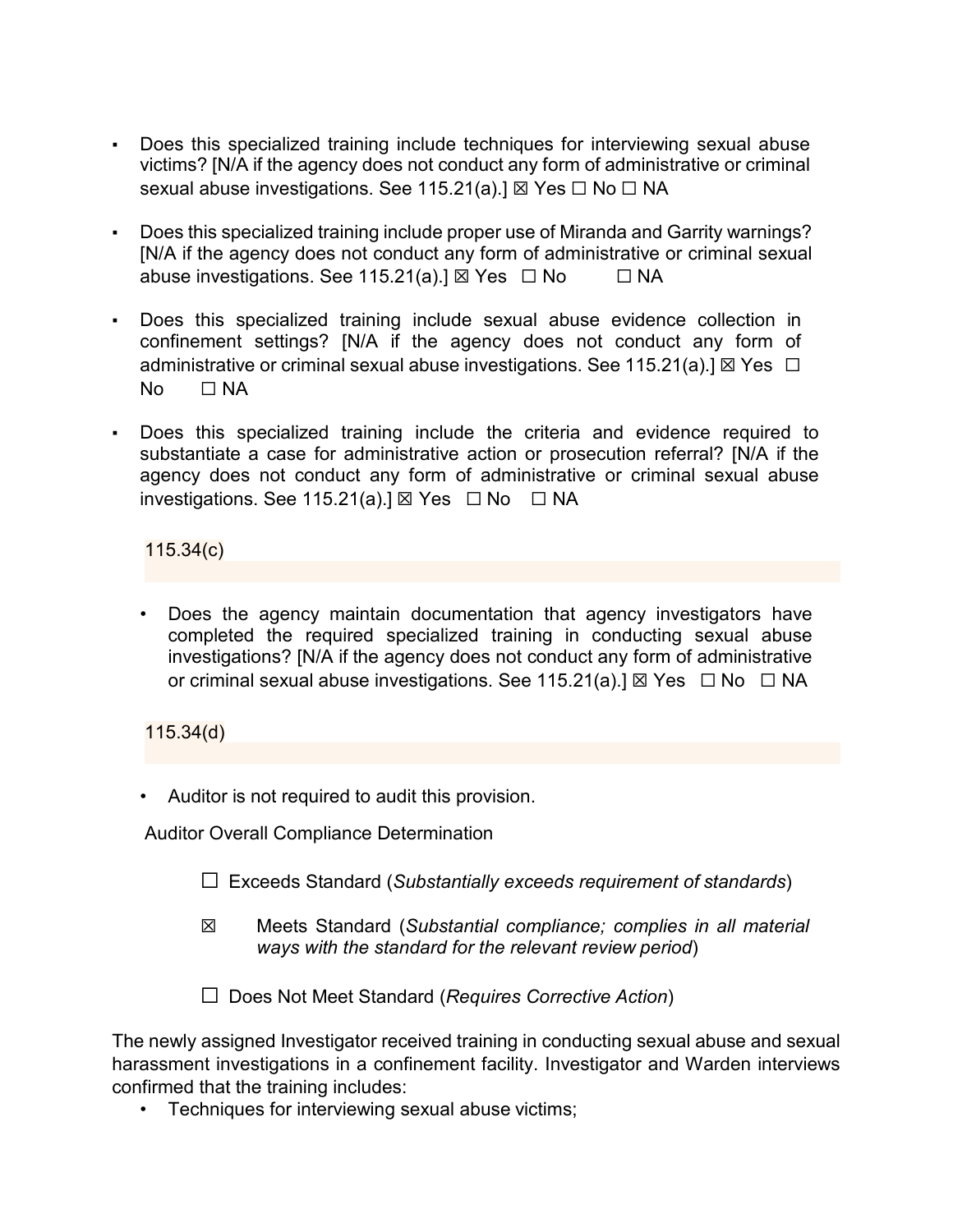- Does this specialized training include techniques for interviewing sexual abuse victims? [N/A if the agency does not conduct any form of administrative or criminal sexual abuse investigations. See 115.21(a).] ⊠ Yes □ No □ NA
- Does this specialized training include proper use of Miranda and Garrity warnings? [N/A if the agency does not conduct any form of administrative or criminal sexual abuse investigations. See 115.21(a).]  $\boxtimes$  Yes  $\Box$  No  $\Box$  NA
- Does this specialized training include sexual abuse evidence collection in confinement settings? [N/A if the agency does not conduct any form of administrative or criminal sexual abuse investigations. See 115.21(a).]  $\boxtimes$  Yes  $\Box$ No □ NA
- Does this specialized training include the criteria and evidence required to substantiate a case for administrative action or prosecution referral? [N/A if the agency does not conduct any form of administrative or criminal sexual abuse investigations. See 115.21(a).]  $\boxtimes$  Yes  $\Box$  No  $\Box$  NA

115.34(c)

• Does the agency maintain documentation that agency investigators have completed the required specialized training in conducting sexual abuse investigations? [N/A if the agency does not conduct any form of administrative or criminal sexual abuse investigations. See 115.21(a).]  $\boxtimes$  Yes  $\Box$  No  $\Box$  NA

## 115.34(d)

• Auditor is not required to audit this provision.

Auditor Overall Compliance Determination

- ☐ Exceeds Standard (*Substantially exceeds requirement of standards*)
- ☒ Meets Standard (*Substantial compliance; complies in all material ways with the standard for the relevant review period*)
- ☐ Does Not Meet Standard (*Requires Corrective Action*)

The newly assigned Investigator received training in conducting sexual abuse and sexual harassment investigations in a confinement facility. Investigator and Warden interviews confirmed that the training includes:

• Techniques for interviewing sexual abuse victims;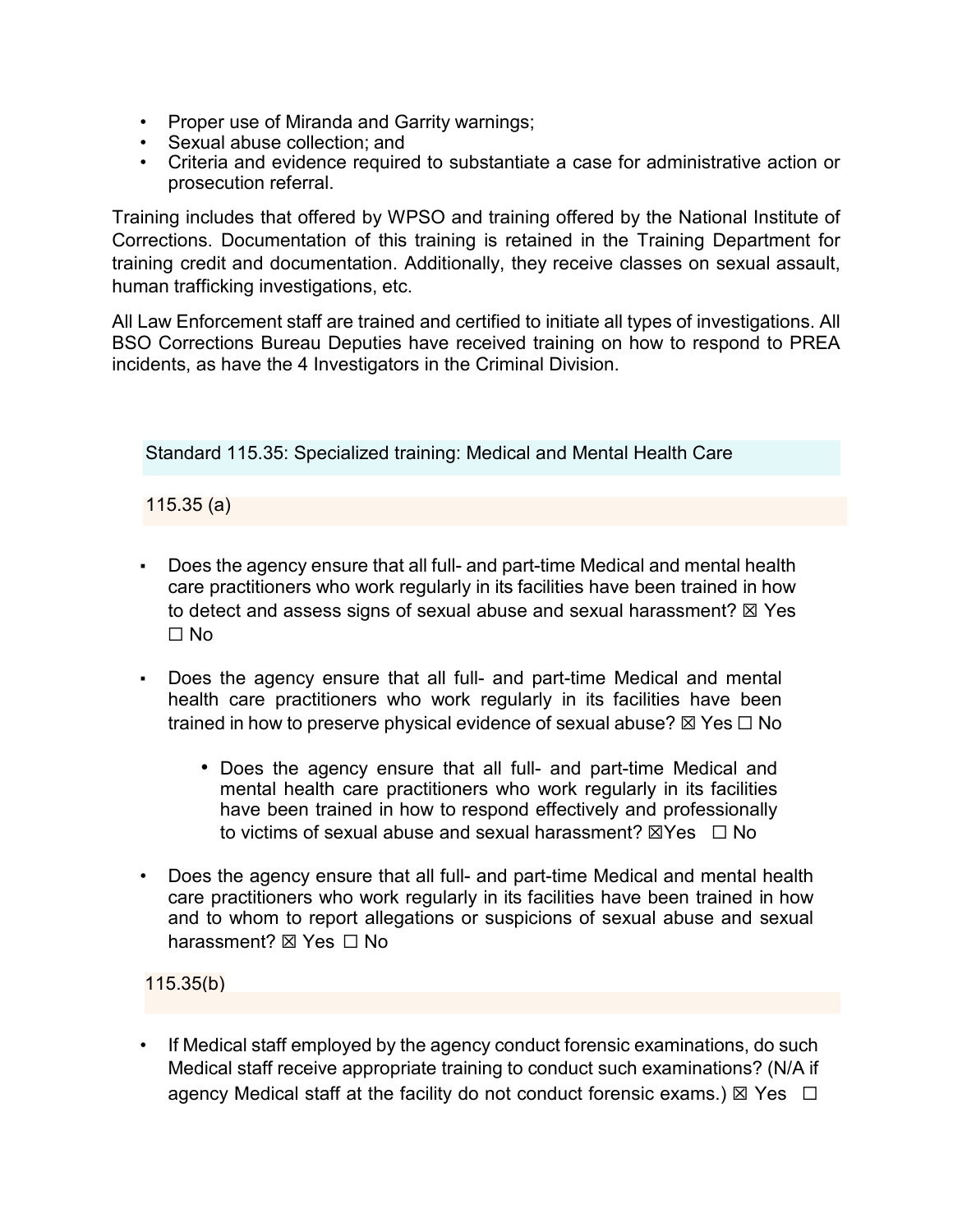- Proper use of Miranda and Garrity warnings;
- Sexual abuse collection; and
- Criteria and evidence required to substantiate a case for administrative action or prosecution referral.

Training includes that offered by WPSO and training offered by the National Institute of Corrections. Documentation of this training is retained in the Training Department for training credit and documentation. Additionally, they receive classes on sexual assault, human trafficking investigations, etc.

All Law Enforcement staff are trained and certified to initiate all types of investigations. All BSO Corrections Bureau Deputies have received training on how to respond to PREA incidents, as have the 4 Investigators in the Criminal Division.

Standard 115.35: Specialized training: Medical and Mental Health Care

115.35 (a)

- Does the agency ensure that all full- and part-time Medical and mental health care practitioners who work regularly in its facilities have been trained in how to detect and assess signs of sexual abuse and sexual harassment?  $\boxtimes$  Yes ☐ No
- Does the agency ensure that all full- and part-time Medical and mental health care practitioners who work regularly in its facilities have been trained in how to preserve physical evidence of sexual abuse?  $\boxtimes$  Yes  $\Box$  No
	- Does the agency ensure that all full- and part-time Medical and mental health care practitioners who work regularly in its facilities have been trained in how to respond effectively and professionally to victims of sexual abuse and sexual harassment?  $\boxtimes$ Yes  $\Box$  No
- Does the agency ensure that all full- and part-time Medical and mental health care practitioners who work regularly in its facilities have been trained in how and to whom to report allegations or suspicions of sexual abuse and sexual harassment? ⊠ Yes □ No

115.35(b)

If Medical staff employed by the agency conduct forensic examinations, do such Medical staff receive appropriate training to conduct such examinations? (N/A if agency Medical staff at the facility do not conduct forensic exams.)  $\boxtimes$  Yes  $\Box$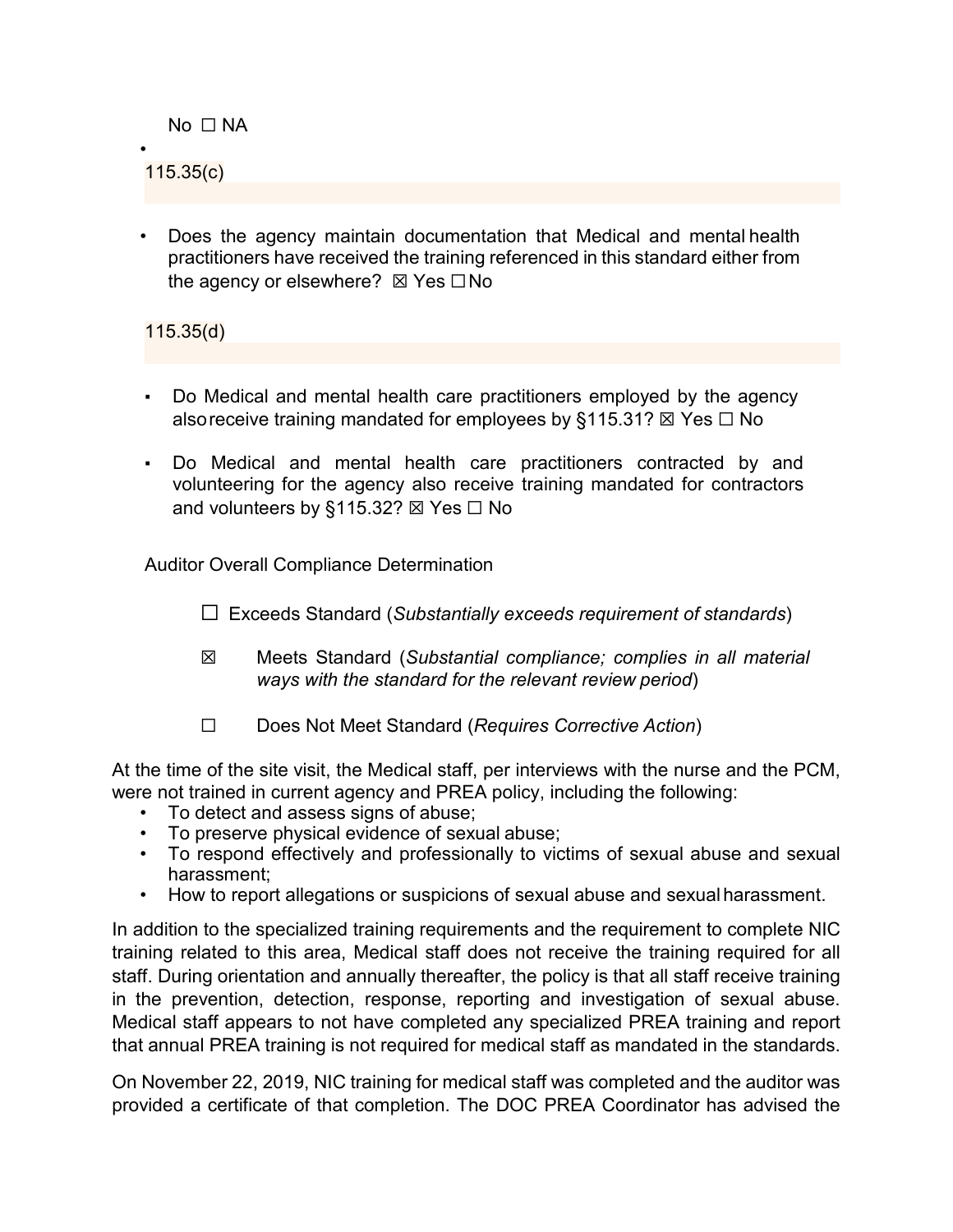No □ NA

• 115.35(c)

• Does the agency maintain documentation that Medical and mental health practitioners have received the training referenced in this standard either from the agency or elsewhere? ⊠ Yes  $□$  No

115.35(d)

- Do Medical and mental health care practitioners employed by the agency alsoreceive training mandated for employees by §115.31?  $\boxtimes$  Yes  $\Box$  No
- Do Medical and mental health care practitioners contracted by and volunteering for the agency also receive training mandated for contractors and volunteers by §115.32?  $\boxtimes$  Yes  $\Box$  No

Auditor Overall Compliance Determination

- ☐ Exceeds Standard (*Substantially exceeds requirement of standards*)
- ☒ Meets Standard (*Substantial compliance; complies in all material ways with the standard for the relevant review period*)
- ☐ Does Not Meet Standard (*Requires Corrective Action*)

At the time of the site visit, the Medical staff, per interviews with the nurse and the PCM, were not trained in current agency and PREA policy, including the following:

- To detect and assess signs of abuse;
- To preserve physical evidence of sexual abuse;
- To respond effectively and professionally to victims of sexual abuse and sexual harassment;
- How to report allegations or suspicions of sexual abuse and sexual harassment.

In addition to the specialized training requirements and the requirement to complete NIC training related to this area, Medical staff does not receive the training required for all staff. During orientation and annually thereafter, the policy is that all staff receive training in the prevention, detection, response, reporting and investigation of sexual abuse. Medical staff appears to not have completed any specialized PREA training and report that annual PREA training is not required for medical staff as mandated in the standards.

On November 22, 2019, NIC training for medical staff was completed and the auditor was provided a certificate of that completion. The DOC PREA Coordinator has advised the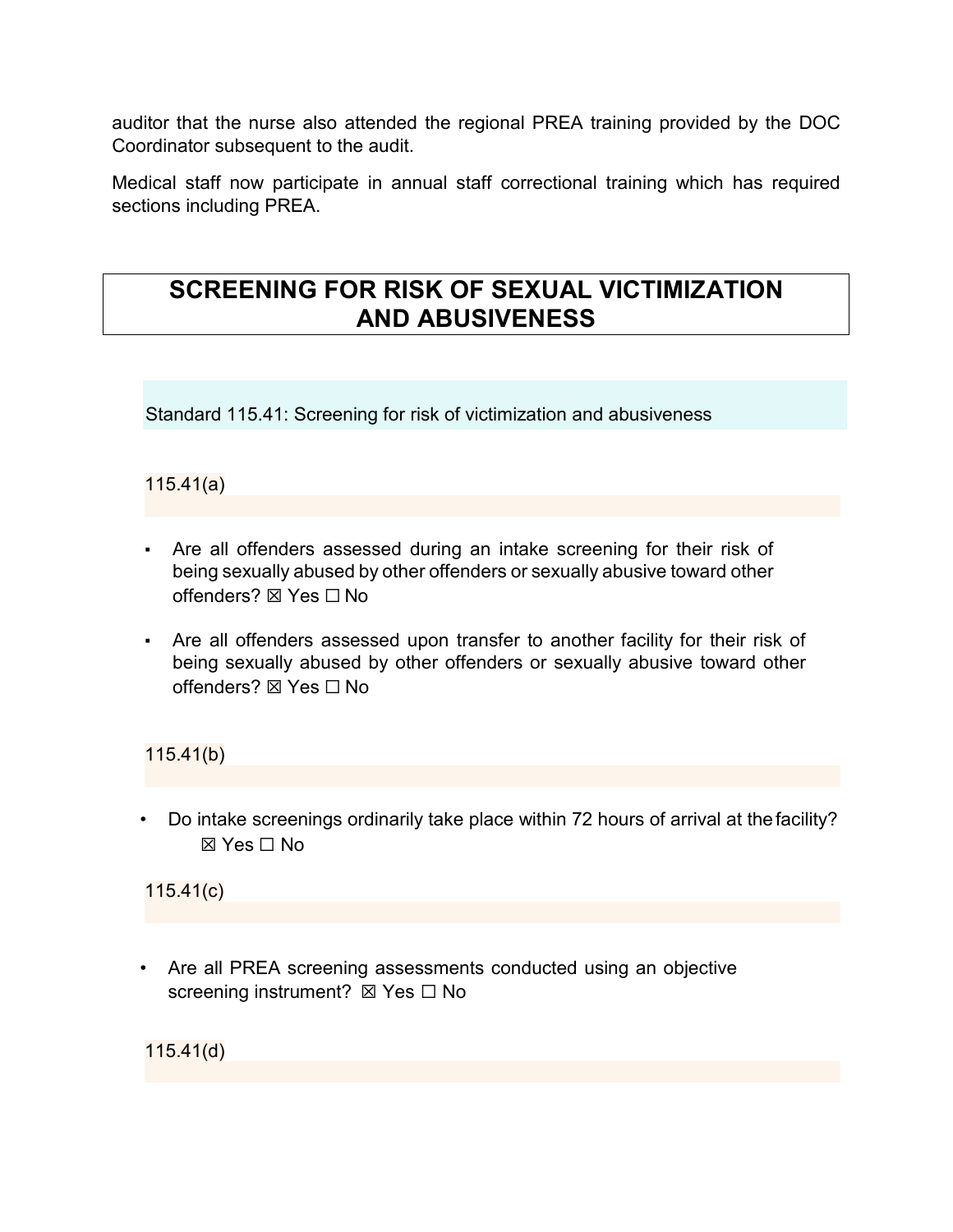auditor that the nurse also attended the regional PREA training provided by the DOC Coordinator subsequent to the audit.

Medical staff now participate in annual staff correctional training which has required sections including PREA.

## **SCREENING FOR RISK OF SEXUAL VICTIMIZATION AND ABUSIVENESS**

Standard 115.41: Screening for risk of victimization and abusiveness

## 115.41(a)

- Are all offenders assessed during an intake screening for their risk of being sexually abused by other offenders or sexually abusive toward other offenders? ⊠ Yes  $□$  No
- Are all offenders assessed upon transfer to another facility for their risk of being sexually abused by other offenders or sexually abusive toward other offenders? ⊠ Yes □ No

115.41(b)

• Do intake screenings ordinarily take place within 72 hours of arrival at thefacility? ☒ Yes ☐ No

115.41(c)

• Are all PREA screening assessments conducted using an objective screening instrument? ⊠ Yes  $□$  No

115.41(d)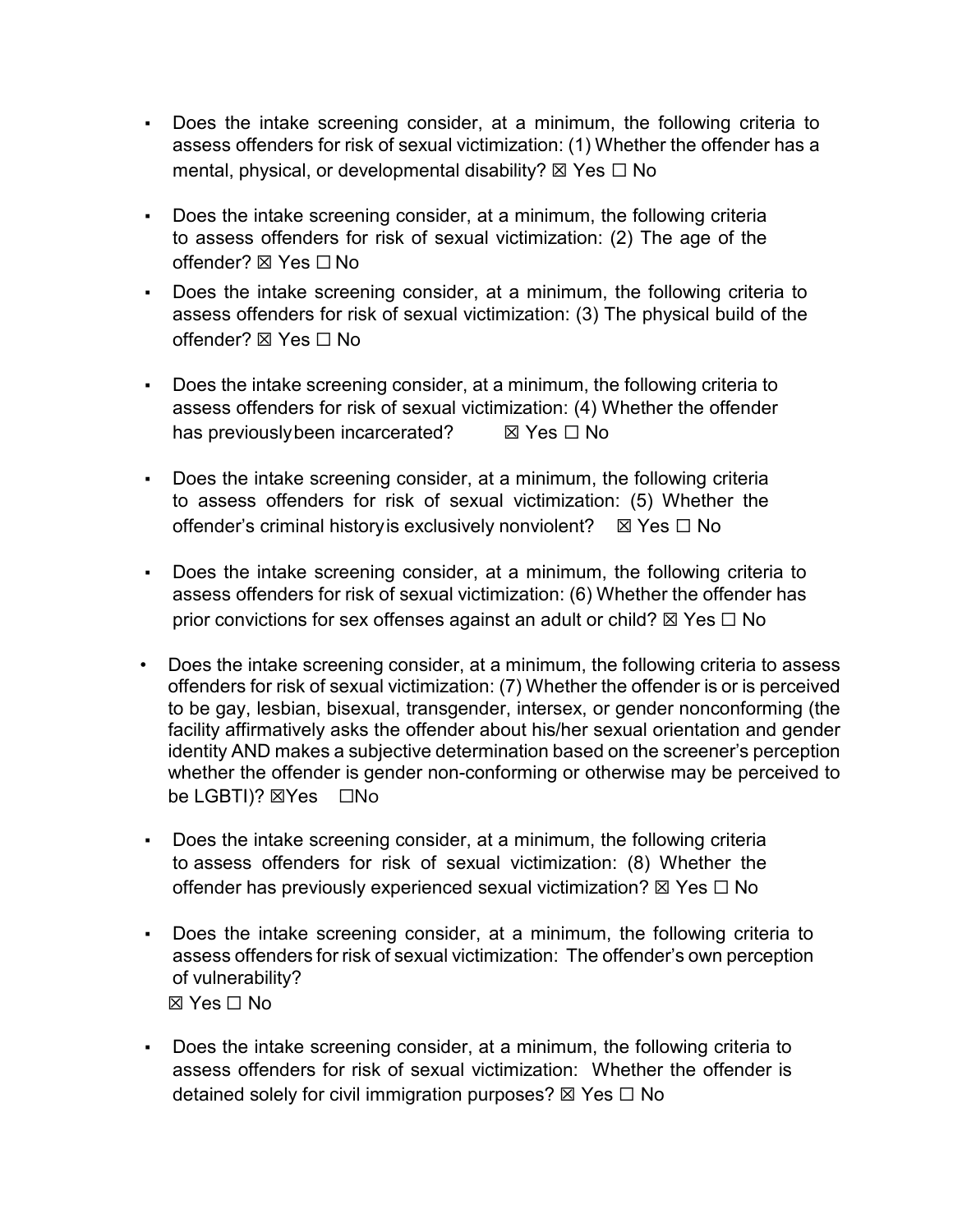- Does the intake screening consider, at a minimum, the following criteria to assess offenders for risk of sexual victimization: (1) Whether the offender has a mental, physical, or developmental disability?  $\boxtimes$  Yes  $\Box$  No
- Does the intake screening consider, at a minimum, the following criteria to assess offenders for risk of sexual victimization: (2) The age of the offender? ☒ Yes ☐ No
- Does the intake screening consider, at a minimum, the following criteria to assess offenders for risk of sexual victimization: (3) The physical build of the offender? ☒ Yes ☐ No
- Does the intake screening consider, at a minimum, the following criteria to assess offenders for risk of sexual victimization: (4) Whether the offender has previouslybeen incarcerated? **If** Yes □ No
- Does the intake screening consider, at a minimum, the following criteria to assess offenders for risk of sexual victimization: (5) Whether the offender's criminal historyis exclusively nonviolent? ☒ Yes ☐ No
- Does the intake screening consider, at a minimum, the following criteria to assess offenders for risk of sexual victimization: (6) Whether the offender has prior convictions for sex offenses against an adult or child?  $\boxtimes$  Yes  $\Box$  No
- Does the intake screening consider, at a minimum, the following criteria to assess offenders for risk of sexual victimization: (7) Whether the offender is or is perceived to be gay, lesbian, bisexual, transgender, intersex, or gender nonconforming (the facility affirmatively asks the offender about his/her sexual orientation and gender identity AND makes a subjective determination based on the screener's perception whether the offender is gender non-conforming or otherwise may be perceived to be LGBTI)? ⊠Yes □No
- Does the intake screening consider, at a minimum, the following criteria to assess offenders for risk of sexual victimization: (8) Whether the offender has previously experienced sexual victimization?  $\boxtimes$  Yes  $\Box$  No
- Does the intake screening consider, at a minimum, the following criteria to assess offenders for risk of sexual victimization: The offender's own perception of vulnerability? ☒ Yes ☐ No
- Does the intake screening consider, at a minimum, the following criteria to assess offenders for risk of sexual victimization: Whether the offender is detained solely for civil immigration purposes?  $\boxtimes$  Yes  $\Box$  No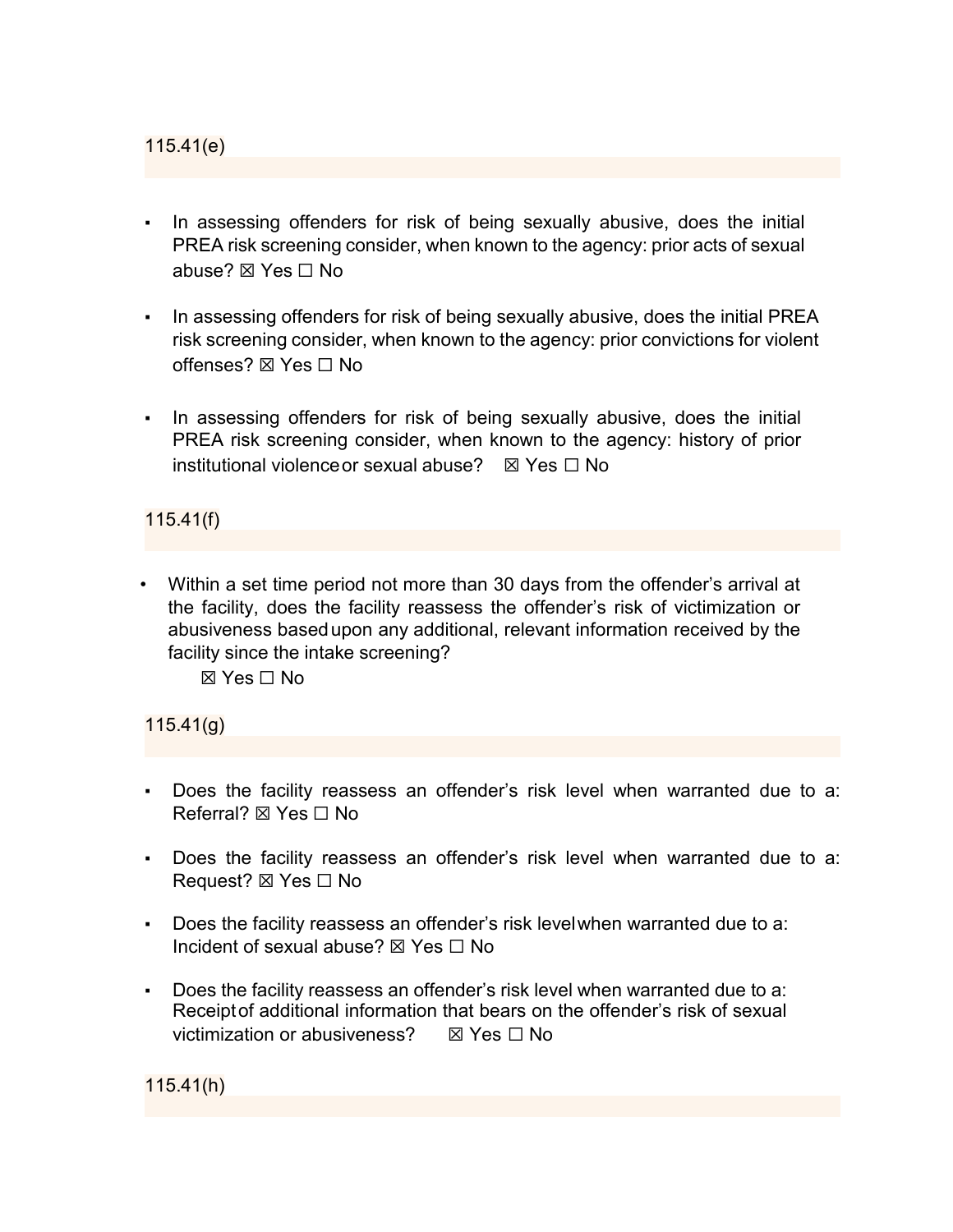115.41(e)

- **•** In assessing offenders for risk of being sexually abusive, does the initial PREA risk screening consider, when known to the agency: prior acts of sexual abuse? ⊠ Yes  $□$  No
- In assessing offenders for risk of being sexually abusive, does the initial PREA risk screening consider, when known to the agency: prior convictions for violent offenses? ☒ Yes ☐ No
- **•** In assessing offenders for risk of being sexually abusive, does the initial PREA risk screening consider, when known to the agency: history of prior institutional violence or sexual abuse?  $\boxtimes$  Yes  $\Box$  No

115.41(f)

• Within a set time period not more than 30 days from the offender's arrival at the facility, does the facility reassess the offender's risk of victimization or abusiveness basedupon any additional, relevant information received by the facility since the intake screening?

☒ Yes ☐ No

115.41(g)

- Does the facility reassess an offender's risk level when warranted due to a: Referral? ⊠ Yes  $□$  No
- Does the facility reassess an offender's risk level when warranted due to a: Request? ⊠ Yes □ No
- Does the facility reassess an offender's risk levelwhen warranted due to a: Incident of sexual abuse? ☒ Yes ☐ No
- Does the facility reassess an offender's risk level when warranted due to a: Receiptof additional information that bears on the offender's risk of sexual victimization or abusiveness? ☒ Yes ☐ No

115.41(h)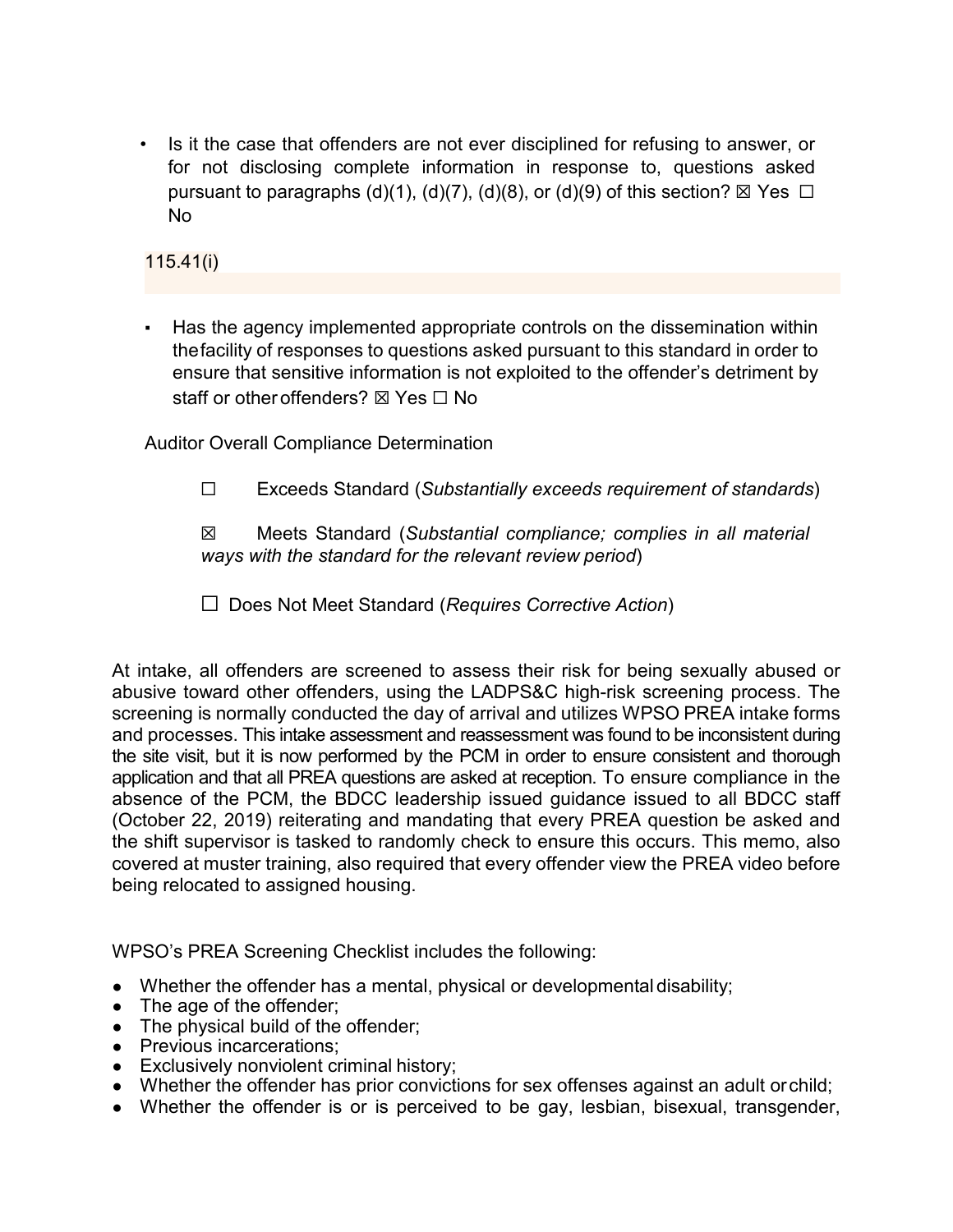• Is it the case that offenders are not ever disciplined for refusing to answer, or for not disclosing complete information in response to, questions asked pursuant to paragraphs (d)(1), (d)(7), (d)(8), or (d)(9) of this section?  $\boxtimes$  Yes  $\Box$ No

115.41(i)

▪ Has the agency implemented appropriate controls on the dissemination within thefacility of responses to questions asked pursuant to this standard in order to ensure that sensitive information is not exploited to the offender's detriment by staff or other offenders? ⊠ Yes □ No

Auditor Overall Compliance Determination

☐ Exceeds Standard (*Substantially exceeds requirement of standards*)

☒ Meets Standard (*Substantial compliance; complies in all material ways with the standard for the relevant review period*)

☐ Does Not Meet Standard (*Requires Corrective Action*)

At intake, all offenders are screened to assess their risk for being sexually abused or abusive toward other offenders, using the LADPS&C high-risk screening process. The screening is normally conducted the day of arrival and utilizes WPSO PREA intake forms and processes. This intake assessment and reassessment was found to be inconsistent during the site visit, but it is now performed by the PCM in order to ensure consistent and thorough application and that all PREA questions are asked at reception. To ensure compliance in the absence of the PCM, the BDCC leadership issued guidance issued to all BDCC staff (October 22, 2019) reiterating and mandating that every PREA question be asked and the shift supervisor is tasked to randomly check to ensure this occurs. This memo, also covered at muster training, also required that every offender view the PREA video before being relocated to assigned housing.

WPSO's PREA Screening Checklist includes the following:

- Whether the offender has a mental, physical or developmental disability;
- The age of the offender;
- The physical build of the offender;
- Previous incarcerations:
- Exclusively nonviolent criminal history;
- Whether the offender has prior convictions for sex offenses against an adult or child;
- Whether the offender is or is perceived to be gay, lesbian, bisexual, transgender,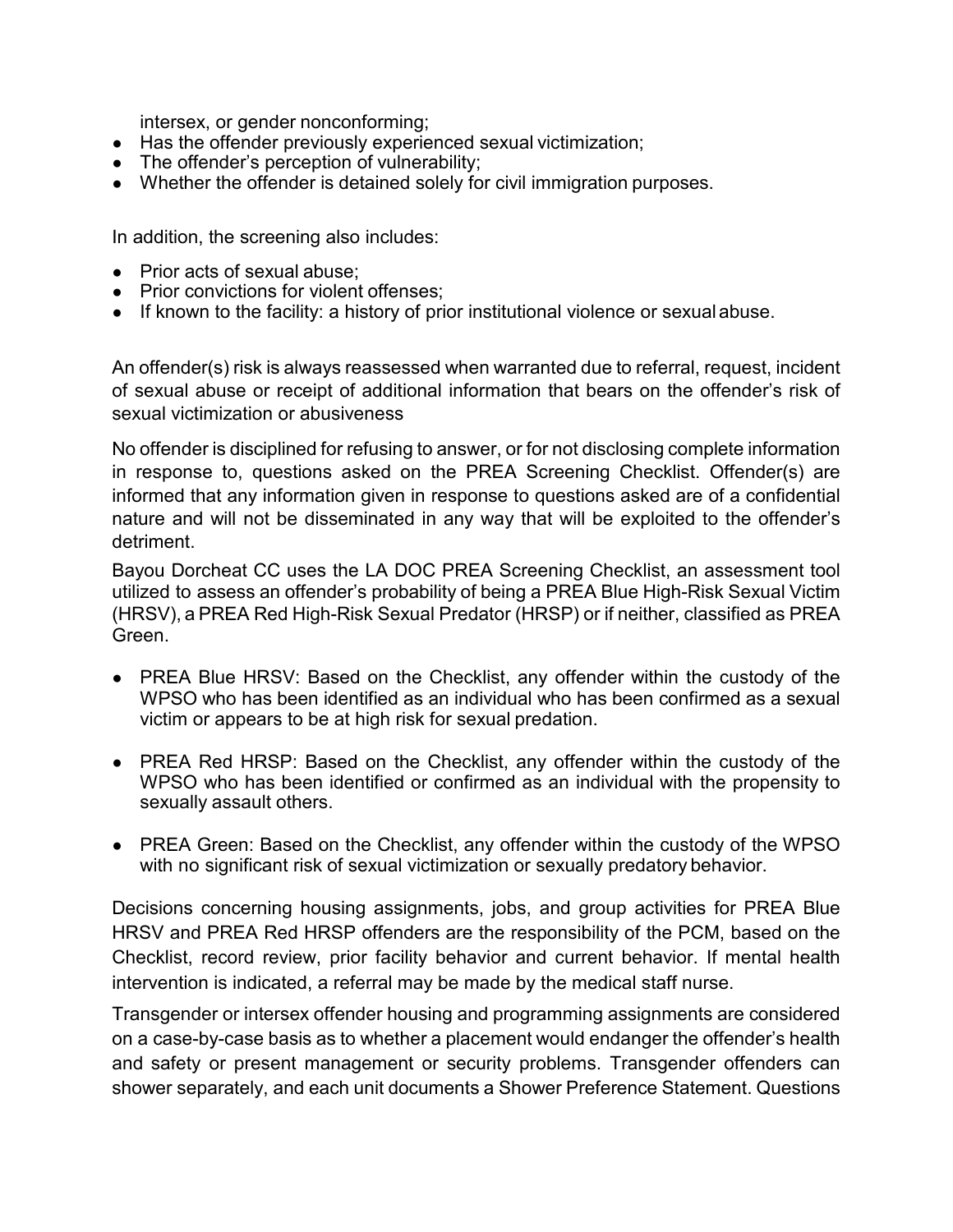intersex, or gender nonconforming;

- Has the offender previously experienced sexual victimization;
- The offender's perception of vulnerability;
- Whether the offender is detained solely for civil immigration purposes.

In addition, the screening also includes:

- Prior acts of sexual abuse:
- Prior convictions for violent offenses:
- If known to the facility: a history of prior institutional violence or sexual abuse.

An offender(s) risk is always reassessed when warranted due to referral, request, incident of sexual abuse or receipt of additional information that bears on the offender's risk of sexual victimization or abusiveness

No offender is disciplined for refusing to answer, or for not disclosing complete information in response to, questions asked on the PREA Screening Checklist. Offender(s) are informed that any information given in response to questions asked are of a confidential nature and will not be disseminated in any way that will be exploited to the offender's detriment.

Bayou Dorcheat CC uses the LA DOC PREA Screening Checklist, an assessment tool utilized to assess an offender's probability of being a PREA Blue High-Risk Sexual Victim (HRSV), a PREA Red High-Risk Sexual Predator (HRSP) or if neither, classified as PREA Green.

- PREA Blue HRSV: Based on the Checklist, any offender within the custody of the WPSO who has been identified as an individual who has been confirmed as a sexual victim or appears to be at high risk for sexual predation.
- PREA Red HRSP: Based on the Checklist, any offender within the custody of the WPSO who has been identified or confirmed as an individual with the propensity to sexually assault others.
- PREA Green: Based on the Checklist, any offender within the custody of the WPSO with no significant risk of sexual victimization or sexually predatory behavior.

Decisions concerning housing assignments, jobs, and group activities for PREA Blue HRSV and PREA Red HRSP offenders are the responsibility of the PCM, based on the Checklist, record review, prior facility behavior and current behavior. If mental health intervention is indicated, a referral may be made by the medical staff nurse.

Transgender or intersex offender housing and programming assignments are considered on a case-by-case basis as to whether a placement would endanger the offender's health and safety or present management or security problems. Transgender offenders can shower separately, and each unit documents a Shower Preference Statement. Questions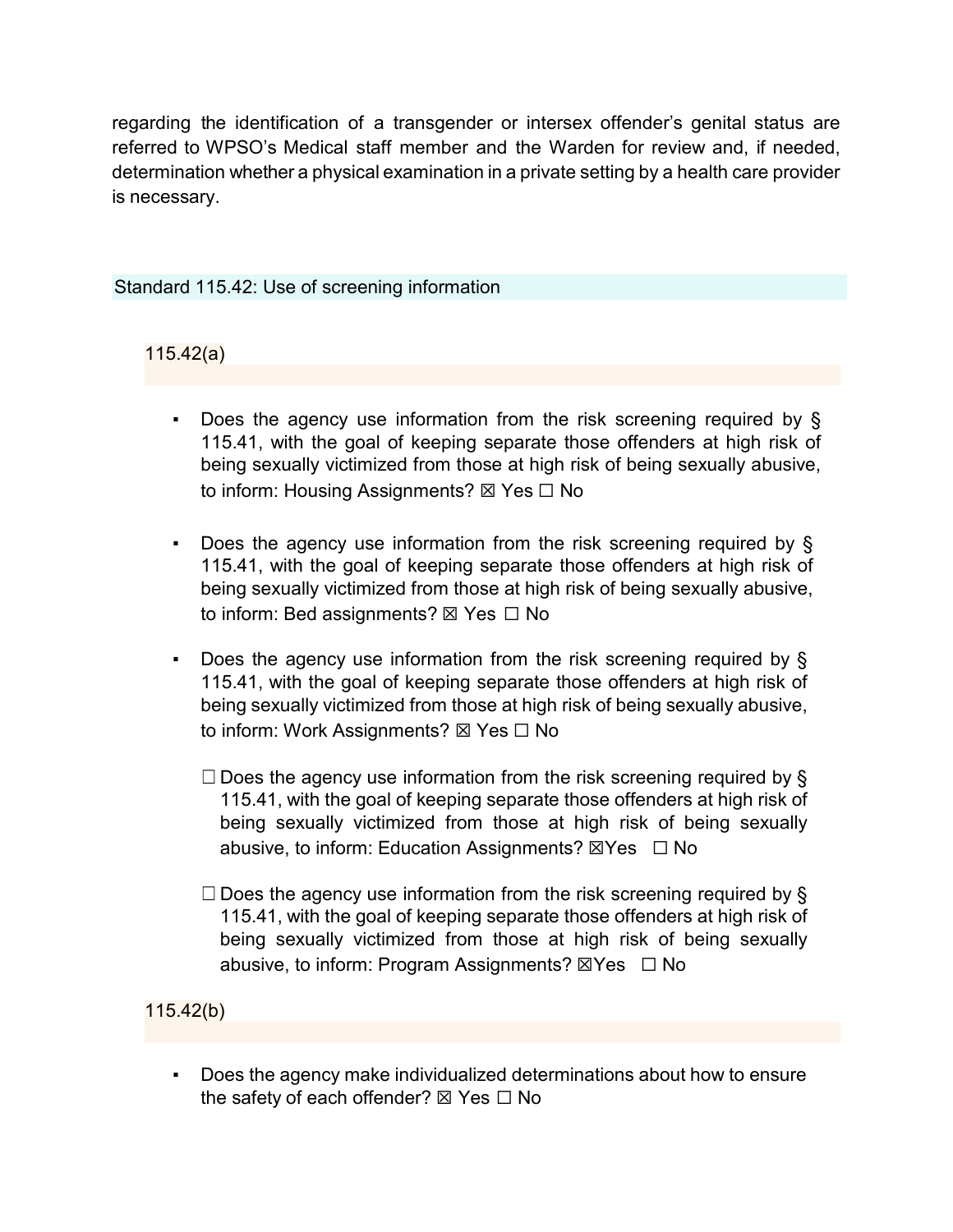regarding the identification of a transgender or intersex offender's genital status are referred to WPSO's Medical staff member and the Warden for review and, if needed, determination whether a physical examination in a private setting by a health care provider is necessary.

#### Standard 115.42: Use of screening information

## 115.42(a)

- Does the agency use information from the risk screening required by  $\S$ 115.41, with the goal of keeping separate those offenders at high risk of being sexually victimized from those at high risk of being sexually abusive, to inform: Housing Assignments? ⊠ Yes □ No
- Does the agency use information from the risk screening required by § 115.41, with the goal of keeping separate those offenders at high risk of being sexually victimized from those at high risk of being sexually abusive, to inform: Bed assignments? ⊠ Yes □ No
- Does the agency use information from the risk screening required by  $\S$ 115.41, with the goal of keeping separate those offenders at high risk of being sexually victimized from those at high risk of being sexually abusive, to inform: Work Assignments? ⊠ Yes □ No
	- $\Box$  Does the agency use information from the risk screening required by § 115.41, with the goal of keeping separate those offenders at high risk of being sexually victimized from those at high risk of being sexually abusive, to inform: Education Assignments? ⊠Yes □ No
	- $\Box$  Does the agency use information from the risk screening required by § 115.41, with the goal of keeping separate those offenders at high risk of being sexually victimized from those at high risk of being sexually abusive, to inform: Program Assignments?  $\boxtimes$ Yes  $\Box$  No

## 115.42(b)

Does the agency make individualized determinations about how to ensure the safety of each offender? ⊠ Yes □ No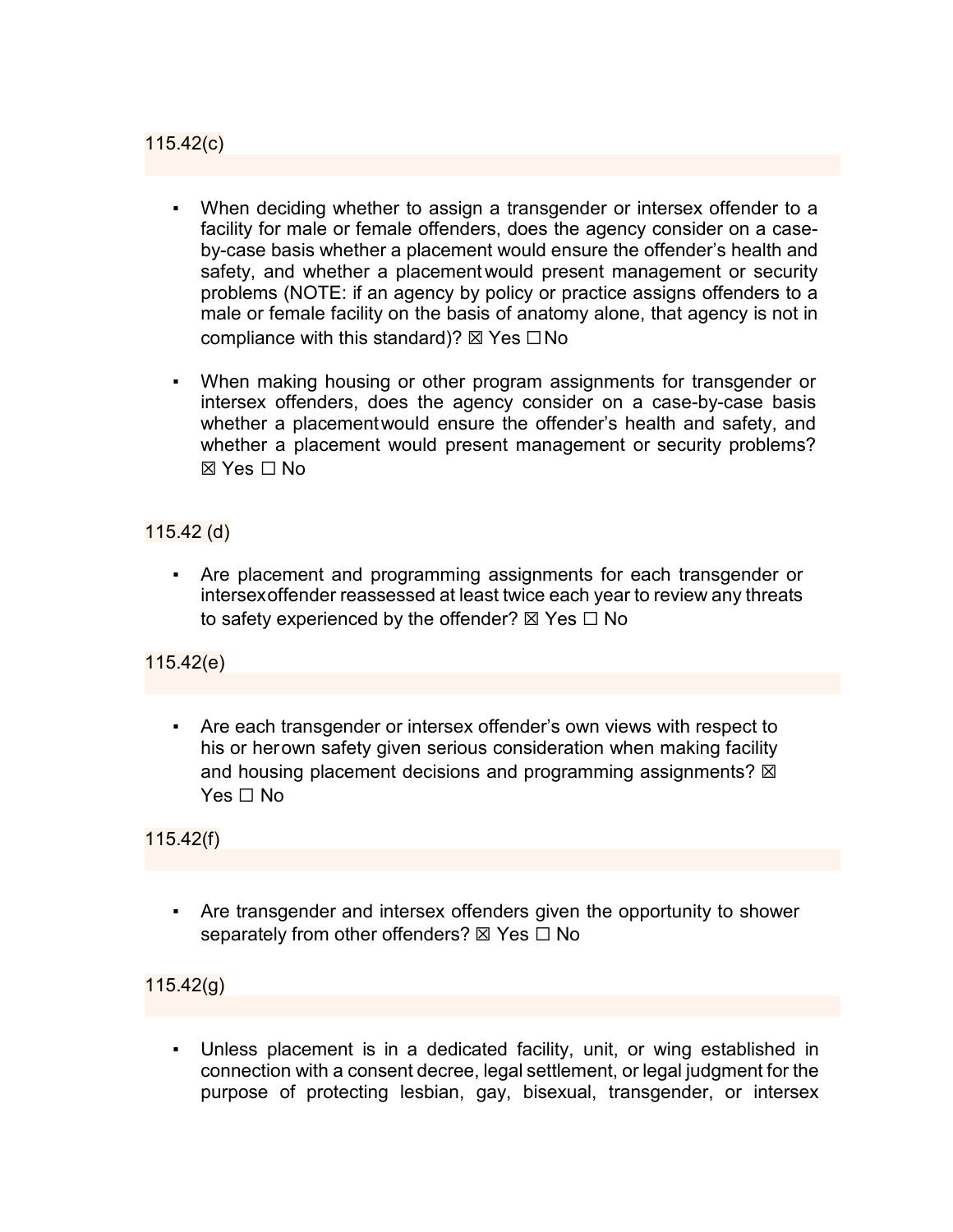115.42(c)

- When deciding whether to assign a transgender or intersex offender to a facility for male or female offenders, does the agency consider on a caseby-case basis whether a placement would ensure the offender's health and safety, and whether a placement would present management or security problems (NOTE: if an agency by policy or practice assigns offenders to a male or female facility on the basis of anatomy alone, that agency is not in compliance with this standard)?  $\boxtimes$  Yes  $\Box$  No
- When making housing or other program assignments for transgender or intersex offenders, does the agency consider on a case-by-case basis whether a placementwould ensure the offender's health and safety, and whether a placement would present management or security problems? ☒ Yes ☐ No

115.42 (d)

▪ Are placement and programming assignments for each transgender or intersexoffender reassessed at least twice each year to review any threats to safety experienced by the offender?  $\boxtimes$  Yes  $\Box$  No

115.42(e)

Are each transgender or intersex offender's own views with respect to his or herown safety given serious consideration when making facility and housing placement decisions and programming assignments?  $\boxtimes$ Yes □ No

115.42(f)

Are transgender and intersex offenders given the opportunity to shower separately from other offenders?  $\boxtimes$  Yes  $\Box$  No

115.42(g)

▪ Unless placement is in a dedicated facility, unit, or wing established in connection with a consent decree, legal settlement, or legal judgment for the purpose of protecting lesbian, gay, bisexual, transgender, or intersex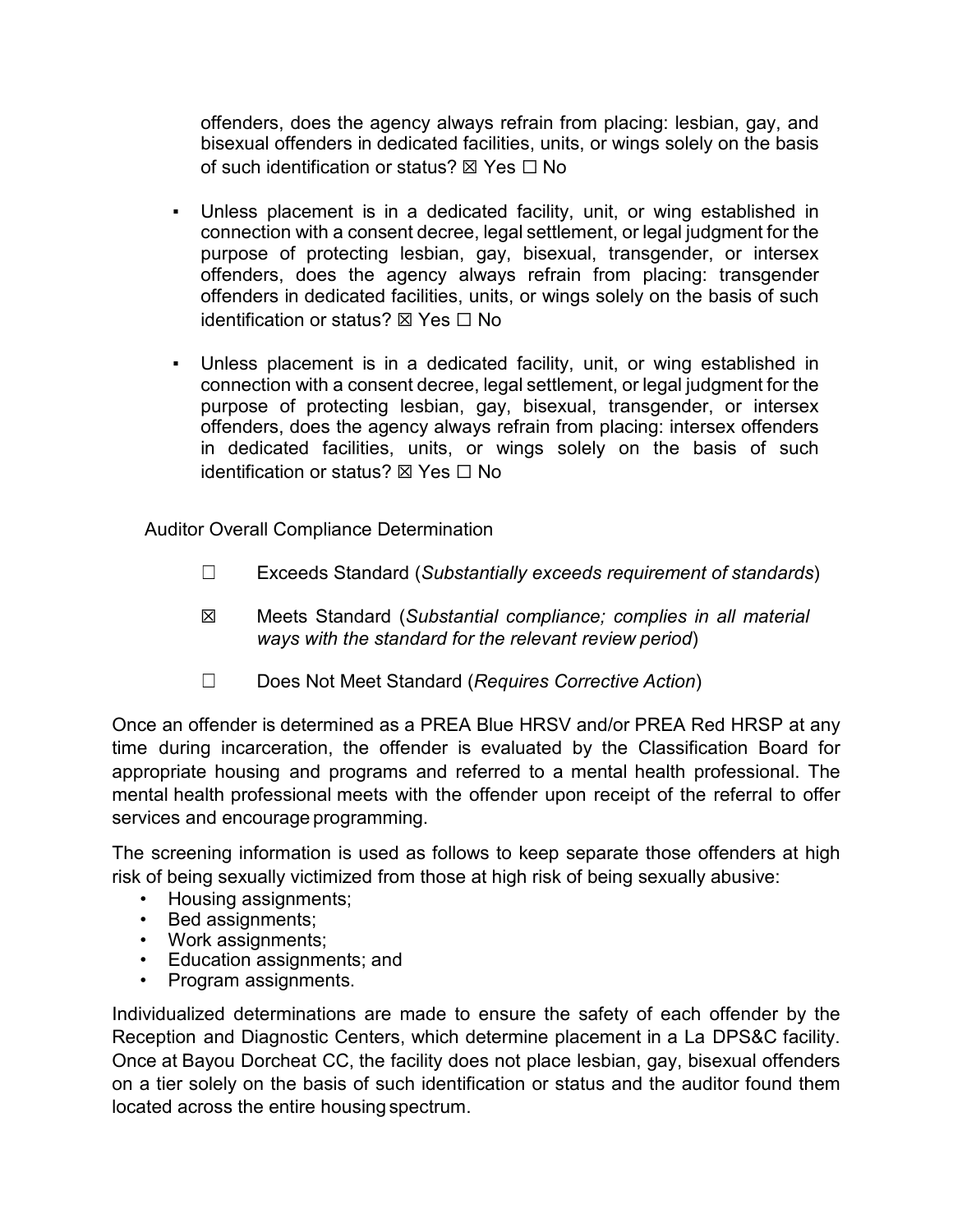offenders, does the agency always refrain from placing: lesbian, gay, and bisexual offenders in dedicated facilities, units, or wings solely on the basis of such identification or status?  $\boxtimes$  Yes  $\Box$  No

- Unless placement is in a dedicated facility, unit, or wing established in connection with a consent decree, legal settlement, or legal judgment for the purpose of protecting lesbian, gay, bisexual, transgender, or intersex offenders, does the agency always refrain from placing: transgender offenders in dedicated facilities, units, or wings solely on the basis of such identification or status? ⊠ Yes □ No
- Unless placement is in a dedicated facility, unit, or wing established in connection with a consent decree, legal settlement, or legal judgment for the purpose of protecting lesbian, gay, bisexual, transgender, or intersex offenders, does the agency always refrain from placing: intersex offenders in dedicated facilities, units, or wings solely on the basis of such identification or status? ⊠ Yes □ No

Auditor Overall Compliance Determination

- ☐ Exceeds Standard (*Substantially exceeds requirement of standards*)
- ☒ Meets Standard (*Substantial compliance; complies in all material ways with the standard for the relevant review period*)
- ☐ Does Not Meet Standard (*Requires Corrective Action*)

Once an offender is determined as a PREA Blue HRSV and/or PREA Red HRSP at any time during incarceration, the offender is evaluated by the Classification Board for appropriate housing and programs and referred to a mental health professional. The mental health professional meets with the offender upon receipt of the referral to offer services and encourage programming.

The screening information is used as follows to keep separate those offenders at high risk of being sexually victimized from those at high risk of being sexually abusive:

- Housing assignments;
- Bed assignments;
- Work assignments;
- Education assignments; and
- Program assignments.

Individualized determinations are made to ensure the safety of each offender by the Reception and Diagnostic Centers, which determine placement in a La DPS&C facility. Once at Bayou Dorcheat CC, the facility does not place lesbian, gay, bisexual offenders on a tier solely on the basis of such identification or status and the auditor found them located across the entire housing spectrum.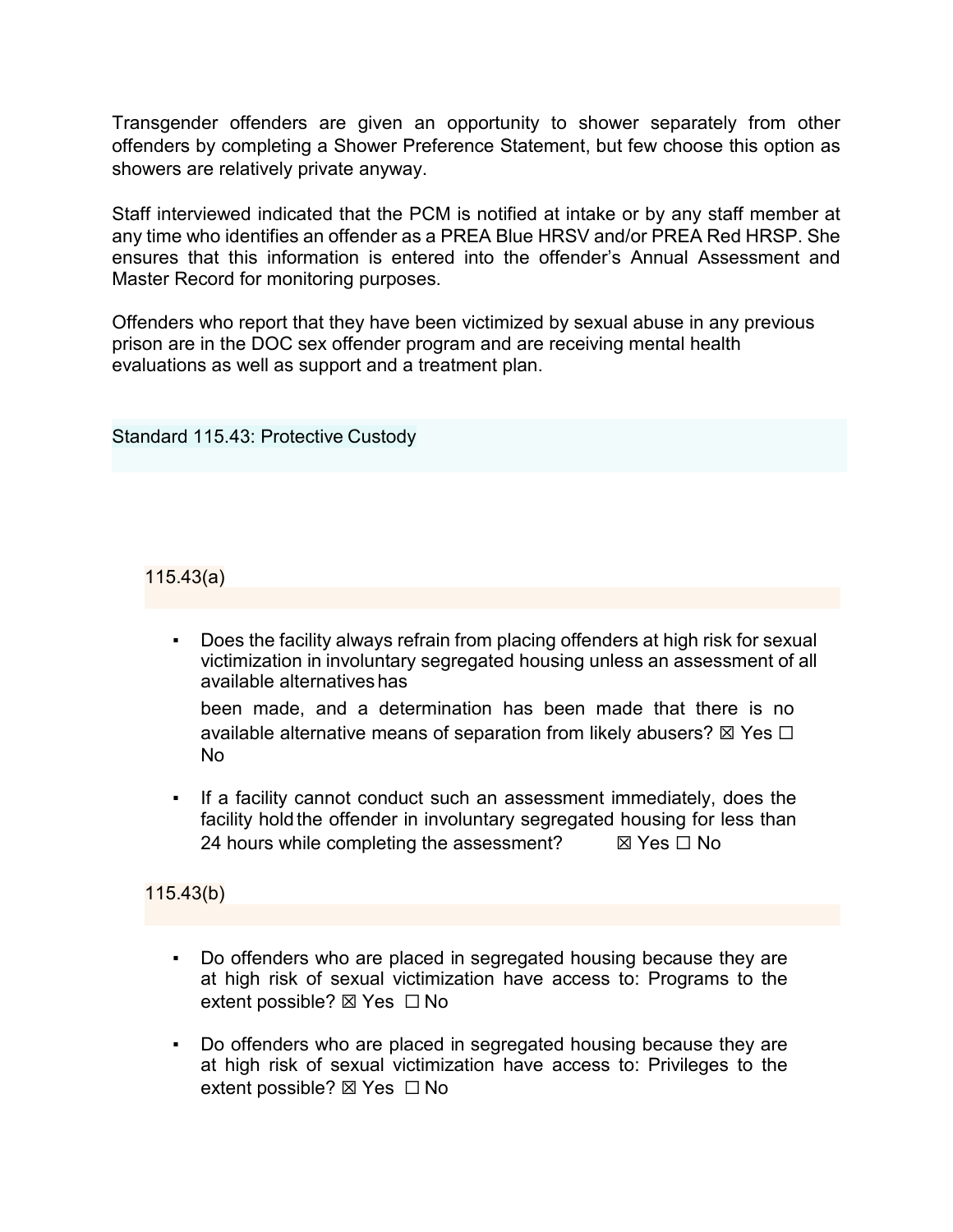Transgender offenders are given an opportunity to shower separately from other offenders by completing a Shower Preference Statement, but few choose this option as showers are relatively private anyway.

Staff interviewed indicated that the PCM is notified at intake or by any staff member at any time who identifies an offender as a PREA Blue HRSV and/or PREA Red HRSP. She ensures that this information is entered into the offender's Annual Assessment and Master Record for monitoring purposes.

Offenders who report that they have been victimized by sexual abuse in any previous prison are in the DOC sex offender program and are receiving mental health evaluations as well as support and a treatment plan.

Standard 115.43: Protective Custody

115.43(a)

Does the facility always refrain from placing offenders at high risk for sexual victimization in involuntary segregated housing unless an assessment of all available alternativeshas

been made, and a determination has been made that there is no available alternative means of separation from likely abusers?  $\boxtimes$  Yes  $\Box$ No

If a facility cannot conduct such an assessment immediately, does the facility hold the offender in involuntary segregated housing for less than 24 hours while completing the assessment?  $\boxtimes$  Yes  $\Box$  No

115.43(b)

- Do offenders who are placed in segregated housing because they are at high risk of sexual victimization have access to: Programs to the extent possible? ⊠ Yes □ No
- Do offenders who are placed in segregated housing because they are at high risk of sexual victimization have access to: Privileges to the extent possible? ⊠ Yes □ No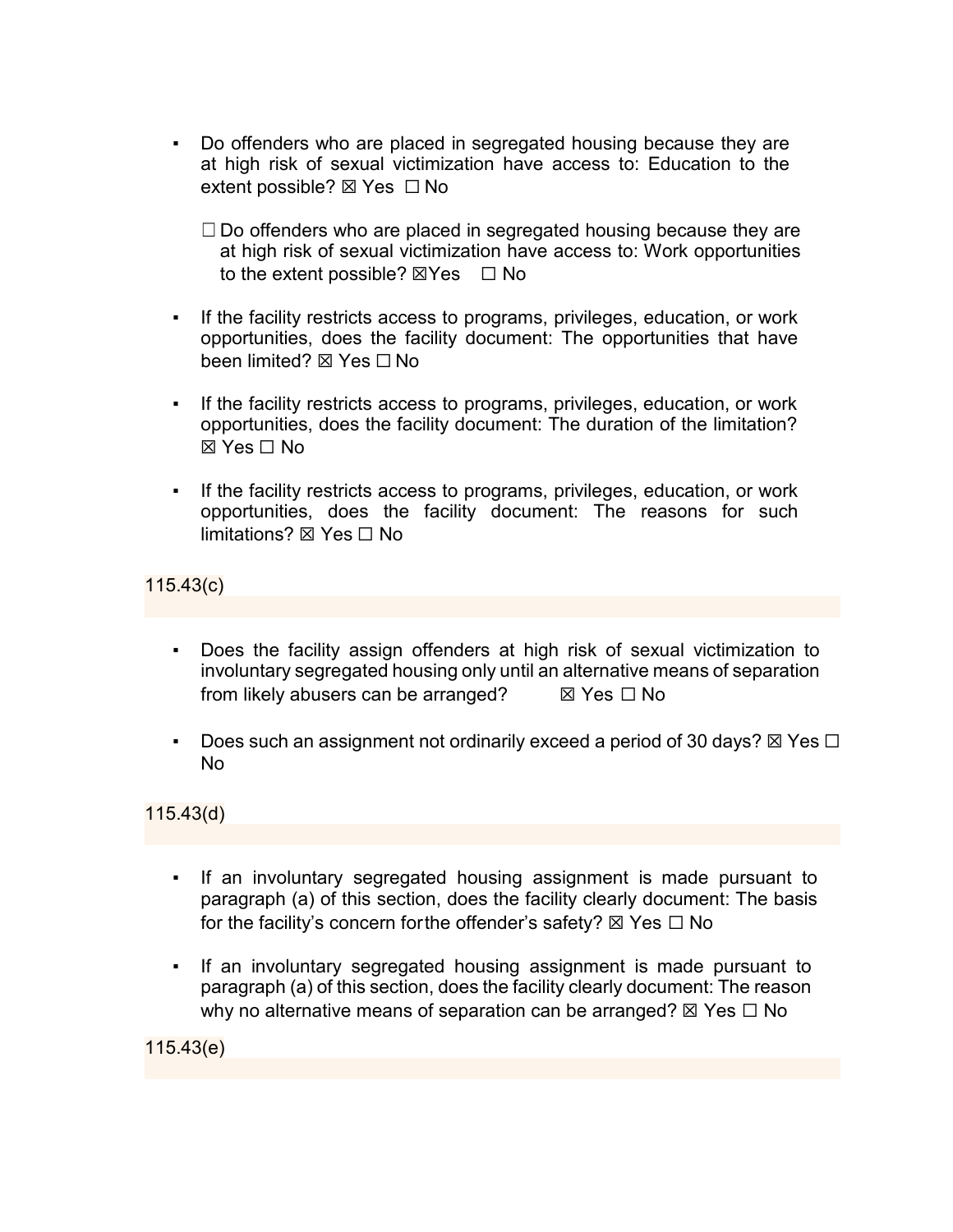- Do offenders who are placed in segregated housing because they are at high risk of sexual victimization have access to: Education to the extent possible? ⊠ Yes □ No
	- $\Box$  Do offenders who are placed in segregated housing because they are at high risk of sexual victimization have access to: Work opportunities to the extent possible?  $\boxtimes$ Yes  $\Box$  No
- If the facility restricts access to programs, privileges, education, or work opportunities, does the facility document: The opportunities that have been limited? ⊠ Yes □ No
- If the facility restricts access to programs, privileges, education, or work opportunities, does the facility document: The duration of the limitation? ☒ Yes ☐ No
- If the facility restricts access to programs, privileges, education, or work opportunities, does the facility document: The reasons for such limitations? ☒ Yes ☐ No

115.43(c)

- Does the facility assign offenders at high risk of sexual victimization to involuntary segregated housing only until an alternative means of separation from likely abusers can be arranged?  $\boxtimes$  Yes  $\Box$  No
- Does such an assignment not ordinarily exceed a period of 30 days?  $\boxtimes$  Yes  $\square$ No

115.43(d)

- If an involuntary segregated housing assignment is made pursuant to paragraph (a) of this section, does the facility clearly document: The basis for the facility's concern for the offender's safety?  $\boxtimes$  Yes  $\Box$  No
- If an involuntary segregated housing assignment is made pursuant to paragraph (a) of this section, does the facility clearly document: The reason why no alternative means of separation can be arranged?  $\boxtimes$  Yes  $\Box$  No

115.43(e)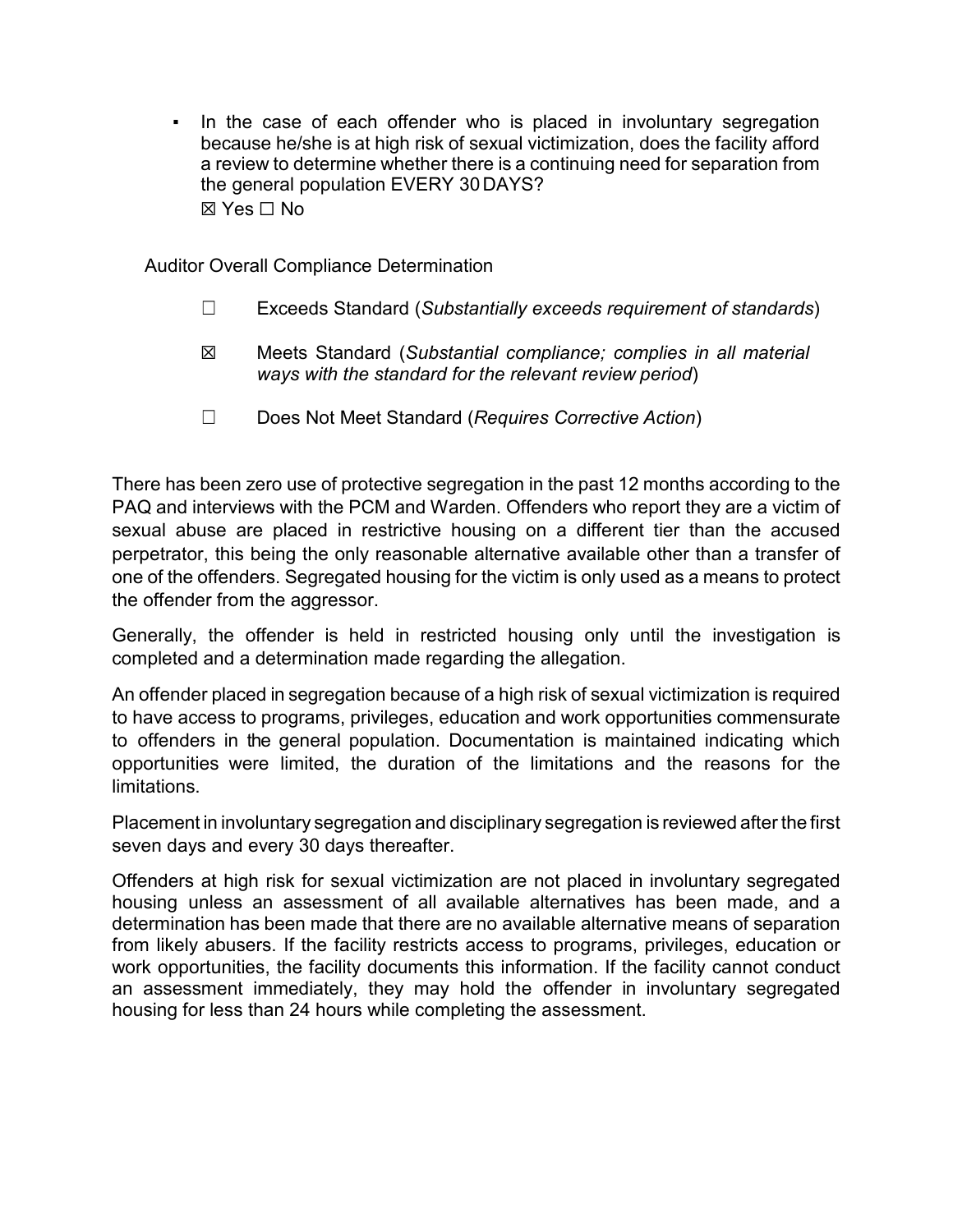• In the case of each offender who is placed in involuntary segregation because he/she is at high risk of sexual victimization, does the facility afford a review to determine whether there is a continuing need for separation from the general population EVERY 30DAYS? ☒ Yes ☐ No

Auditor Overall Compliance Determination

- ☐ Exceeds Standard (*Substantially exceeds requirement of standards*)
- ☒ Meets Standard (*Substantial compliance; complies in all material ways with the standard for the relevant review period*)
- ☐ Does Not Meet Standard (*Requires Corrective Action*)

There has been zero use of protective segregation in the past 12 months according to the PAQ and interviews with the PCM and Warden. Offenders who report they are a victim of sexual abuse are placed in restrictive housing on a different tier than the accused perpetrator, this being the only reasonable alternative available other than a transfer of one of the offenders. Segregated housing for the victim is only used as a means to protect the offender from the aggressor.

Generally, the offender is held in restricted housing only until the investigation is completed and a determination made regarding the allegation.

An offender placed in segregation because of a high risk of sexual victimization is required to have access to programs, privileges, education and work opportunities commensurate to offenders in the general population. Documentation is maintained indicating which opportunities were limited, the duration of the limitations and the reasons for the limitations.

Placement in involuntary segregation and disciplinary segregation is reviewed after the first seven days and every 30 days thereafter.

Offenders at high risk for sexual victimization are not placed in involuntary segregated housing unless an assessment of all available alternatives has been made, and a determination has been made that there are no available alternative means of separation from likely abusers. If the facility restricts access to programs, privileges, education or work opportunities, the facility documents this information. If the facility cannot conduct an assessment immediately, they may hold the offender in involuntary segregated housing for less than 24 hours while completing the assessment.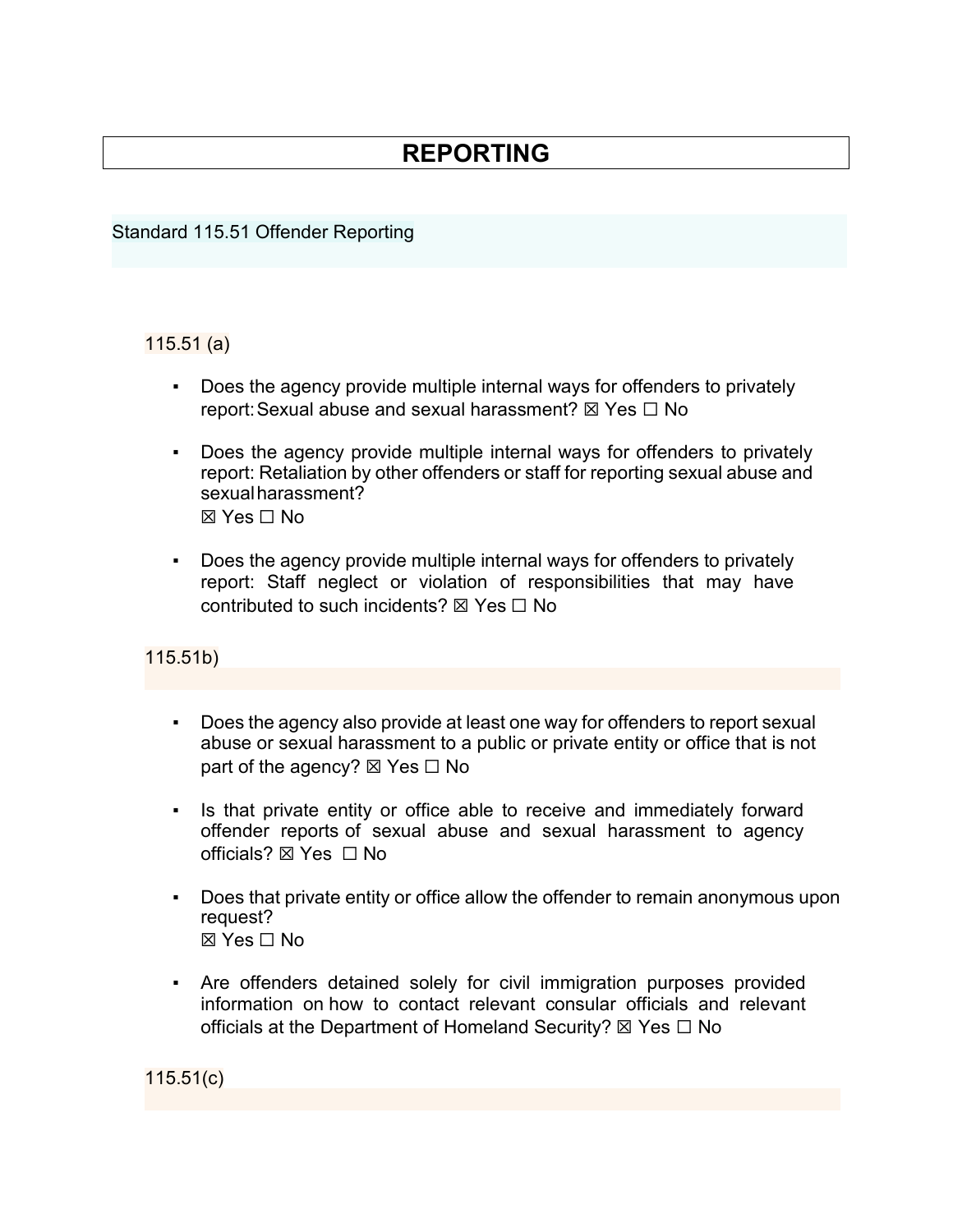# **REPORTING**

#### Standard 115.51 Offender Reporting

#### 115.51 (a)

- Does the agency provide multiple internal ways for offenders to privately report: Sexual abuse and sexual harassment?  $\boxtimes$  Yes  $\Box$  No
- Does the agency provide multiple internal ways for offenders to privately report: Retaliation by other offenders or staff for reporting sexual abuse and sexualharassment? ☒ Yes ☐ No
- Does the agency provide multiple internal ways for offenders to privately report: Staff neglect or violation of responsibilities that may have contributed to such incidents?  $\boxtimes$  Yes  $\Box$  No

## 115.51b)

- Does the agency also provide at least one way for offenders to report sexual abuse or sexual harassment to a public or private entity or office that is not part of the agency?  $\boxtimes$  Yes  $\Box$  No
- Is that private entity or office able to receive and immediately forward offender reports of sexual abuse and sexual harassment to agency officials? ⊠ Yes □ No
- Does that private entity or office allow the offender to remain anonymous upon request?  $\boxtimes$  Yes  $\Box$  No
- Are offenders detained solely for civil immigration purposes provided information on how to contact relevant consular officials and relevant officials at the Department of Homeland Security?  $\boxtimes$  Yes  $\Box$  No

115.51(c)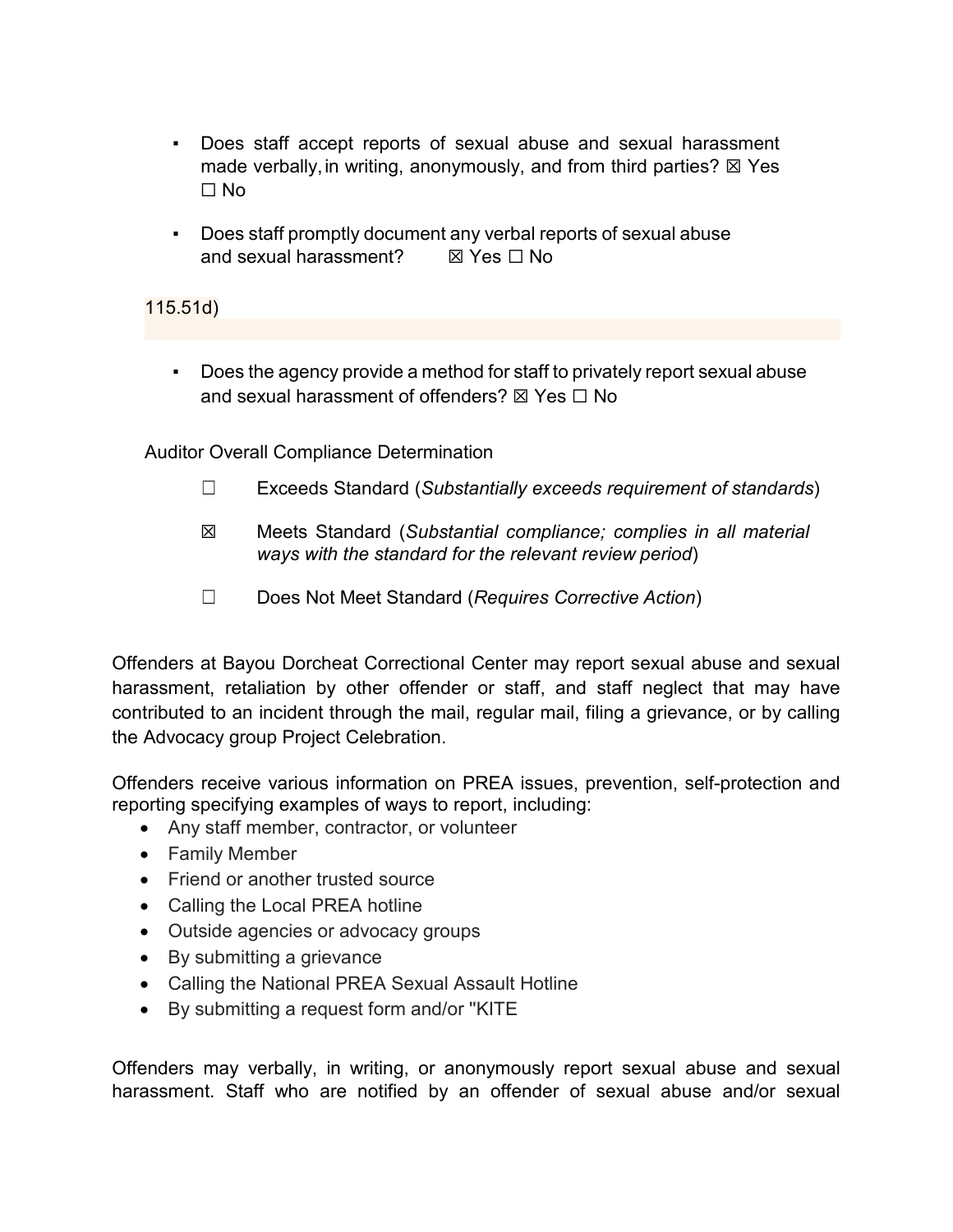- Does staff accept reports of sexual abuse and sexual harassment made verbally, in writing, anonymously, and from third parties?  $\boxtimes$  Yes ☐ No
- Does staff promptly document any verbal reports of sexual abuse and sexual harassment?  $\boxtimes$  Yes  $\Box$  No

115.51d)

▪ Does the agency provide a method for staff to privately report sexual abuse and sexual harassment of offenders?  $\boxtimes$  Yes  $\Box$  No

Auditor Overall Compliance Determination

- ☐ Exceeds Standard (*Substantially exceeds requirement of standards*)
- ☒ Meets Standard (*Substantial compliance; complies in all material ways with the standard for the relevant review period*)
- ☐ Does Not Meet Standard (*Requires Corrective Action*)

Offenders at Bayou Dorcheat Correctional Center may report sexual abuse and sexual harassment, retaliation by other offender or staff, and staff neglect that may have contributed to an incident through the mail, regular mail, filing a grievance, or by calling the Advocacy group Project Celebration.

Offenders receive various information on PREA issues, prevention, self-protection and reporting specifying examples of ways to report, including:

- Any staff member, contractor, or volunteer
- Family Member
- Friend or another trusted source
- Calling the Local PREA hotline
- Outside agencies or advocacy groups
- By submitting a grievance
- Calling the National PREA Sexual Assault Hotline
- By submitting a request form and/or ''KITE

Offenders may verbally, in writing, or anonymously report sexual abuse and sexual harassment. Staff who are notified by an offender of sexual abuse and/or sexual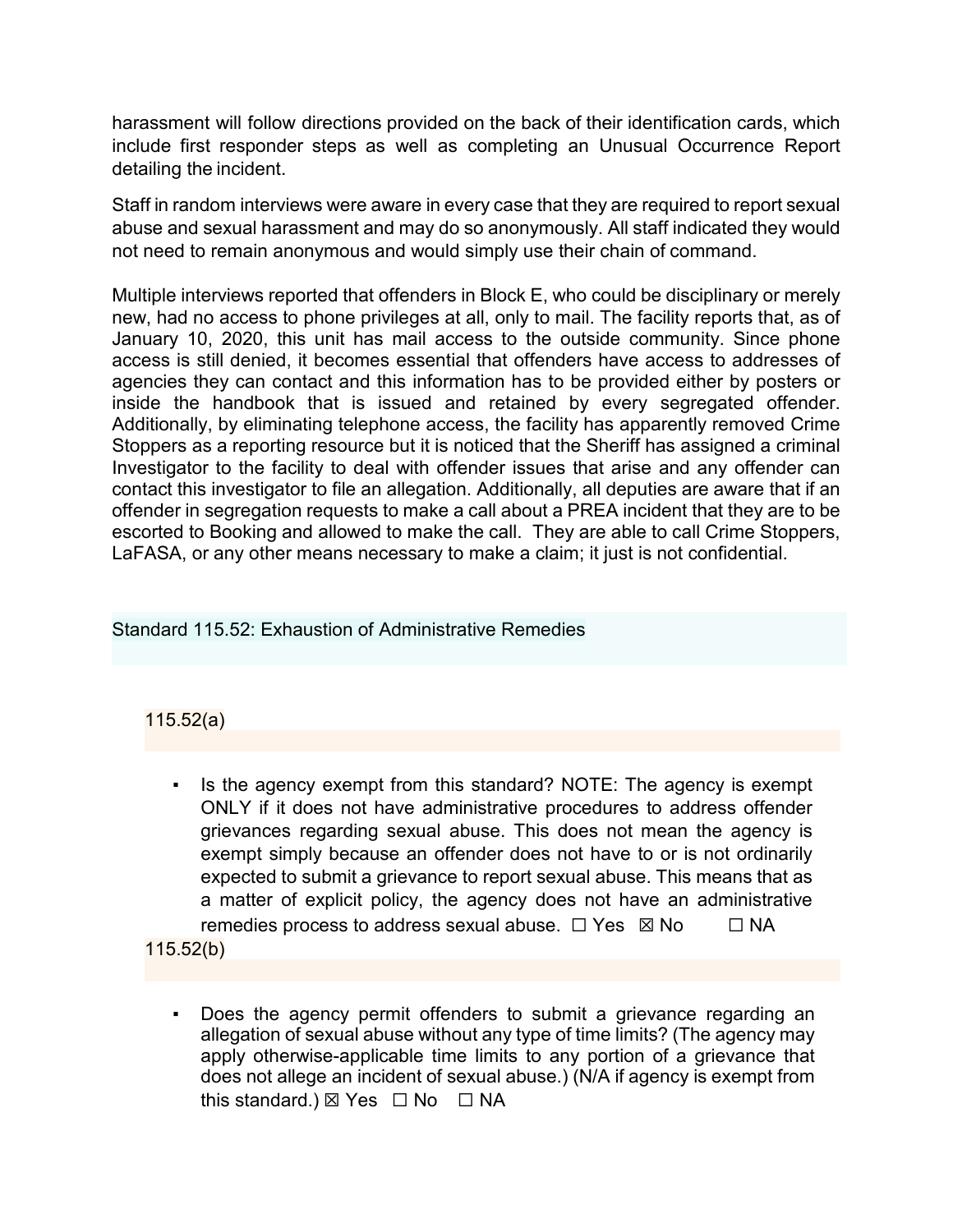harassment will follow directions provided on the back of their identification cards, which include first responder steps as well as completing an Unusual Occurrence Report detailing the incident.

Staff in random interviews were aware in every case that they are required to report sexual abuse and sexual harassment and may do so anonymously. All staff indicated they would not need to remain anonymous and would simply use their chain of command.

Multiple interviews reported that offenders in Block E, who could be disciplinary or merely new, had no access to phone privileges at all, only to mail. The facility reports that, as of January 10, 2020, this unit has mail access to the outside community. Since phone access is still denied, it becomes essential that offenders have access to addresses of agencies they can contact and this information has to be provided either by posters or inside the handbook that is issued and retained by every segregated offender. Additionally, by eliminating telephone access, the facility has apparently removed Crime Stoppers as a reporting resource but it is noticed that the Sheriff has assigned a criminal Investigator to the facility to deal with offender issues that arise and any offender can contact this investigator to file an allegation. Additionally, all deputies are aware that if an offender in segregation requests to make a call about a PREA incident that they are to be escorted to Booking and allowed to make the call. They are able to call Crime Stoppers, LaFASA, or any other means necessary to make a claim; it just is not confidential.

Standard 115.52: Exhaustion of Administrative Remedies

## 115.52(a)

▪ Is the agency exempt from this standard? NOTE: The agency is exempt ONLY if it does not have administrative procedures to address offender grievances regarding sexual abuse. This does not mean the agency is exempt simply because an offender does not have to or is not ordinarily expected to submit a grievance to report sexual abuse. This means that as a matter of explicit policy, the agency does not have an administrative remedies process to address sexual abuse.  $\Box$  Yes  $\boxtimes$  No  $\Box$  NA

115.52(b)

▪ Does the agency permit offenders to submit a grievance regarding an allegation of sexual abuse without any type of time limits? (The agency may apply otherwise-applicable time limits to any portion of a grievance that does not allege an incident of sexual abuse.) (N/A if agency is exempt from this standard.)  $\boxtimes$  Yes  $\Box$  No  $\Box$  NA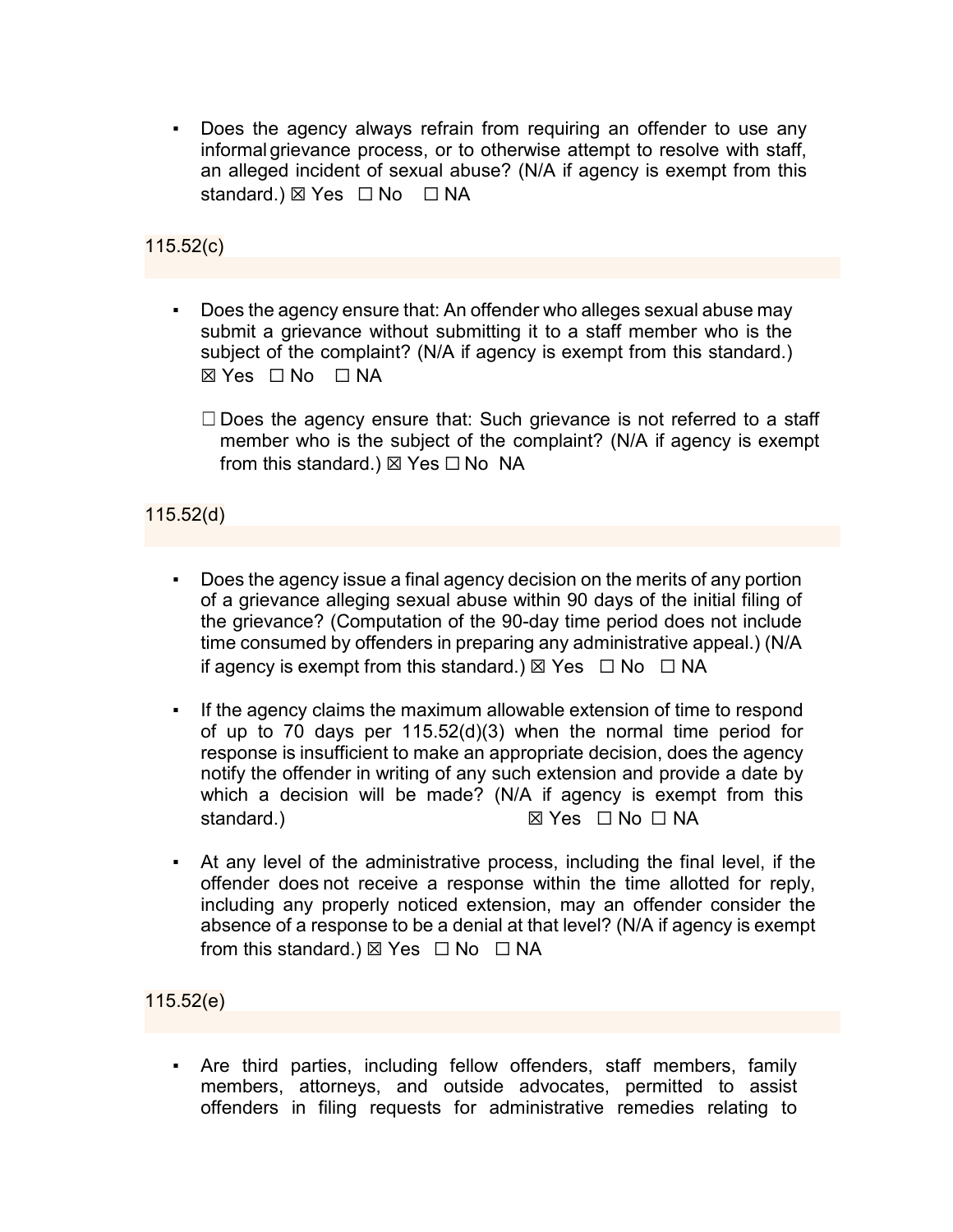Does the agency always refrain from requiring an offender to use any informal grievance process, or to otherwise attempt to resolve with staff, an alleged incident of sexual abuse? (N/A if agency is exempt from this standard.) ⊠ Yes □ No □ NA

## 115.52(c)

- Does the agency ensure that: An offender who alleges sexual abuse may submit a grievance without submitting it to a staff member who is the subject of the complaint? (N/A if agency is exempt from this standard.) ☒ Yes ☐ No ☐ NA
	- $\Box$  Does the agency ensure that: Such grievance is not referred to a staff member who is the subject of the complaint? (N/A if agency is exempt from this standard.)  $\boxtimes$  Yes  $\Box$  No NA

#### 115.52(d)

- Does the agency issue a final agency decision on the merits of any portion of a grievance alleging sexual abuse within 90 days of the initial filing of the grievance? (Computation of the 90-day time period does not include time consumed by offenders in preparing any administrative appeal.) (N/A if agency is exempt from this standard.)  $\boxtimes$  Yes  $\Box$  No  $\Box$  NA
- If the agency claims the maximum allowable extension of time to respond of up to 70 days per 115.52(d)(3) when the normal time period for response is insufficient to make an appropriate decision, does the agency notify the offender in writing of any such extension and provide a date by which a decision will be made? (N/A if agency is exempt from this standard.) ☒ Yes ☐ No ☐ NA
- At any level of the administrative process, including the final level, if the offender does not receive a response within the time allotted for reply, including any properly noticed extension, may an offender consider the absence of a response to be a denial at that level? (N/A if agency is exempt from this standard.)  $\boxtimes$  Yes  $\Box$  No  $\Box$  NA

115.52(e)

▪ Are third parties, including fellow offenders, staff members, family members, attorneys, and outside advocates, permitted to assist offenders in filing requests for administrative remedies relating to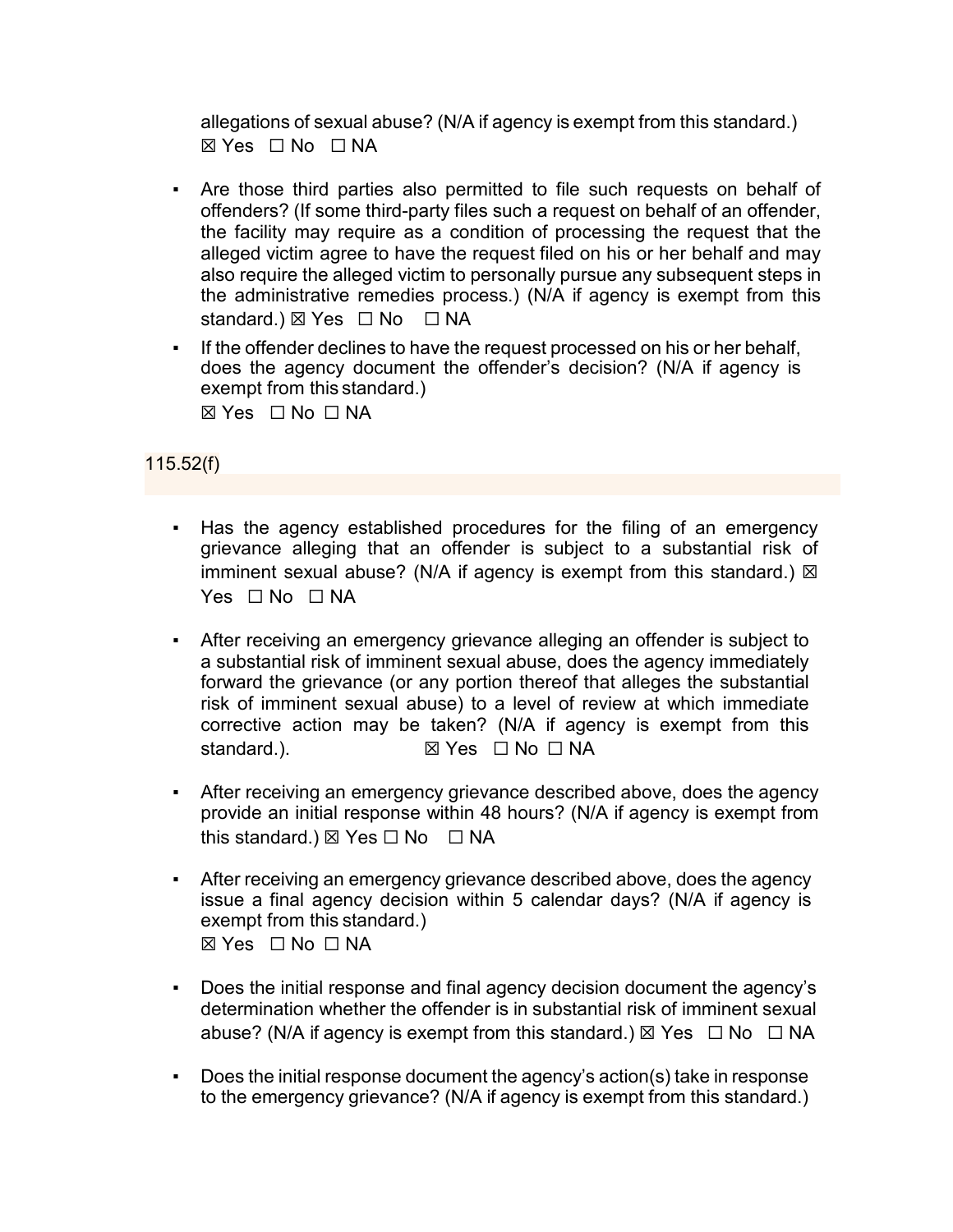allegations of sexual abuse? (N/A if agency is exempt from this standard.) ☒ Yes ☐ No ☐ NA

- Are those third parties also permitted to file such requests on behalf of offenders? (If some third-party files such a request on behalf of an offender, the facility may require as a condition of processing the request that the alleged victim agree to have the request filed on his or her behalf and may also require the alleged victim to personally pursue any subsequent steps in the administrative remedies process.) (N/A if agency is exempt from this standard.) ⊠ Yes □ No □ NA
- If the offender declines to have the request processed on his or her behalf, does the agency document the offender's decision? (N/A if agency is exempt from this standard.) ☒ Yes ☐ No ☐ NA

# 115.52(f)

- Has the agency established procedures for the filing of an emergency grievance alleging that an offender is subject to a substantial risk of imminent sexual abuse? (N/A if agency is exempt from this standard.)  $\boxtimes$  $Yes \Box No \Box NA$
- After receiving an emergency grievance alleging an offender is subject to a substantial risk of imminent sexual abuse, does the agency immediately forward the grievance (or any portion thereof that alleges the substantial risk of imminent sexual abuse) to a level of review at which immediate corrective action may be taken? (N/A if agency is exempt from this standard.). **I** ⊠ Yes □ No □ NA
- After receiving an emergency grievance described above, does the agency provide an initial response within 48 hours? (N/A if agency is exempt from this standard.)  $\boxtimes$  Yes  $\Box$  No  $\Box$  NA
- After receiving an emergency grievance described above, does the agency issue a final agency decision within 5 calendar days? (N/A if agency is exempt from this standard.) ☒ Yes ☐ No ☐ NA
- Does the initial response and final agency decision document the agency's determination whether the offender is in substantial risk of imminent sexual abuse? (N/A if agency is exempt from this standard.)  $\boxtimes$  Yes  $\Box$  No  $\Box$  NA
- Does the initial response document the agency's action(s) take in response to the emergency grievance? (N/A if agency is exempt from this standard.)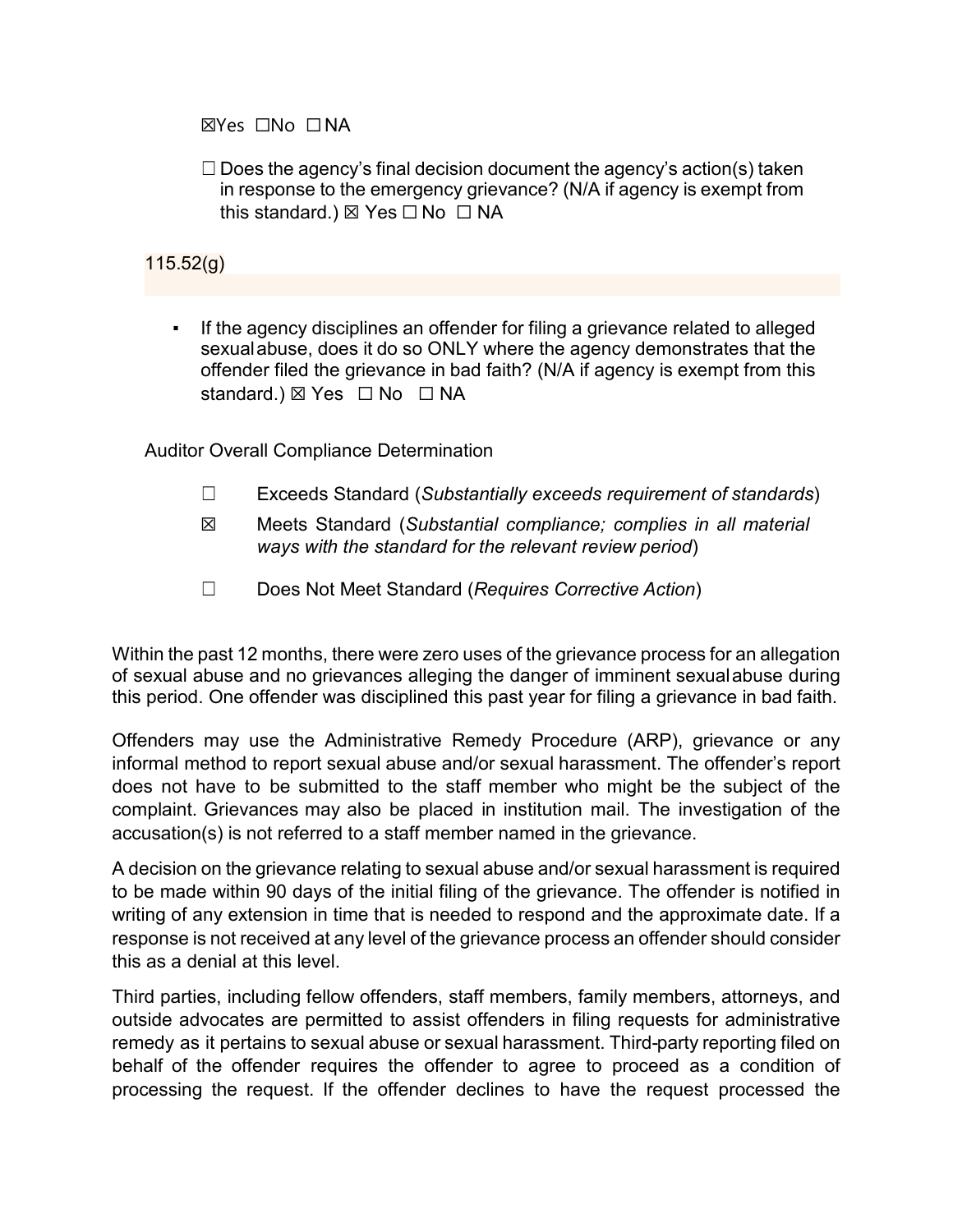☒Yes ☐No ☐NA

 $\Box$  Does the agency's final decision document the agency's action(s) taken in response to the emergency grievance? (N/A if agency is exempt from this standard.)  $\boxtimes$  Yes  $\Box$  No  $\Box$  NA

## 115.52(g)

If the agency disciplines an offender for filing a grievance related to alleged sexualabuse, does it do so ONLY where the agency demonstrates that the offender filed the grievance in bad faith? (N/A if agency is exempt from this standard.) ⊠ Yes □ No □ NA

Auditor Overall Compliance Determination

- ☐ Exceeds Standard (*Substantially exceeds requirement of standards*)
- ☒ Meets Standard (*Substantial compliance; complies in all material ways with the standard for the relevant review period*)
- ☐ Does Not Meet Standard (*Requires Corrective Action*)

Within the past 12 months, there were zero uses of the grievance process for an allegation of sexual abuse and no grievances alleging the danger of imminent sexualabuse during this period. One offender was disciplined this past year for filing a grievance in bad faith.

Offenders may use the Administrative Remedy Procedure (ARP), grievance or any informal method to report sexual abuse and/or sexual harassment. The offender's report does not have to be submitted to the staff member who might be the subject of the complaint. Grievances may also be placed in institution mail. The investigation of the accusation(s) is not referred to a staff member named in the grievance.

A decision on the grievance relating to sexual abuse and/or sexual harassment is required to be made within 90 days of the initial filing of the grievance. The offender is notified in writing of any extension in time that is needed to respond and the approximate date. If a response is not received at any level of the grievance process an offender should consider this as a denial at this level.

Third parties, including fellow offenders, staff members, family members, attorneys, and outside advocates are permitted to assist offenders in filing requests for administrative remedy as it pertains to sexual abuse or sexual harassment. Third-party reporting filed on behalf of the offender requires the offender to agree to proceed as a condition of processing the request. If the offender declines to have the request processed the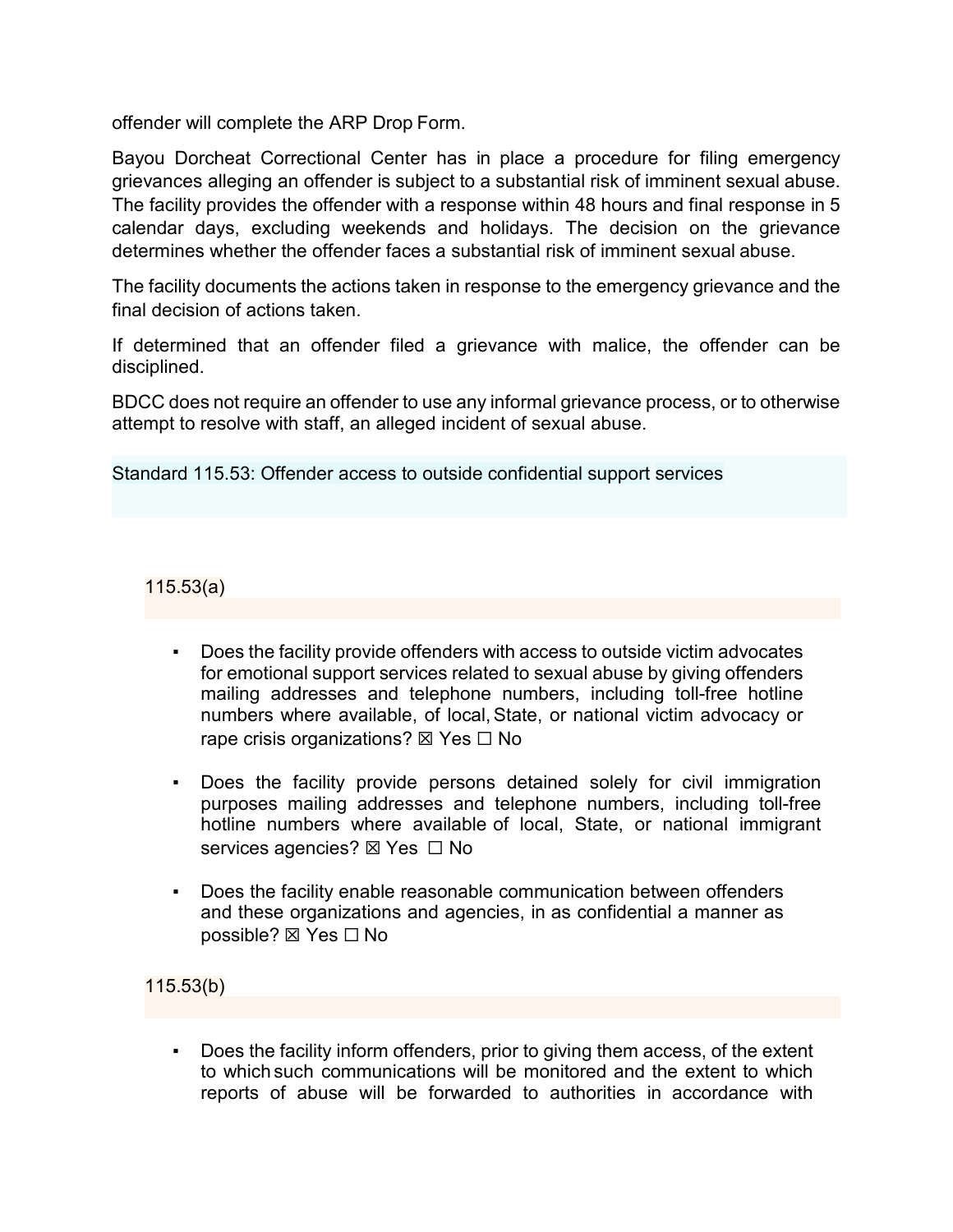offender will complete the ARP Drop Form.

Bayou Dorcheat Correctional Center has in place a procedure for filing emergency grievances alleging an offender is subject to a substantial risk of imminent sexual abuse. The facility provides the offender with a response within 48 hours and final response in 5 calendar days, excluding weekends and holidays. The decision on the grievance determines whether the offender faces a substantial risk of imminent sexual abuse.

The facility documents the actions taken in response to the emergency grievance and the final decision of actions taken.

If determined that an offender filed a grievance with malice, the offender can be disciplined.

BDCC does not require an offender to use any informal grievance process, or to otherwise attempt to resolve with staff, an alleged incident of sexual abuse.

Standard 115.53: Offender access to outside confidential support services

115.53(a)

- Does the facility provide offenders with access to outside victim advocates for emotional support services related to sexual abuse by giving offenders mailing addresses and telephone numbers, including toll-free hotline numbers where available, of local, State, or national victim advocacy or rape crisis organizations?  $\boxtimes$  Yes  $\Box$  No
- Does the facility provide persons detained solely for civil immigration purposes mailing addresses and telephone numbers, including toll-free hotline numbers where available of local, State, or national immigrant services agencies? ⊠ Yes □ No
- Does the facility enable reasonable communication between offenders and these organizations and agencies, in as confidential a manner as possible? ⊠ Yes □ No

115.53(b)

Does the facility inform offenders, prior to giving them access, of the extent to which such communications will be monitored and the extent to which reports of abuse will be forwarded to authorities in accordance with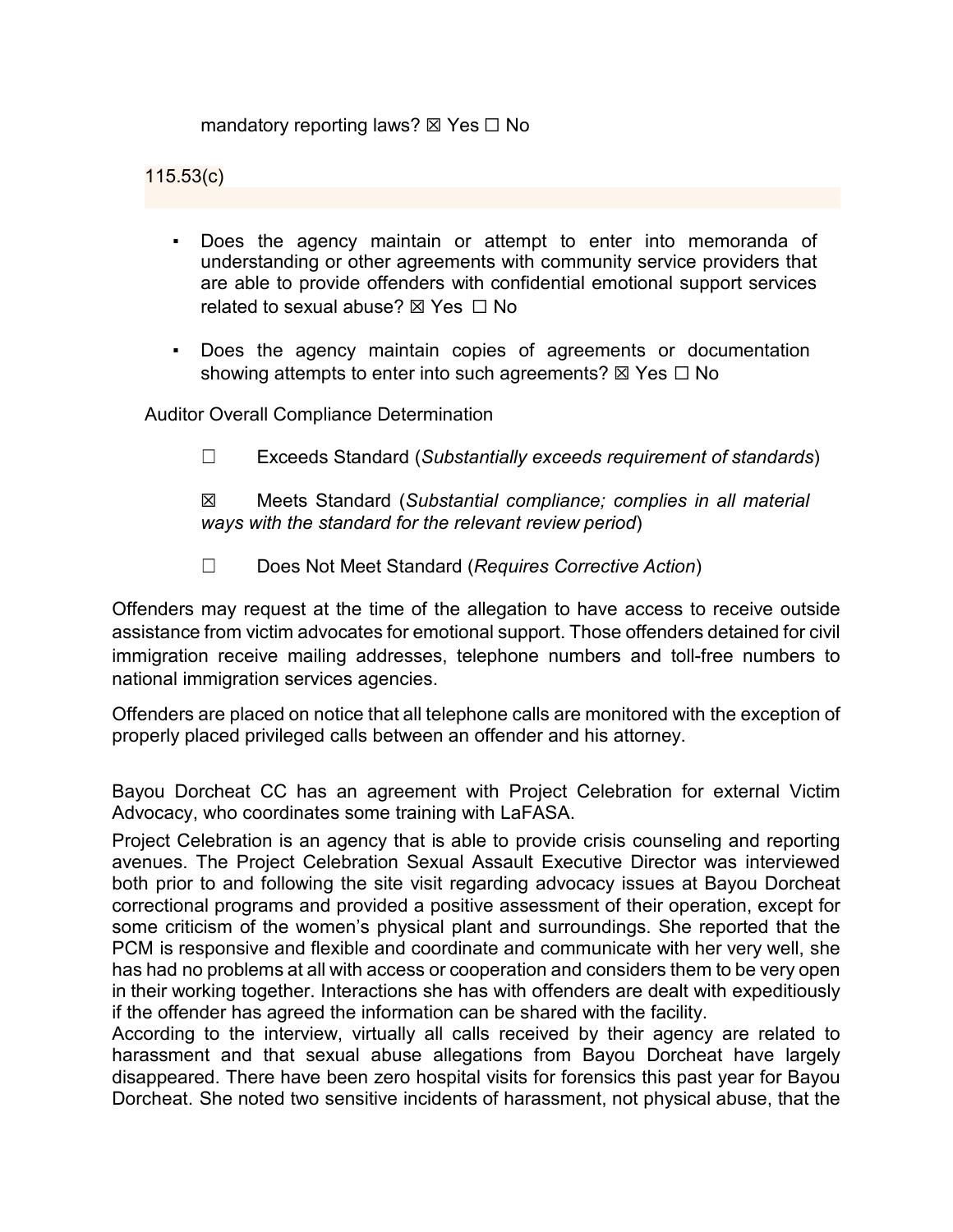mandatory reporting laws?  $\boxtimes$  Yes  $\Box$  No

#### 115.53(c)

- Does the agency maintain or attempt to enter into memoranda of understanding or other agreements with community service providers that are able to provide offenders with confidential emotional support services related to sexual abuse?  $\boxtimes$  Yes  $\Box$  No
- Does the agency maintain copies of agreements or documentation showing attempts to enter into such agreements?  $\boxtimes$  Yes  $\Box$  No

Auditor Overall Compliance Determination

☐ Exceeds Standard (*Substantially exceeds requirement of standards*)

☒ Meets Standard (*Substantial compliance; complies in all material ways with the standard for the relevant review period*)

☐ Does Not Meet Standard (*Requires Corrective Action*)

Offenders may request at the time of the allegation to have access to receive outside assistance from victim advocates for emotional support. Those offenders detained for civil immigration receive mailing addresses, telephone numbers and toll-free numbers to national immigration services agencies.

Offenders are placed on notice that all telephone calls are monitored with the exception of properly placed privileged calls between an offender and his attorney.

Bayou Dorcheat CC has an agreement with Project Celebration for external Victim Advocacy, who coordinates some training with LaFASA.

Project Celebration is an agency that is able to provide crisis counseling and reporting avenues. The Project Celebration Sexual Assault Executive Director was interviewed both prior to and following the site visit regarding advocacy issues at Bayou Dorcheat correctional programs and provided a positive assessment of their operation, except for some criticism of the women's physical plant and surroundings. She reported that the PCM is responsive and flexible and coordinate and communicate with her very well, she has had no problems at all with access or cooperation and considers them to be very open in their working together. Interactions she has with offenders are dealt with expeditiously if the offender has agreed the information can be shared with the facility.

According to the interview, virtually all calls received by their agency are related to harassment and that sexual abuse allegations from Bayou Dorcheat have largely disappeared. There have been zero hospital visits for forensics this past year for Bayou Dorcheat. She noted two sensitive incidents of harassment, not physical abuse, that the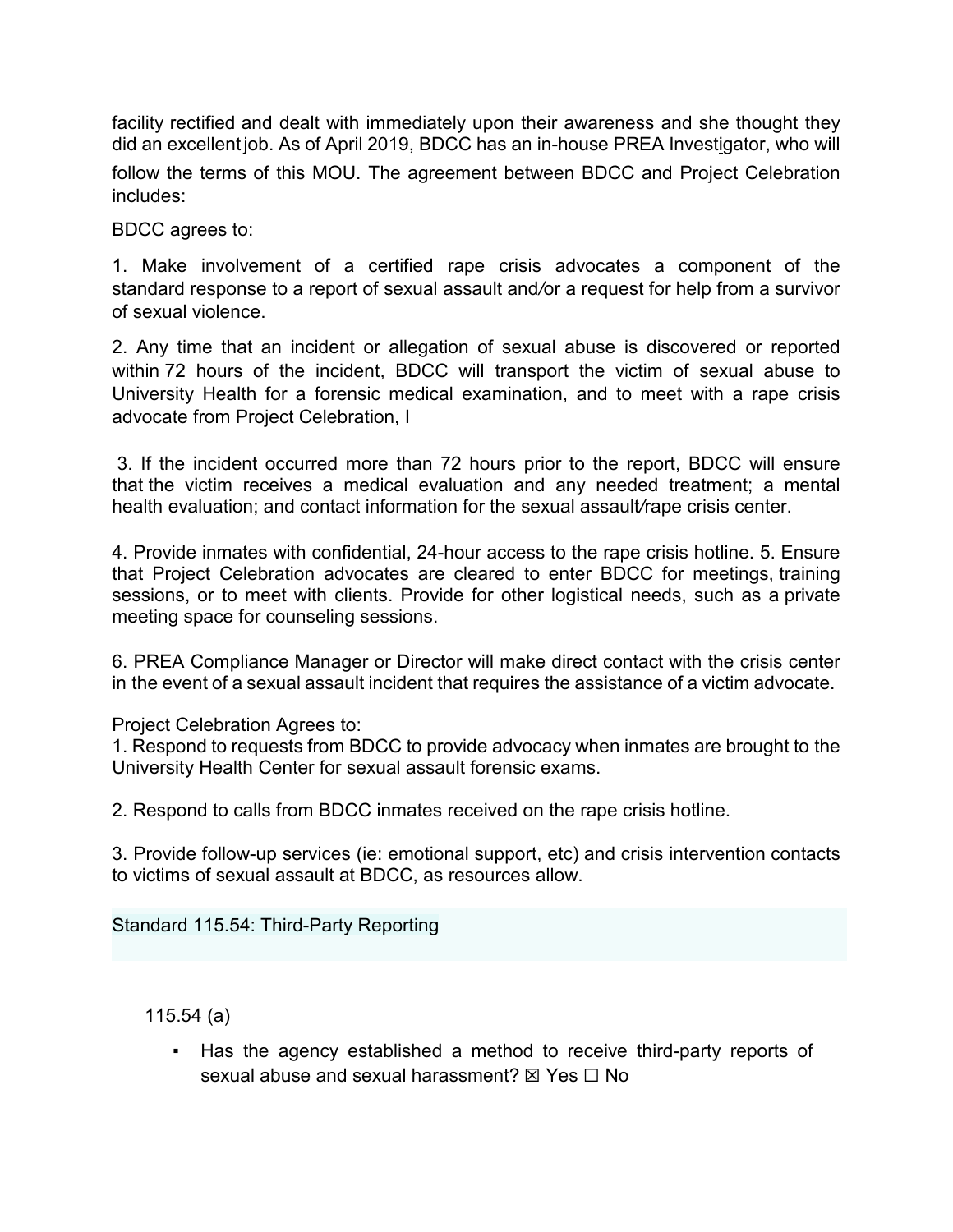facility rectified and dealt with immediately upon their awareness and she thought they did an excellent job. As of April 2019, BDCC has an in-house PREA Investigator, who will follow the terms of this MOU. The agreement between BDCC and Project Celebration includes:

BDCC agrees to:

1. Make involvement of a certified rape crisis advocates a component of the standard response to a report of sexual assault and*/*or a request for help from a survivor of sexual violence.

2. Any time that an incident or allegation of sexual abuse is discovered or reported within 72 hours of the incident, BDCC will transport the victim of sexual abuse to University Health for a forensic medical examination, and to meet with a rape crisis advocate from Project Celebration, I

3. If the incident occurred more than 72 hours prior to the report, BDCC will ensure that the victim receives a medical evaluation and any needed treatment; a mental health evaluation; and contact information for the sexual assault*/*rape crisis center.

4. Provide inmates with confidential, 24-hour access to the rape crisis hotline. 5. Ensure that Project Celebration advocates are cleared to enter BDCC for meetings, training sessions, or to meet with clients. Provide for other logistical needs, such as a private meeting space for counseling sessions.

6. PREA Compliance Manager or Director will make direct contact with the crisis center in the event of a sexual assault incident that requires the assistance of a victim advocate.

Project Celebration Agrees to:

1. Respond to requests from BDCC to provide advocacy when inmates are brought to the University Health Center for sexual assault forensic exams.

2. Respond to calls from BDCC inmates received on the rape crisis hotline.

3. Provide follow-up services (ie: emotional support, etc) and crisis intervention contacts to victims of sexual assault at BDCC, as resources allow.

Standard 115.54: Third-Party Reporting

115.54 (a)

Has the agency established a method to receive third-party reports of sexual abuse and sexual harassment?  $\boxtimes$  Yes  $\Box$  No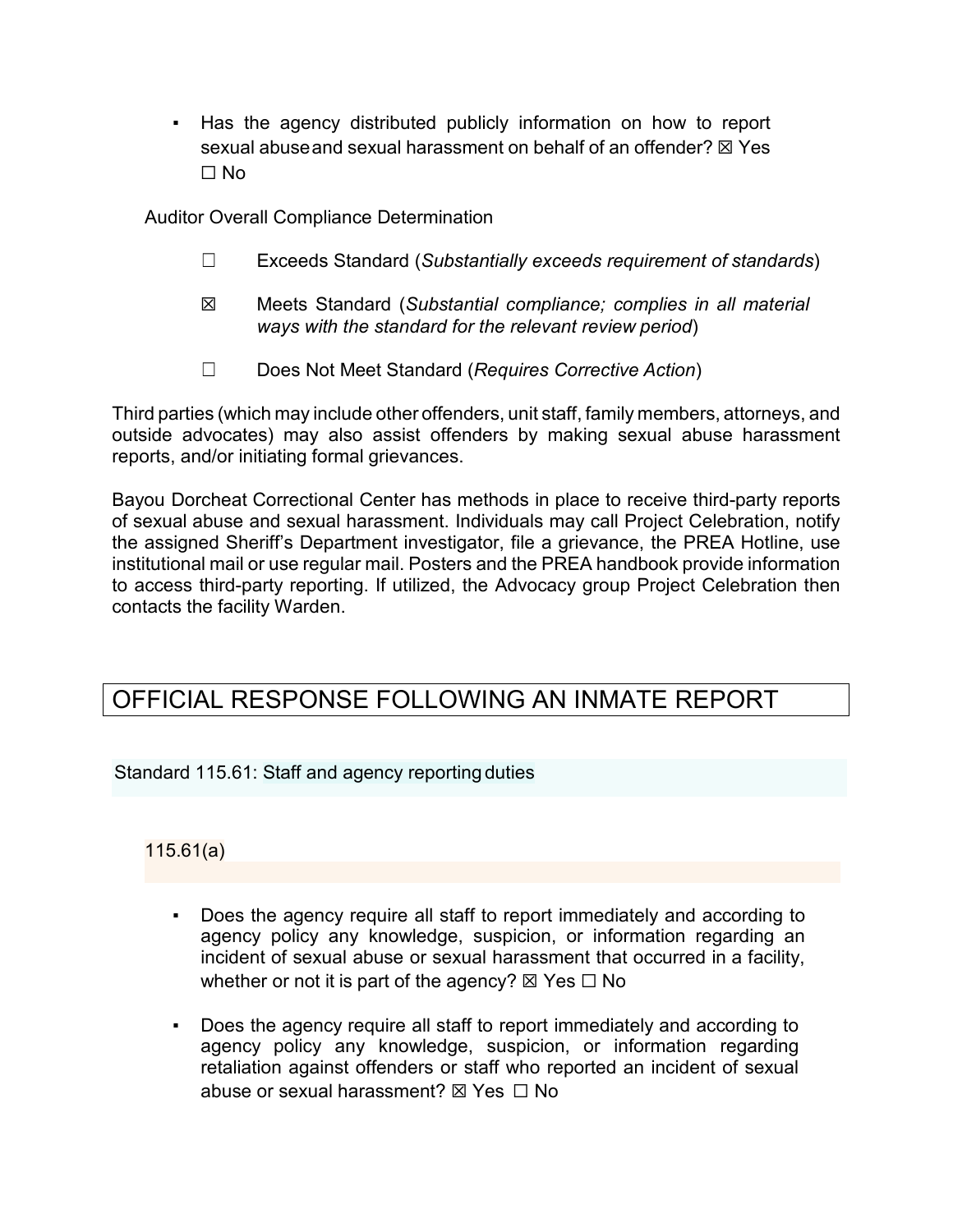Has the agency distributed publicly information on how to report sexual abuseand sexual harassment on behalf of an offender?  $\boxtimes$  Yes ☐ No

Auditor Overall Compliance Determination

- ☐ Exceeds Standard (*Substantially exceeds requirement of standards*)
- ☒ Meets Standard (*Substantial compliance; complies in all material ways with the standard for the relevant review period*)
- ☐ Does Not Meet Standard (*Requires Corrective Action*)

Third parties (which may include other offenders, unit staff, family members, attorneys, and outside advocates) may also assist offenders by making sexual abuse harassment reports, and/or initiating formal grievances.

Bayou Dorcheat Correctional Center has methods in place to receive third-party reports of sexual abuse and sexual harassment. Individuals may call Project Celebration, notify the assigned Sheriff's Department investigator, file a grievance, the PREA Hotline, use institutional mail or use regular mail. Posters and the PREA handbook provide information to access third-party reporting. If utilized, the Advocacy group Project Celebration then contacts the facility Warden.

# OFFICIAL RESPONSE FOLLOWING AN INMATE REPORT

Standard 115.61: Staff and agency reporting duties

115.61(a)

- Does the agency require all staff to report immediately and according to agency policy any knowledge, suspicion, or information regarding an incident of sexual abuse or sexual harassment that occurred in a facility, whether or not it is part of the agency?  $\boxtimes$  Yes  $\Box$  No
- Does the agency require all staff to report immediately and according to agency policy any knowledge, suspicion, or information regarding retaliation against offenders or staff who reported an incident of sexual abuse or sexual harassment?  $\boxtimes$  Yes  $\Box$  No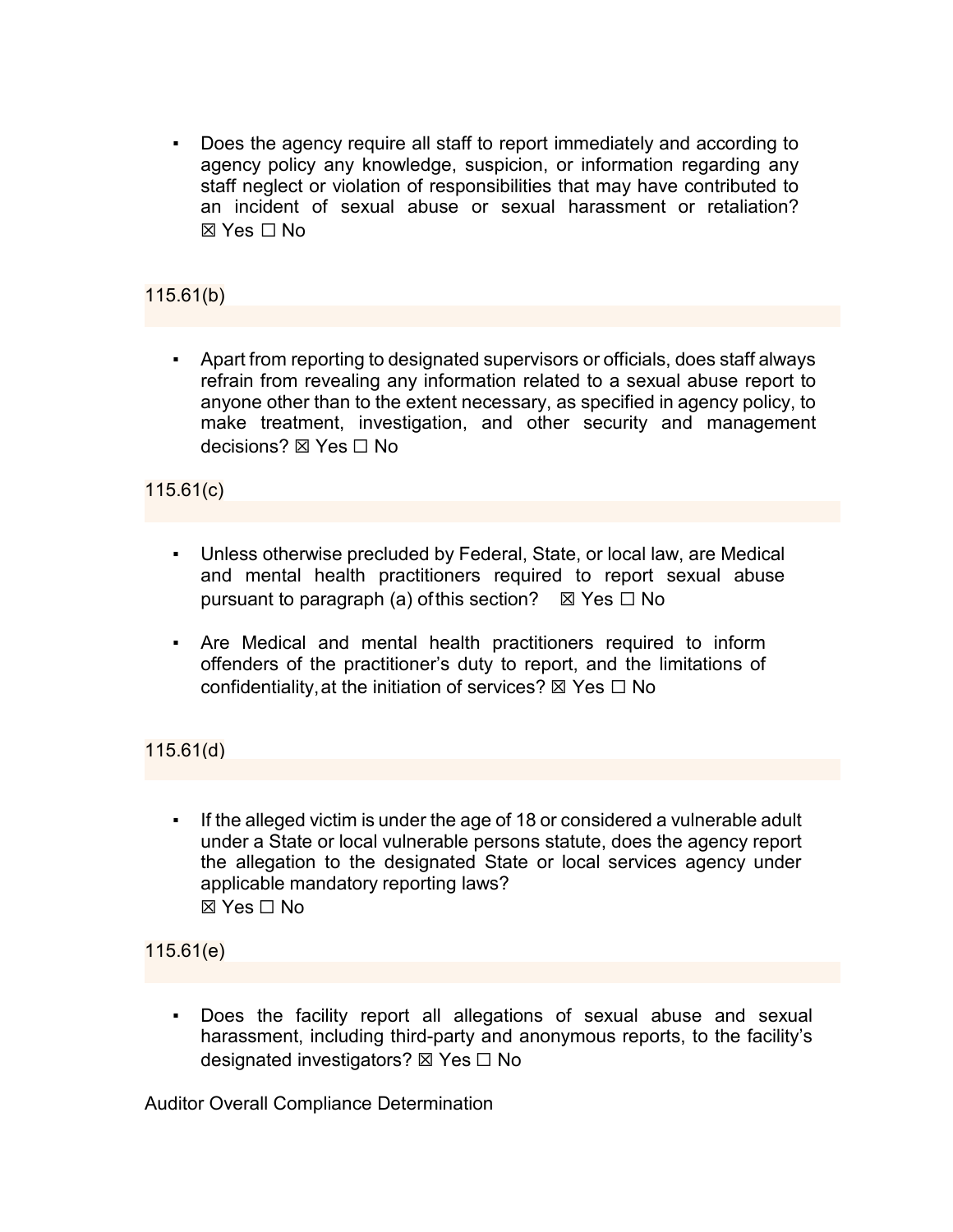Does the agency require all staff to report immediately and according to agency policy any knowledge, suspicion, or information regarding any staff neglect or violation of responsibilities that may have contributed to an incident of sexual abuse or sexual harassment or retaliation? ☒ Yes ☐ No

## 115.61(b)

▪ Apart from reporting to designated supervisors or officials, does staff always refrain from revealing any information related to a sexual abuse report to anyone other than to the extent necessary, as specified in agency policy, to make treatment, investigation, and other security and management decisions? ☒ Yes ☐ No

## 115.61(c)

- Unless otherwise precluded by Federal, State, or local law, are Medical and mental health practitioners required to report sexual abuse pursuant to paragraph (a) of this section?  $\boxtimes$  Yes  $\Box$  No
- Are Medical and mental health practitioners required to inform offenders of the practitioner's duty to report, and the limitations of confidentiality, at the initiation of services?  $\boxtimes$  Yes  $\Box$  No

## 115.61(d)

▪ If the alleged victim is under the age of 18 or considered a vulnerable adult under a State or local vulnerable persons statute, does the agency report the allegation to the designated State or local services agency under applicable mandatory reporting laws? ☒ Yes ☐ No

## 115.61(e)

Does the facility report all allegations of sexual abuse and sexual harassment, including third-party and anonymous reports, to the facility's designated investigators? ⊠ Yes □ No

Auditor Overall Compliance Determination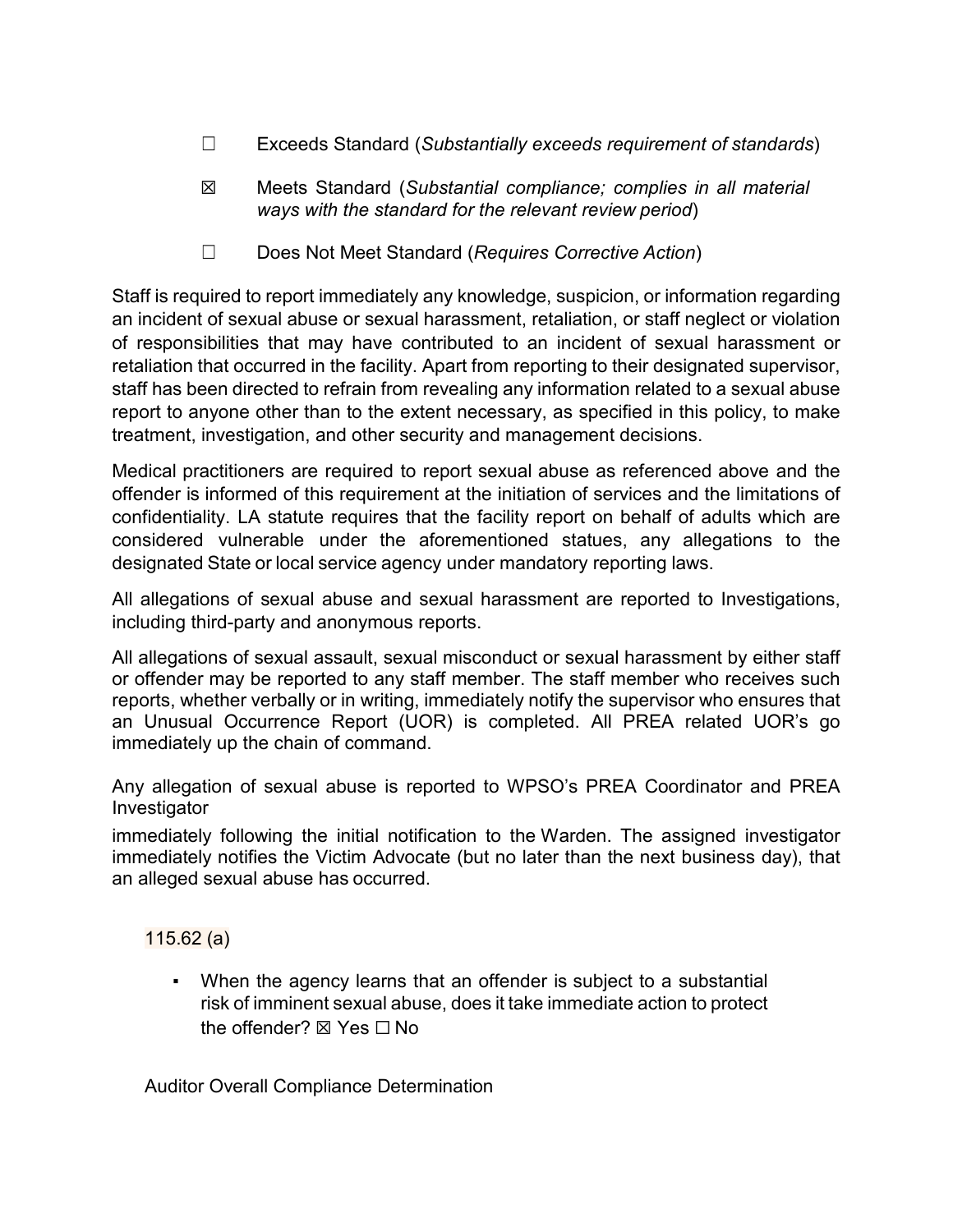- ☐ Exceeds Standard (*Substantially exceeds requirement of standards*)
- ☒ Meets Standard (*Substantial compliance; complies in all material ways with the standard for the relevant review period*)
- ☐ Does Not Meet Standard (*Requires Corrective Action*)

Staff is required to report immediately any knowledge, suspicion, or information regarding an incident of sexual abuse or sexual harassment, retaliation, or staff neglect or violation of responsibilities that may have contributed to an incident of sexual harassment or retaliation that occurred in the facility. Apart from reporting to their designated supervisor, staff has been directed to refrain from revealing any information related to a sexual abuse report to anyone other than to the extent necessary, as specified in this policy, to make treatment, investigation, and other security and management decisions.

Medical practitioners are required to report sexual abuse as referenced above and the offender is informed of this requirement at the initiation of services and the limitations of confidentiality. LA statute requires that the facility report on behalf of adults which are considered vulnerable under the aforementioned statues, any allegations to the designated State or local service agency under mandatory reporting laws.

All allegations of sexual abuse and sexual harassment are reported to Investigations, including third-party and anonymous reports.

All allegations of sexual assault, sexual misconduct or sexual harassment by either staff or offender may be reported to any staff member. The staff member who receives such reports, whether verbally or in writing, immediately notify the supervisor who ensures that an Unusual Occurrence Report (UOR) is completed. All PREA related UOR's go immediately up the chain of command.

Any allegation of sexual abuse is reported to WPSO's PREA Coordinator and PREA Investigator

immediately following the initial notification to the Warden. The assigned investigator immediately notifies the Victim Advocate (but no later than the next business day), that an alleged sexual abuse has occurred.

115.62 (a)

When the agency learns that an offender is subject to a substantial risk of imminent sexual abuse, does it take immediate action to protect the offender? ⊠ Yes □ No

Auditor Overall Compliance Determination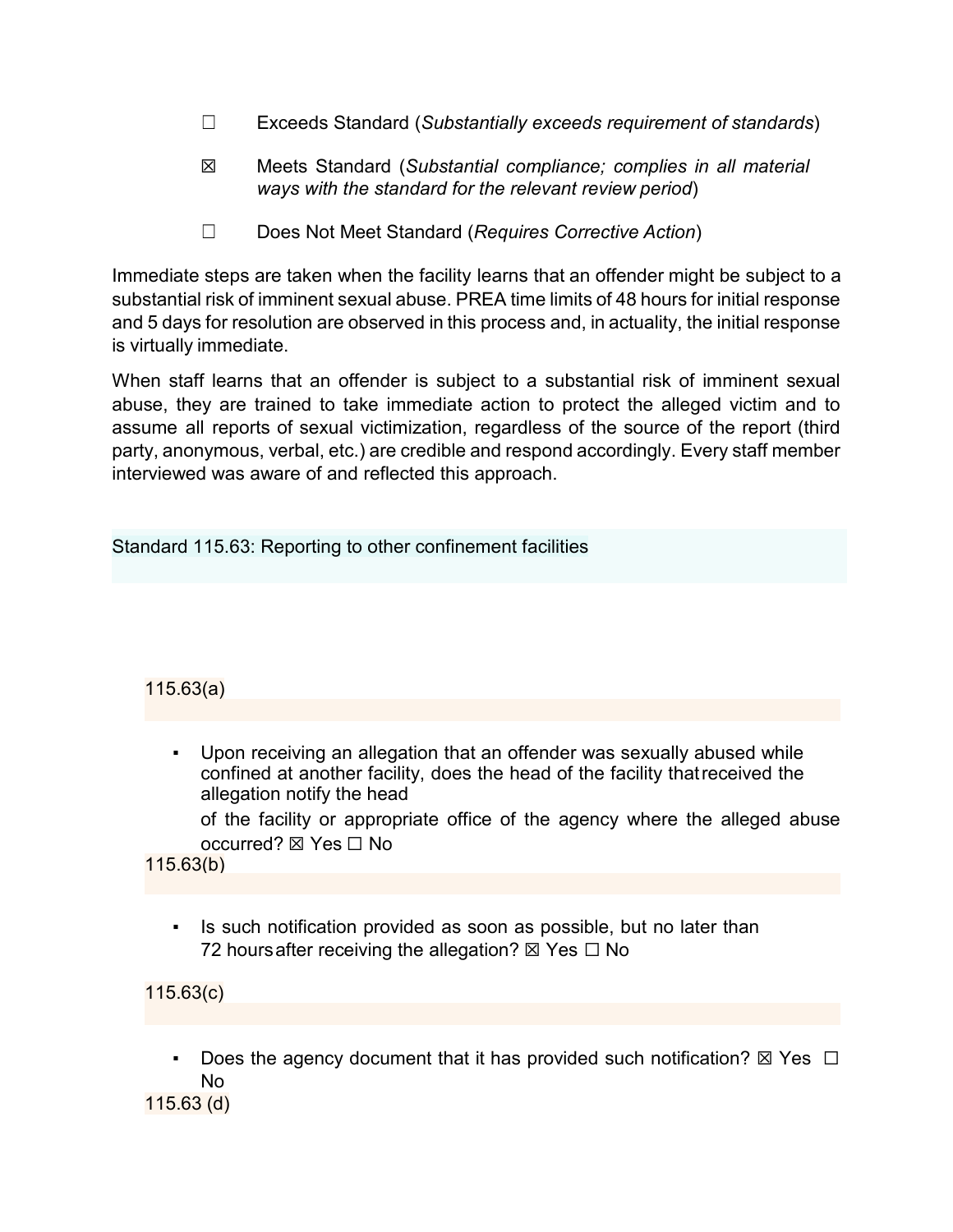- ☐ Exceeds Standard (*Substantially exceeds requirement of standards*)
- ☒ Meets Standard (*Substantial compliance; complies in all material ways with the standard for the relevant review period*)
- ☐ Does Not Meet Standard (*Requires Corrective Action*)

Immediate steps are taken when the facility learns that an offender might be subject to a substantial risk of imminent sexual abuse. PREA time limits of 48 hours for initial response and 5 days for resolution are observed in this process and, in actuality, the initial response is virtually immediate.

When staff learns that an offender is subject to a substantial risk of imminent sexual abuse, they are trained to take immediate action to protect the alleged victim and to assume all reports of sexual victimization, regardless of the source of the report (third party, anonymous, verbal, etc.) are credible and respond accordingly. Every staff member interviewed was aware of and reflected this approach.

Standard 115.63: Reporting to other confinement facilities

## 115.63(a)

Upon receiving an allegation that an offender was sexually abused while confined at another facility, does the head of the facility thatreceived the allegation notify the head

of the facility or appropriate office of the agency where the alleged abuse occurred? ☒ Yes ☐ No

115.63(b)

Is such notification provided as soon as possible, but no later than 72 hours after receiving the allegation?  $\boxtimes$  Yes  $\Box$  No

115.63(c)

Does the agency document that it has provided such notification?  $\boxtimes$  Yes  $\Box$ No

115.63 (d)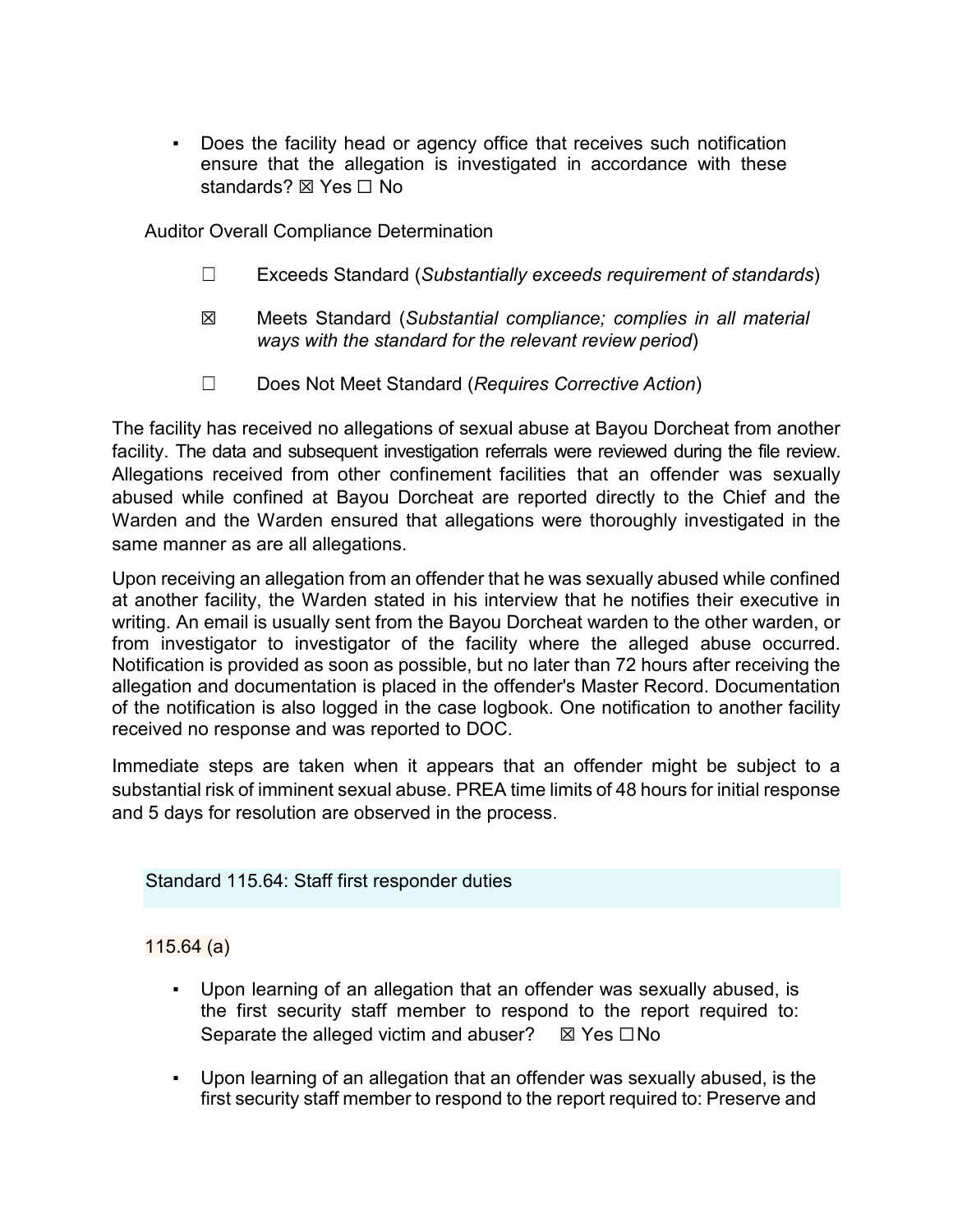▪ Does the facility head or agency office that receives such notification ensure that the allegation is investigated in accordance with these standards? ⊠ Yes □ No

Auditor Overall Compliance Determination

- ☐ Exceeds Standard (*Substantially exceeds requirement of standards*)
- ☒ Meets Standard (*Substantial compliance; complies in all material ways with the standard for the relevant review period*)
- ☐ Does Not Meet Standard (*Requires Corrective Action*)

The facility has received no allegations of sexual abuse at Bayou Dorcheat from another facility. The data and subsequent investigation referrals were reviewed during the file review. Allegations received from other confinement facilities that an offender was sexually abused while confined at Bayou Dorcheat are reported directly to the Chief and the Warden and the Warden ensured that allegations were thoroughly investigated in the same manner as are all allegations.

Upon receiving an allegation from an offender that he was sexually abused while confined at another facility, the Warden stated in his interview that he notifies their executive in writing. An email is usually sent from the Bayou Dorcheat warden to the other warden, or from investigator to investigator of the facility where the alleged abuse occurred. Notification is provided as soon as possible, but no later than 72 hours after receiving the allegation and documentation is placed in the offender's Master Record. Documentation of the notification is also logged in the case logbook. One notification to another facility received no response and was reported to DOC.

Immediate steps are taken when it appears that an offender might be subject to a substantial risk of imminent sexual abuse. PREA time limits of 48 hours for initial response and 5 days for resolution are observed in the process.

Standard 115.64: Staff first responder duties

## 115.64 (a)

- Upon learning of an allegation that an offender was sexually abused, is the first security staff member to respond to the report required to: Separate the alleged victim and abuser?  $\boxtimes$  Yes  $\Box$  No
- Upon learning of an allegation that an offender was sexually abused, is the first security staff member to respond to the report required to: Preserve and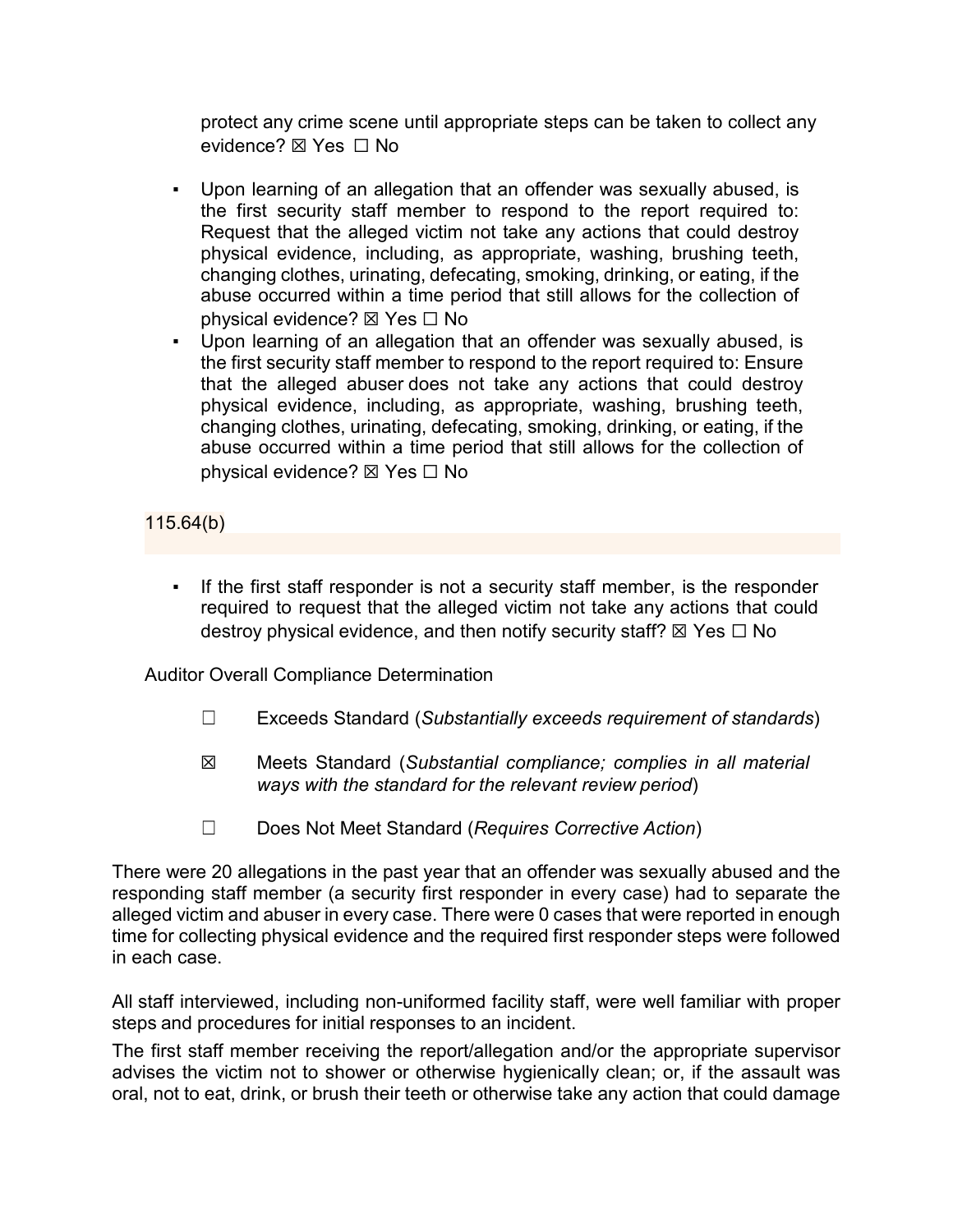protect any crime scene until appropriate steps can be taken to collect any evidence? ⊠ Yes □ No

- Upon learning of an allegation that an offender was sexually abused, is the first security staff member to respond to the report required to: Request that the alleged victim not take any actions that could destroy physical evidence, including, as appropriate, washing, brushing teeth, changing clothes, urinating, defecating, smoking, drinking, or eating, if the abuse occurred within a time period that still allows for the collection of physical evidence? ⊠ Yes □ No
- Upon learning of an allegation that an offender was sexually abused, is the first security staff member to respond to the report required to: Ensure that the alleged abuser does not take any actions that could destroy physical evidence, including, as appropriate, washing, brushing teeth, changing clothes, urinating, defecating, smoking, drinking, or eating, if the abuse occurred within a time period that still allows for the collection of physical evidence? ☒ Yes ☐ No

115.64(b)

▪ If the first staff responder is not a security staff member, is the responder required to request that the alleged victim not take any actions that could destroy physical evidence, and then notify security staff?  $\boxtimes$  Yes  $\Box$  No

Auditor Overall Compliance Determination

- ☐ Exceeds Standard (*Substantially exceeds requirement of standards*)
- ☒ Meets Standard (*Substantial compliance; complies in all material ways with the standard for the relevant review period*)
- ☐ Does Not Meet Standard (*Requires Corrective Action*)

There were 20 allegations in the past year that an offender was sexually abused and the responding staff member (a security first responder in every case) had to separate the alleged victim and abuser in every case. There were 0 cases that were reported in enough time for collecting physical evidence and the required first responder steps were followed in each case.

All staff interviewed, including non-uniformed facility staff, were well familiar with proper steps and procedures for initial responses to an incident.

The first staff member receiving the report/allegation and/or the appropriate supervisor advises the victim not to shower or otherwise hygienically clean; or, if the assault was oral, not to eat, drink, or brush their teeth or otherwise take any action that could damage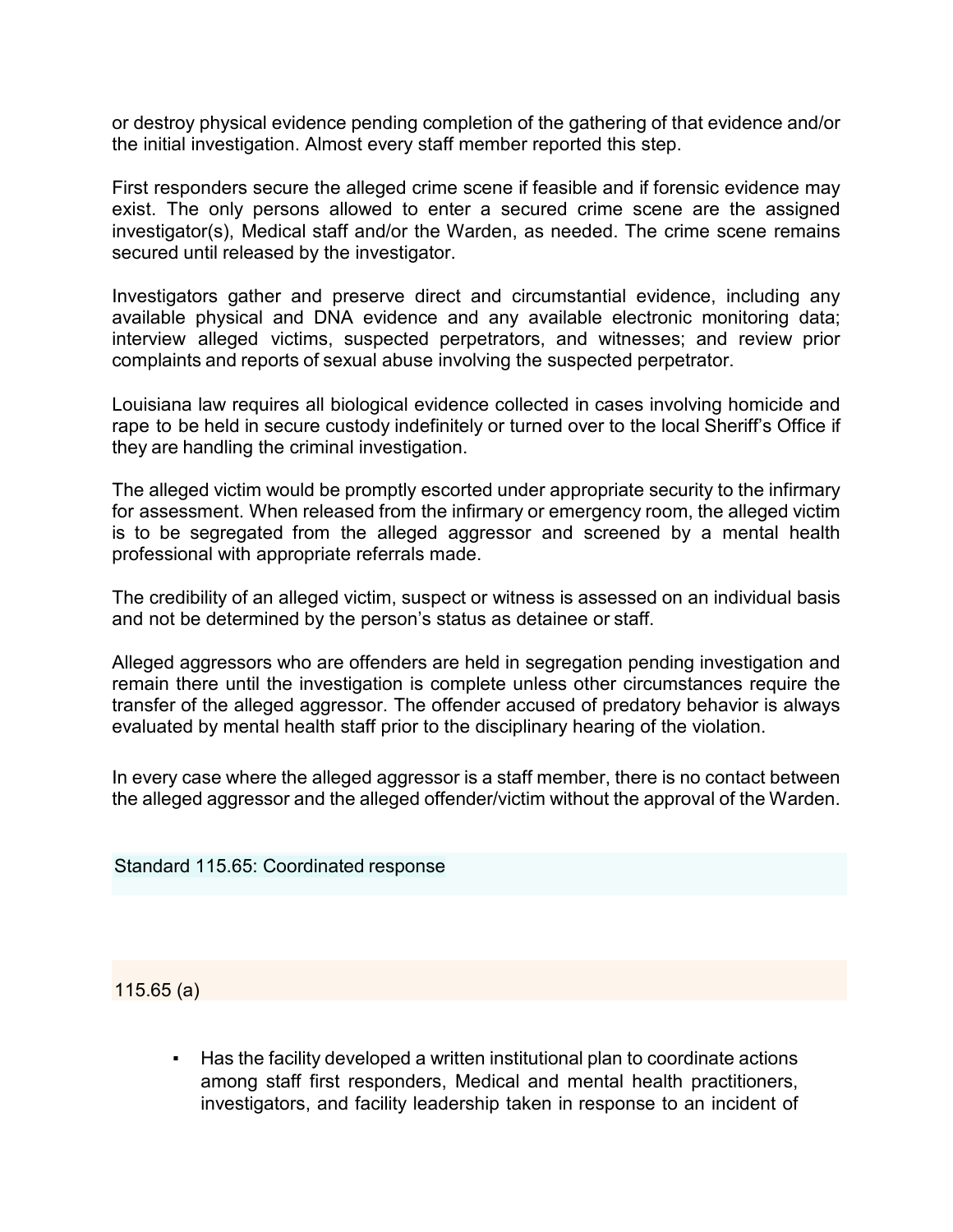or destroy physical evidence pending completion of the gathering of that evidence and/or the initial investigation. Almost every staff member reported this step.

First responders secure the alleged crime scene if feasible and if forensic evidence may exist. The only persons allowed to enter a secured crime scene are the assigned investigator(s), Medical staff and/or the Warden, as needed. The crime scene remains secured until released by the investigator.

Investigators gather and preserve direct and circumstantial evidence, including any available physical and DNA evidence and any available electronic monitoring data; interview alleged victims, suspected perpetrators, and witnesses; and review prior complaints and reports of sexual abuse involving the suspected perpetrator.

Louisiana law requires all biological evidence collected in cases involving homicide and rape to be held in secure custody indefinitely or turned over to the local Sheriff's Office if they are handling the criminal investigation.

The alleged victim would be promptly escorted under appropriate security to the infirmary for assessment. When released from the infirmary or emergency room, the alleged victim is to be segregated from the alleged aggressor and screened by a mental health professional with appropriate referrals made.

The credibility of an alleged victim, suspect or witness is assessed on an individual basis and not be determined by the person's status as detainee or staff.

Alleged aggressors who are offenders are held in segregation pending investigation and remain there until the investigation is complete unless other circumstances require the transfer of the alleged aggressor. The offender accused of predatory behavior is always evaluated by mental health staff prior to the disciplinary hearing of the violation.

In every case where the alleged aggressor is a staff member, there is no contact between the alleged aggressor and the alleged offender/victim without the approval of the Warden.

Standard 115.65: Coordinated response

115.65 (a)

Has the facility developed a written institutional plan to coordinate actions among staff first responders, Medical and mental health practitioners, investigators, and facility leadership taken in response to an incident of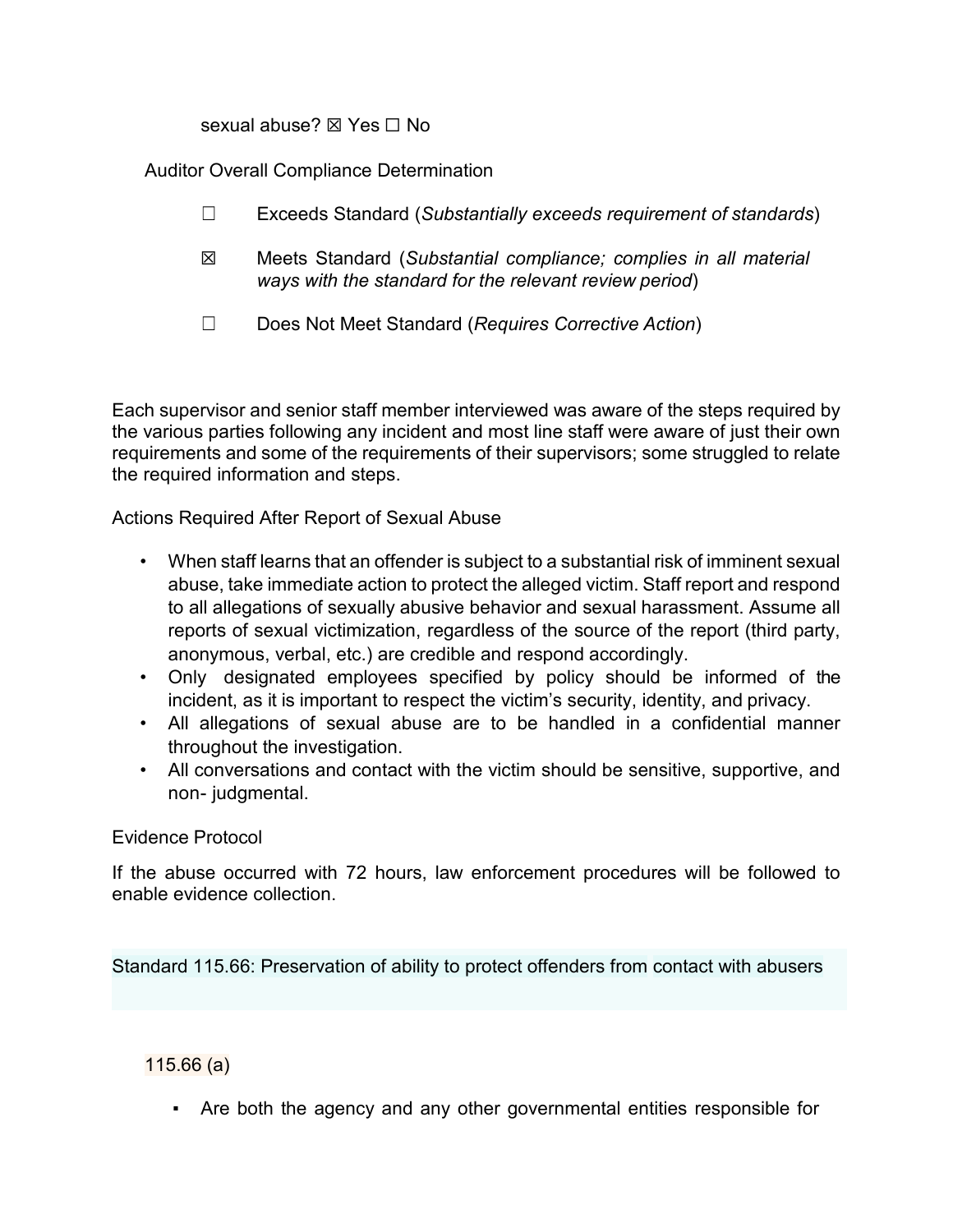sexual abuse? ⊠ Yes  $□$  No

Auditor Overall Compliance Determination

- ☐ Exceeds Standard (*Substantially exceeds requirement of standards*)
- ☒ Meets Standard (*Substantial compliance; complies in all material ways with the standard for the relevant review period*)
- ☐ Does Not Meet Standard (*Requires Corrective Action*)

Each supervisor and senior staff member interviewed was aware of the steps required by the various parties following any incident and most line staff were aware of just their own requirements and some of the requirements of their supervisors; some struggled to relate the required information and steps.

Actions Required After Report of Sexual Abuse

- When staff learns that an offender is subject to a substantial risk of imminent sexual abuse, take immediate action to protect the alleged victim. Staff report and respond to all allegations of sexually abusive behavior and sexual harassment. Assume all reports of sexual victimization, regardless of the source of the report (third party, anonymous, verbal, etc.) are credible and respond accordingly.
- Only designated employees specified by policy should be informed of the incident, as it is important to respect the victim's security, identity, and privacy.
- All allegations of sexual abuse are to be handled in a confidential manner throughout the investigation.
- All conversations and contact with the victim should be sensitive, supportive, and non- judgmental.

#### Evidence Protocol

If the abuse occurred with 72 hours, law enforcement procedures will be followed to enable evidence collection.

Standard 115.66: Preservation of ability to protect offenders from contact with abusers

115.66 (a)

▪ Are both the agency and any other governmental entities responsible for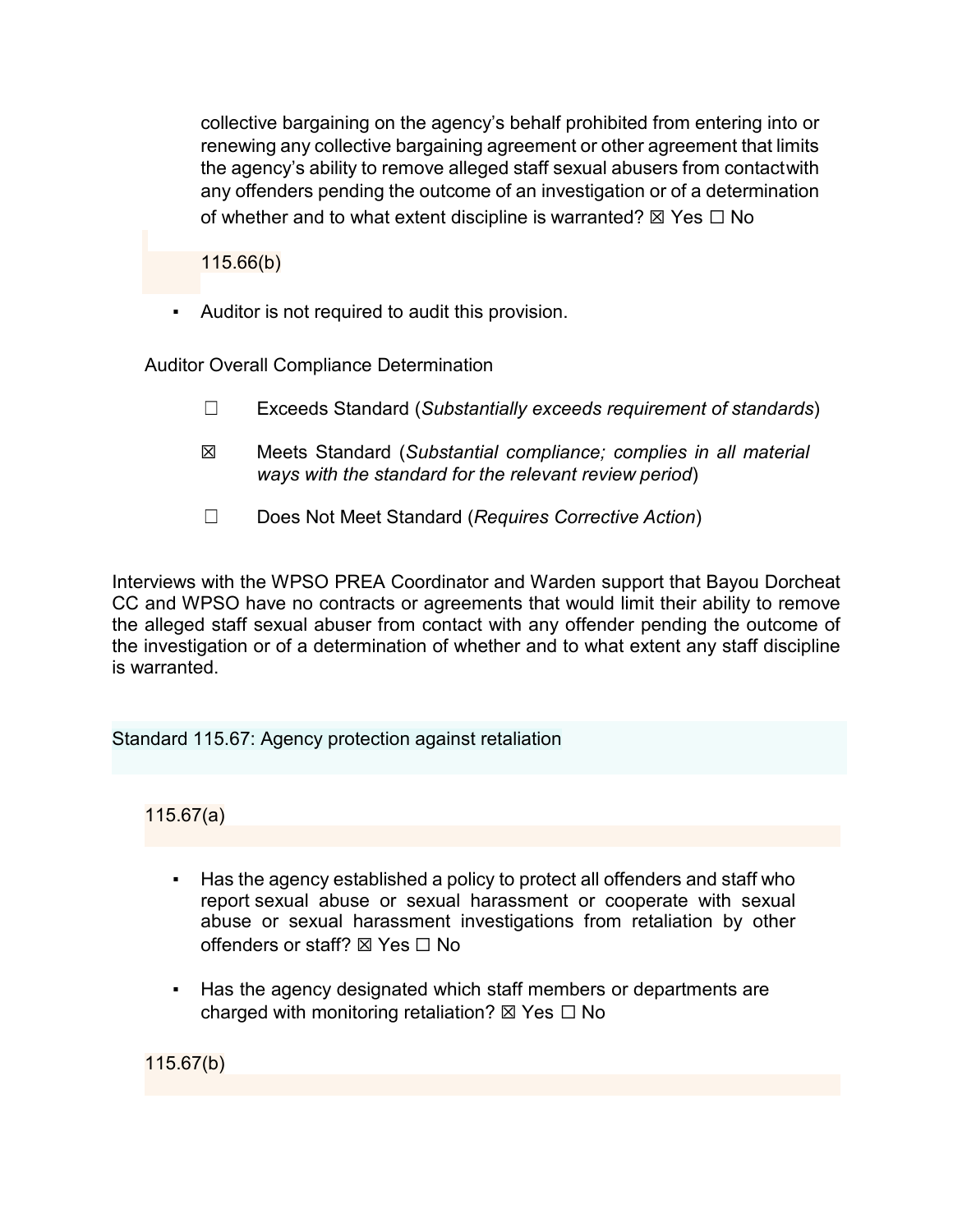collective bargaining on the agency's behalf prohibited from entering into or renewing any collective bargaining agreement or other agreement that limits the agency's ability to remove alleged staff sexual abusers from contactwith any offenders pending the outcome of an investigation or of a determination of whether and to what extent discipline is warranted?  $\boxtimes$  Yes  $\Box$  No

115.66(b)

Auditor is not required to audit this provision.

Auditor Overall Compliance Determination

- ☐ Exceeds Standard (*Substantially exceeds requirement of standards*)
- ☒ Meets Standard (*Substantial compliance; complies in all material ways with the standard for the relevant review period*)
- ☐ Does Not Meet Standard (*Requires Corrective Action*)

Interviews with the WPSO PREA Coordinator and Warden support that Bayou Dorcheat CC and WPSO have no contracts or agreements that would limit their ability to remove the alleged staff sexual abuser from contact with any offender pending the outcome of the investigation or of a determination of whether and to what extent any staff discipline is warranted.

Standard 115.67: Agency protection against retaliation

115.67(a)

- Has the agency established a policy to protect all offenders and staff who report sexual abuse or sexual harassment or cooperate with sexual abuse or sexual harassment investigations from retaliation by other offenders or staff?  $\nabla$  Yes  $\nabla$  No
- Has the agency designated which staff members or departments are charged with monitoring retaliation?  $\boxtimes$  Yes  $\Box$  No

115.67(b)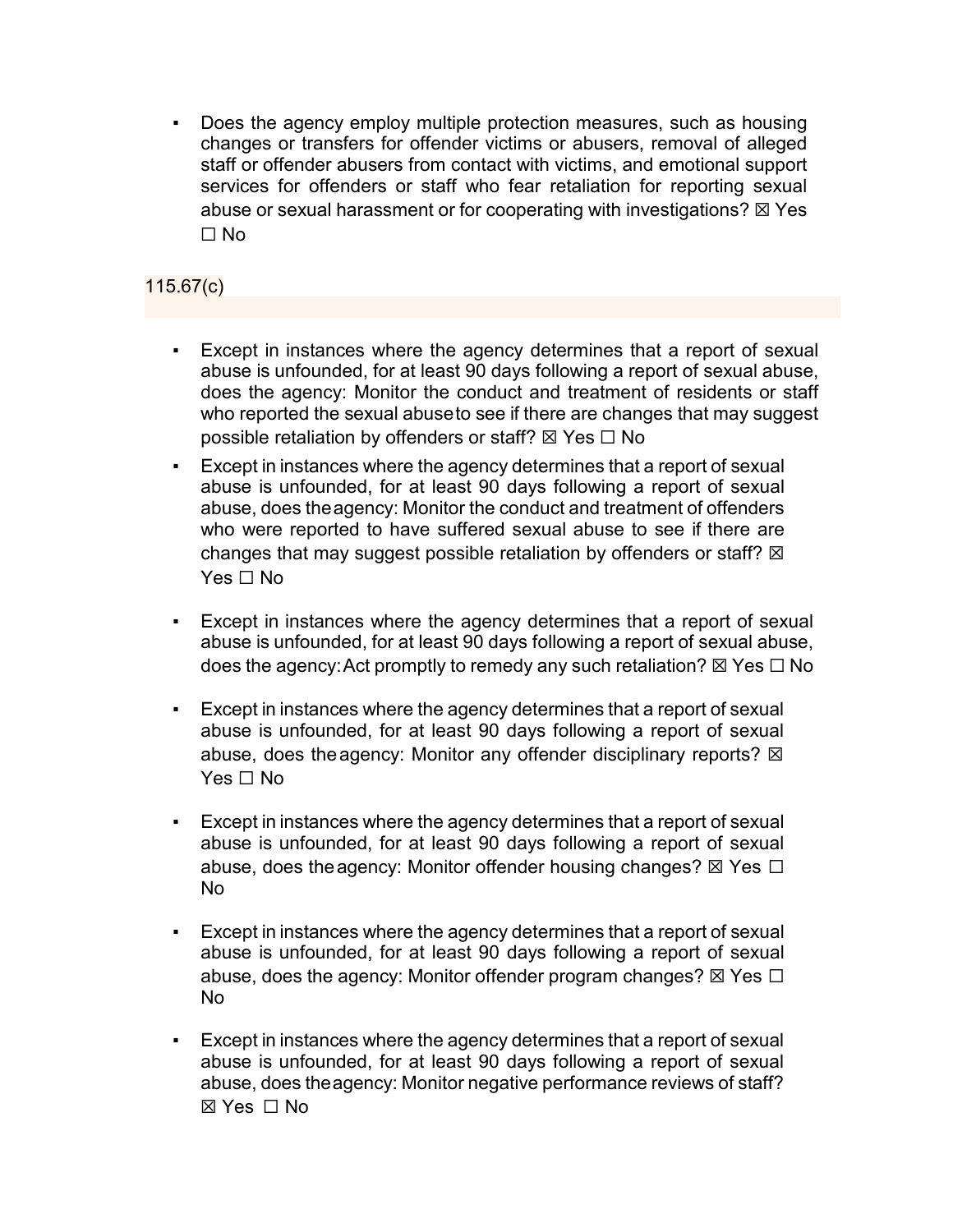Does the agency employ multiple protection measures, such as housing changes or transfers for offender victims or abusers, removal of alleged staff or offender abusers from contact with victims, and emotional support services for offenders or staff who fear retaliation for reporting sexual abuse or sexual harassment or for cooperating with investigations?  $\boxtimes$  Yes ☐ No

# 115.67(c)

- Except in instances where the agency determines that a report of sexual abuse is unfounded, for at least 90 days following a report of sexual abuse, does the agency: Monitor the conduct and treatment of residents or staff who reported the sexual abuseto see if there are changes that may suggest possible retaliation by offenders or staff?  $\boxtimes$  Yes  $\Box$  No
- Except in instances where the agency determines that a report of sexual abuse is unfounded, for at least 90 days following a report of sexual abuse, does theagency: Monitor the conduct and treatment of offenders who were reported to have suffered sexual abuse to see if there are changes that may suggest possible retaliation by offenders or staff?  $\boxtimes$ Yes □ No
- Except in instances where the agency determines that a report of sexual abuse is unfounded, for at least 90 days following a report of sexual abuse, does the agency: Act promptly to remedy any such retaliation?  $\boxtimes$  Yes  $\Box$  No
- Except in instances where the agency determines that a report of sexual abuse is unfounded, for at least 90 days following a report of sexual abuse, does the agency: Monitor any offender disciplinary reports?  $\boxtimes$  $Yes \sqcap No$
- Except in instances where the agency determines that a report of sexual abuse is unfounded, for at least 90 days following a report of sexual abuse, does the agency: Monitor offender housing changes?  $\boxtimes$  Yes  $\Box$ No
- Except in instances where the agency determines that a report of sexual abuse is unfounded, for at least 90 days following a report of sexual abuse, does the agency: Monitor offender program changes?  $\boxtimes$  Yes  $\Box$ No
- Except in instances where the agency determines that a report of sexual abuse is unfounded, for at least 90 days following a report of sexual abuse, does theagency: Monitor negative performance reviews of staff? ☒ Yes ☐ No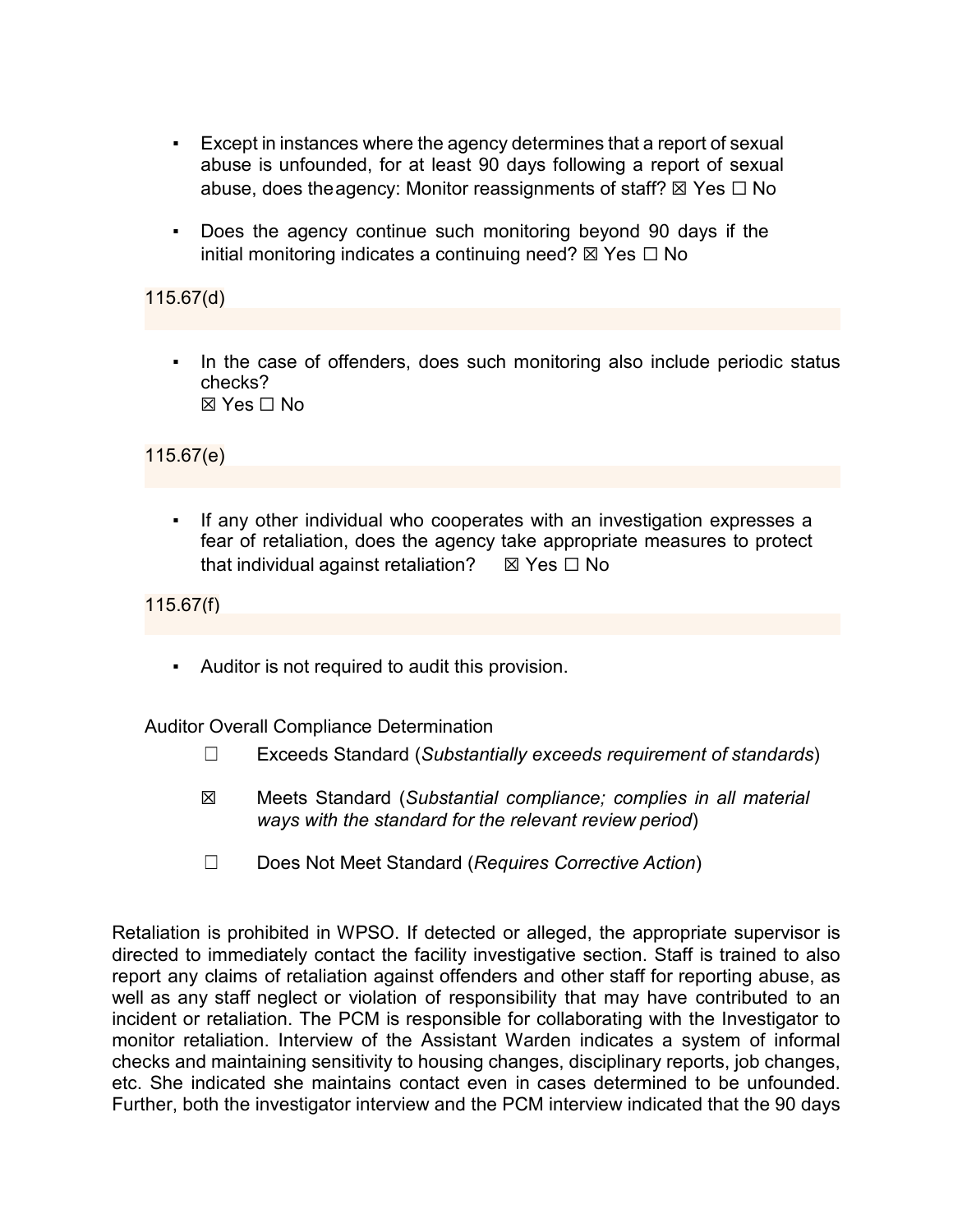- Except in instances where the agency determines that a report of sexual abuse is unfounded, for at least 90 days following a report of sexual abuse, does the agency: Monitor reassignments of staff?  $\boxtimes$  Yes  $\Box$  No
- Does the agency continue such monitoring beyond 90 days if the initial monitoring indicates a continuing need?  $\boxtimes$  Yes  $\Box$  No

## 115.67(d)

In the case of offenders, does such monitoring also include periodic status checks?  $\boxtimes$  Yes  $\Box$  No

115.67(e)

▪ If any other individual who cooperates with an investigation expresses a fear of retaliation, does the agency take appropriate measures to protect that individual against retaliation?  $\boxtimes$  Yes  $\Box$  No

115.67(f)

▪ Auditor is not required to audit this provision.

Auditor Overall Compliance Determination

- ☐ Exceeds Standard (*Substantially exceeds requirement of standards*)
- ☒ Meets Standard (*Substantial compliance; complies in all material ways with the standard for the relevant review period*)
- ☐ Does Not Meet Standard (*Requires Corrective Action*)

Retaliation is prohibited in WPSO. If detected or alleged, the appropriate supervisor is directed to immediately contact the facility investigative section. Staff is trained to also report any claims of retaliation against offenders and other staff for reporting abuse, as well as any staff neglect or violation of responsibility that may have contributed to an incident or retaliation. The PCM is responsible for collaborating with the Investigator to monitor retaliation. Interview of the Assistant Warden indicates a system of informal checks and maintaining sensitivity to housing changes, disciplinary reports, job changes, etc. She indicated she maintains contact even in cases determined to be unfounded. Further, both the investigator interview and the PCM interview indicated that the 90 days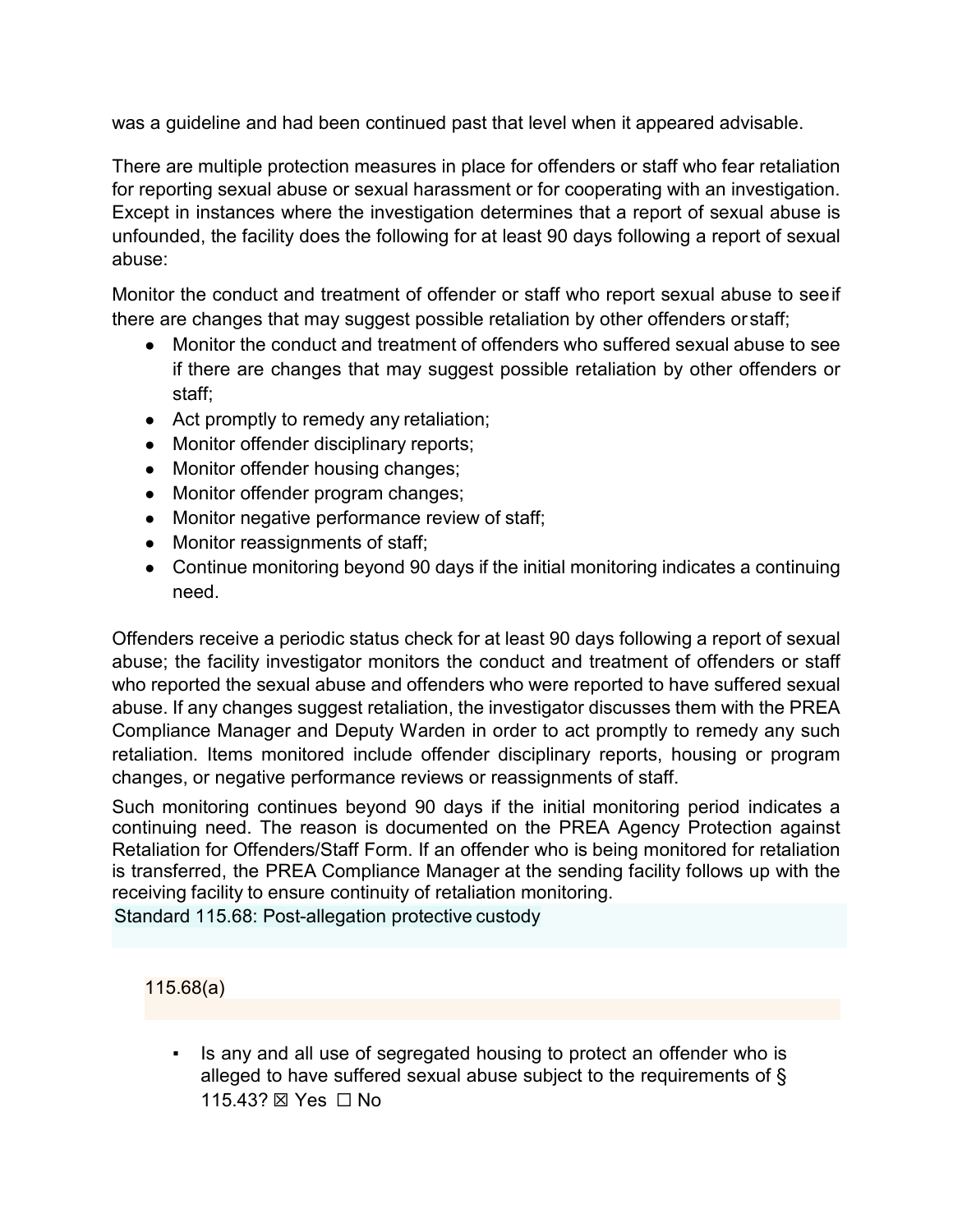was a guideline and had been continued past that level when it appeared advisable.

There are multiple protection measures in place for offenders or staff who fear retaliation for reporting sexual abuse or sexual harassment or for cooperating with an investigation. Except in instances where the investigation determines that a report of sexual abuse is unfounded, the facility does the following for at least 90 days following a report of sexual abuse:

Monitor the conduct and treatment of offender or staff who report sexual abuse to seeif there are changes that may suggest possible retaliation by other offenders orstaff;

- Monitor the conduct and treatment of offenders who suffered sexual abuse to see if there are changes that may suggest possible retaliation by other offenders or staff;
- Act promptly to remedy any retaliation;
- Monitor offender disciplinary reports;
- Monitor offender housing changes;
- Monitor offender program changes;
- Monitor negative performance review of staff;
- Monitor reassignments of staff;
- Continue monitoring beyond 90 days if the initial monitoring indicates a continuing need.

Offenders receive a periodic status check for at least 90 days following a report of sexual abuse; the facility investigator monitors the conduct and treatment of offenders or staff who reported the sexual abuse and offenders who were reported to have suffered sexual abuse. If any changes suggest retaliation, the investigator discusses them with the PREA Compliance Manager and Deputy Warden in order to act promptly to remedy any such retaliation. Items monitored include offender disciplinary reports, housing or program changes, or negative performance reviews or reassignments of staff.

Such monitoring continues beyond 90 days if the initial monitoring period indicates a continuing need. The reason is documented on the PREA Agency Protection against Retaliation for Offenders/Staff Form. If an offender who is being monitored for retaliation is transferred, the PREA Compliance Manager at the sending facility follows up with the receiving facility to ensure continuity of retaliation monitoring.

Standard 115.68: Post-allegation protective custody

115.68(a)

Is any and all use of segregated housing to protect an offender who is alleged to have suffered sexual abuse subject to the requirements of § 115.43? ⊠ Yes □ No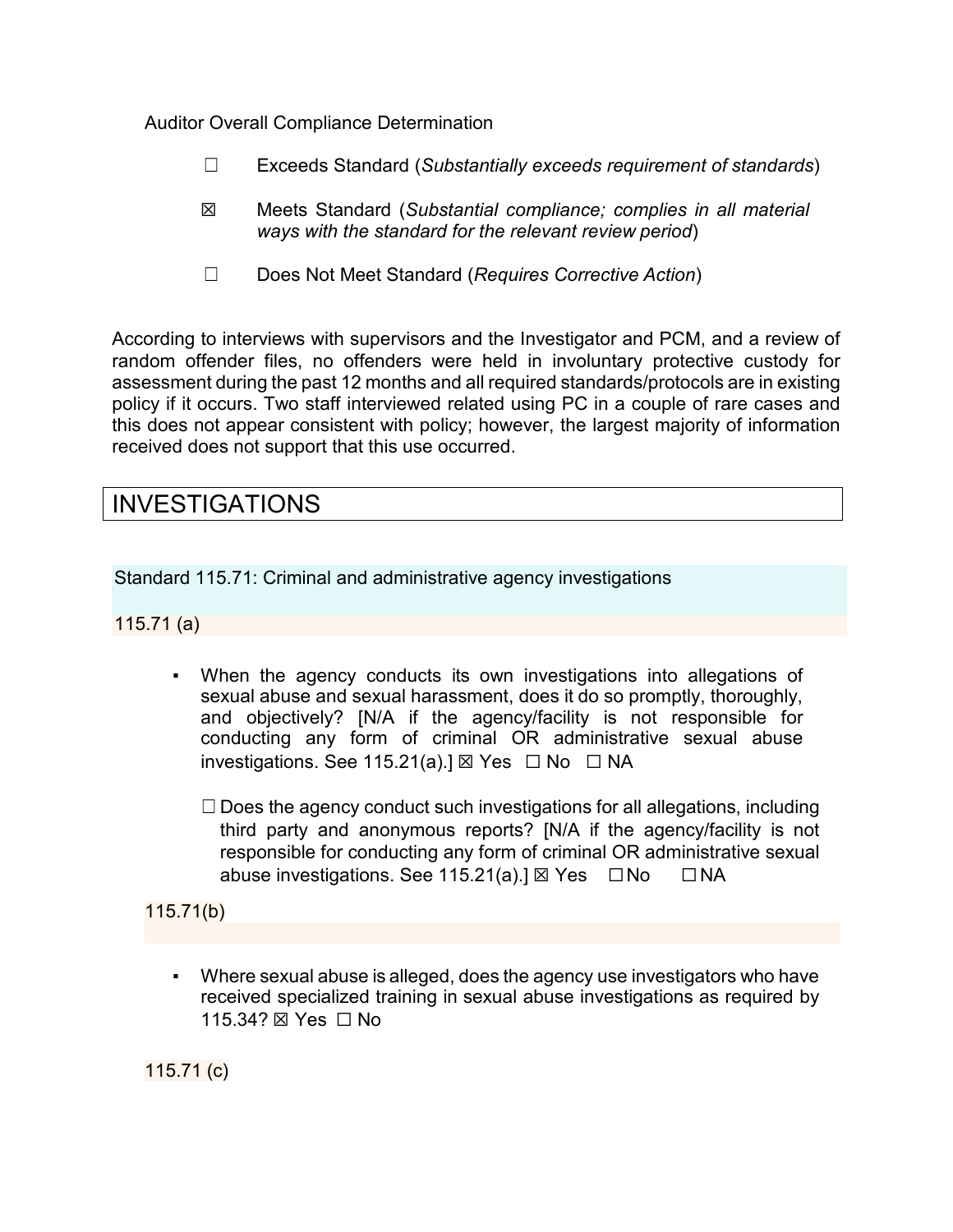Auditor Overall Compliance Determination

- ☐ Exceeds Standard (*Substantially exceeds requirement of standards*)
- ☒ Meets Standard (*Substantial compliance; complies in all material ways with the standard for the relevant review period*)
- ☐ Does Not Meet Standard (*Requires Corrective Action*)

According to interviews with supervisors and the Investigator and PCM, and a review of random offender files, no offenders were held in involuntary protective custody for assessment during the past 12 months and all required standards/protocols are in existing policy if it occurs. Two staff interviewed related using PC in a couple of rare cases and this does not appear consistent with policy; however, the largest majority of information received does not support that this use occurred.

# INVESTIGATIONS

Standard 115.71: Criminal and administrative agency investigations

115.71 (a)

- When the agency conducts its own investigations into allegations of sexual abuse and sexual harassment, does it do so promptly, thoroughly, and objectively? [N/A if the agency/facility is not responsible for conducting any form of criminal OR administrative sexual abuse investigations. See 115.21(a).]  $\boxtimes$  Yes  $\Box$  No  $\Box$  NA
	- $\Box$  Does the agency conduct such investigations for all allegations, including third party and anonymous reports? [N/A if the agency/facility is not responsible for conducting any form of criminal OR administrative sexual abuse investigations. See 115.21(a).]  $\boxtimes$  Yes  $\Box$  No  $\Box$  NA

115.71(b)

▪ Where sexual abuse is alleged, does the agency use investigators who have received specialized training in sexual abuse investigations as required by 115.34? ⊠ Yes □ No

115.71 (c)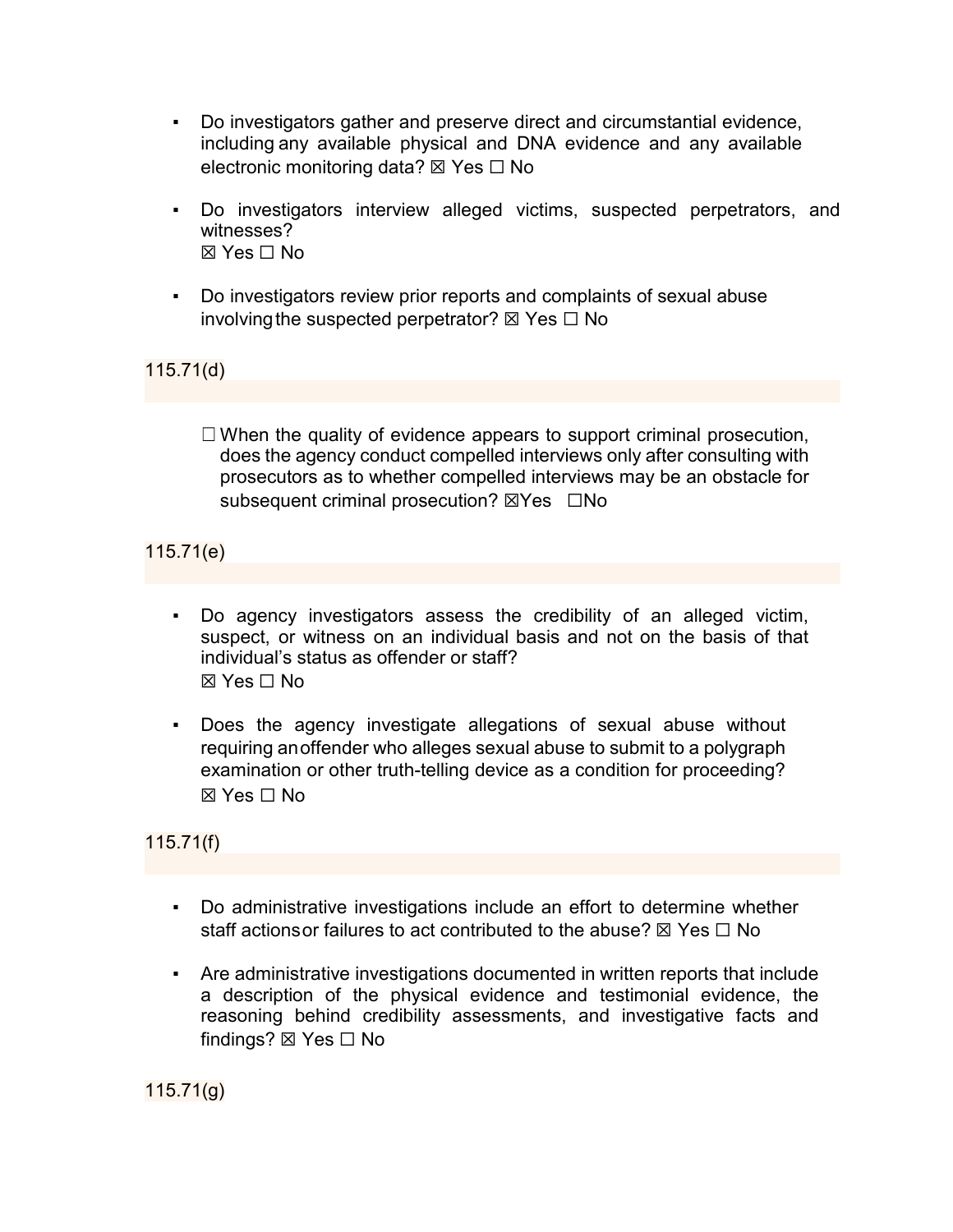- Do investigators gather and preserve direct and circumstantial evidence, including any available physical and DNA evidence and any available electronic monitoring data? ⊠ Yes  $\Box$  No
- Do investigators interview alleged victims, suspected perpetrators, and witnesses?  $\boxtimes$  Yes  $\Box$  No
- Do investigators review prior reports and complaints of sexual abuse involving the suspected perpetrator?  $\boxtimes$  Yes  $\Box$  No

115.71(d)

 $\Box$  When the quality of evidence appears to support criminal prosecution, does the agency conduct compelled interviews only after consulting with prosecutors as to whether compelled interviews may be an obstacle for subsequent criminal prosecution? ⊠Yes □No

115.71(e)

- Do agency investigators assess the credibility of an alleged victim, suspect, or witness on an individual basis and not on the basis of that individual's status as offender or staff? ☒ Yes ☐ No
- Does the agency investigate allegations of sexual abuse without requiring anoffender who alleges sexual abuse to submit to a polygraph examination or other truth-telling device as a condition for proceeding? ☒ Yes ☐ No

115.71(f)

- Do administrative investigations include an effort to determine whether staff actions or failures to act contributed to the abuse?  $\boxtimes$  Yes  $\Box$  No
- Are administrative investigations documented in written reports that include a description of the physical evidence and testimonial evidence, the reasoning behind credibility assessments, and investigative facts and findings? ⊠ Yes  $□$  No

115.71(g)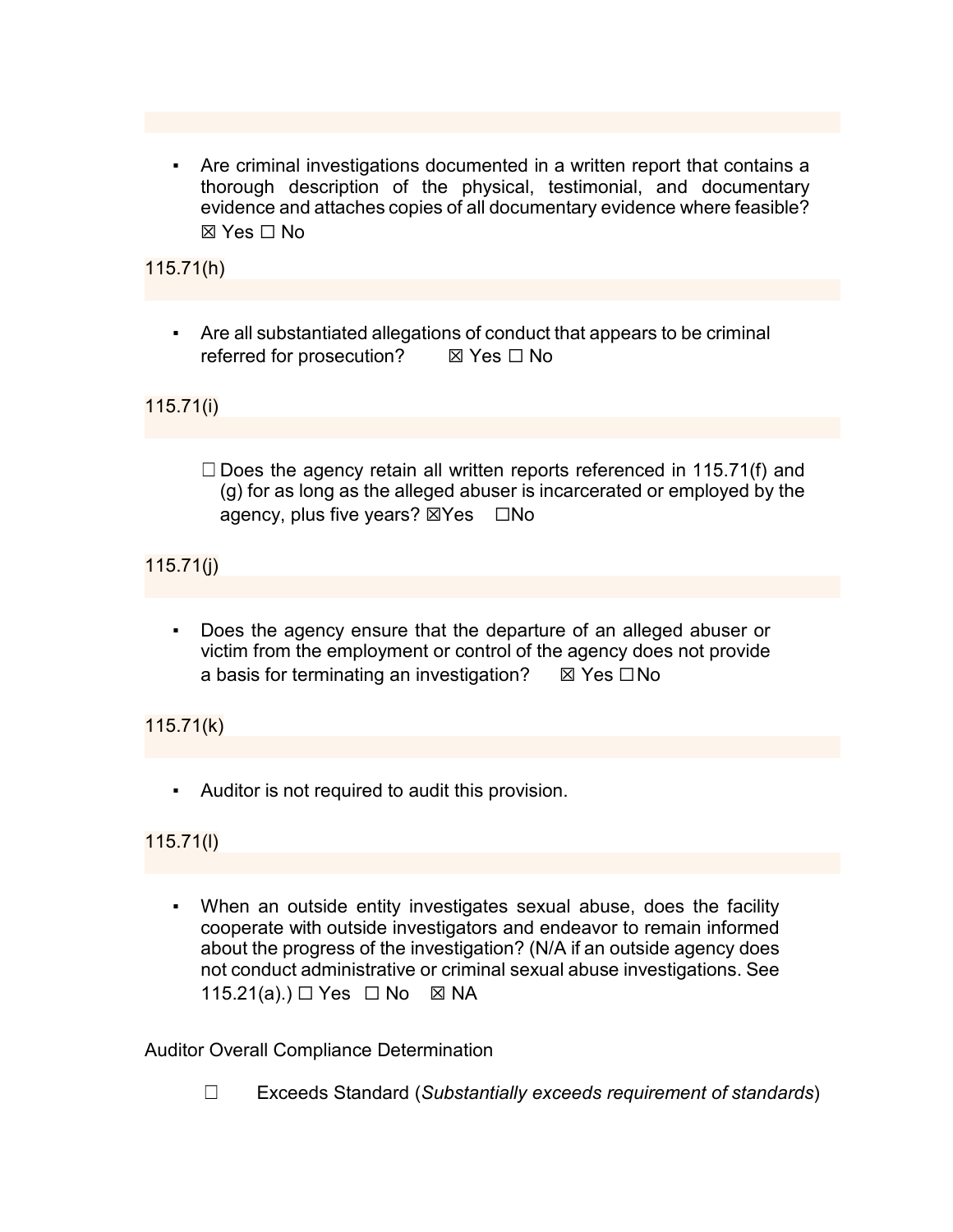▪ Are criminal investigations documented in a written report that contains a thorough description of the physical, testimonial, and documentary evidence and attaches copies of all documentary evidence where feasible? ☒ Yes ☐ No

115.71(h)

▪ Are all substantiated allegations of conduct that appears to be criminal referred for prosecution? **IX** Yes □ No

115.71(i)

 $\Box$  Does the agency retain all written reports referenced in 115.71(f) and (g) for as long as the alleged abuser is incarcerated or employed by the agency, plus five years? ⊠Yes □No

115.71(j)

▪ Does the agency ensure that the departure of an alleged abuser or victim from the employment or control of the agency does not provide a basis for terminating an investigation?  $\boxtimes$  Yes  $\square$  No

115.71(k)

▪ Auditor is not required to audit this provision.

115.71(l)

▪ When an outside entity investigates sexual abuse, does the facility cooperate with outside investigators and endeavor to remain informed about the progress of the investigation? (N/A if an outside agency does not conduct administrative or criminal sexual abuse investigations. See 115.21(a).) □ Yes □ No 図 NA

Auditor Overall Compliance Determination

☐ Exceeds Standard (*Substantially exceeds requirement of standards*)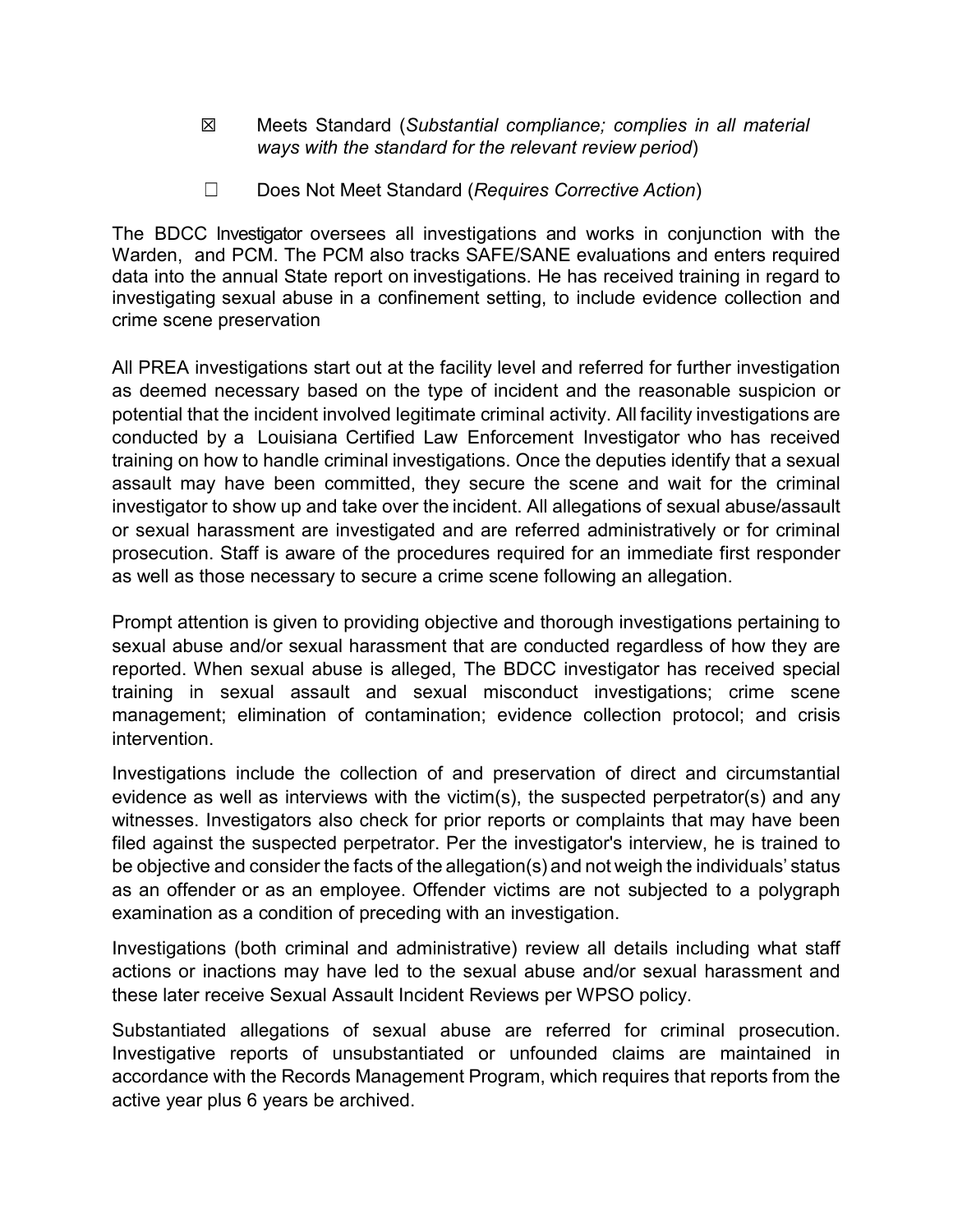- ☒ Meets Standard (*Substantial compliance; complies in all material ways with the standard for the relevant review period*)
- ☐ Does Not Meet Standard (*Requires Corrective Action*)

The BDCC Investigator oversees all investigations and works in conjunction with the Warden, and PCM. The PCM also tracks SAFE/SANE evaluations and enters required data into the annual State report on investigations. He has received training in regard to investigating sexual abuse in a confinement setting, to include evidence collection and crime scene preservation

All PREA investigations start out at the facility level and referred for further investigation as deemed necessary based on the type of incident and the reasonable suspicion or potential that the incident involved legitimate criminal activity. All facility investigations are conducted by a Louisiana Certified Law Enforcement Investigator who has received training on how to handle criminal investigations. Once the deputies identify that a sexual assault may have been committed, they secure the scene and wait for the criminal investigator to show up and take over the incident. All allegations of sexual abuse/assault or sexual harassment are investigated and are referred administratively or for criminal prosecution. Staff is aware of the procedures required for an immediate first responder as well as those necessary to secure a crime scene following an allegation.

Prompt attention is given to providing objective and thorough investigations pertaining to sexual abuse and/or sexual harassment that are conducted regardless of how they are reported. When sexual abuse is alleged, The BDCC investigator has received special training in sexual assault and sexual misconduct investigations; crime scene management; elimination of contamination; evidence collection protocol; and crisis intervention.

Investigations include the collection of and preservation of direct and circumstantial evidence as well as interviews with the victim(s), the suspected perpetrator(s) and any witnesses. Investigators also check for prior reports or complaints that may have been filed against the suspected perpetrator. Per the investigator's interview, he is trained to be objective and consider the facts of the allegation(s) and not weigh the individuals' status as an offender or as an employee. Offender victims are not subjected to a polygraph examination as a condition of preceding with an investigation.

Investigations (both criminal and administrative) review all details including what staff actions or inactions may have led to the sexual abuse and/or sexual harassment and these later receive Sexual Assault Incident Reviews per WPSO policy.

Substantiated allegations of sexual abuse are referred for criminal prosecution. Investigative reports of unsubstantiated or unfounded claims are maintained in accordance with the Records Management Program, which requires that reports from the active year plus 6 years be archived.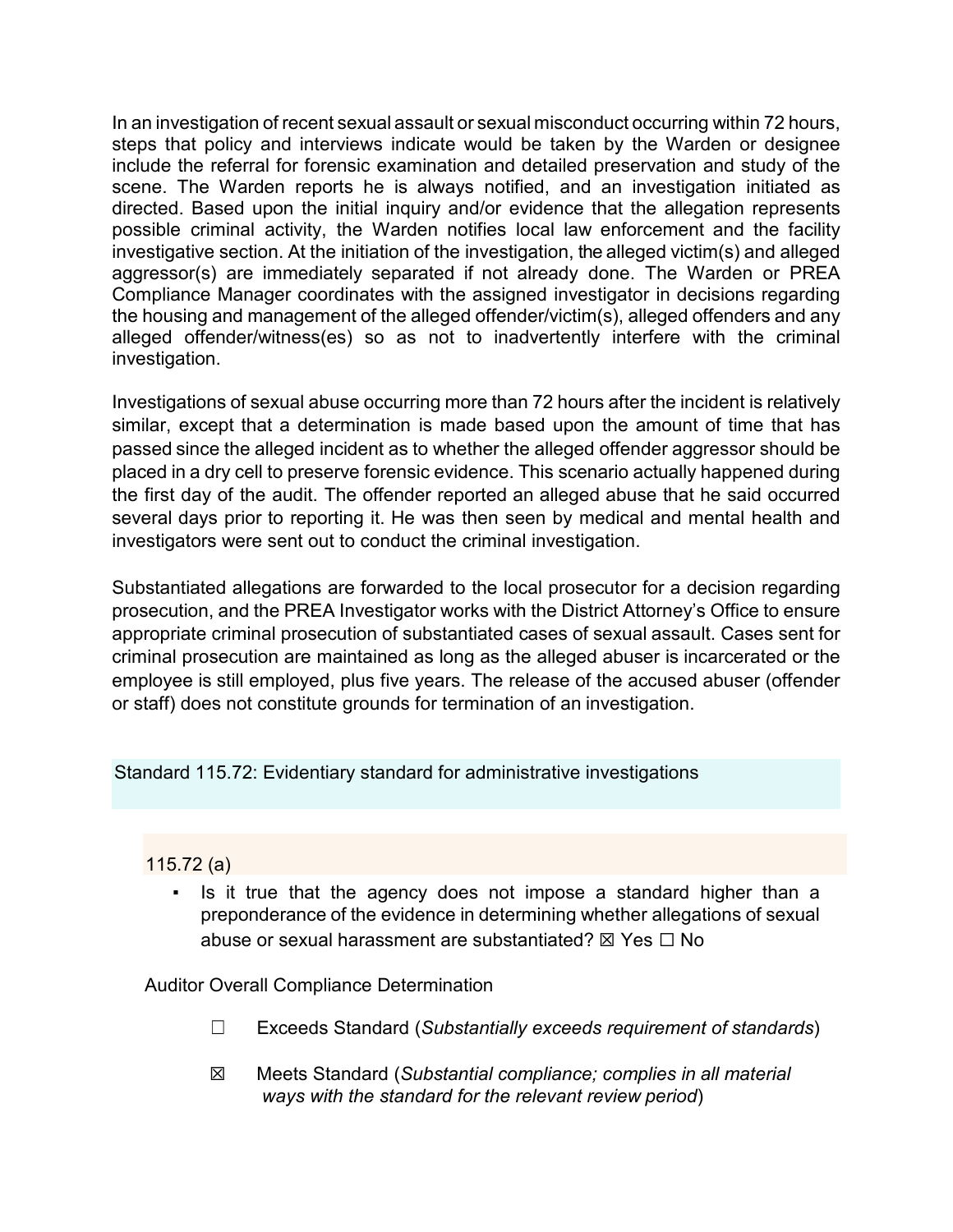In an investigation of recent sexual assault or sexual misconduct occurring within 72 hours, steps that policy and interviews indicate would be taken by the Warden or designee include the referral for forensic examination and detailed preservation and study of the scene. The Warden reports he is always notified, and an investigation initiated as directed. Based upon the initial inquiry and/or evidence that the allegation represents possible criminal activity, the Warden notifies local law enforcement and the facility investigative section. At the initiation of the investigation, the alleged victim(s) and alleged aggressor(s) are immediately separated if not already done. The Warden or PREA Compliance Manager coordinates with the assigned investigator in decisions regarding the housing and management of the alleged offender/victim(s), alleged offenders and any alleged offender/witness(es) so as not to inadvertently interfere with the criminal investigation.

Investigations of sexual abuse occurring more than 72 hours after the incident is relatively similar, except that a determination is made based upon the amount of time that has passed since the alleged incident as to whether the alleged offender aggressor should be placed in a dry cell to preserve forensic evidence. This scenario actually happened during the first day of the audit. The offender reported an alleged abuse that he said occurred several days prior to reporting it. He was then seen by medical and mental health and investigators were sent out to conduct the criminal investigation.

Substantiated allegations are forwarded to the local prosecutor for a decision regarding prosecution, and the PREA Investigator works with the District Attorney's Office to ensure appropriate criminal prosecution of substantiated cases of sexual assault. Cases sent for criminal prosecution are maintained as long as the alleged abuser is incarcerated or the employee is still employed, plus five years. The release of the accused abuser (offender or staff) does not constitute grounds for termination of an investigation.

Standard 115.72: Evidentiary standard for administrative investigations

## 115.72 (a)

Is it true that the agency does not impose a standard higher than a preponderance of the evidence in determining whether allegations of sexual abuse or sexual harassment are substantiated?  $\boxtimes$  Yes  $\Box$  No

Auditor Overall Compliance Determination

- ☐ Exceeds Standard (*Substantially exceeds requirement of standards*)
- ☒ Meets Standard (*Substantial compliance; complies in all material ways with the standard for the relevant review period*)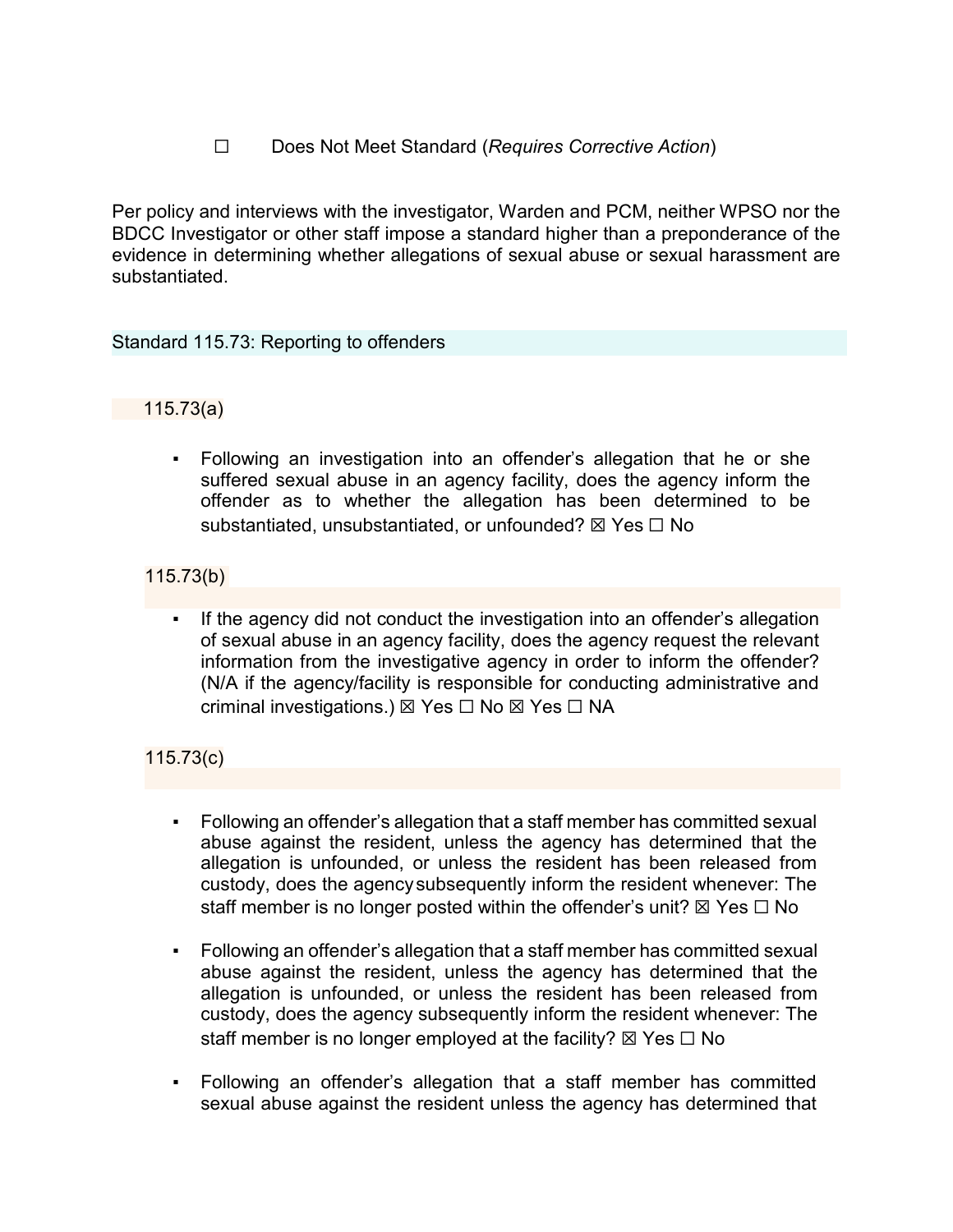## ☐ Does Not Meet Standard (*Requires Corrective Action*)

Per policy and interviews with the investigator, Warden and PCM, neither WPSO nor the BDCC Investigator or other staff impose a standard higher than a preponderance of the evidence in determining whether allegations of sexual abuse or sexual harassment are substantiated.

#### Standard 115.73: Reporting to offenders

#### 115.73(a)

Following an investigation into an offender's allegation that he or she suffered sexual abuse in an agency facility, does the agency inform the offender as to whether the allegation has been determined to be substantiated, unsubstantiated, or unfounded? ⊠ Yes □ No

## 115.73(b)

If the agency did not conduct the investigation into an offender's allegation of sexual abuse in an agency facility, does the agency request the relevant information from the investigative agency in order to inform the offender? (N/A if the agency/facility is responsible for conducting administrative and criminal investigations.) ⊠ Yes □ No ⊠ Yes □ NA

## 115.73(c)

- Following an offender's allegation that a staff member has committed sexual abuse against the resident, unless the agency has determined that the allegation is unfounded, or unless the resident has been released from custody, does the agencysubsequently inform the resident whenever: The staff member is no longer posted within the offender's unit?  $\boxtimes$  Yes  $\Box$  No
- Following an offender's allegation that a staff member has committed sexual abuse against the resident, unless the agency has determined that the allegation is unfounded, or unless the resident has been released from custody, does the agency subsequently inform the resident whenever: The staff member is no longer employed at the facility?  $\boxtimes$  Yes  $\Box$  No
- Following an offender's allegation that a staff member has committed sexual abuse against the resident unless the agency has determined that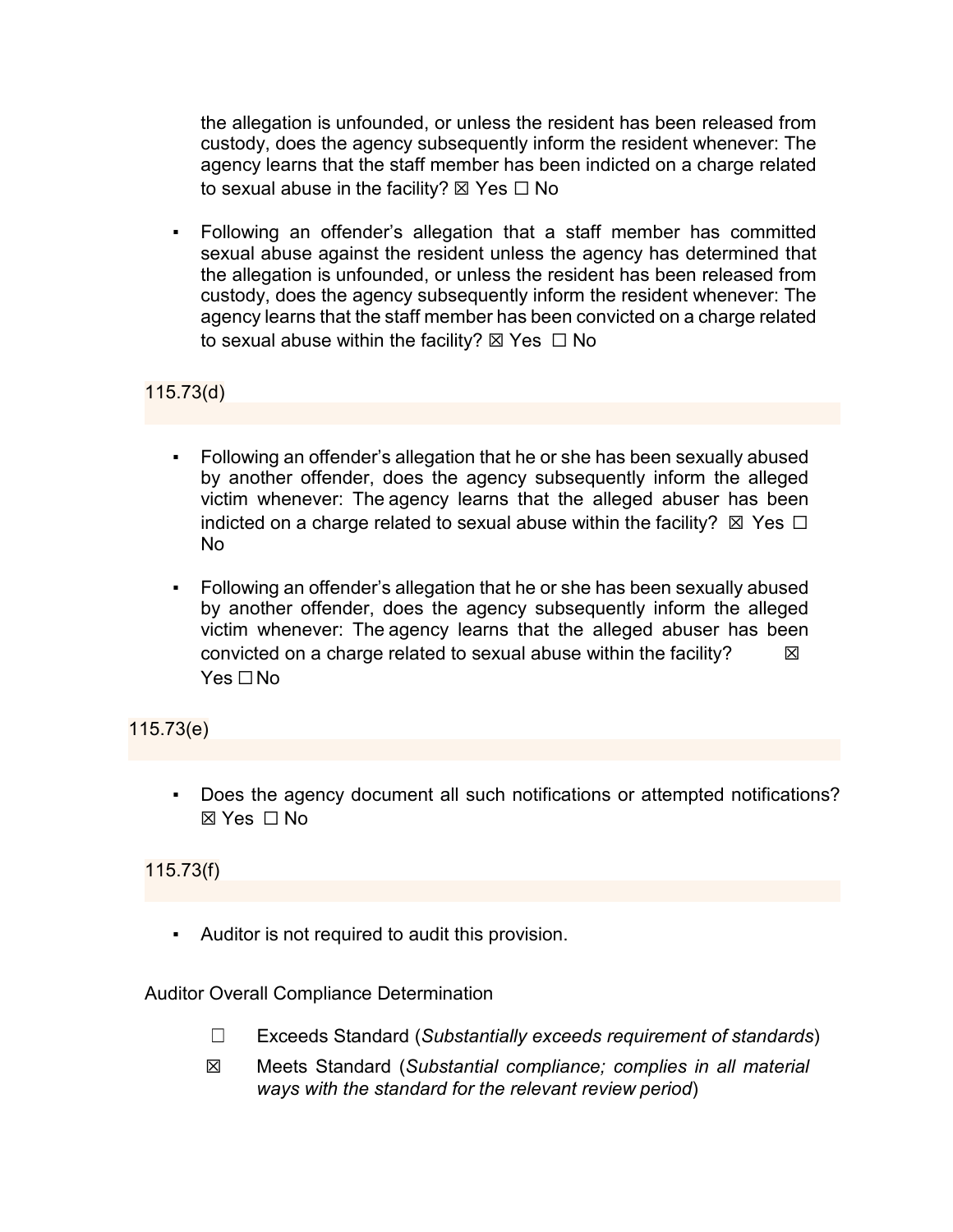the allegation is unfounded, or unless the resident has been released from custody, does the agency subsequently inform the resident whenever: The agency learns that the staff member has been indicted on a charge related to sexual abuse in the facility?  $\boxtimes$  Yes  $\Box$  No

Following an offender's allegation that a staff member has committed sexual abuse against the resident unless the agency has determined that the allegation is unfounded, or unless the resident has been released from custody, does the agency subsequently inform the resident whenever: The agency learns that the staff member has been convicted on a charge related to sexual abuse within the facility?  $\boxtimes$  Yes  $\Box$  No

## 115.73(d)

- Following an offender's allegation that he or she has been sexually abused by another offender, does the agency subsequently inform the alleged victim whenever: The agency learns that the alleged abuser has been indicted on a charge related to sexual abuse within the facility?  $\boxtimes$  Yes  $\Box$ No
- Following an offender's allegation that he or she has been sexually abused by another offender, does the agency subsequently inform the alleged victim whenever: The agency learns that the alleged abuser has been convicted on a charge related to sexual abuse within the facility?  $\boxtimes$ Yes □No

## 115.73(e)

Does the agency document all such notifications or attempted notifications? ☒ Yes ☐ No

## 115.73(f)

▪ Auditor is not required to audit this provision.

#### Auditor Overall Compliance Determination

- ☐ Exceeds Standard (*Substantially exceeds requirement of standards*)
- ☒ Meets Standard (*Substantial compliance; complies in all material ways with the standard for the relevant review period*)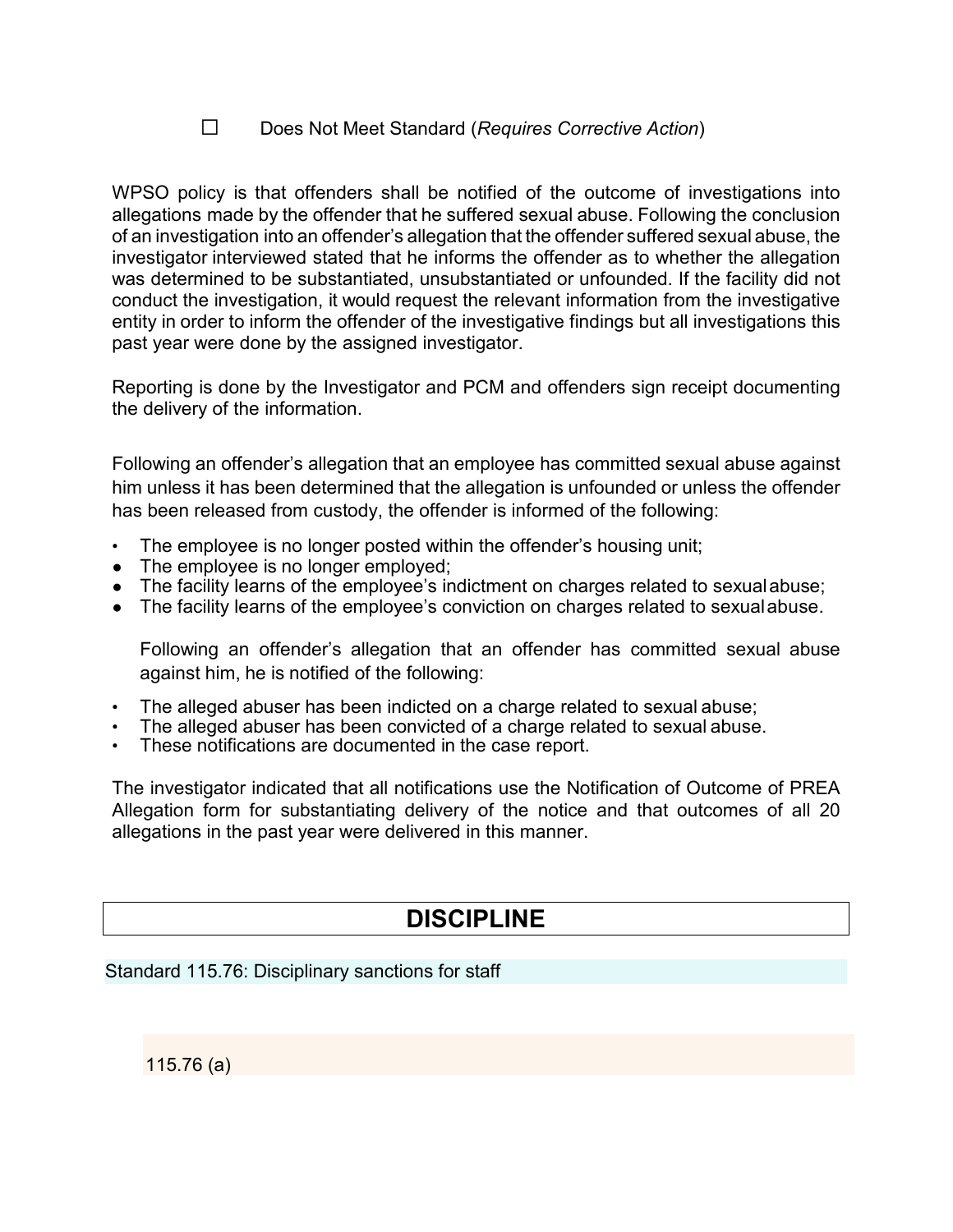#### ☐ Does Not Meet Standard (*Requires Corrective Action*)

WPSO policy is that offenders shall be notified of the outcome of investigations into allegations made by the offender that he suffered sexual abuse. Following the conclusion of an investigation into an offender's allegation that the offender suffered sexual abuse, the investigator interviewed stated that he informs the offender as to whether the allegation was determined to be substantiated, unsubstantiated or unfounded. If the facility did not conduct the investigation, it would request the relevant information from the investigative entity in order to inform the offender of the investigative findings but all investigations this past year were done by the assigned investigator.

Reporting is done by the Investigator and PCM and offenders sign receipt documenting the delivery of the information.

Following an offender's allegation that an employee has committed sexual abuse against him unless it has been determined that the allegation is unfounded or unless the offender has been released from custody, the offender is informed of the following:

- The employee is no longer posted within the offender's housing unit;
- The employee is no longer employed:
- The facility learns of the employee's indictment on charges related to sexual abuse;
- The facility learns of the employee's conviction on charges related to sexualabuse.

Following an offender's allegation that an offender has committed sexual abuse against him, he is notified of the following:

- The alleged abuser has been indicted on a charge related to sexual abuse;
- The alleged abuser has been convicted of a charge related to sexual abuse.
- These notifications are documented in the case report.

The investigator indicated that all notifications use the Notification of Outcome of PREA Allegation form for substantiating delivery of the notice and that outcomes of all 20 allegations in the past year were delivered in this manner.

# **DISCIPLINE**

#### Standard 115.76: Disciplinary sanctions for staff

115.76 (a)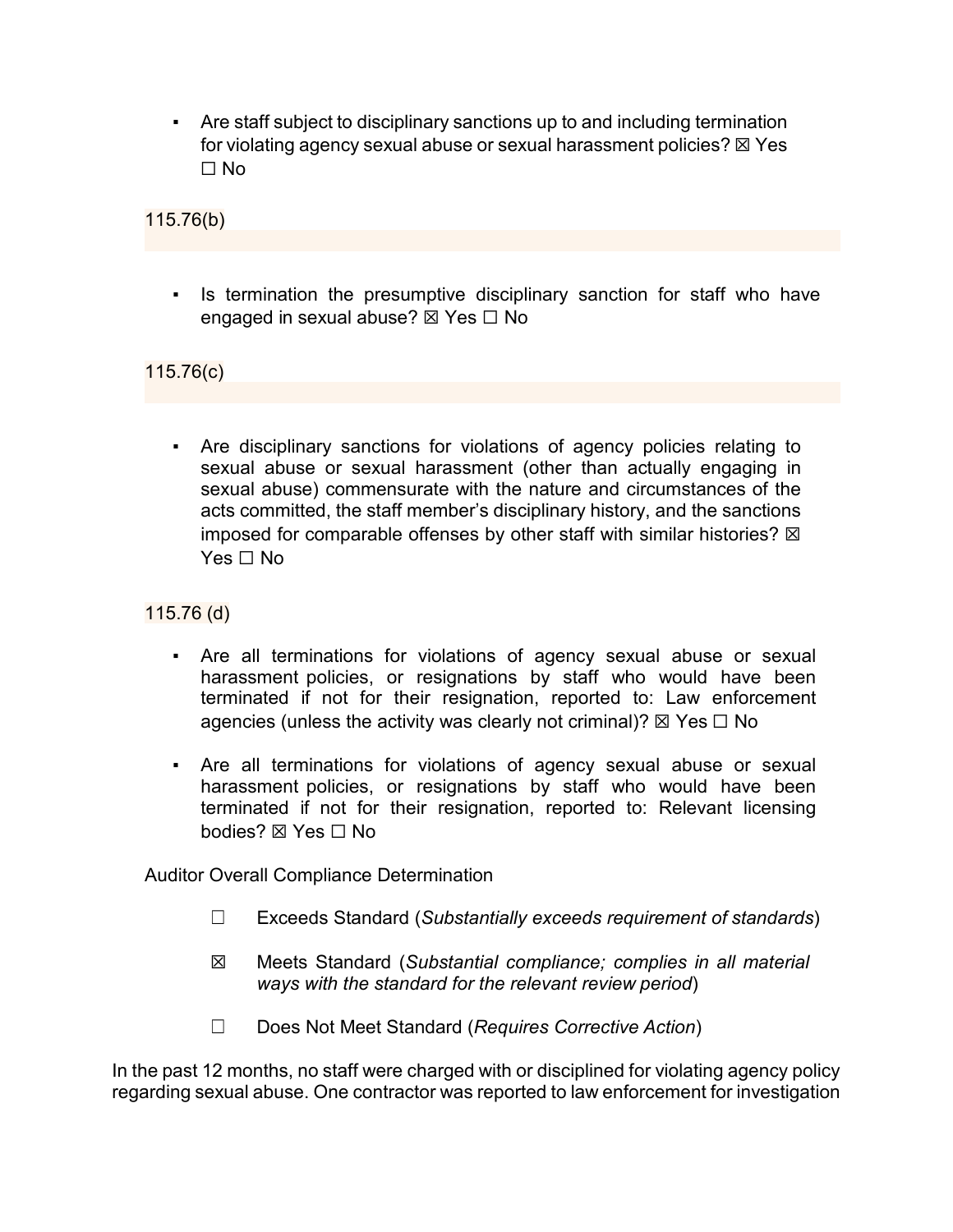▪ Are staff subject to disciplinary sanctions up to and including termination for violating agency sexual abuse or sexual harassment policies?  $\boxtimes$  Yes ☐ No

115.76(b)

• Is termination the presumptive disciplinary sanction for staff who have engaged in sexual abuse? ⊠ Yes □ No

115.76(c)

▪ Are disciplinary sanctions for violations of agency policies relating to sexual abuse or sexual harassment (other than actually engaging in sexual abuse) commensurate with the nature and circumstances of the acts committed, the staff member's disciplinary history, and the sanctions imposed for comparable offenses by other staff with similar histories?  $\boxtimes$ Yes □ No

115.76 (d)

- Are all terminations for violations of agency sexual abuse or sexual harassment policies, or resignations by staff who would have been terminated if not for their resignation, reported to: Law enforcement agencies (unless the activity was clearly not criminal)?  $\boxtimes$  Yes  $\Box$  No
- Are all terminations for violations of agency sexual abuse or sexual harassment policies, or resignations by staff who would have been terminated if not for their resignation, reported to: Relevant licensing bodies? ☒ Yes ☐ No

Auditor Overall Compliance Determination

- ☐ Exceeds Standard (*Substantially exceeds requirement of standards*)
- ☒ Meets Standard (*Substantial compliance; complies in all material ways with the standard for the relevant review period*)
- ☐ Does Not Meet Standard (*Requires Corrective Action*)

In the past 12 months, no staff were charged with or disciplined for violating agency policy regarding sexual abuse. One contractor was reported to law enforcement for investigation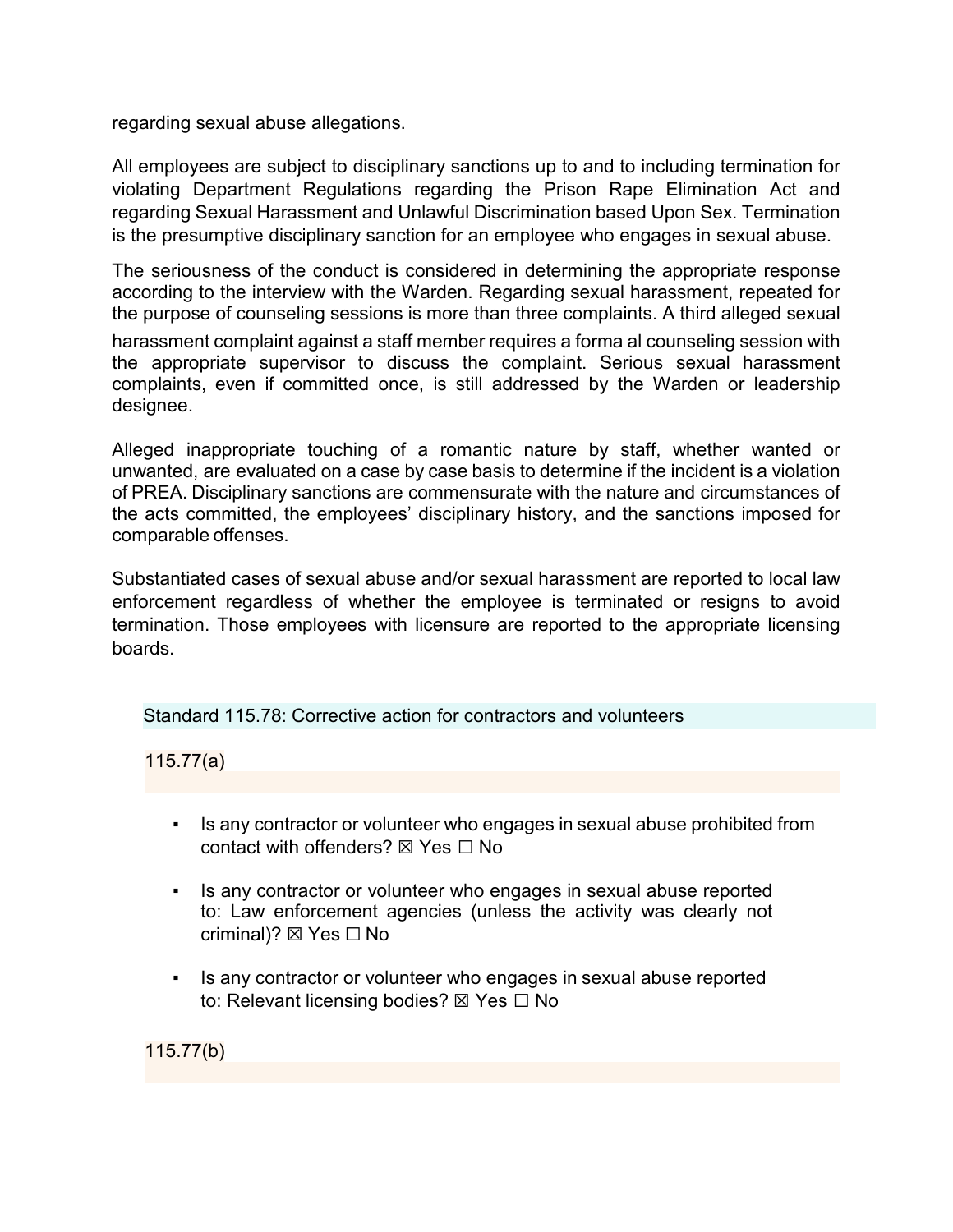regarding sexual abuse allegations.

All employees are subject to disciplinary sanctions up to and to including termination for violating Department Regulations regarding the Prison Rape Elimination Act and regarding Sexual Harassment and Unlawful Discrimination based Upon Sex. Termination is the presumptive disciplinary sanction for an employee who engages in sexual abuse.

The seriousness of the conduct is considered in determining the appropriate response according to the interview with the Warden. Regarding sexual harassment, repeated for the purpose of counseling sessions is more than three complaints. A third alleged sexual

harassment complaint against a staff member requires a forma al counseling session with the appropriate supervisor to discuss the complaint. Serious sexual harassment complaints, even if committed once, is still addressed by the Warden or leadership designee.

Alleged inappropriate touching of a romantic nature by staff, whether wanted or unwanted, are evaluated on a case by case basis to determine if the incident is a violation of PREA. Disciplinary sanctions are commensurate with the nature and circumstances of the acts committed, the employees' disciplinary history, and the sanctions imposed for comparable offenses.

Substantiated cases of sexual abuse and/or sexual harassment are reported to local law enforcement regardless of whether the employee is terminated or resigns to avoid termination. Those employees with licensure are reported to the appropriate licensing boards.

Standard 115.78: Corrective action for contractors and volunteers

115.77(a)

- Is any contractor or volunteer who engages in sexual abuse prohibited from contact with offenders?  $\nabla$  Yes  $\nabla$  No
- Is any contractor or volunteer who engages in sexual abuse reported to: Law enforcement agencies (unless the activity was clearly not criminal)? ⊠ Yes  $□$  No
- Is any contractor or volunteer who engages in sexual abuse reported to: Relevant licensing bodies? ⊠ Yes □ No

115.77(b)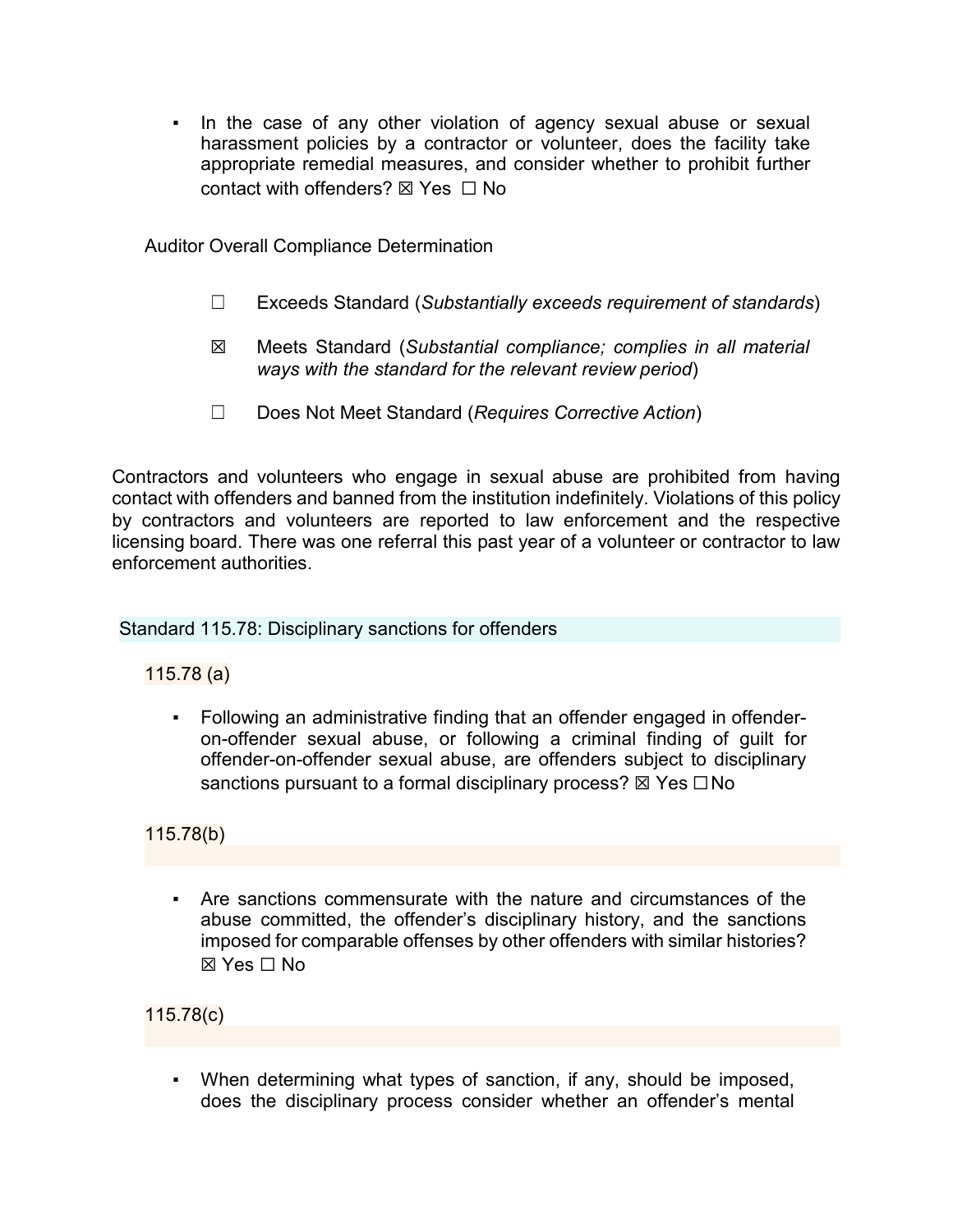▪ In the case of any other violation of agency sexual abuse or sexual harassment policies by a contractor or volunteer, does the facility take appropriate remedial measures, and consider whether to prohibit further contact with offenders? ☒ Yes ☐ No

Auditor Overall Compliance Determination

- ☐ Exceeds Standard (*Substantially exceeds requirement of standards*)
- ☒ Meets Standard (*Substantial compliance; complies in all material ways with the standard for the relevant review period*)
- ☐ Does Not Meet Standard (*Requires Corrective Action*)

Contractors and volunteers who engage in sexual abuse are prohibited from having contact with offenders and banned from the institution indefinitely. Violations of this policy by contractors and volunteers are reported to law enforcement and the respective licensing board. There was one referral this past year of a volunteer or contractor to law enforcement authorities.

Standard 115.78: Disciplinary sanctions for offenders

115.78 (a)

Following an administrative finding that an offender engaged in offenderon-offender sexual abuse, or following a criminal finding of guilt for offender-on-offender sexual abuse, are offenders subject to disciplinary sanctions pursuant to a formal disciplinary process?  $\boxtimes$  Yes  $\Box$  No

115.78(b)

▪ Are sanctions commensurate with the nature and circumstances of the abuse committed, the offender's disciplinary history, and the sanctions imposed for comparable offenses by other offenders with similar histories?  $\boxtimes$  Yes  $\Box$  No

115.78(c)

▪ When determining what types of sanction, if any, should be imposed, does the disciplinary process consider whether an offender's mental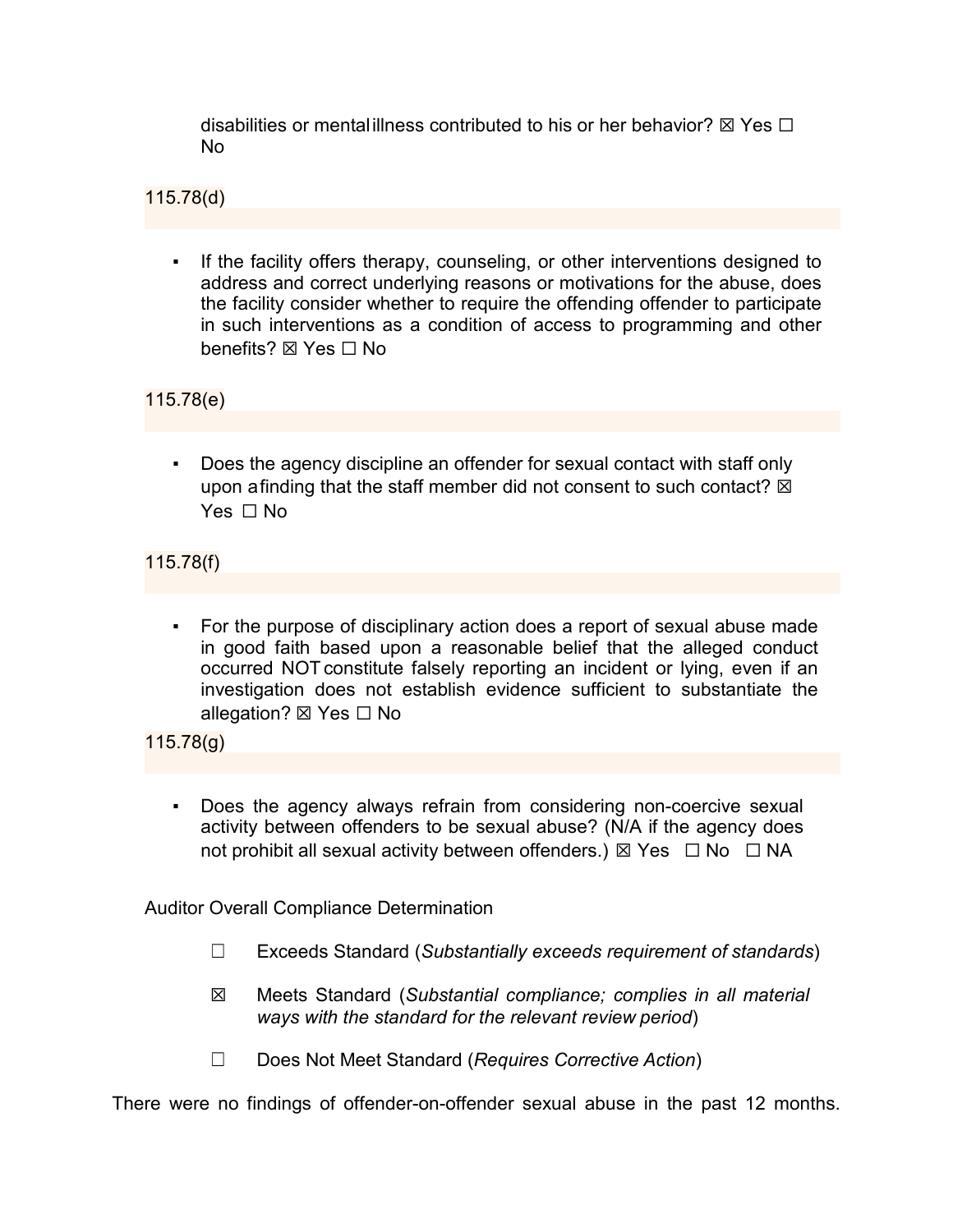disabilities or mental illness contributed to his or her behavior?  $\boxtimes$  Yes  $\Box$ No

115.78(d)

If the facility offers therapy, counseling, or other interventions designed to address and correct underlying reasons or motivations for the abuse, does the facility consider whether to require the offending offender to participate in such interventions as a condition of access to programming and other benefits? **⊠** Yes □ No

115.78(e)

Does the agency discipline an offender for sexual contact with staff only upon afinding that the staff member did not consent to such contact?  $\boxtimes$ Yes □ No

115.78(f)

For the purpose of disciplinary action does a report of sexual abuse made in good faith based upon a reasonable belief that the alleged conduct occurred NOT constitute falsely reporting an incident or lying, even if an investigation does not establish evidence sufficient to substantiate the allegation? ⊠ Yes □ No

115.78(g)

Does the agency always refrain from considering non-coercive sexual activity between offenders to be sexual abuse? (N/A if the agency does not prohibit all sexual activity between offenders.)  $\boxtimes$  Yes  $\Box$  No  $\Box$  NA

Auditor Overall Compliance Determination

- ☐ Exceeds Standard (*Substantially exceeds requirement of standards*)
- ☒ Meets Standard (*Substantial compliance; complies in all material ways with the standard for the relevant review period*)
- ☐ Does Not Meet Standard (*Requires Corrective Action*)

There were no findings of offender-on-offender sexual abuse in the past 12 months.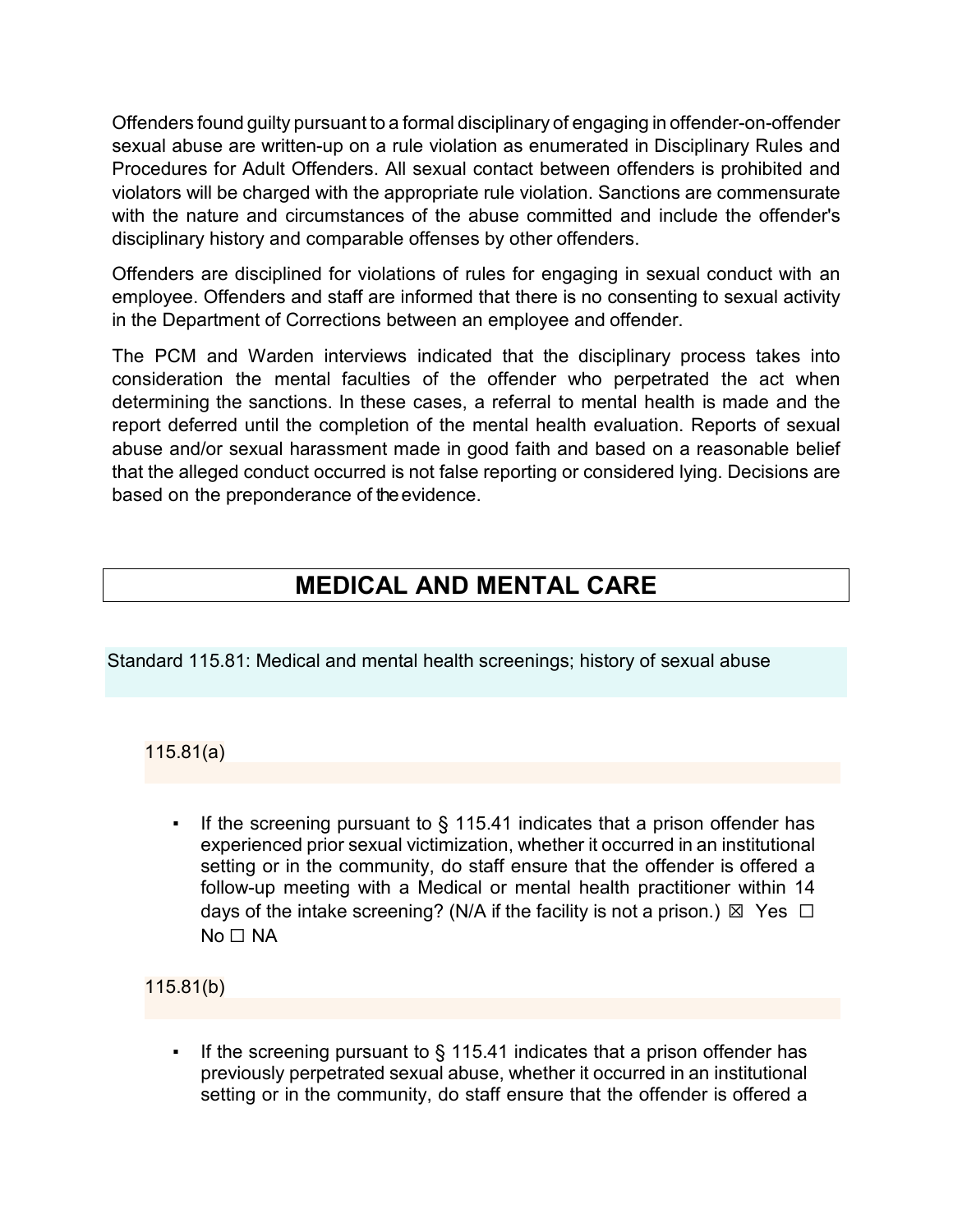Offenders found guilty pursuant to a formal disciplinary of engaging in offender-on-offender sexual abuse are written-up on a rule violation as enumerated in Disciplinary Rules and Procedures for Adult Offenders. All sexual contact between offenders is prohibited and violators will be charged with the appropriate rule violation. Sanctions are commensurate with the nature and circumstances of the abuse committed and include the offender's disciplinary history and comparable offenses by other offenders.

Offenders are disciplined for violations of rules for engaging in sexual conduct with an employee. Offenders and staff are informed that there is no consenting to sexual activity in the Department of Corrections between an employee and offender.

The PCM and Warden interviews indicated that the disciplinary process takes into consideration the mental faculties of the offender who perpetrated the act when determining the sanctions. In these cases, a referral to mental health is made and the report deferred until the completion of the mental health evaluation. Reports of sexual abuse and/or sexual harassment made in good faith and based on a reasonable belief that the alleged conduct occurred is not false reporting or considered lying. Decisions are based on the preponderance of the evidence.

# **MEDICAL AND MENTAL CARE**

Standard 115.81: Medical and mental health screenings; history of sexual abuse

115.81(a)

If the screening pursuant to  $\S$  115.41 indicates that a prison offender has experienced prior sexual victimization, whether it occurred in an institutional setting or in the community, do staff ensure that the offender is offered a follow-up meeting with a Medical or mental health practitioner within 14 days of the intake screening? (N/A if the facility is not a prison.)  $\boxtimes$  Yes  $\Box$ No □ NA

115.81(b)

If the screening pursuant to  $\S$  115.41 indicates that a prison offender has previously perpetrated sexual abuse, whether it occurred in an institutional setting or in the community, do staff ensure that the offender is offered a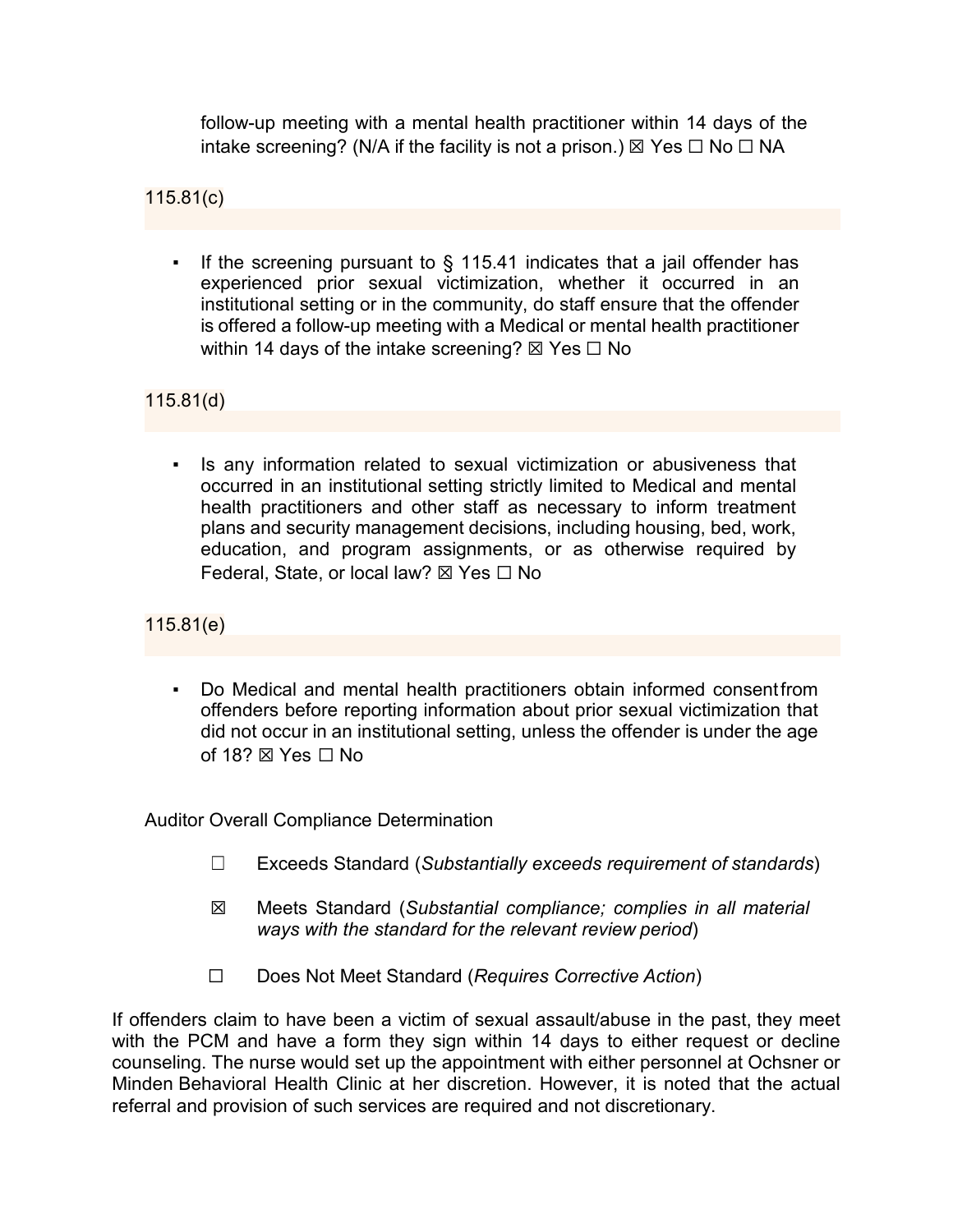follow-up meeting with a mental health practitioner within 14 days of the intake screening? (N/A if the facility is not a prison.)  $\boxtimes$  Yes  $\Box$  No  $\Box$  NA

115.81(c)

If the screening pursuant to  $\S$  115.41 indicates that a jail offender has experienced prior sexual victimization, whether it occurred in an institutional setting or in the community, do staff ensure that the offender is offered a follow-up meeting with a Medical or mental health practitioner within 14 days of the intake screening?  $\boxtimes$  Yes  $\Box$  No

115.81(d)

▪ Is any information related to sexual victimization or abusiveness that occurred in an institutional setting strictly limited to Medical and mental health practitioners and other staff as necessary to inform treatment plans and security management decisions, including housing, bed, work, education, and program assignments, or as otherwise required by Federal, State, or local law? ⊠ Yes  $□$  No

115.81(e)

Do Medical and mental health practitioners obtain informed consent from offenders before reporting information about prior sexual victimization that did not occur in an institutional setting, unless the offender is under the age of 18?  $\boxtimes$  Yes  $\Box$  No

Auditor Overall Compliance Determination

- ☐ Exceeds Standard (*Substantially exceeds requirement of standards*)
- ☒ Meets Standard (*Substantial compliance; complies in all material ways with the standard for the relevant review period*)
- ☐ Does Not Meet Standard (*Requires Corrective Action*)

If offenders claim to have been a victim of sexual assault/abuse in the past, they meet with the PCM and have a form they sign within 14 days to either request or decline counseling. The nurse would set up the appointment with either personnel at Ochsner or Minden Behavioral Health Clinic at her discretion. However, it is noted that the actual referral and provision of such services are required and not discretionary.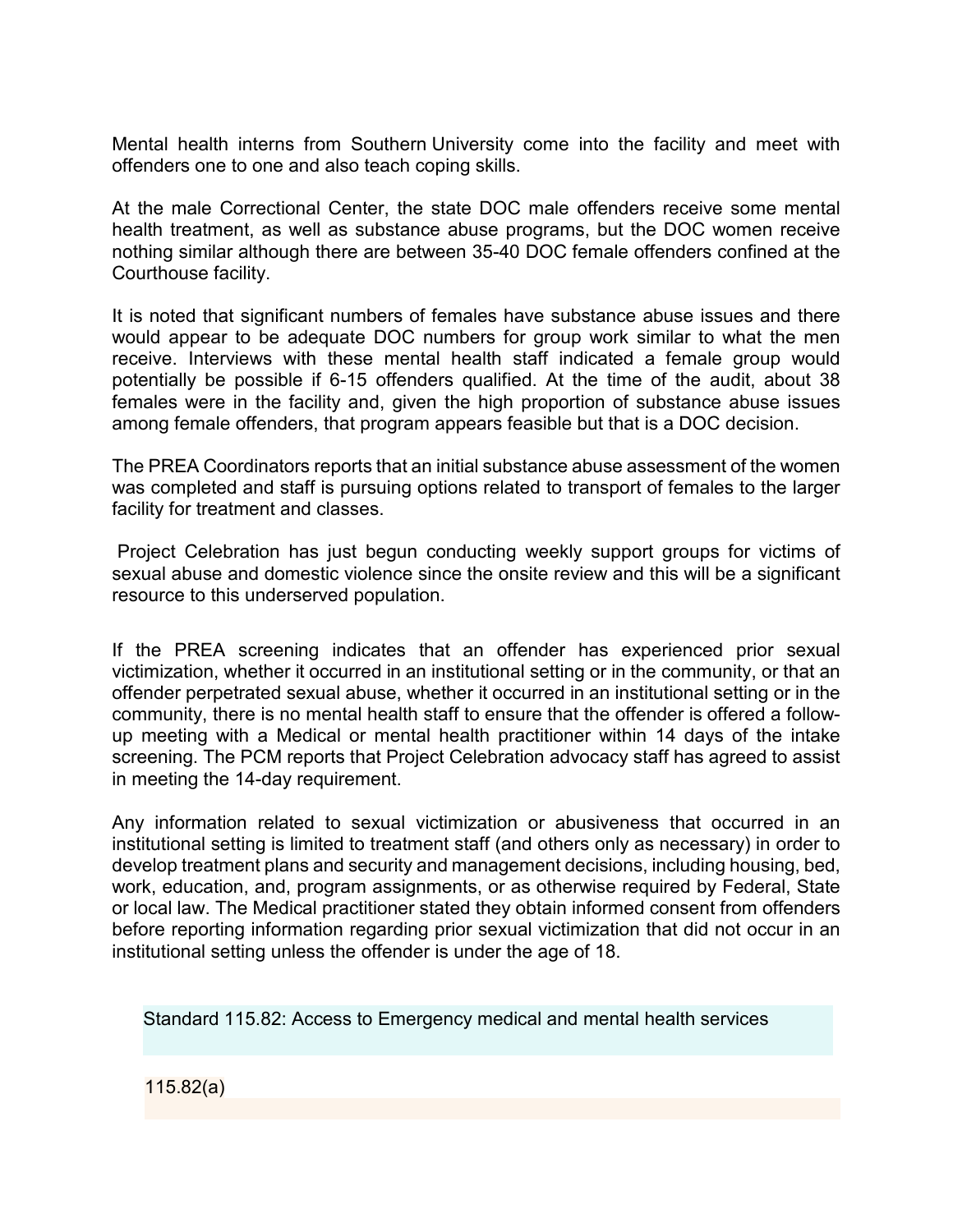Mental health interns from Southern University come into the facility and meet with offenders one to one and also teach coping skills.

At the male Correctional Center, the state DOC male offenders receive some mental health treatment, as well as substance abuse programs, but the DOC women receive nothing similar although there are between 35-40 DOC female offenders confined at the Courthouse facility.

It is noted that significant numbers of females have substance abuse issues and there would appear to be adequate DOC numbers for group work similar to what the men receive. Interviews with these mental health staff indicated a female group would potentially be possible if 6-15 offenders qualified. At the time of the audit, about 38 females were in the facility and, given the high proportion of substance abuse issues among female offenders, that program appears feasible but that is a DOC decision.

The PREA Coordinators reports that an initial substance abuse assessment of the women was completed and staff is pursuing options related to transport of females to the larger facility for treatment and classes.

Project Celebration has just begun conducting weekly support groups for victims of sexual abuse and domestic violence since the onsite review and this will be a significant resource to this underserved population.

If the PREA screening indicates that an offender has experienced prior sexual victimization, whether it occurred in an institutional setting or in the community, or that an offender perpetrated sexual abuse, whether it occurred in an institutional setting or in the community, there is no mental health staff to ensure that the offender is offered a followup meeting with a Medical or mental health practitioner within 14 days of the intake screening. The PCM reports that Project Celebration advocacy staff has agreed to assist in meeting the 14-day requirement.

Any information related to sexual victimization or abusiveness that occurred in an institutional setting is limited to treatment staff (and others only as necessary) in order to develop treatment plans and security and management decisions, including housing, bed, work, education, and, program assignments, or as otherwise required by Federal, State or local law. The Medical practitioner stated they obtain informed consent from offenders before reporting information regarding prior sexual victimization that did not occur in an institutional setting unless the offender is under the age of 18.

Standard 115.82: Access to Emergency medical and mental health services

115.82(a)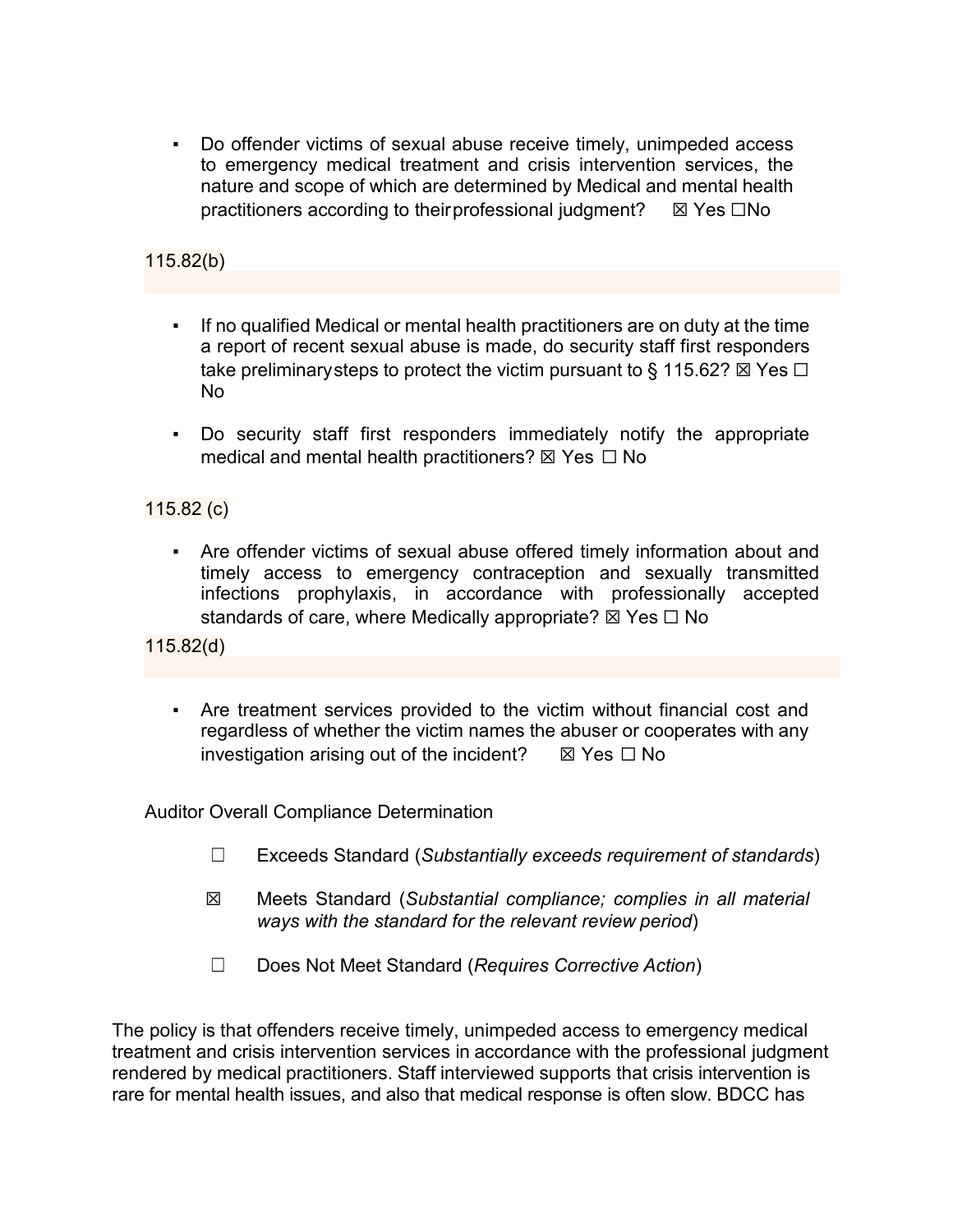Do offender victims of sexual abuse receive timely, unimpeded access to emergency medical treatment and crisis intervention services, the nature and scope of which are determined by Medical and mental health practitioners according to theirprofessional judgment?  $\boxtimes$  Yes  $\Box$ No

## 115.82(b)

- If no qualified Medical or mental health practitioners are on duty at the time a report of recent sexual abuse is made, do security staff first responders take preliminary steps to protect the victim pursuant to § 115.62?  $\boxtimes$  Yes  $\Box$ No
- Do security staff first responders immediately notify the appropriate medical and mental health practitioners?  $\boxtimes$  Yes  $\Box$  No

#### 115.82 (c)

▪ Are offender victims of sexual abuse offered timely information about and timely access to emergency contraception and sexually transmitted infections prophylaxis, in accordance with professionally accepted standards of care, where Medically appropriate?  $\boxtimes$  Yes  $\Box$  No

115.82(d)

Are treatment services provided to the victim without financial cost and regardless of whether the victim names the abuser or cooperates with any investigation arising out of the incident?  $\boxtimes$  Yes  $\Box$  No

Auditor Overall Compliance Determination

- ☐ Exceeds Standard (*Substantially exceeds requirement of standards*)
- ☒ Meets Standard (*Substantial compliance; complies in all material ways with the standard for the relevant review period*)
- ☐ Does Not Meet Standard (*Requires Corrective Action*)

The policy is that offenders receive timely, unimpeded access to emergency medical treatment and crisis intervention services in accordance with the professional judgment rendered by medical practitioners. Staff interviewed supports that crisis intervention is rare for mental health issues, and also that medical response is often slow. BDCC has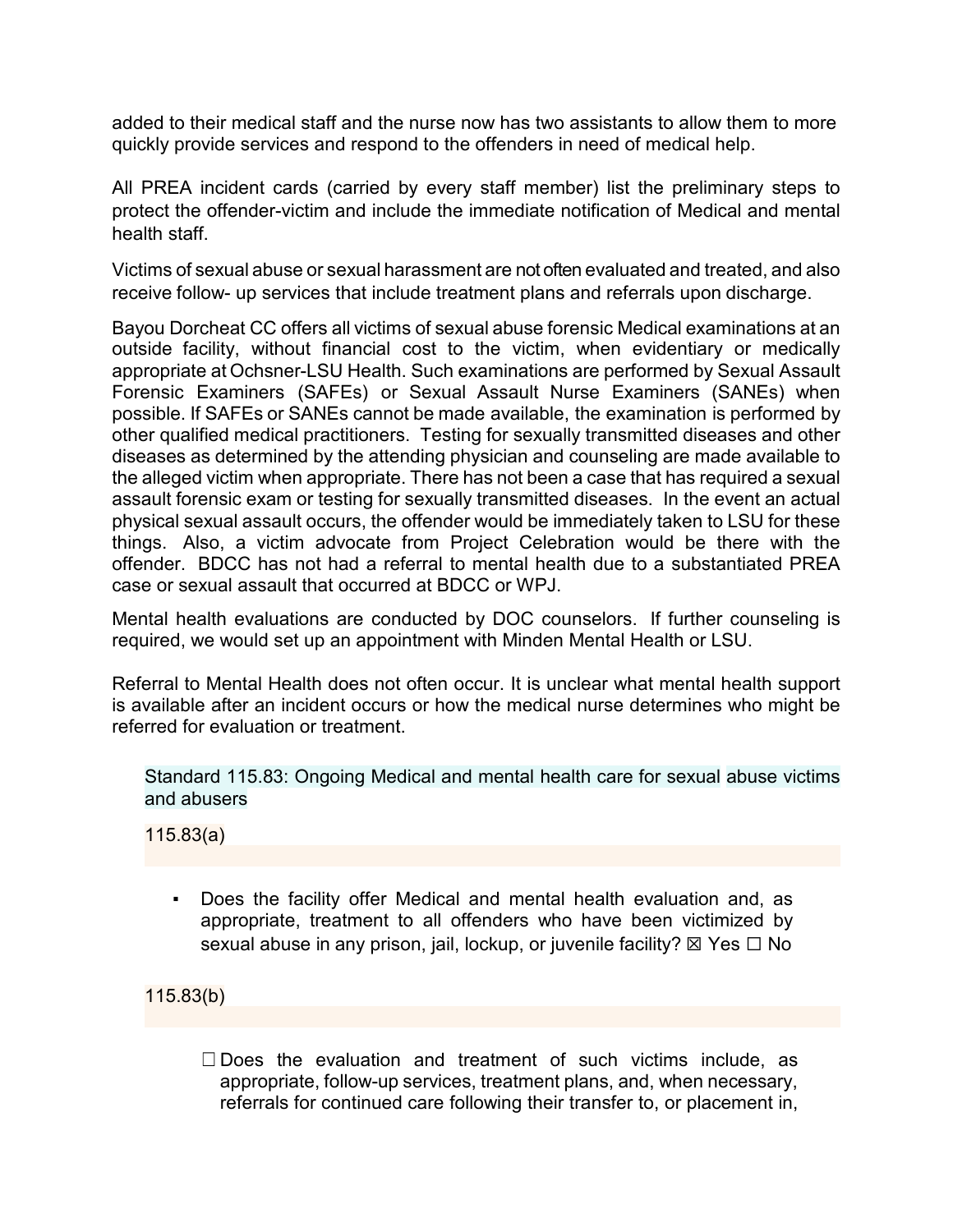added to their medical staff and the nurse now has two assistants to allow them to more quickly provide services and respond to the offenders in need of medical help.

All PREA incident cards (carried by every staff member) list the preliminary steps to protect the offender-victim and include the immediate notification of Medical and mental health staff.

Victims of sexual abuse or sexual harassment are not often evaluated and treated, and also receive follow- up services that include treatment plans and referrals upon discharge.

Bayou Dorcheat CC offers all victims of sexual abuse forensic Medical examinations at an outside facility, without financial cost to the victim, when evidentiary or medically appropriate at Ochsner-LSU Health. Such examinations are performed by Sexual Assault Forensic Examiners (SAFEs) or Sexual Assault Nurse Examiners (SANEs) when possible. If SAFEs or SANEs cannot be made available, the examination is performed by other qualified medical practitioners. Testing for sexually transmitted diseases and other diseases as determined by the attending physician and counseling are made available to the alleged victim when appropriate. There has not been a case that has required a sexual assault forensic exam or testing for sexually transmitted diseases. In the event an actual physical sexual assault occurs, the offender would be immediately taken to LSU for these things. Also, a victim advocate from Project Celebration would be there with the offender. BDCC has not had a referral to mental health due to a substantiated PREA case or sexual assault that occurred at BDCC or WPJ.

Mental health evaluations are conducted by DOC counselors. If further counseling is required, we would set up an appointment with Minden Mental Health or LSU.

Referral to Mental Health does not often occur. It is unclear what mental health support is available after an incident occurs or how the medical nurse determines who might be referred for evaluation or treatment.

Standard 115.83: Ongoing Medical and mental health care for sexual abuse victims and abusers

115.83(a)

Does the facility offer Medical and mental health evaluation and, as appropriate, treatment to all offenders who have been victimized by sexual abuse in any prison, jail, lockup, or juvenile facility?  $\boxtimes$  Yes  $\Box$  No

115.83(b)

 $\Box$  Does the evaluation and treatment of such victims include, as appropriate, follow-up services, treatment plans, and, when necessary, referrals for continued care following their transfer to, or placement in,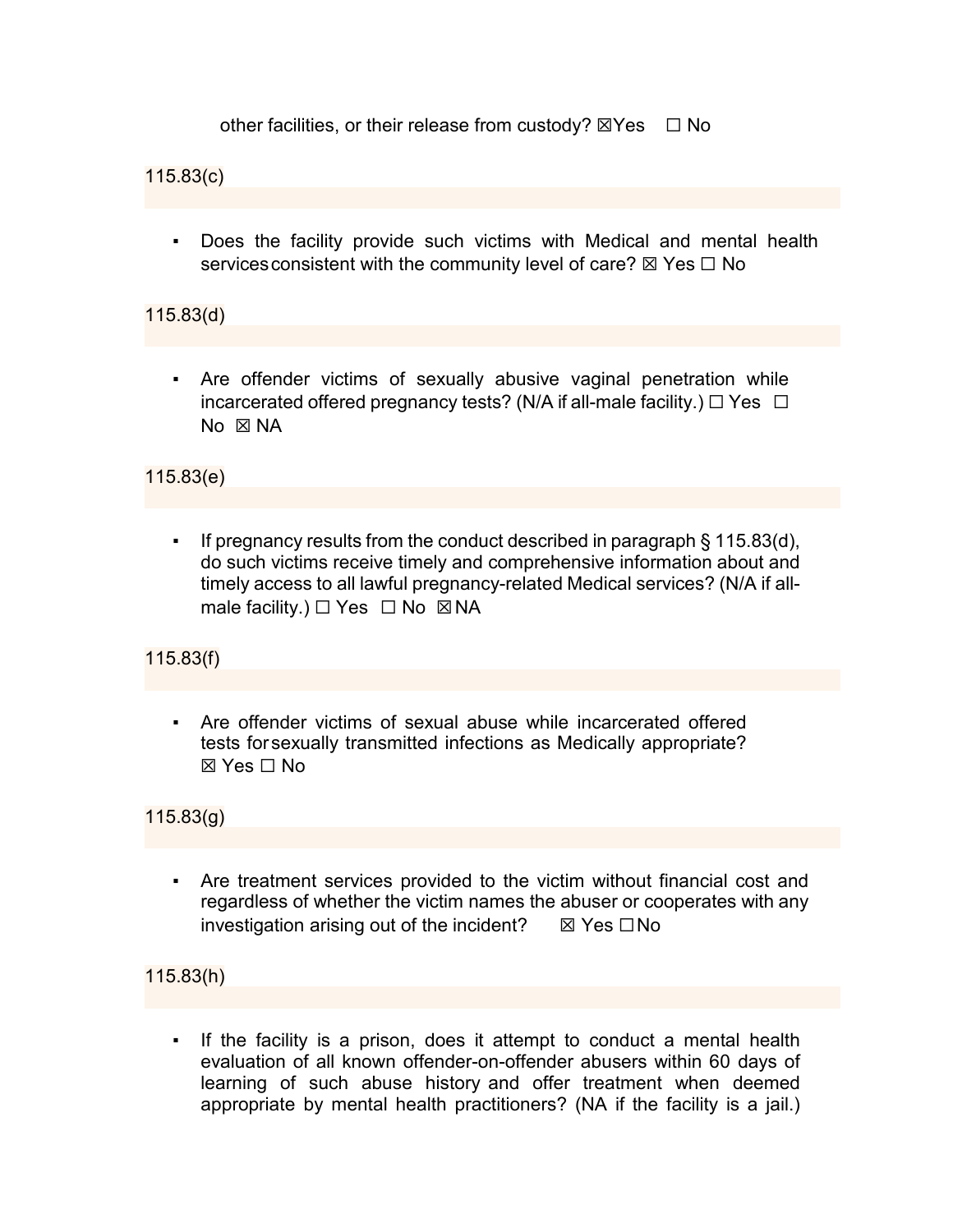other facilities, or their release from custody?  $\boxtimes$ Yes  $\Box$  No

115.83(c)

▪ Does the facility provide such victims with Medical and mental health services consistent with the community level of care?  $\boxtimes$  Yes  $\Box$  No

115.83(d)

Are offender victims of sexually abusive vaginal penetration while incarcerated offered pregnancy tests? (N/A if all-male facility.)  $\Box$  Yes  $\Box$  $No \times NA$ 

115.83(e)

▪ If pregnancy results from the conduct described in paragraph § 115.83(d), do such victims receive timely and comprehensive information about and timely access to all lawful pregnancy-related Medical services? (N/A if allmale facility.)  $\Box$  Yes  $\Box$  No  $\boxtimes$  NA

115.83(f)

▪ Are offender victims of sexual abuse while incarcerated offered tests for sexually transmitted infections as Medically appropriate?  $\boxtimes$  Yes  $\Box$  No

115.83(g)

▪ Are treatment services provided to the victim without financial cost and regardless of whether the victim names the abuser or cooperates with any investigation arising out of the incident?  $\boxtimes$  Yes  $\Box$  No

115.83(h)

▪ If the facility is a prison, does it attempt to conduct a mental health evaluation of all known offender-on-offender abusers within 60 days of learning of such abuse history and offer treatment when deemed appropriate by mental health practitioners? (NA if the facility is a jail.)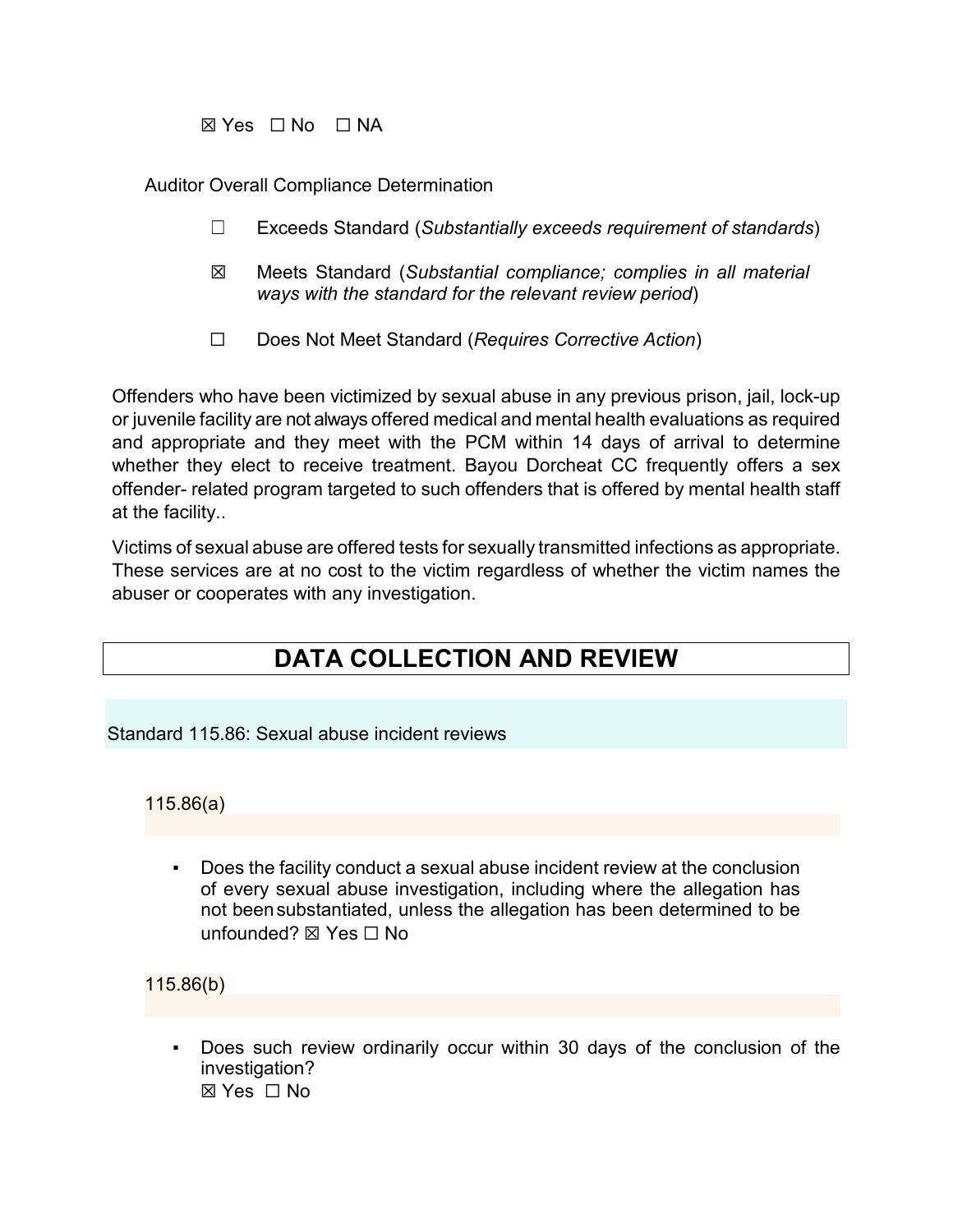☒ Yes ☐ No ☐ NA

Auditor Overall Compliance Determination

- ☐ Exceeds Standard (*Substantially exceeds requirement of standards*)
- ☒ Meets Standard (*Substantial compliance; complies in all material ways with the standard for the relevant review period*)
- ☐ Does Not Meet Standard (*Requires Corrective Action*)

Offenders who have been victimized by sexual abuse in any previous prison, jail, lock-up or juvenile facility are not always offered medical and mental health evaluations as required and appropriate and they meet with the PCM within 14 days of arrival to determine whether they elect to receive treatment. Bayou Dorcheat CC frequently offers a sex offender- related program targeted to such offenders that is offered by mental health staff at the facility..

Victims of sexual abuse are offered tests for sexually transmitted infections as appropriate. These services are at no cost to the victim regardless of whether the victim names the abuser or cooperates with any investigation.

# **DATA COLLECTION AND REVIEW**

Standard 115.86: Sexual abuse incident reviews

115.86(a)

Does the facility conduct a sexual abuse incident review at the conclusion of every sexual abuse investigation, including where the allegation has not beensubstantiated, unless the allegation has been determined to be unfounded? ⊠ Yes  $□$  No

115.86(b)

Does such review ordinarily occur within 30 days of the conclusion of the investigation? ☒ Yes ☐ No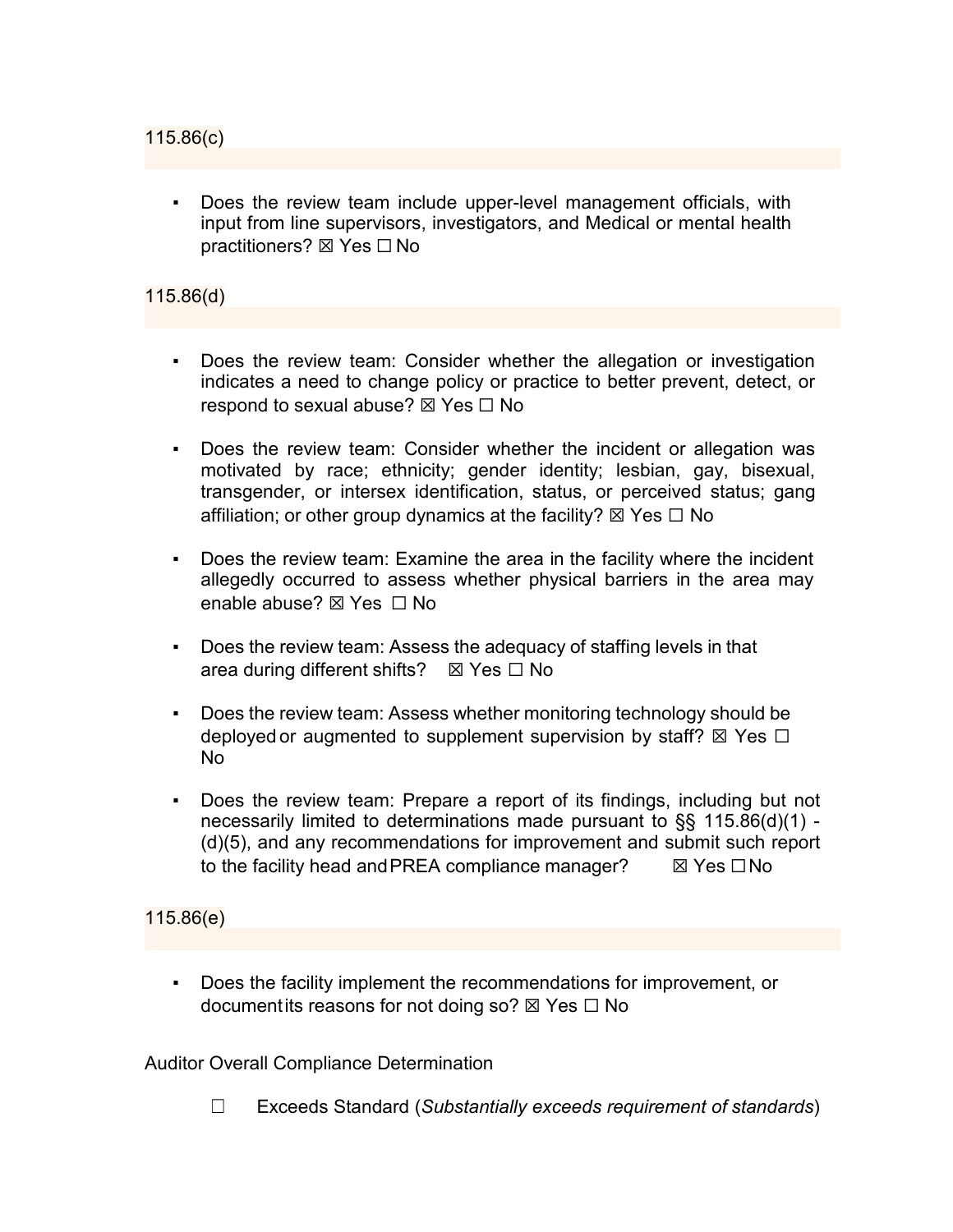Does the review team include upper-level management officials, with input from line supervisors, investigators, and Medical or mental health practitioners? ⊠ Yes  $□$  No

# 115.86(d)

- Does the review team: Consider whether the allegation or investigation indicates a need to change policy or practice to better prevent, detect, or respond to sexual abuse? ⊠ Yes □ No
- Does the review team: Consider whether the incident or allegation was motivated by race; ethnicity; gender identity; lesbian, gay, bisexual, transgender, or intersex identification, status, or perceived status; gang affiliation; or other group dynamics at the facility?  $\boxtimes$  Yes  $\Box$  No
- Does the review team: Examine the area in the facility where the incident allegedly occurred to assess whether physical barriers in the area may enable abuse? ☒ Yes ☐ No
- Does the review team: Assess the adequacy of staffing levels in that area during different shifts?  $\boxtimes$  Yes  $\Box$  No
- Does the review team: Assess whether monitoring technology should be deployed or augmented to supplement supervision by staff?  $\boxtimes$  Yes  $\Box$ No
- Does the review team: Prepare a report of its findings, including but not necessarily limited to determinations made pursuant to §§ 115.86(d)(1) - (d)(5), and any recommendations for improvement and submit such report to the facility head and PREA compliance manager? **IIX** Yes □No

#### 115.86(e)

Does the facility implement the recommendations for improvement, or documentits reasons for not doing so?  $\boxtimes$  Yes  $\Box$  No

Auditor Overall Compliance Determination

☐ Exceeds Standard (*Substantially exceeds requirement of standards*)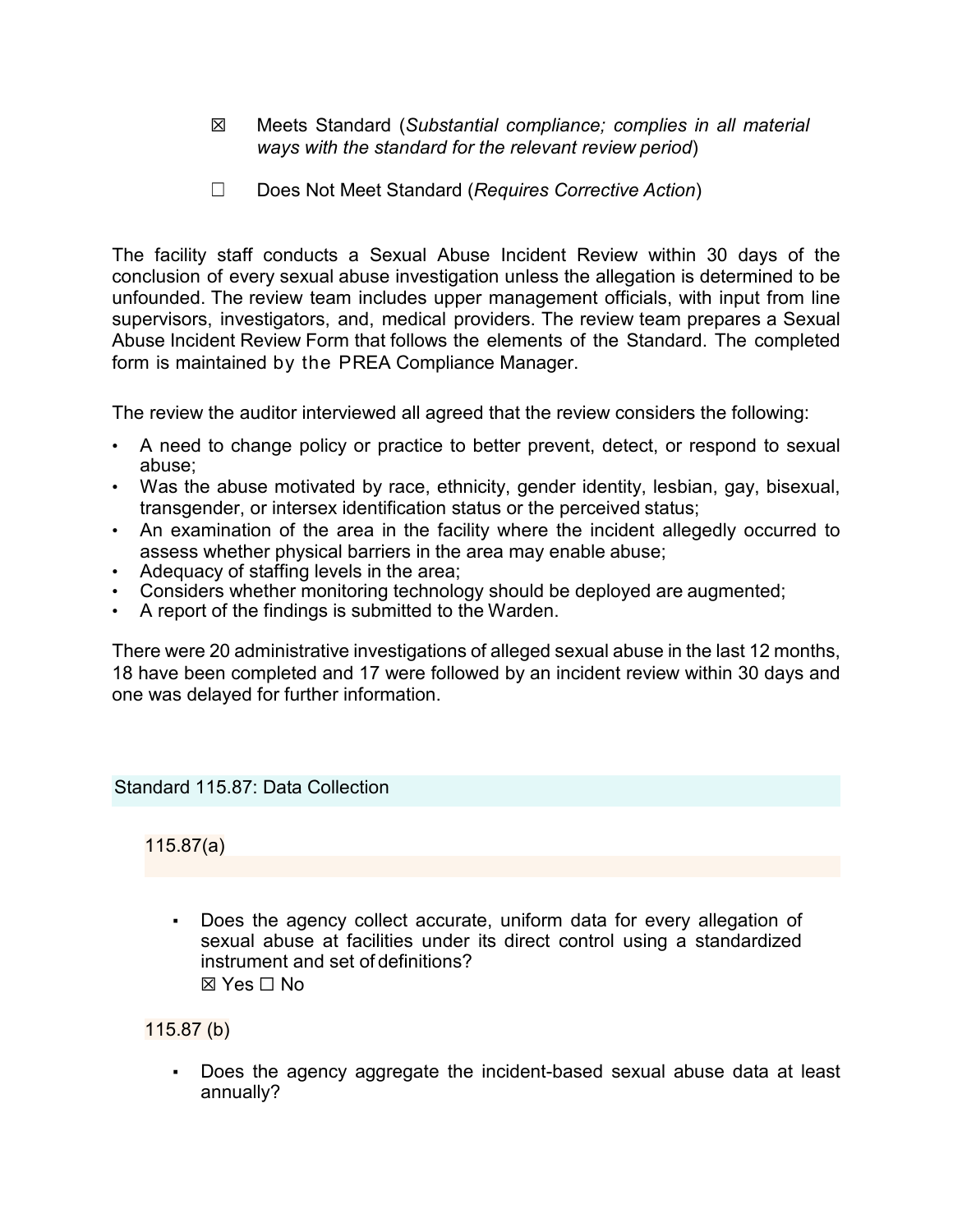- ☒ Meets Standard (*Substantial compliance; complies in all material ways with the standard for the relevant review period*)
- ☐ Does Not Meet Standard (*Requires Corrective Action*)

The facility staff conducts a Sexual Abuse Incident Review within 30 days of the conclusion of every sexual abuse investigation unless the allegation is determined to be unfounded. The review team includes upper management officials, with input from line supervisors, investigators, and, medical providers. The review team prepares a Sexual Abuse Incident Review Form that follows the elements of the Standard. The completed form is maintained by the PREA Compliance Manager.

The review the auditor interviewed all agreed that the review considers the following:

- A need to change policy or practice to better prevent, detect, or respond to sexual abuse;
- Was the abuse motivated by race, ethnicity, gender identity, lesbian, gay, bisexual, transgender, or intersex identification status or the perceived status;
- An examination of the area in the facility where the incident allegedly occurred to assess whether physical barriers in the area may enable abuse;
- Adequacy of staffing levels in the area;
- Considers whether monitoring technology should be deployed are augmented;
- A report of the findings is submitted to the Warden.

There were 20 administrative investigations of alleged sexual abuse in the last 12 months, 18 have been completed and 17 were followed by an incident review within 30 days and one was delayed for further information.

# Standard 115.87: Data Collection

115.87(a)

▪ Does the agency collect accurate, uniform data for every allegation of sexual abuse at facilities under its direct control using a standardized instrument and set of definitions? ☒ Yes ☐ No

115.87 (b)

Does the agency aggregate the incident-based sexual abuse data at least annually?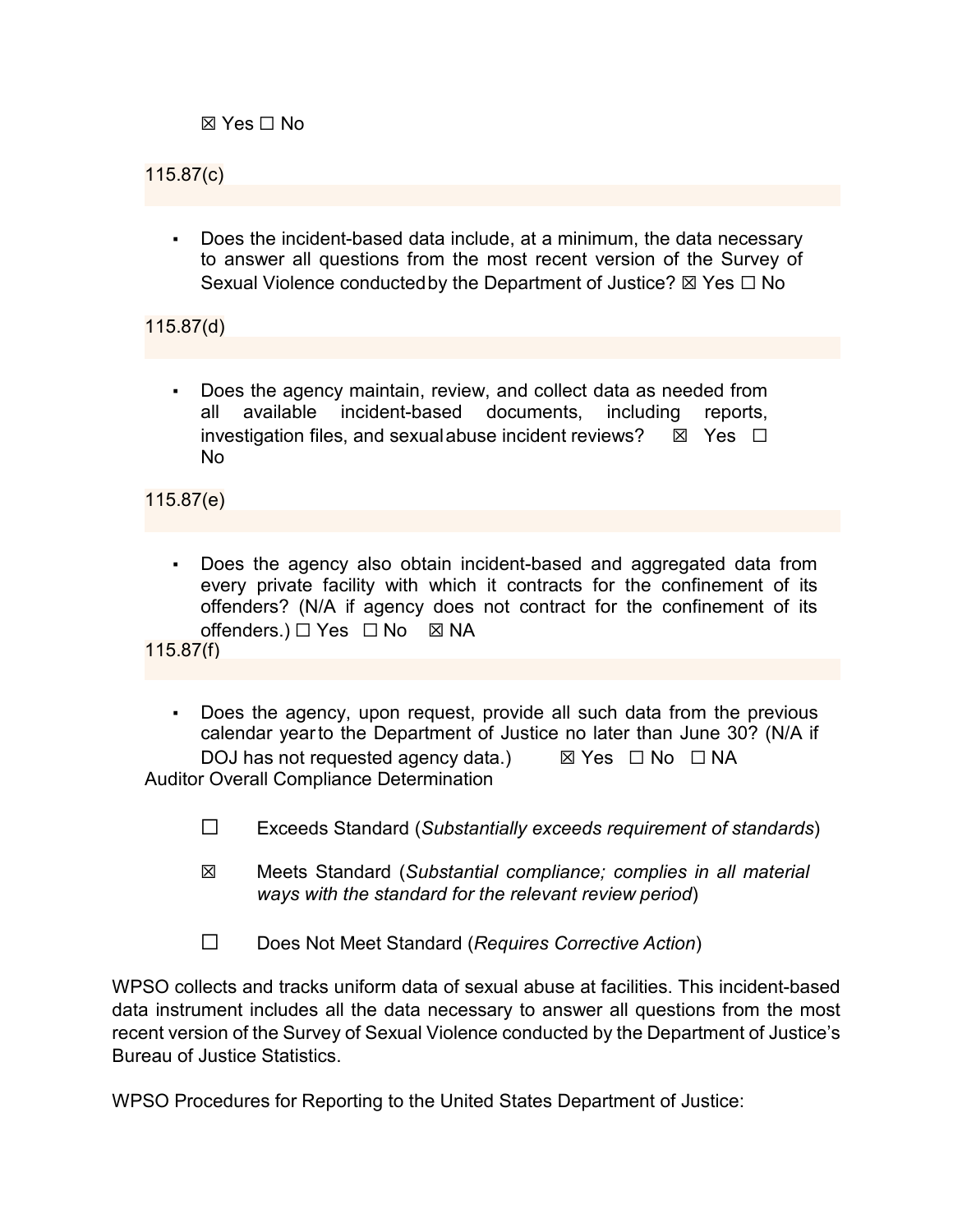☒ Yes ☐ No

# 115.87(c)

Does the incident-based data include, at a minimum, the data necessary to answer all questions from the most recent version of the Survey of Sexual Violence conducted by the Department of Justice? ⊠ Yes □ No

115.87(d)

Does the agency maintain, review, and collect data as needed from all available incident-based documents, including reports, investigation files, and sexual abuse incident reviews?  $\boxtimes$  Yes  $\Box$ No

115.87(e)

Does the agency also obtain incident-based and aggregated data from every private facility with which it contracts for the confinement of its offenders? (N/A if agency does not contract for the confinement of its offenders.)  $\Box$  Yes  $\Box$  No  $\boxtimes$  NA

115.87(f)

- Does the agency, upon request, provide all such data from the previous calendar yearto the Department of Justice no later than June 30? (N/A if DOJ has not requested agency data.)  $\boxtimes$  Yes  $\Box$  No  $\Box$  NA Auditor Overall Compliance Determination
	- ☐ Exceeds Standard (*Substantially exceeds requirement of standards*)
	- ☒ Meets Standard (*Substantial compliance; complies in all material ways with the standard for the relevant review period*)
	- ☐ Does Not Meet Standard (*Requires Corrective Action*)

WPSO collects and tracks uniform data of sexual abuse at facilities. This incident-based data instrument includes all the data necessary to answer all questions from the most recent version of the Survey of Sexual Violence conducted by the Department of Justice's Bureau of Justice Statistics.

WPSO Procedures for Reporting to the United States Department of Justice: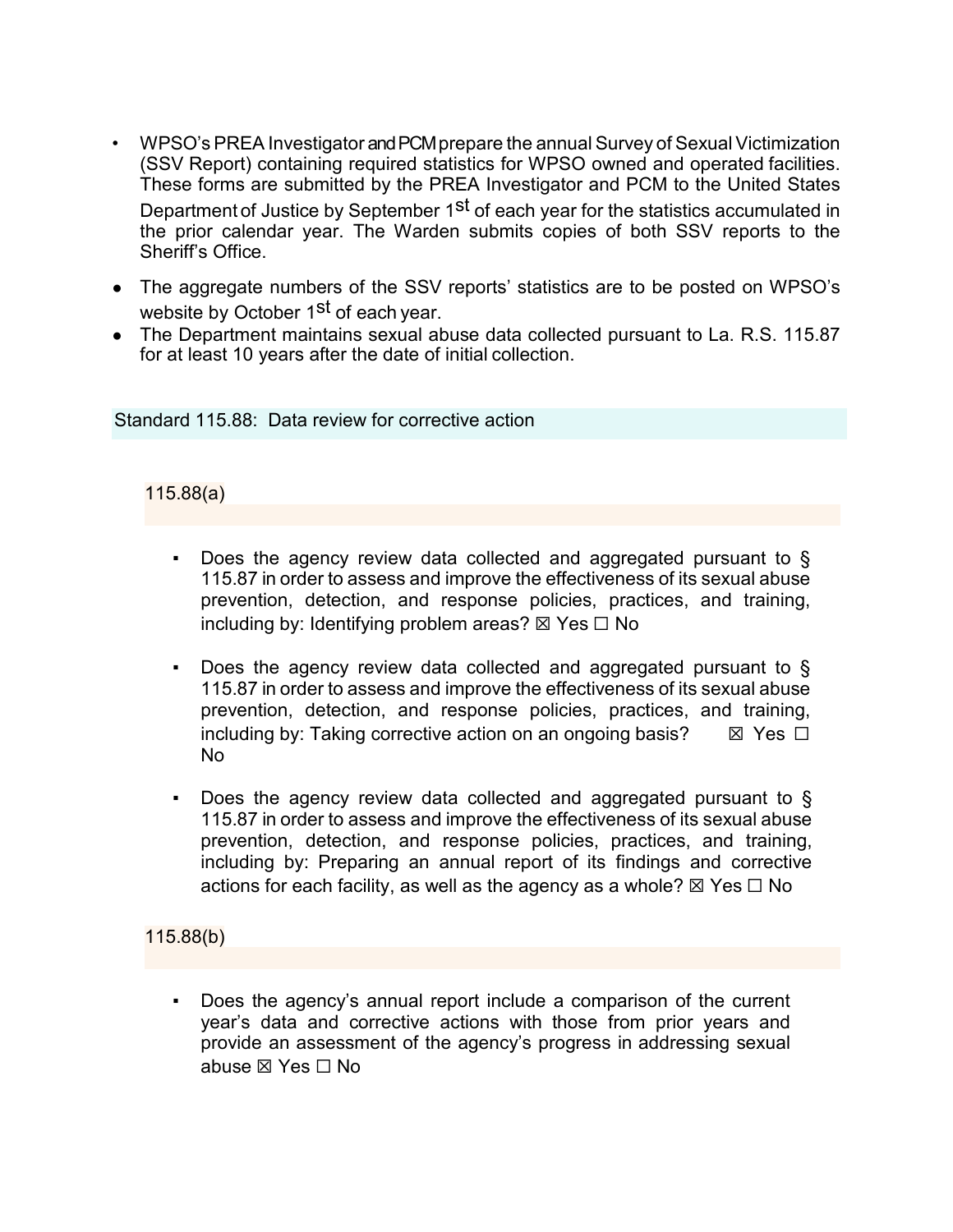- WPSO's PREA Investigator and PCM prepare the annual Survey of Sexual Victimization (SSV Report) containing required statistics for WPSO owned and operated facilities. These forms are submitted by the PREA Investigator and PCM to the United States Department of Justice by September 1<sup>st</sup> of each year for the statistics accumulated in the prior calendar year. The Warden submits copies of both SSV reports to the Sheriff's Office.
- The aggregate numbers of the SSV reports' statistics are to be posted on WPSO's website by October 1<sup>st</sup> of each year.
- The Department maintains sexual abuse data collected pursuant to La. R.S. 115.87 for at least 10 years after the date of initial collection.

Standard 115.88: Data review for corrective action

### 115.88(a)

- Does the agency review data collected and aggregated pursuant to  $\S$ 115.87 in order to assess and improve the effectiveness of its sexual abuse prevention, detection, and response policies, practices, and training, including by: Identifying problem areas?  $\boxtimes$  Yes  $\Box$  No
- Does the agency review data collected and aggregated pursuant to  $\S$ 115.87 in order to assess and improve the effectiveness of its sexual abuse prevention, detection, and response policies, practices, and training, including by: Taking corrective action on an ongoing basis?  $\boxtimes$  Yes  $\Box$ No
- Does the agency review data collected and aggregated pursuant to  $\S$ 115.87 in order to assess and improve the effectiveness of its sexual abuse prevention, detection, and response policies, practices, and training, including by: Preparing an annual report of its findings and corrective actions for each facility, as well as the agency as a whole?  $\boxtimes$  Yes  $\Box$  No

#### 115.88(b)

Does the agency's annual report include a comparison of the current year's data and corrective actions with those from prior years and provide an assessment of the agency's progress in addressing sexual abuse ☒ Yes ☐ No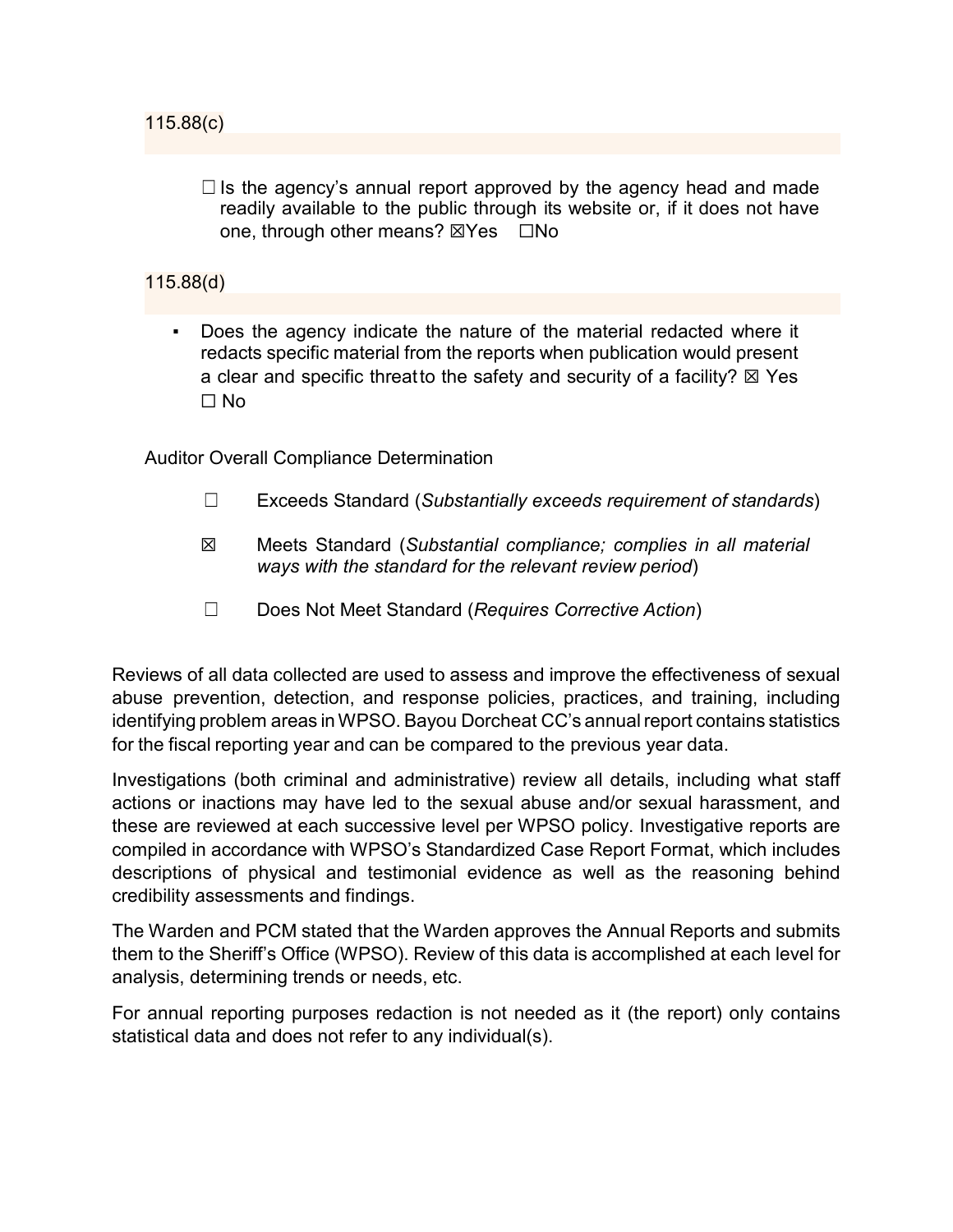$\Box$  Is the agency's annual report approved by the agency head and made readily available to the public through its website or, if it does not have one, through other means? ⊠Yes □No

# 115.88(d)

Does the agency indicate the nature of the material redacted where it redacts specific material from the reports when publication would present a clear and specific threatto the safety and security of a facility?  $\boxtimes$  Yes ☐ No

Auditor Overall Compliance Determination

- ☐ Exceeds Standard (*Substantially exceeds requirement of standards*)
- ☒ Meets Standard (*Substantial compliance; complies in all material ways with the standard for the relevant review period*)
- ☐ Does Not Meet Standard (*Requires Corrective Action*)

Reviews of all data collected are used to assess and improve the effectiveness of sexual abuse prevention, detection, and response policies, practices, and training, including identifying problem areas inWPSO. Bayou Dorcheat CC's annual report contains statistics for the fiscal reporting year and can be compared to the previous year data.

Investigations (both criminal and administrative) review all details, including what staff actions or inactions may have led to the sexual abuse and/or sexual harassment, and these are reviewed at each successive level per WPSO policy. Investigative reports are compiled in accordance with WPSO's Standardized Case Report Format, which includes descriptions of physical and testimonial evidence as well as the reasoning behind credibility assessments and findings.

The Warden and PCM stated that the Warden approves the Annual Reports and submits them to the Sheriff's Office (WPSO). Review of this data is accomplished at each level for analysis, determining trends or needs, etc.

For annual reporting purposes redaction is not needed as it (the report) only contains statistical data and does not refer to any individual(s).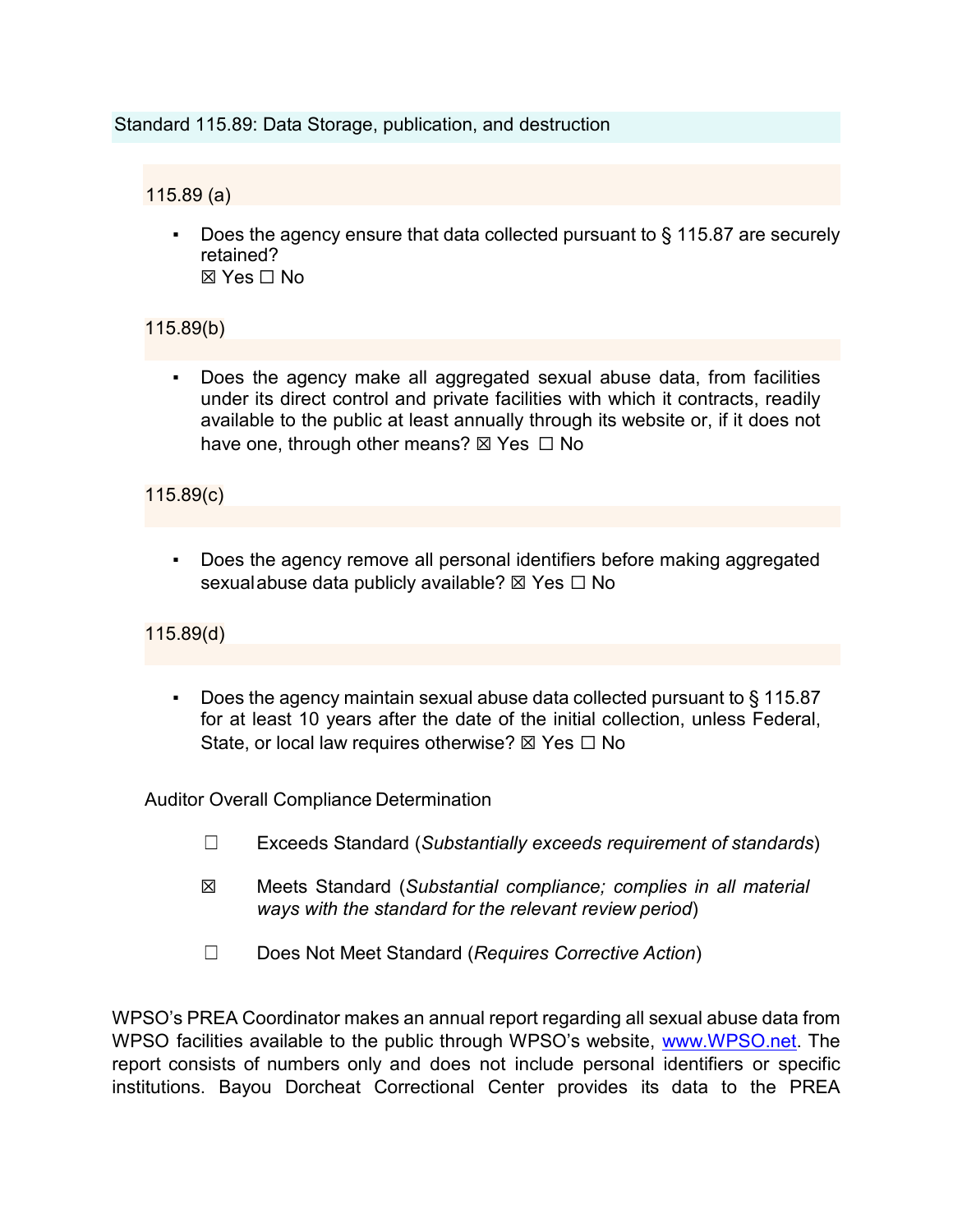#### Standard 115.89: Data Storage, publication, and destruction

# 115.89 (a)

Does the agency ensure that data collected pursuant to  $\S$  115.87 are securely retained?  $\boxtimes$  Yes  $\Box$  No

# 115.89(b)

Does the agency make all aggregated sexual abuse data, from facilities under its direct control and private facilities with which it contracts, readily available to the public at least annually through its website or, if it does not have one, through other means?  $\boxtimes$  Yes  $\Box$  No

### 115.89(c)

Does the agency remove all personal identifiers before making aggregated sexualabuse data publicly available?  $\boxtimes$  Yes  $\Box$  No

115.89(d)

Does the agency maintain sexual abuse data collected pursuant to  $\S$  115.87 for at least 10 years after the date of the initial collection, unless Federal, State, or local law requires otherwise?  $\boxtimes$  Yes  $\Box$  No

Auditor Overall Compliance Determination

- ☐ Exceeds Standard (*Substantially exceeds requirement of standards*)
- ☒ Meets Standard (*Substantial compliance; complies in all material ways with the standard for the relevant review period*)
- ☐ Does Not Meet Standard (*Requires Corrective Action*)

WPSO's PREA Coordinator makes an annual report regarding all sexual abuse data from WPSO facilities available to the public through WPSO's website, [www.WPSO.net.](http://www.opso.net/) The report consists of numbers only and does not include personal identifiers or specific institutions. Bayou Dorcheat Correctional Center provides its data to the PREA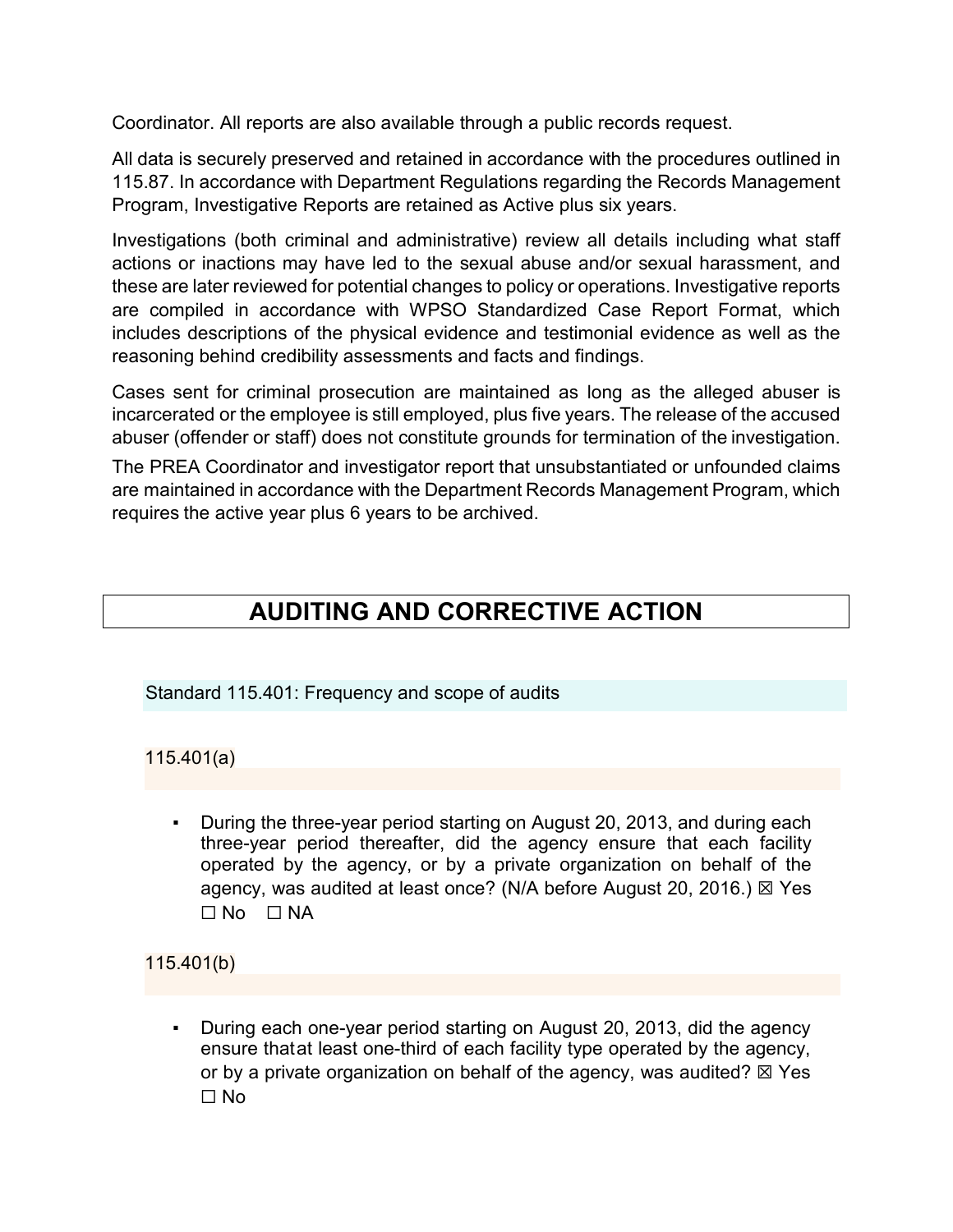Coordinator. All reports are also available through a public records request.

All data is securely preserved and retained in accordance with the procedures outlined in 115.87. In accordance with Department Regulations regarding the Records Management Program, Investigative Reports are retained as Active plus six years.

Investigations (both criminal and administrative) review all details including what staff actions or inactions may have led to the sexual abuse and/or sexual harassment, and these are later reviewed for potential changes to policy or operations. Investigative reports are compiled in accordance with WPSO Standardized Case Report Format, which includes descriptions of the physical evidence and testimonial evidence as well as the reasoning behind credibility assessments and facts and findings.

Cases sent for criminal prosecution are maintained as long as the alleged abuser is incarcerated or the employee is still employed, plus five years. The release of the accused abuser (offender or staff) does not constitute grounds for termination of the investigation.

The PREA Coordinator and investigator report that unsubstantiated or unfounded claims are maintained in accordance with the Department Records Management Program, which requires the active year plus 6 years to be archived.

# **AUDITING AND CORRECTIVE ACTION**

Standard 115.401: Frequency and scope of audits

115.401(a)

During the three-year period starting on August 20, 2013, and during each three-year period thereafter, did the agency ensure that each facility operated by the agency, or by a private organization on behalf of the agency, was audited at least once? (N/A before August 20, 2016.) ⊠ Yes  $\square$  No  $\square$  NA

115.401(b)

• During each one-year period starting on August 20, 2013, did the agency ensure thatat least one-third of each facility type operated by the agency, or by a private organization on behalf of the agency, was audited?  $\boxtimes$  Yes ☐ No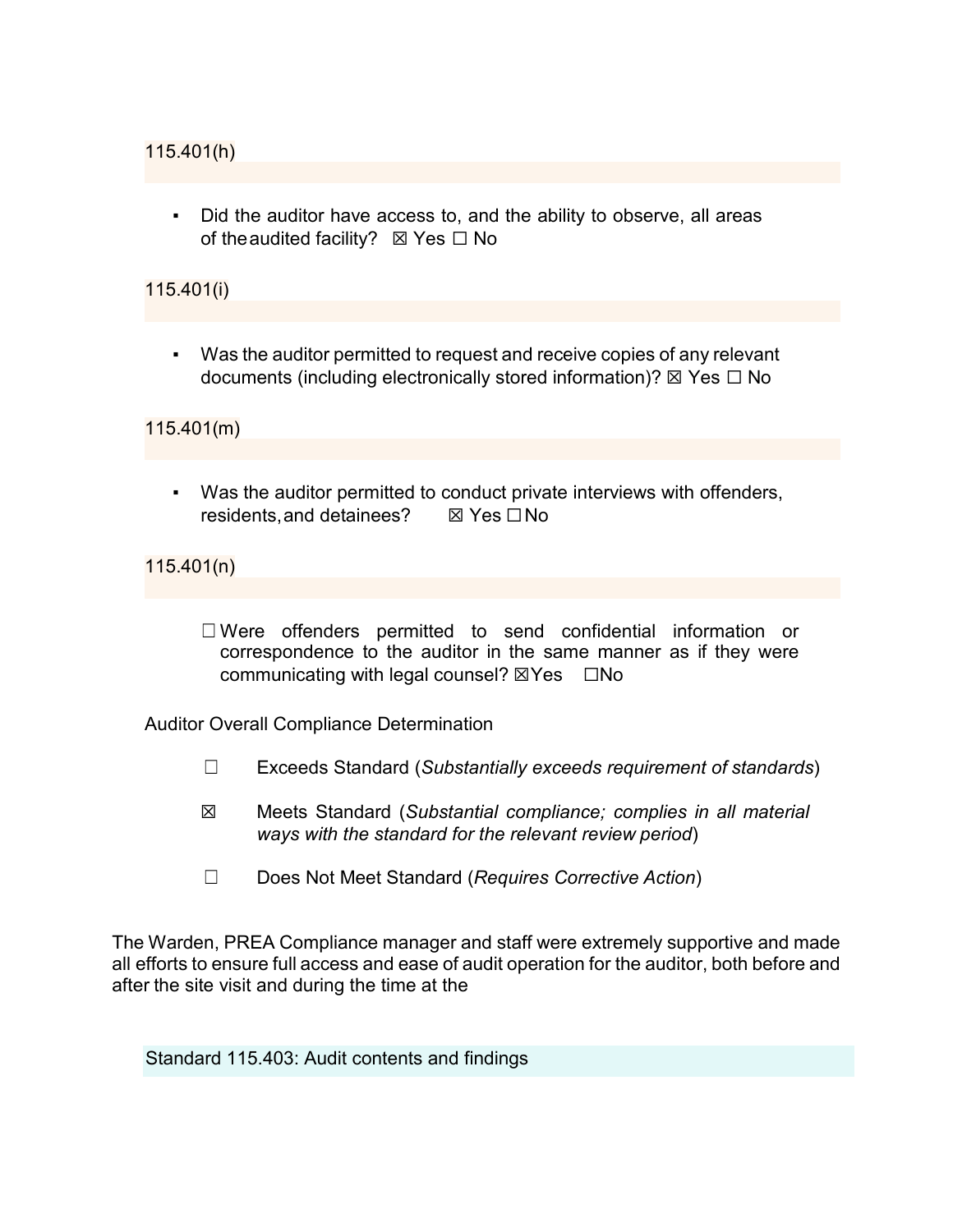▪ Did the auditor have access to, and the ability to observe, all areas of the audited facility?  $\boxtimes$  Yes  $\Box$  No

# 115.401(i)

▪ Was the auditor permitted to request and receive copies of any relevant documents (including electronically stored information)?  $\boxtimes$  Yes  $\Box$  No

115.401(m)

▪ Was the auditor permitted to conduct private interviews with offenders, residents,and detainees? ☒ Yes ☐No

115.401(n)

☐ Were offenders permitted to send confidential information or correspondence to the auditor in the same manner as if they were communicating with legal counsel? ⊠Yes □No

Auditor Overall Compliance Determination

- ☐ Exceeds Standard (*Substantially exceeds requirement of standards*)
- ☒ Meets Standard (*Substantial compliance; complies in all material ways with the standard for the relevant review period*)
- ☐ Does Not Meet Standard (*Requires Corrective Action*)

The Warden, PREA Compliance manager and staff were extremely supportive and made all efforts to ensure full access and ease of audit operation for the auditor, both before and after the site visit and during the time at the

Standard 115.403: Audit contents and findings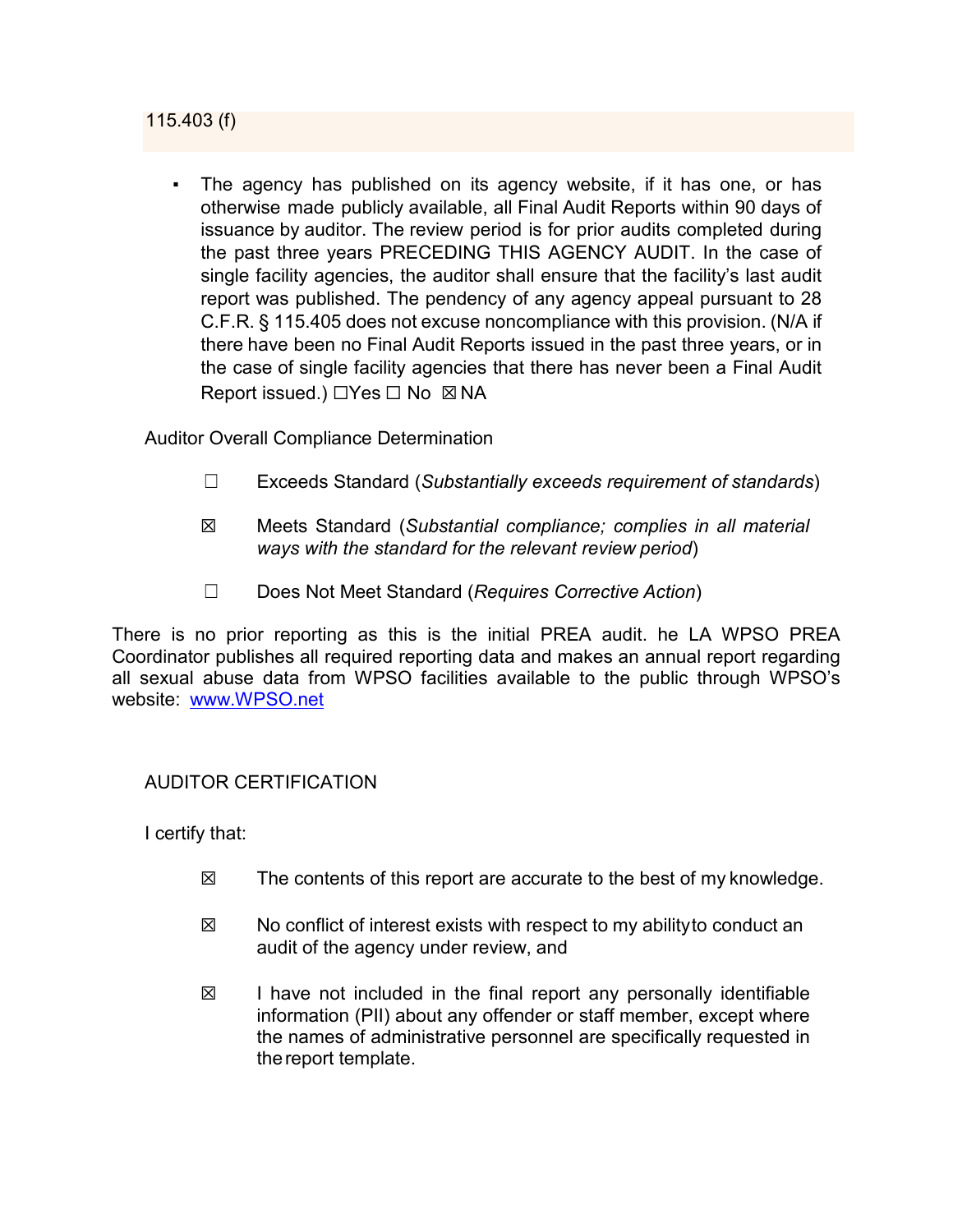115.403 (f)

The agency has published on its agency website, if it has one, or has otherwise made publicly available, all Final Audit Reports within 90 days of issuance by auditor. The review period is for prior audits completed during the past three years PRECEDING THIS AGENCY AUDIT. In the case of single facility agencies, the auditor shall ensure that the facility's last audit report was published. The pendency of any agency appeal pursuant to 28 C.F.R. § 115.405 does not excuse noncompliance with this provision. (N/A if there have been no Final Audit Reports issued in the past three years, or in the case of single facility agencies that there has never been a Final Audit Report issued.) □Yes □ No ⊠ NA

Auditor Overall Compliance Determination

- ☐ Exceeds Standard (*Substantially exceeds requirement of standards*)
- ☒ Meets Standard (*Substantial compliance; complies in all material ways with the standard for the relevant review period*)
- ☐ Does Not Meet Standard (*Requires Corrective Action*)

There is no prior reporting as this is the initial PREA audit. he LA WPSO PREA Coordinator publishes all required reporting data and makes an annual report regarding all sexual abuse data from WPSO facilities available to the public through WPSO's website: [www.WPSO.net](http://www.opso.net/)

#### AUDITOR CERTIFICATION

I certify that:

- ☒ The contents of this report are accurate to the best of my knowledge.
- $\boxtimes$  No conflict of interest exists with respect to my abilityto conduct an audit of the agency under review, and
- $\boxtimes$  I have not included in the final report any personally identifiable information (PII) about any offender or staff member, except where the names of administrative personnel are specifically requested in thereport template.